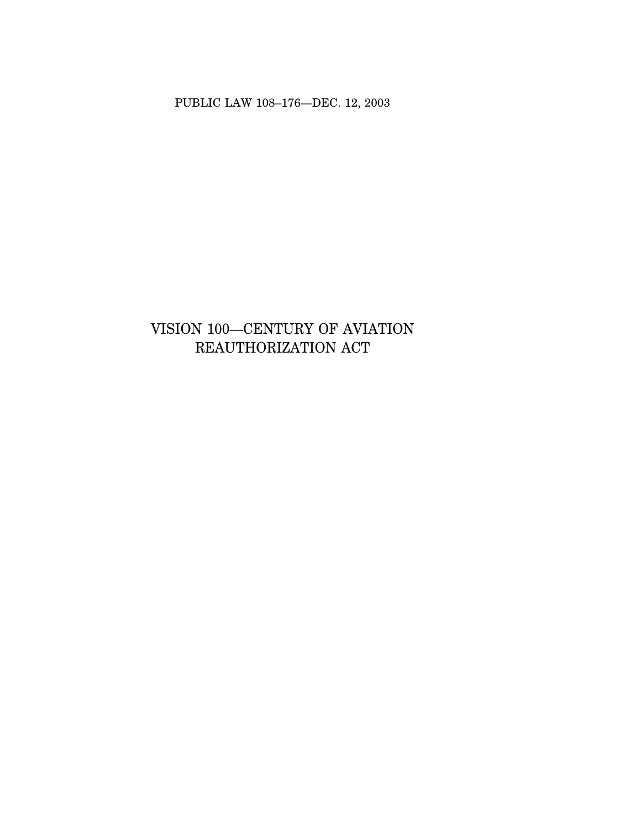PUBLIC LAW 108–176—DEC. 12, 2003

# VISION 100—CENTURY OF AVIATION REAUTHORIZATION ACT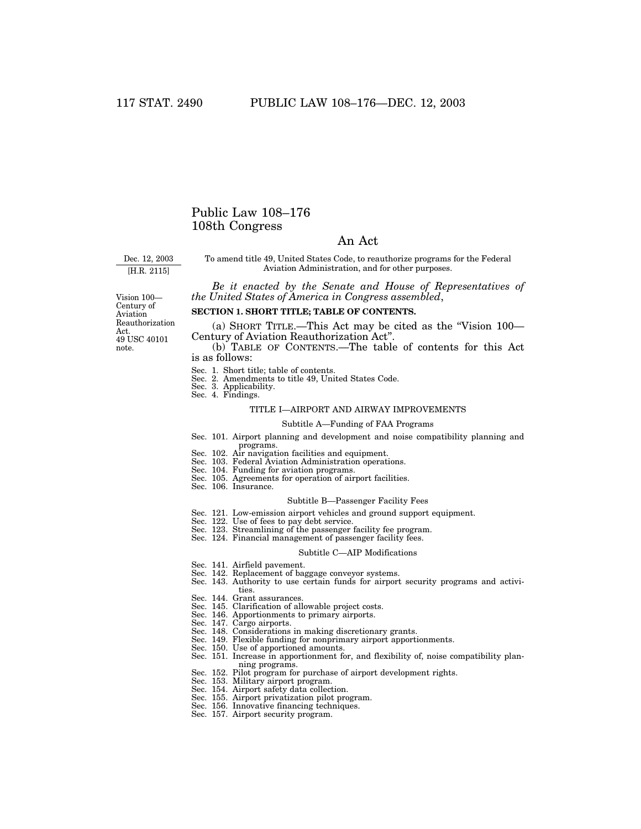## Public Law 108–176 108th Congress

## An Act

Dec. 12, 2003

[H.R. 2115]

To amend title 49, United States Code, to reauthorize programs for the Federal Aviation Administration, and for other purposes.

*Be it enacted by the Senate and House of Representatives of the United States of America in Congress assembled*,

49 USC 40101 note. Vision 100— Century of Aviation Reauthorization Act.

## **SECTION 1. SHORT TITLE; TABLE OF CONTENTS.**

(a) SHORT TITLE.—This Act may be cited as the ''Vision 100— Century of Aviation Reauthorization Act''.

(b) TABLE OF CONTENTS.—The table of contents for this Act is as follows:

Sec. 1. Short title; table of contents.

- Sec. 2. Amendments to title 49, United States Code. Sec. 3. Applicability.
- 
- Sec. 4. Findings.

#### TITLE I—AIRPORT AND AIRWAY IMPROVEMENTS

#### Subtitle A—Funding of FAA Programs

- Sec. 101. Airport planning and development and noise compatibility planning and programs.
- Sec. 102. Air navigation facilities and equipment. Sec. 103. Federal Aviation Administration operations.
- 
- Sec. 104. Funding for aviation programs.
- Sec. 105. Agreements for operation of airport facilities. Sec. 106. Insurance.
- 

#### Subtitle B—Passenger Facility Fees

- Sec. 121. Low-emission airport vehicles and ground support equipment.
- Sec. 122. Use of fees to pay debt service.
- Sec. 123. Streamlining of the passenger facility fee program.
- Sec. 124. Financial management of passenger facility fees.

#### Subtitle C—AIP Modifications

- Sec. 141. Airfield pavement.
- Sec. 142. Replacement of baggage conveyor systems.
- Sec. 143. Authority to use certain funds for airport security programs and activities.
	-
	- Sec. 144. Grant assurances. Sec. 145. Clarification of allowable project costs.
	- Sec. 146. Apportionments to primary airports. Sec. 147. Cargo airports.
		-
	-
	- Sec. 148. Considerations in making discretionary grants. Sec. 149. Flexible funding for nonprimary airport apportionments.
	- Sec. 150. Use of apportioned amounts.
	- Sec. 151. Increase in apportionment for, and flexibility of, noise compatibility planning programs.
	- Sec. 152. Pilot program for purchase of airport development rights.
	- Sec. 153. Military airport program.
	- Sec. 154. Airport safety data collection.
	- Sec. 155. Airport privatization pilot program.
	- Sec. 156. Innovative financing techniques.
	- Sec. 157. Airport security program.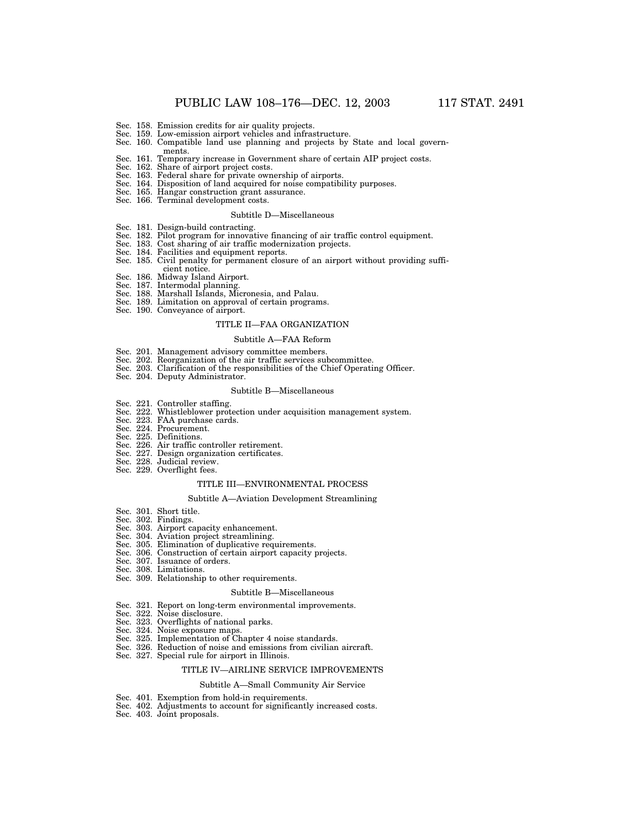- Sec. 159. Low-emission airport vehicles and infrastructure.
- Sec. 160. Compatible land use planning and projects by State and local govern-
- ments. Sec. 161. Temporary increase in Government share of certain AIP project costs.
- 
- Sec. 162. Share of airport project costs. Sec. 163. Federal share for private ownership of airports.
- Sec. 164. Disposition of land acquired for noise compatibility purposes. Sec. 165. Hangar construction grant assurance.
- 
- Sec. 166. Terminal development costs.

#### Subtitle D—Miscellaneous

- 
- Sec. 181. Design-build contracting. Sec. 182. Pilot program for innovative financing of air traffic control equipment. Sec. 183. Cost sharing of air traffic modernization projects.
- 
- 
- Sec. 184. Facilities and equipment reports. Sec. 185. Civil penalty for permanent closure of an airport without providing sufficient notice.
- 
- 
- Sec. 186. Midway Island Airport. Sec. 187. Intermodal planning. Sec. 188. Marshall Islands, Micronesia, and Palau. Sec. 189. Limitation on approval of certain programs.
- 
- Sec. 190. Conveyance of airport.

## TITLE II—FAA ORGANIZATION

### Subtitle A—FAA Reform

- 
- 
- Sec. 201. Management advisory committee members.<br>Sec. 202. Reorganization of the air traffic services subcommittee.<br>Sec. 203. Clarification of the responsibilities of the Chief Operating Officer.<br>Sec. 204. Deputy Administr
- 

#### Subtitle B—Miscellaneous

- 
- Sec. 221. Controller staffing. Sec. 222. Whistleblower protection under acquisition management system.
- Sec. 223. FAA purchase cards. Sec. 224. Procurement.
- 
- Sec. 225. Definitions. Sec. 226. Air traffic controller retirement.
- Sec. 227. Design organization certificates.
- Sec. 228. Judicial review.
- Sec. 229. Overflight fees.

#### TITLE III—ENVIRONMENTAL PROCESS

## Subtitle A—Aviation Development Streamlining

- Sec. 301. Short title. Sec. 302. Findings.
- 
- Sec. 303. Airport capacity enhancement.
- Sec. 304. Aviation project streamlining.
- Sec. 305. Elimination of duplicative requirements.
- Sec. 306. Construction of certain airport capacity projects.
- Sec. 307. Issuance of orders.
- Sec. 308. Limitations.
- Sec. 309. Relationship to other requirements.

#### Subtitle B—Miscellaneous

- Sec. 321. Report on long-term environmental improvements.
- Sec. 322. Noise disclosure.
- Sec. 323. Overflights of national parks.
- Sec. 324. Noise exposure maps.
- Sec. 325. Implementation of Chapter 4 noise standards.
- Sec. 326. Reduction of noise and emissions from civilian aircraft.
- Sec. 327. Special rule for airport in Illinois.

## TITLE IV—AIRLINE SERVICE IMPROVEMENTS

## Subtitle A—Small Community Air Service

- Sec. 401. Exemption from hold-in requirements.
- Sec. 402. Adjustments to account for significantly increased costs.
- Sec. 403. Joint proposals.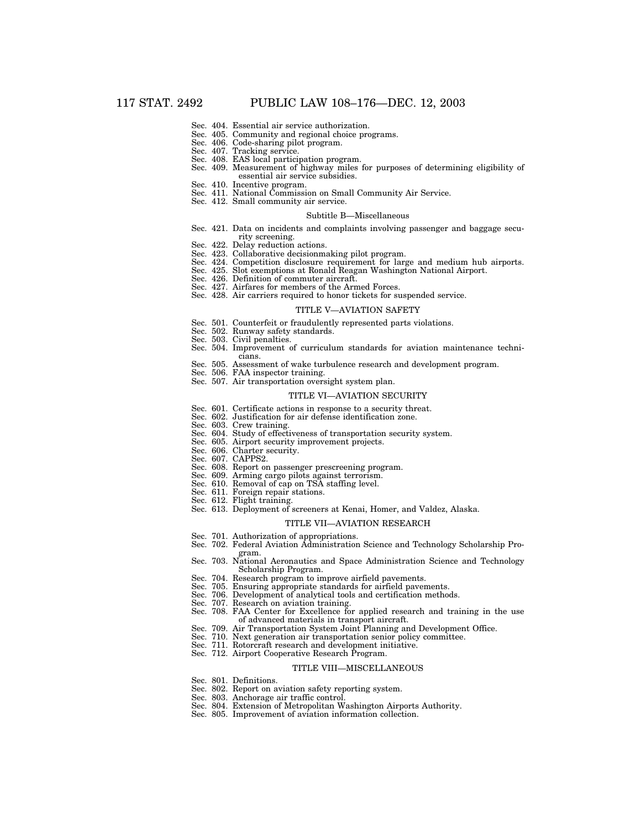- Sec. 404. Essential air service authorization.
- Sec. 405. Community and regional choice programs.
- Sec. 406. Code-sharing pilot program.
- Sec. 407. Tracking service.
- Sec. 408. EAS local participation program.
- Sec. 409. Measurement of highway miles for purposes of determining eligibility of essential air service subsidies.
	- Sec. 410. Incentive program.
	- Sec. 411. National Commission on Small Community Air Service.
	- Sec. 412. Small community air service.

#### Subtitle B—Miscellaneous

- Sec. 421. Data on incidents and complaints involving passenger and baggage security screening.
- Sec. 422. Delay reduction actions.
- Sec. 423. Collaborative decisionmaking pilot program.
- Sec. 424. Competition disclosure requirement for large and medium hub airports.
- Sec. 425. Slot exemptions at Ronald Reagan Washington National Airport.
- Sec. 426. Definition of commuter aircraft.
- Sec. 427. Airfares for members of the Armed Forces.
- Sec. 428. Air carriers required to honor tickets for suspended service.

#### TITLE V—AVIATION SAFETY

- Sec. 501. Counterfeit or fraudulently represented parts violations.
- Sec. 502. Runway safety standards.
- Sec. 503. Civil penalties.
- Sec. 504. Improvement of curriculum standards for aviation maintenance technicians.
- Sec. 505. Assessment of wake turbulence research and development program.
- Sec. 506. FAA inspector training.
- Sec. 507. Air transportation oversight system plan.

#### TITLE VI—AVIATION SECURITY

- Sec. 601. Certificate actions in response to a security threat.
- Sec. 602. Justification for air defense identification zone.
- Sec. 603. Crew training.
- Sec. 604. Study of effectiveness of transportation security system.
- Sec. 605. Airport security improvement projects.
- Sec. 606. Charter security.
- Sec. 607. CAPPS2.
- Sec. 608. Report on passenger prescreening program.
- Sec. 609. Arming cargo pilots against terrorism.
- Sec. 610. Removal of cap on TSA staffing level.
- Sec. 611. Foreign repair stations.
- Sec. 612. Flight training.
- Sec. 613. Deployment of screeners at Kenai, Homer, and Valdez, Alaska.

#### TITLE VII—AVIATION RESEARCH

- Sec. 701. Authorization of appropriations.
- Sec. 702. Federal Aviation Administration Science and Technology Scholarship Program.
- Sec. 703. National Aeronautics and Space Administration Science and Technology Scholarship Program.
- Sec. 704. Research program to improve airfield pavements.
- Sec. 705. Ensuring appropriate standards for airfield pavements.
- Sec. 706. Development of analytical tools and certification methods.
- Sec. 707. Research on aviation training.
- Sec. 708. FAA Center for Excellence for applied research and training in the use of advanced materials in transport aircraft.
- Sec. 709. Air Transportation System Joint Planning and Development Office.
- Sec. 710. Next generation air transportation senior policy committee.
- Sec. 711. Rotorcraft research and development initiative.
- Sec. 712. Airport Cooperative Research Program.

#### TITLE VIII—MISCELLANEOUS

- Sec. 801. Definitions.
- Sec. 802. Report on aviation safety reporting system.
- Sec. 803. Anchorage air traffic control.
- Sec. 804. Extension of Metropolitan Washington Airports Authority.
- Sec. 805. Improvement of aviation information collection.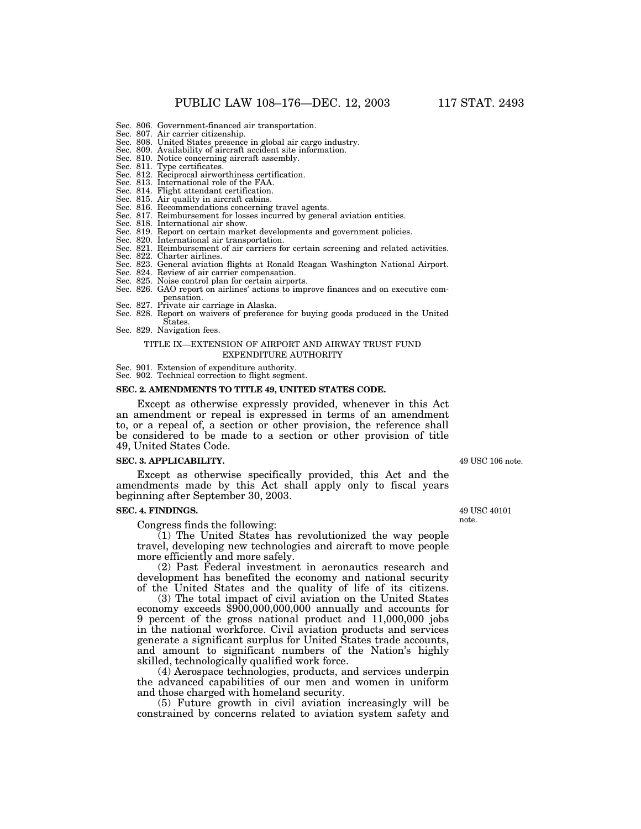- Sec. 807. Air carrier citizenship.
- Sec. 808. United States presence in global air cargo industry.
- Sec. 809. Availability of aircraft accident site information. Sec. 810. Notice concerning aircraft assembly.
- 
- Sec. 811. Type certificates. Sec. 812. Reciprocal airworthiness certification.
- 
- Sec. 813. International role of the FAA. Sec. 814. Flight attendant certification.
- Sec. 815. Air quality in aircraft cabins.
- Sec. 816. Recommendations concerning travel agents. Sec. 817. Reimbursement for losses incurred by general aviation entities.
- 
- Sec. 818. International air show.
- Sec. 819. Report on certain market developments and government policies.
- Sec. 820. International air transportation.
- Sec. 821. Reimbursement of air carriers for certain screening and related activities.
- Sec. 822. Charter airlines.
- Sec. 823. General aviation flights at Ronald Reagan Washington National Airport.
- Sec. 824. Review of air carrier compensation.
- Sec. 825. Noise control plan for certain airports.
- Sec. 826. GAO report on airlines' actions to improve finances and on executive compensation.
- Sec. 827. Private air carriage in Alaska.
- Sec. 828. Report on waivers of preference for buying goods produced in the United States.
- Sec. 829. Navigation fees.

#### TITLE IX—EXTENSION OF AIRPORT AND AIRWAY TRUST FUND EXPENDITURE AUTHORITY

- Sec. 901. Extension of expenditure authority.
- Sec. 902. Technical correction to flight segment.

### **SEC. 2. AMENDMENTS TO TITLE 49, UNITED STATES CODE.**

Except as otherwise expressly provided, whenever in this Act an amendment or repeal is expressed in terms of an amendment to, or a repeal of, a section or other provision, the reference shall be considered to be made to a section or other provision of title 49, United States Code.

#### **SEC. 3. APPLICABILITY.**

Except as otherwise specifically provided, this Act and the amendments made by this Act shall apply only to fiscal years beginning after September 30, 2003.

#### **SEC. 4. FINDINGS.**

Congress finds the following:

(1) The United States has revolutionized the way people travel, developing new technologies and aircraft to move people more efficiently and more safely.

(2) Past Federal investment in aeronautics research and development has benefited the economy and national security of the United States and the quality of life of its citizens.

(3) The total impact of civil aviation on the United States economy exceeds \$900,000,000,000 annually and accounts for 9 percent of the gross national product and 11,000,000 jobs in the national workforce. Civil aviation products and services generate a significant surplus for United States trade accounts, and amount to significant numbers of the Nation's highly skilled, technologically qualified work force.

(4) Aerospace technologies, products, and services underpin the advanced capabilities of our men and women in uniform and those charged with homeland security.

(5) Future growth in civil aviation increasingly will be constrained by concerns related to aviation system safety and

49 USC 106 note.

49 USC 40101 note.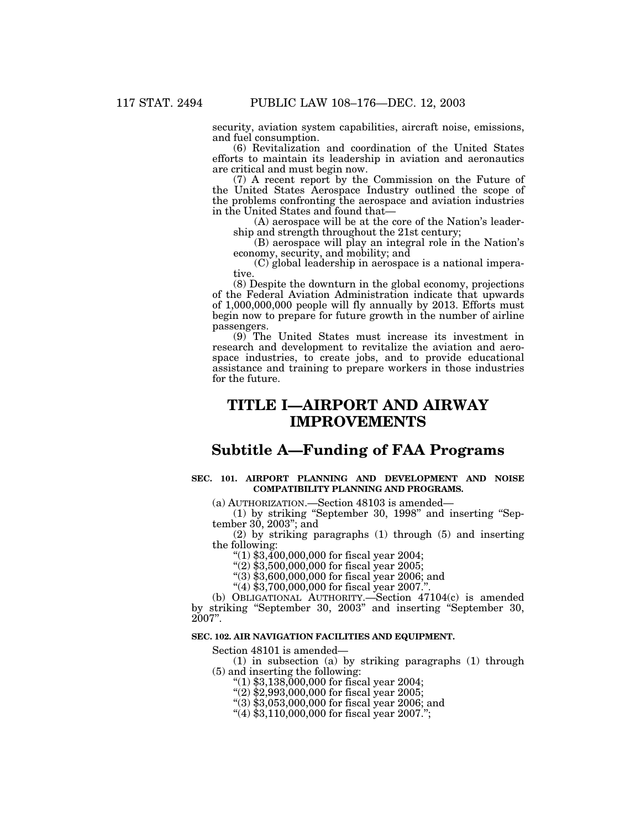security, aviation system capabilities, aircraft noise, emissions, and fuel consumption.

(6) Revitalization and coordination of the United States efforts to maintain its leadership in aviation and aeronautics are critical and must begin now.

(7) A recent report by the Commission on the Future of the United States Aerospace Industry outlined the scope of the problems confronting the aerospace and aviation industries in the United States and found that—

(A) aerospace will be at the core of the Nation's leadership and strength throughout the 21st century;

(B) aerospace will play an integral role in the Nation's economy, security, and mobility; and

(C) global leadership in aerospace is a national imperative.

(8) Despite the downturn in the global economy, projections of the Federal Aviation Administration indicate that upwards of 1,000,000,000 people will fly annually by 2013. Efforts must begin now to prepare for future growth in the number of airline passengers.

(9) The United States must increase its investment in research and development to revitalize the aviation and aerospace industries, to create jobs, and to provide educational assistance and training to prepare workers in those industries for the future.

# **TITLE I—AIRPORT AND AIRWAY IMPROVEMENTS**

## **Subtitle A—Funding of FAA Programs**

## **SEC. 101. AIRPORT PLANNING AND DEVELOPMENT AND NOISE COMPATIBILITY PLANNING AND PROGRAMS.**

(a) AUTHORIZATION.—Section 48103 is amended—

(1) by striking ''September 30, 1998'' and inserting ''September 30, 2003''; and

(2) by striking paragraphs (1) through (5) and inserting the following:

"(1)  $$3,400,000,000$  for fiscal year 2004;

 $(2)$  \$3,500,000,000 for fiscal year 2005;

 $(3)$ \$3,600,000,000 for fiscal year 2006; and

 $(4)$  \$3,700,000,000 for fiscal year 2007."

(b) OBLIGATIONAL AUTHORITY.—Section 47104(c) is amended by striking ''September 30, 2003'' and inserting ''September 30, 2007''.

## **SEC. 102. AIR NAVIGATION FACILITIES AND EQUIPMENT.**

Section 48101 is amended—

(1) in subsection (a) by striking paragraphs (1) through (5) and inserting the following:

 $"(1) $3,138,000,000$  for fiscal year 2004;

 $'(2)$  \$2,993,000,000 for fiscal year 2005;

 $(3)$ \$3,053,000,000 for fiscal year 2006; and

 $(4)$  \$3,110,000,000 for fiscal year 2007.";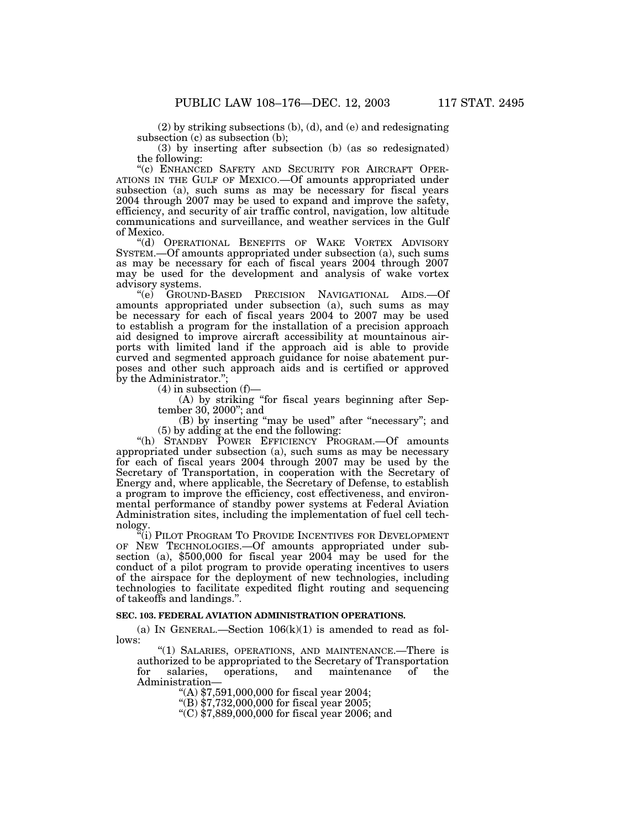(2) by striking subsections (b), (d), and (e) and redesignating subsection (c) as subsection (b);

(3) by inserting after subsection (b) (as so redesignated) the following:

"(c) ENHANCED SAFETY AND SECURITY FOR AIRCRAFT OPER-ATIONS IN THE GULF OF MEXICO.—Of amounts appropriated under subsection (a), such sums as may be necessary for fiscal years 2004 through 2007 may be used to expand and improve the safety, efficiency, and security of air traffic control, navigation, low altitude communications and surveillance, and weather services in the Gulf of Mexico.

''(d) OPERATIONAL BENEFITS OF WAKE VORTEX ADVISORY SYSTEM.—Of amounts appropriated under subsection (a), such sums as may be necessary for each of fiscal years 2004 through 2007 may be used for the development and analysis of wake vortex advisory systems.

''(e) GROUND-BASED PRECISION NAVIGATIONAL AIDS.—Of amounts appropriated under subsection (a), such sums as may be necessary for each of fiscal years 2004 to 2007 may be used to establish a program for the installation of a precision approach aid designed to improve aircraft accessibility at mountainous airports with limited land if the approach aid is able to provide curved and segmented approach guidance for noise abatement purposes and other such approach aids and is certified or approved by the Administrator.'';

 $(4)$  in subsection  $(f)$ –

(A) by striking ''for fiscal years beginning after September 30, 2000''; and

(B) by inserting "may be used" after "necessary"; and (5) by adding at the end the following:

''(h) STANDBY POWER EFFICIENCY PROGRAM.—Of amounts appropriated under subsection (a), such sums as may be necessary for each of fiscal years 2004 through 2007 may be used by the Secretary of Transportation, in cooperation with the Secretary of Energy and, where applicable, the Secretary of Defense, to establish a program to improve the efficiency, cost effectiveness, and environmental performance of standby power systems at Federal Aviation Administration sites, including the implementation of fuel cell technology.

''(i) PILOT PROGRAM TO PROVIDE INCENTIVES FOR DEVELOPMENT OF NEW TECHNOLOGIES.—Of amounts appropriated under subsection (a), \$500,000 for fiscal year 2004 may be used for the conduct of a pilot program to provide operating incentives to users of the airspace for the deployment of new technologies, including technologies to facilitate expedited flight routing and sequencing of takeoffs and landings.''.

## **SEC. 103. FEDERAL AVIATION ADMINISTRATION OPERATIONS.**

(a) IN GENERAL.—Section  $106(k)(1)$  is amended to read as follows:

''(1) SALARIES, OPERATIONS, AND MAINTENANCE.—There is authorized to be appropriated to the Secretary of Transportation salaries, operations, Administration—

''(A) \$7,591,000,000 for fiscal year 2004;

''(B) \$7,732,000,000 for fiscal year 2005;

 $(C)$  \$7,889,000,000 for fiscal year 2006; and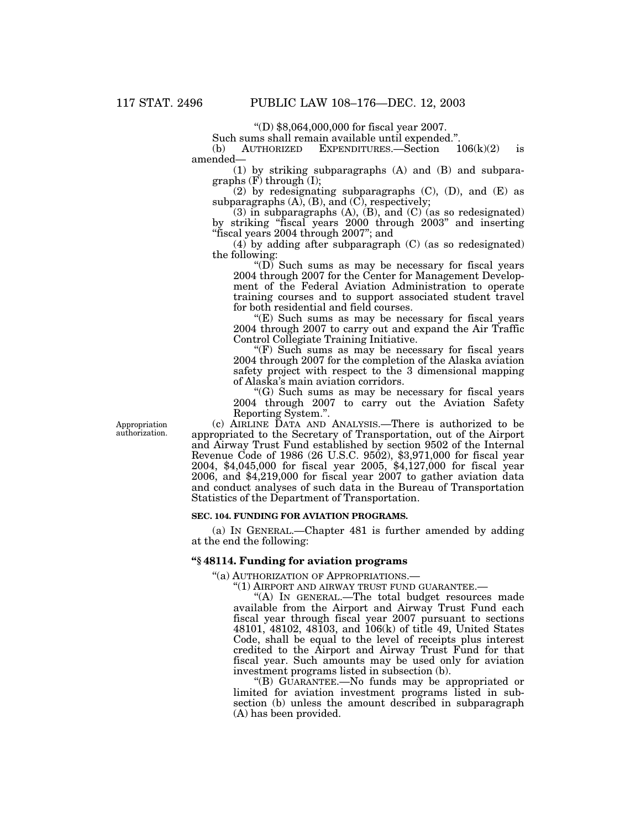''(D) \$8,064,000,000 for fiscal year 2007.

Such sums shall remain available until expended.".<br>(b) AUTHORIZED EXPENDITURES.—Section 106(k)(2) EXPENDITURES.—Section  $106(k)(2)$  is amended—

(1) by striking subparagraphs (A) and (B) and subparagraphs  $(F)$  through  $(I)$ ;

(2) by redesignating subparagraphs (C), (D), and (E) as subparagraphs (A), (B), and (C), respectively;

 $(3)$  in subparagraphs  $(A)$ ,  $(B)$ , and  $(C)$  (as so redesignated) by striking ''fiscal years 2000 through 2003'' and inserting "fiscal years 2004 through 2007"; and

(4) by adding after subparagraph (C) (as so redesignated) the following:

" $(D)$  Such sums as may be necessary for fiscal years 2004 through 2007 for the Center for Management Development of the Federal Aviation Administration to operate training courses and to support associated student travel for both residential and field courses.

"(E) Such sums as may be necessary for fiscal years 2004 through 2007 to carry out and expand the Air Traffic Control Collegiate Training Initiative.

"(F) Such sums as may be necessary for fiscal years 2004 through 2007 for the completion of the Alaska aviation safety project with respect to the 3 dimensional mapping of Alaska's main aviation corridors.

''(G) Such sums as may be necessary for fiscal years 2004 through 2007 to carry out the Aviation Safety Reporting System.''.

(c) AIRLINE DATA AND ANALYSIS.—There is authorized to be appropriated to the Secretary of Transportation, out of the Airport and Airway Trust Fund established by section 9502 of the Internal Revenue Code of 1986 (26 U.S.C. 9502), \$3,971,000 for fiscal year 2004, \$4,045,000 for fiscal year 2005, \$4,127,000 for fiscal year 2006, and \$4,219,000 for fiscal year 2007 to gather aviation data and conduct analyses of such data in the Bureau of Transportation Statistics of the Department of Transportation.

## **SEC. 104. FUNDING FOR AVIATION PROGRAMS.**

(a) IN GENERAL.—Chapter 481 is further amended by adding at the end the following:

#### **''§ 48114. Funding for aviation programs**

''(a) AUTHORIZATION OF APPROPRIATIONS.—

''(1) AIRPORT AND AIRWAY TRUST FUND GUARANTEE.—

''(A) IN GENERAL.—The total budget resources made available from the Airport and Airway Trust Fund each fiscal year through fiscal year 2007 pursuant to sections 48101, 48102, 48103, and 106(k) of title 49, United States Code, shall be equal to the level of receipts plus interest credited to the Airport and Airway Trust Fund for that fiscal year. Such amounts may be used only for aviation investment programs listed in subsection (b).

''(B) GUARANTEE.—No funds may be appropriated or limited for aviation investment programs listed in subsection (b) unless the amount described in subparagraph (A) has been provided.

Appropriation authorization.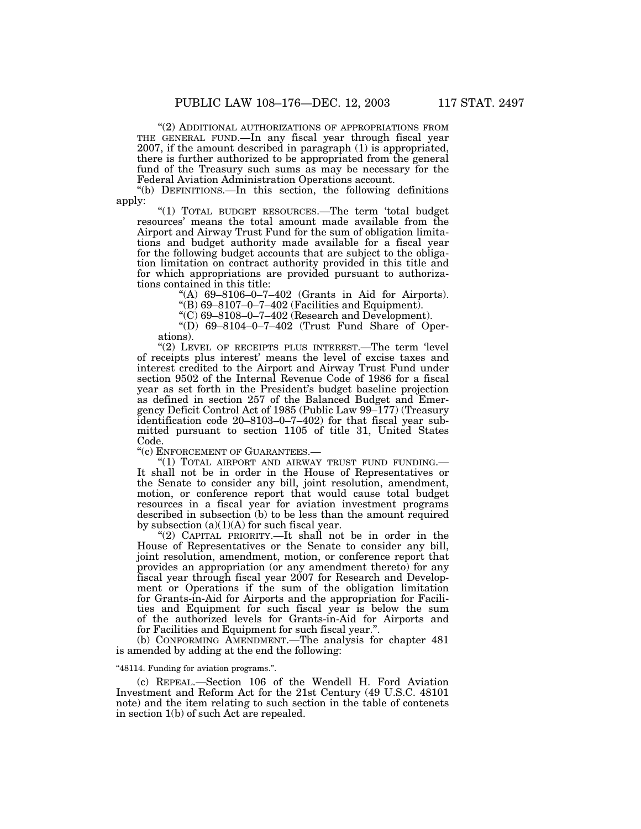"(2) ADDITIONAL AUTHORIZATIONS OF APPROPRIATIONS FROM THE GENERAL FUND.—In any fiscal year through fiscal year 2007, if the amount described in paragraph (1) is appropriated, there is further authorized to be appropriated from the general fund of the Treasury such sums as may be necessary for the Federal Aviation Administration Operations account.

''(b) DEFINITIONS.—In this section, the following definitions apply:

"(1) TOTAL BUDGET RESOURCES.—The term 'total budget resources' means the total amount made available from the Airport and Airway Trust Fund for the sum of obligation limitations and budget authority made available for a fiscal year for the following budget accounts that are subject to the obligation limitation on contract authority provided in this title and for which appropriations are provided pursuant to authorizations contained in this title:

"(A)  $69-8106-0-7-402$  (Grants in Aid for Airports).

"(B)  $69-8107-0-7-402$  (Facilities and Equipment).

 $(C)$  69–8108–0–7–402 (Research and Development).

''(D) 69–8104–0–7–402 (Trust Fund Share of Operations).

"(2) LEVEL OF RECEIPTS PLUS INTEREST.—The term 'level of receipts plus interest' means the level of excise taxes and interest credited to the Airport and Airway Trust Fund under section 9502 of the Internal Revenue Code of 1986 for a fiscal year as set forth in the President's budget baseline projection as defined in section 257 of the Balanced Budget and Emergency Deficit Control Act of 1985 (Public Law 99–177) (Treasury identification code 20–8103–0–7–402) for that fiscal year submitted pursuant to section 1105 of title 31, United States Code.

''(c) ENFORCEMENT OF GUARANTEES.—

''(1) TOTAL AIRPORT AND AIRWAY TRUST FUND FUNDING.— It shall not be in order in the House of Representatives or the Senate to consider any bill, joint resolution, amendment, motion, or conference report that would cause total budget resources in a fiscal year for aviation investment programs described in subsection (b) to be less than the amount required by subsection  $(a)(1)(A)$  for such fiscal year.

"(2) CAPITAL PRIORITY.—It shall not be in order in the House of Representatives or the Senate to consider any bill, joint resolution, amendment, motion, or conference report that provides an appropriation (or any amendment thereto) for any fiscal year through fiscal year 2007 for Research and Development or Operations if the sum of the obligation limitation for Grants-in-Aid for Airports and the appropriation for Facilities and Equipment for such fiscal year is below the sum of the authorized levels for Grants-in-Aid for Airports and for Facilities and Equipment for such fiscal year.''.

(b) CONFORMING AMENDMENT.—The analysis for chapter 481 is amended by adding at the end the following:

#### ''48114. Funding for aviation programs.''.

(c) REPEAL.—Section 106 of the Wendell H. Ford Aviation Investment and Reform Act for the 21st Century (49 U.S.C. 48101 note) and the item relating to such section in the table of contenets in section 1(b) of such Act are repealed.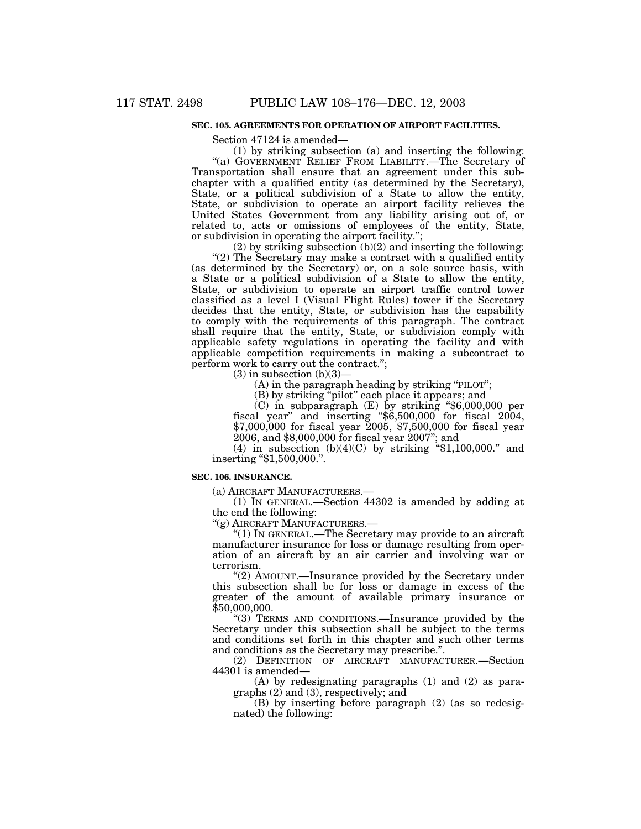#### **SEC. 105. AGREEMENTS FOR OPERATION OF AIRPORT FACILITIES.**

Section 47124 is amended—

(1) by striking subsection (a) and inserting the following: ''(a) GOVERNMENT RELIEF FROM LIABILITY.—The Secretary of Transportation shall ensure that an agreement under this subchapter with a qualified entity (as determined by the Secretary), State, or a political subdivision of a State to allow the entity, State, or subdivision to operate an airport facility relieves the United States Government from any liability arising out of, or related to, acts or omissions of employees of the entity, State, or subdivision in operating the airport facility.'';

 $(2)$  by striking subsection  $(b)(2)$  and inserting the following: "(2) The Secretary may make a contract with a qualified entity (as determined by the Secretary) or, on a sole source basis, with a State or a political subdivision of a State to allow the entity, State, or subdivision to operate an airport traffic control tower classified as a level I (Visual Flight Rules) tower if the Secretary decides that the entity, State, or subdivision has the capability to comply with the requirements of this paragraph. The contract shall require that the entity, State, or subdivision comply with applicable safety regulations in operating the facility and with applicable competition requirements in making a subcontract to perform work to carry out the contract.'';

 $(3)$  in subsection  $(b)(3)$ -

(A) in the paragraph heading by striking ''PILOT'';

(B) by striking ''pilot'' each place it appears; and

(C) in subparagraph (E) by striking ''\$6,000,000 per fiscal year'' and inserting ''\$6,500,000 for fiscal 2004, \$7,000,000 for fiscal year 2005, \$7,500,000 for fiscal year 2006, and \$8,000,000 for fiscal year 2007''; and

(4) in subsection  $(b)(4)(C)$  by striking "\$1,100,000." and inserting "\$1,500,000.".

#### **SEC. 106. INSURANCE.**

(a) AIRCRAFT MANUFACTURERS.—

(1) IN GENERAL.—Section 44302 is amended by adding at the end the following:

''(g) AIRCRAFT MANUFACTURERS.—

''(1) IN GENERAL.—The Secretary may provide to an aircraft manufacturer insurance for loss or damage resulting from operation of an aircraft by an air carrier and involving war or terrorism.

"(2) AMOUNT.—Insurance provided by the Secretary under this subsection shall be for loss or damage in excess of the greater of the amount of available primary insurance or \$50,000,000.

"(3) TERMS AND CONDITIONS.—Insurance provided by the Secretary under this subsection shall be subject to the terms and conditions set forth in this chapter and such other terms and conditions as the Secretary may prescribe.''.

(2) DEFINITION OF AIRCRAFT MANUFACTURER.—Section 44301 is amended—

(A) by redesignating paragraphs (1) and (2) as paragraphs (2) and (3), respectively; and

(B) by inserting before paragraph (2) (as so redesignated) the following: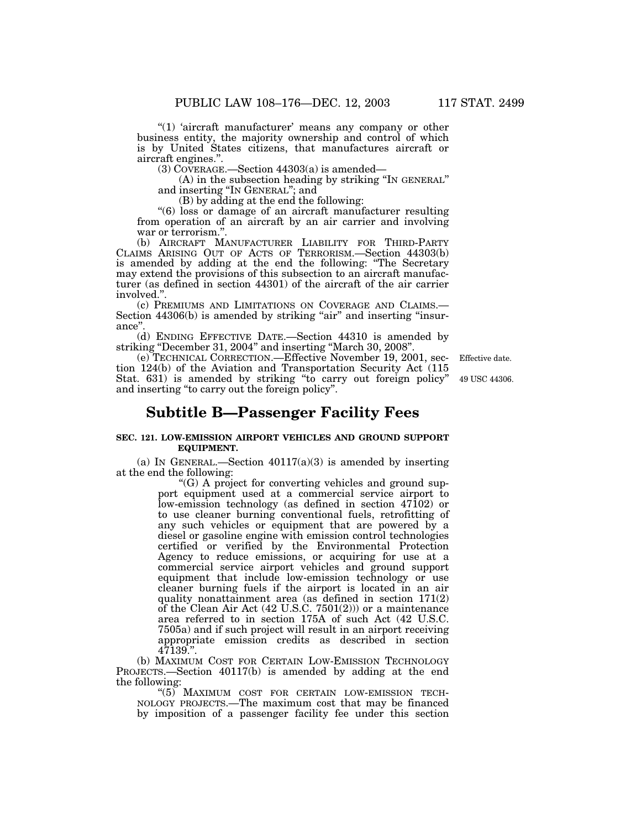"(1) 'aircraft manufacturer' means any company or other business entity, the majority ownership and control of which is by United States citizens, that manufactures aircraft or aircraft engines.''.

(3) COVERAGE.—Section 44303(a) is amended—

(A) in the subsection heading by striking ''IN GENERAL'' and inserting ''IN GENERAL''; and

(B) by adding at the end the following:

''(6) loss or damage of an aircraft manufacturer resulting from operation of an aircraft by an air carrier and involving war or terrorism.''.

(b) AIRCRAFT MANUFACTURER LIABILITY FOR THIRD-PARTY CLAIMS ARISING OUT OF ACTS OF TERRORISM.—Section 44303(b) is amended by adding at the end the following: ''The Secretary may extend the provisions of this subsection to an aircraft manufacturer (as defined in section 44301) of the aircraft of the air carrier involved.''.

(c) PREMIUMS AND LIMITATIONS ON COVERAGE AND CLAIMS.— Section 44306(b) is amended by striking "air" and inserting "insurance''.

(d) ENDING EFFECTIVE DATE.—Section 44310 is amended by striking ''December 31, 2004'' and inserting ''March 30, 2008''.

(e) TECHNICAL CORRECTION.—Effective November 19, 2001, section 124(b) of the Aviation and Transportation Security Act (115 Stat. 631) is amended by striking "to carry out foreign policy" and inserting ''to carry out the foreign policy''.

# Effective date.

49 USC 44306.

# **Subtitle B—Passenger Facility Fees**

## **SEC. 121. LOW-EMISSION AIRPORT VEHICLES AND GROUND SUPPORT EQUIPMENT.**

(a) IN GENERAL.—Section  $40117(a)(3)$  is amended by inserting at the end the following:

> ''(G) A project for converting vehicles and ground support equipment used at a commercial service airport to low-emission technology (as defined in section 47102) or to use cleaner burning conventional fuels, retrofitting of any such vehicles or equipment that are powered by a diesel or gasoline engine with emission control technologies certified or verified by the Environmental Protection Agency to reduce emissions, or acquiring for use at a commercial service airport vehicles and ground support equipment that include low-emission technology or use cleaner burning fuels if the airport is located in an air quality nonattainment area (as defined in section 171(2) of the Clean Air Act (42 U.S.C. 7501(2))) or a maintenance area referred to in section 175A of such Act (42 U.S.C. 7505a) and if such project will result in an airport receiving appropriate emission credits as described in section 47139.''.

(b) MAXIMUM COST FOR CERTAIN LOW-EMISSION TECHNOLOGY PROJECTS.—Section 40117(b) is amended by adding at the end the following:

''(5) MAXIMUM COST FOR CERTAIN LOW-EMISSION TECH-NOLOGY PROJECTS.—The maximum cost that may be financed by imposition of a passenger facility fee under this section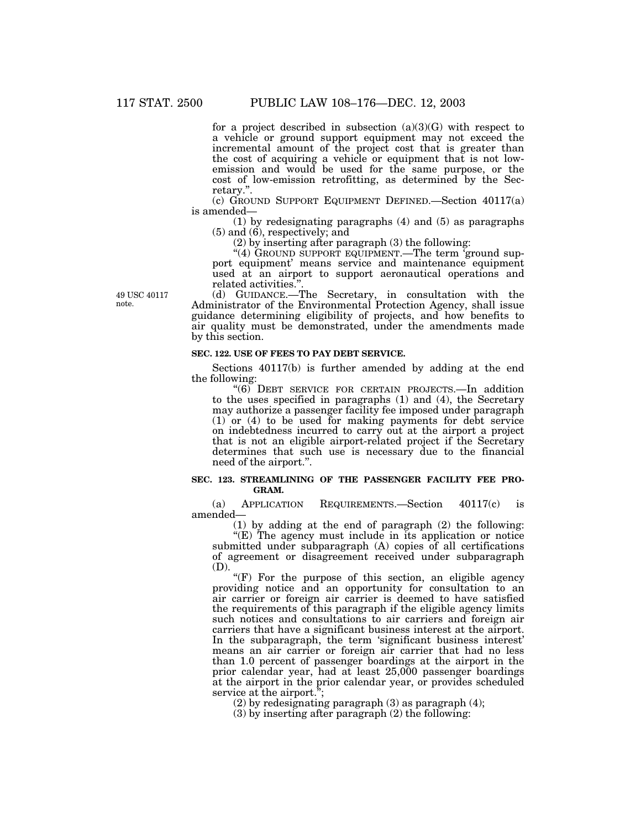for a project described in subsection  $(a)(3)(G)$  with respect to a vehicle or ground support equipment may not exceed the incremental amount of the project cost that is greater than the cost of acquiring a vehicle or equipment that is not lowemission and would be used for the same purpose, or the cost of low-emission retrofitting, as determined by the Secretary."

(c) GROUND SUPPORT EQUIPMENT DEFINED.—Section 40117(a) is amended—

(1) by redesignating paragraphs (4) and (5) as paragraphs (5) and (6), respectively; and

(2) by inserting after paragraph (3) the following:

 $\mathcal{H}(4)$  GROUND SUPPORT EQUIPMENT.—The term <sup>r</sup>ground support equipment' means service and maintenance equipment used at an airport to support aeronautical operations and related activities.''.

(d) GUIDANCE.—The Secretary, in consultation with the Administrator of the Environmental Protection Agency, shall issue guidance determining eligibility of projects, and how benefits to air quality must be demonstrated, under the amendments made by this section.

### **SEC. 122. USE OF FEES TO PAY DEBT SERVICE.**

Sections 40117(b) is further amended by adding at the end the following:

''(6) DEBT SERVICE FOR CERTAIN PROJECTS.—In addition to the uses specified in paragraphs (1) and (4), the Secretary may authorize a passenger facility fee imposed under paragraph (1) or (4) to be used for making payments for debt service on indebtedness incurred to carry out at the airport a project that is not an eligible airport-related project if the Secretary determines that such use is necessary due to the financial need of the airport.''.

#### **SEC. 123. STREAMLINING OF THE PASSENGER FACILITY FEE PRO-GRAM.**

(a) APPLICATION REQUIREMENTS.—Section 40117(c) is amended—

(1) by adding at the end of paragraph (2) the following:  $\cdot$ <sup>"(E)</sup> The agency must include in its application or notice submitted under subparagraph (A) copies of all certifications of agreement or disagreement received under subparagraph (D).

 $(F)$  For the purpose of this section, an eligible agency providing notice and an opportunity for consultation to an air carrier or foreign air carrier is deemed to have satisfied the requirements of this paragraph if the eligible agency limits such notices and consultations to air carriers and foreign air carriers that have a significant business interest at the airport. In the subparagraph, the term 'significant business interest' means an air carrier or foreign air carrier that had no less than 1.0 percent of passenger boardings at the airport in the prior calendar year, had at least 25,000 passenger boardings at the airport in the prior calendar year, or provides scheduled service at the airport.'';

(2) by redesignating paragraph (3) as paragraph (4);

(3) by inserting after paragraph (2) the following:

49 USC 40117 note.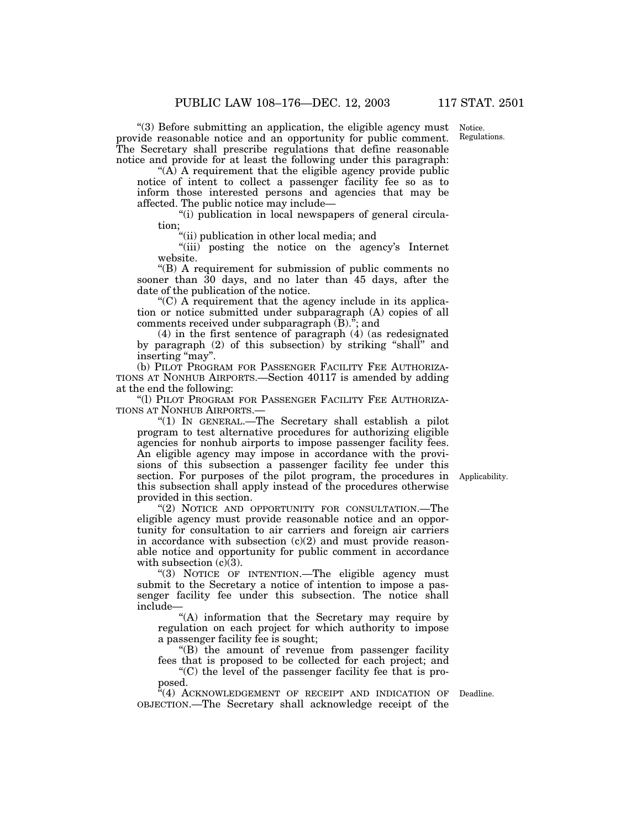''(3) Before submitting an application, the eligible agency must provide reasonable notice and an opportunity for public comment. The Secretary shall prescribe regulations that define reasonable notice and provide for at least the following under this paragraph:

 $(A)$  A requirement that the eligible agency provide public notice of intent to collect a passenger facility fee so as to inform those interested persons and agencies that may be affected. The public notice may include—

''(i) publication in local newspapers of general circulation;

''(ii) publication in other local media; and

"(iii) posting the notice on the agency's Internet website.

''(B) A requirement for submission of public comments no sooner than 30 days, and no later than 45 days, after the date of the publication of the notice.

''(C) A requirement that the agency include in its application or notice submitted under subparagraph (A) copies of all comments received under subparagraph  $(B)$ .<sup> $\ddot{r}$ </sup>; and

(4) in the first sentence of paragraph (4) (as redesignated by paragraph (2) of this subsection) by striking "shall" and inserting "may".

(b) PILOT PROGRAM FOR PASSENGER FACILITY FEE AUTHORIZA-TIONS AT NONHUB AIRPORTS.—Section 40117 is amended by adding at the end the following:

''(l) PILOT PROGRAM FOR PASSENGER FACILITY FEE AUTHORIZA-TIONS AT NONHUB AIRPORTS.—

''(1) IN GENERAL.—The Secretary shall establish a pilot program to test alternative procedures for authorizing eligible agencies for nonhub airports to impose passenger facility fees. An eligible agency may impose in accordance with the provisions of this subsection a passenger facility fee under this section. For purposes of the pilot program, the procedures in this subsection shall apply instead of the procedures otherwise provided in this section.

"(2) NOTICE AND OPPORTUNITY FOR CONSULTATION.—The eligible agency must provide reasonable notice and an opportunity for consultation to air carriers and foreign air carriers in accordance with subsection  $(c)(2)$  and must provide reasonable notice and opportunity for public comment in accordance with subsection  $(c)(3)$ .

''(3) NOTICE OF INTENTION.—The eligible agency must submit to the Secretary a notice of intention to impose a passenger facility fee under this subsection. The notice shall include—

"(A) information that the Secretary may require by regulation on each project for which authority to impose a passenger facility fee is sought;

''(B) the amount of revenue from passenger facility fees that is proposed to be collected for each project; and

 $C$ ) the level of the passenger facility fee that is proposed.

"(4) ACKNOWLEDGEMENT OF RECEIPT AND INDICATION OF OBJECTION.—The Secretary shall acknowledge receipt of the

Deadline.

Applicability.

Notice. Regulations.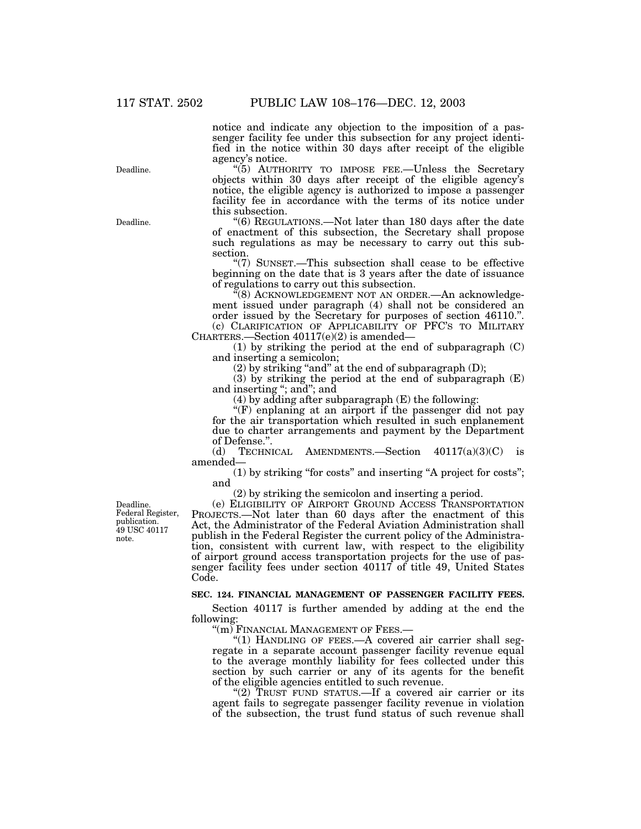notice and indicate any objection to the imposition of a passenger facility fee under this subsection for any project identified in the notice within 30 days after receipt of the eligible agency's notice.

''(5) AUTHORITY TO IMPOSE FEE.—Unless the Secretary objects within 30 days after receipt of the eligible agency's notice, the eligible agency is authorized to impose a passenger facility fee in accordance with the terms of its notice under this subsection.

''(6) REGULATIONS.—Not later than 180 days after the date of enactment of this subsection, the Secretary shall propose such regulations as may be necessary to carry out this subsection.

''(7) SUNSET.—This subsection shall cease to be effective beginning on the date that is 3 years after the date of issuance of regulations to carry out this subsection.

''(8) ACKNOWLEDGEMENT NOT AN ORDER.—An acknowledgement issued under paragraph (4) shall not be considered an order issued by the Secretary for purposes of section 46110.''. (c) CLARIFICATION OF APPLICABILITY OF PFC'S TO MILITARY CHARTERS.—Section 40117(e)(2) is amended—

(1) by striking the period at the end of subparagraph (C) and inserting a semicolon;

(2) by striking "and" at the end of subparagraph (D);

(3) by striking the period at the end of subparagraph (E) and inserting ''; and''; and

(4) by adding after subparagraph (E) the following:

"(F) enplaning at an airport if the passenger did not pay for the air transportation which resulted in such enplanement due to charter arrangements and payment by the Department of Defense."

(d) TECHNICAL AMENDMENTS.—Section 40117(a)(3)(C) is amended—

(1) by striking ''for costs'' and inserting ''A project for costs''; and

(2) by striking the semicolon and inserting a period.

(e) ELIGIBILITY OF AIRPORT GROUND ACCESS TRANSPORTATION PROJECTS.—Not later than 60 days after the enactment of this Act, the Administrator of the Federal Aviation Administration shall publish in the Federal Register the current policy of the Administration, consistent with current law, with respect to the eligibility of airport ground access transportation projects for the use of passenger facility fees under section 40117 of title 49, United States Code.

## **SEC. 124. FINANCIAL MANAGEMENT OF PASSENGER FACILITY FEES.**

Section 40117 is further amended by adding at the end the following:

"(m) FINANCIAL MANAGEMENT OF FEES.-

"(1) HANDLING OF FEES.—A covered air carrier shall segregate in a separate account passenger facility revenue equal to the average monthly liability for fees collected under this section by such carrier or any of its agents for the benefit of the eligible agencies entitled to such revenue.

"(2) TRUST FUND STATUS.—If a covered air carrier or its agent fails to segregate passenger facility revenue in violation of the subsection, the trust fund status of such revenue shall

Deadline. Federal Register, publication. 49 USC 40117 note.

Deadline.

Deadline.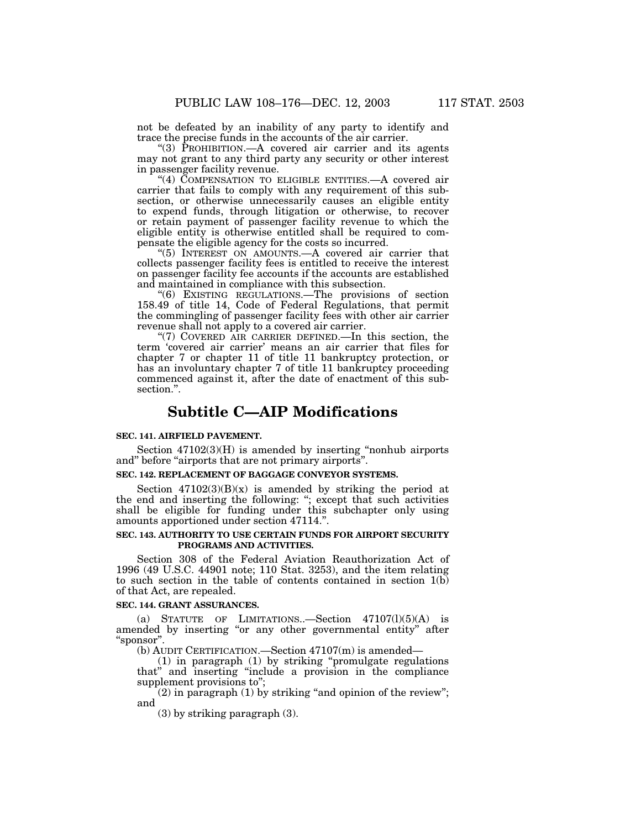not be defeated by an inability of any party to identify and trace the precise funds in the accounts of the air carrier.

"(3) PROHIBITION.—A covered air carrier and its agents may not grant to any third party any security or other interest in passenger facility revenue.

"(4) COMPENSATION TO ELIGIBLE ENTITIES.—A covered air carrier that fails to comply with any requirement of this subsection, or otherwise unnecessarily causes an eligible entity to expend funds, through litigation or otherwise, to recover or retain payment of passenger facility revenue to which the eligible entity is otherwise entitled shall be required to compensate the eligible agency for the costs so incurred.

"(5) INTEREST ON AMOUNTS.—A covered air carrier that collects passenger facility fees is entitled to receive the interest on passenger facility fee accounts if the accounts are established and maintained in compliance with this subsection.

''(6) EXISTING REGULATIONS.—The provisions of section 158.49 of title 14, Code of Federal Regulations, that permit the commingling of passenger facility fees with other air carrier revenue shall not apply to a covered air carrier.

''(7) COVERED AIR CARRIER DEFINED.—In this section, the term 'covered air carrier' means an air carrier that files for chapter 7 or chapter 11 of title 11 bankruptcy protection, or has an involuntary chapter 7 of title 11 bankruptcy proceeding commenced against it, after the date of enactment of this subsection.''.

# **Subtitle C—AIP Modifications**

## **SEC. 141. AIRFIELD PAVEMENT.**

Section 47102(3)(H) is amended by inserting "nonhub airports and" before "airports that are not primary airports".

#### **SEC. 142. REPLACEMENT OF BAGGAGE CONVEYOR SYSTEMS.**

Section  $47102(3)(B)(x)$  is amended by striking the period at the end and inserting the following: ''; except that such activities shall be eligible for funding under this subchapter only using amounts apportioned under section 47114.''.

## **SEC. 143. AUTHORITY TO USE CERTAIN FUNDS FOR AIRPORT SECURITY PROGRAMS AND ACTIVITIES.**

Section 308 of the Federal Aviation Reauthorization Act of 1996 (49 U.S.C. 44901 note; 110 Stat. 3253), and the item relating to such section in the table of contents contained in section 1(b) of that Act, are repealed.

#### **SEC. 144. GRANT ASSURANCES.**

(a) STATUTE OF LIMITATIONS..—Section  $47107(1)(5)(A)$  is amended by inserting "or any other governmental entity" after 'sponsor".

(b) AUDIT CERTIFICATION.—Section 47107(m) is amended—

(1) in paragraph (1) by striking ''promulgate regulations that'' and inserting ''include a provision in the compliance supplement provisions to'';

 $(2)$  in paragraph  $(1)$  by striking "and opinion of the review"; and

(3) by striking paragraph (3).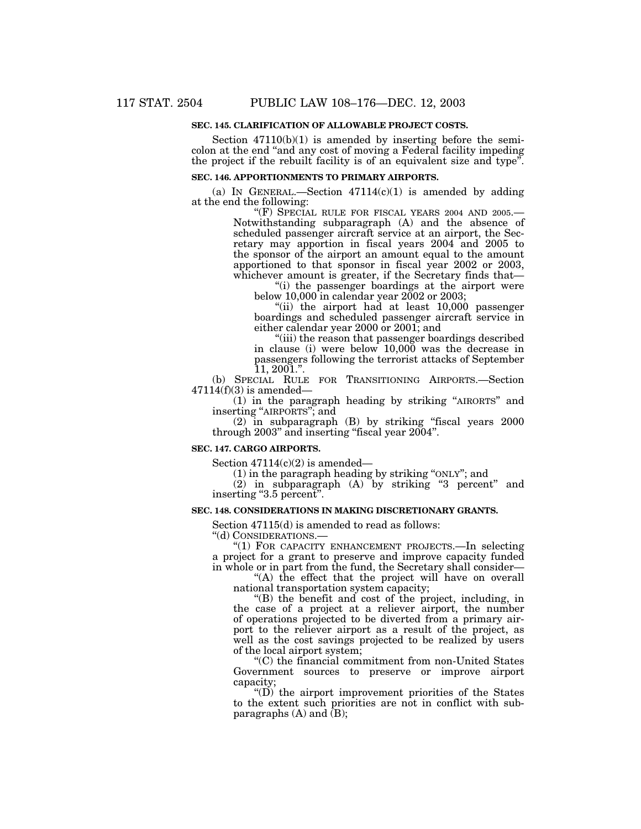## **SEC. 145. CLARIFICATION OF ALLOWABLE PROJECT COSTS.**

Section  $47110(b)(1)$  is amended by inserting before the semicolon at the end ''and any cost of moving a Federal facility impeding the project if the rebuilt facility is of an equivalent size and type''.

### **SEC. 146. APPORTIONMENTS TO PRIMARY AIRPORTS.**

(a) IN GENERAL.—Section  $47114(c)(1)$  is amended by adding at the end the following:

''(F) SPECIAL RULE FOR FISCAL YEARS 2004 AND 2005.— Notwithstanding subparagraph (A) and the absence of scheduled passenger aircraft service at an airport, the Secretary may apportion in fiscal years 2004 and 2005 to the sponsor of the airport an amount equal to the amount apportioned to that sponsor in fiscal year 2002 or 2003, whichever amount is greater, if the Secretary finds that—

''(i) the passenger boardings at the airport were below 10,000 in calendar year  $2002$  or  $2003$ ;

''(ii) the airport had at least 10,000 passenger boardings and scheduled passenger aircraft service in either calendar year 2000 or 2001; and

''(iii) the reason that passenger boardings described in clause (i) were below 10,000 was the decrease in passengers following the terrorist attacks of September  $11, 2001.$ "

(b) SPECIAL RULE FOR TRANSITIONING AIRPORTS.—Section  $47114(f)(3)$  is amended—

(1) in the paragraph heading by striking ''AIRORTS'' and inserting ''AIRPORTS''; and

(2) in subparagraph (B) by striking ''fiscal years 2000 through 2003" and inserting "fiscal year 2004".

#### **SEC. 147. CARGO AIRPORTS.**

Section  $47114(c)(2)$  is amended—

(1) in the paragraph heading by striking ''ONLY''; and

(2) in subparagraph (A) by striking ''3 percent'' and inserting "3.5 percent".

#### **SEC. 148. CONSIDERATIONS IN MAKING DISCRETIONARY GRANTS.**

Section 47115(d) is amended to read as follows:

''(d) CONSIDERATIONS.—

"(1) FOR CAPACITY ENHANCEMENT PROJECTS.—In selecting a project for a grant to preserve and improve capacity funded in whole or in part from the fund, the Secretary shall consider—

''(A) the effect that the project will have on overall national transportation system capacity;

''(B) the benefit and cost of the project, including, in the case of a project at a reliever airport, the number of operations projected to be diverted from a primary airport to the reliever airport as a result of the project, as well as the cost savings projected to be realized by users of the local airport system;

''(C) the financial commitment from non-United States Government sources to preserve or improve airport capacity;

" $(D)$  the airport improvement priorities of the States to the extent such priorities are not in conflict with subparagraphs  $(A)$  and  $(B)$ ;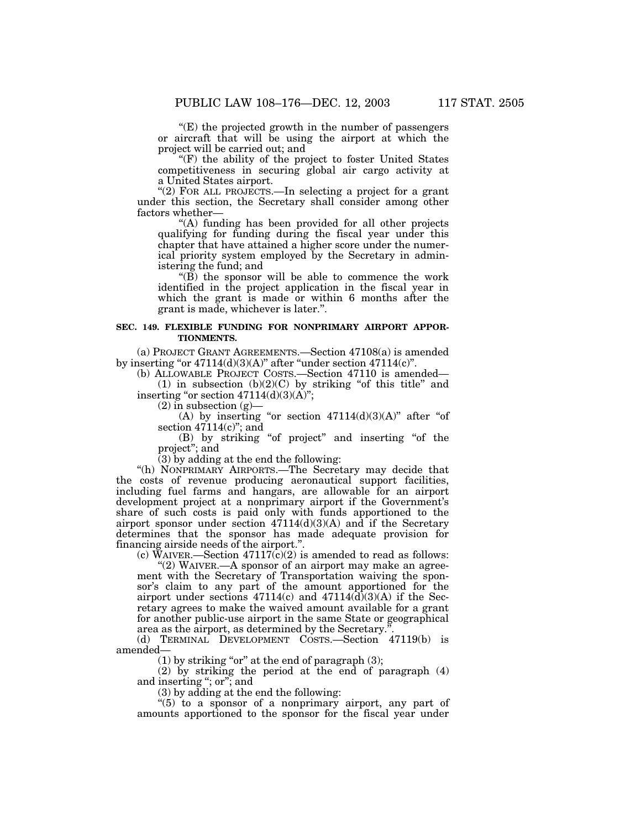''(E) the projected growth in the number of passengers or aircraft that will be using the airport at which the project will be carried out; and

''(F) the ability of the project to foster United States competitiveness in securing global air cargo activity at a United States airport.

"(2) FOR ALL PROJECTS.—In selecting a project for a grant under this section, the Secretary shall consider among other factors whether—

''(A) funding has been provided for all other projects qualifying for funding during the fiscal year under this chapter that have attained a higher score under the numerical priority system employed by the Secretary in administering the fund; and

 $\mathrm{H}(B)$  the sponsor will be able to commence the work identified in the project application in the fiscal year in which the grant is made or within 6 months after the grant is made, whichever is later.''.

#### **SEC. 149. FLEXIBLE FUNDING FOR NONPRIMARY AIRPORT APPOR-TIONMENTS.**

(a) PROJECT GRANT AGREEMENTS.—Section 47108(a) is amended by inserting "or  $47114(d)(3)(A)$ " after "under section  $47114(c)$ ".

(b) ALLOWABLE PROJECT COSTS.—Section 47110 is amended— (1) in subsection  $(b)(2)(C)$  by striking "of this title" and inserting "or section  $47114(d)(3)(A)$ ";

 $(2)$  in subsection  $(g)$ 

(A) by inserting "or section  $47114(d)(3)(A)$ " after "of section  $47114(c)$ ; and

(B) by striking "of project" and inserting "of the project''; and

 $(3)$  by adding at the end the following:

''(h) NONPRIMARY AIRPORTS.—The Secretary may decide that the costs of revenue producing aeronautical support facilities, including fuel farms and hangars, are allowable for an airport development project at a nonprimary airport if the Government's share of such costs is paid only with funds apportioned to the airport sponsor under section  $47114(d)(3)(A)$  and if the Secretary determines that the sponsor has made adequate provision for financing airside needs of the airport.''.

(c) WAIVER.—Section  $47117(c)(2)$  is amended to read as follows:

"(2) WAIVER.—A sponsor of an airport may make an agreement with the Secretary of Transportation waiving the sponsor's claim to any part of the amount apportioned for the airport under sections  $47114(c)$  and  $47114(\overline{d})(3)(A)$  if the Secretary agrees to make the waived amount available for a grant for another public-use airport in the same State or geographical area as the airport, as determined by the Secretary.

(d) TERMINAL DEVELOPMENT COSTS.—Section 47119(b) is amended—

(1) by striking "or" at the end of paragraph  $(3)$ ;

(2) by striking the period at the end of paragraph (4) and inserting ''; or''; and

(3) by adding at the end the following:

''(5) to a sponsor of a nonprimary airport, any part of amounts apportioned to the sponsor for the fiscal year under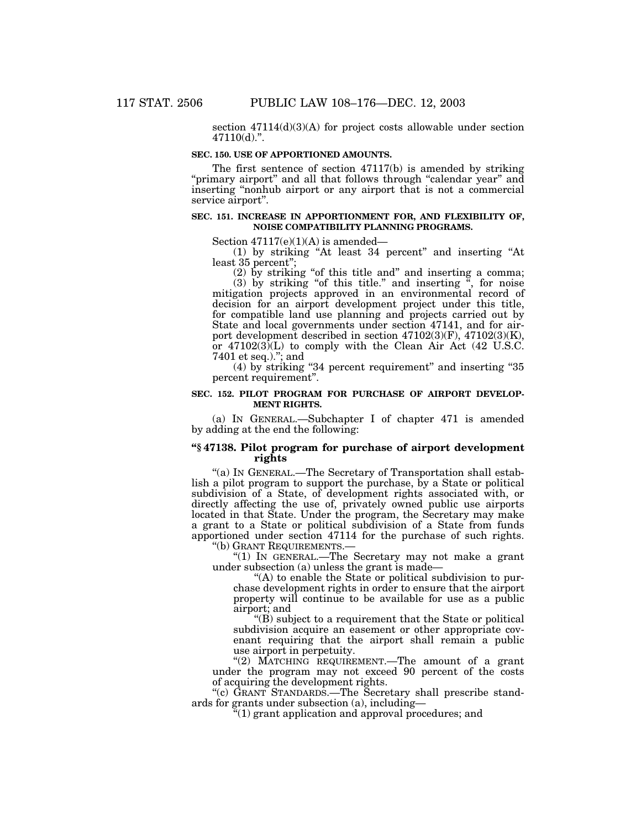section  $47114\left(\frac{d}{3}\right)$  for project costs allowable under section  $47110(d)$ .".

#### **SEC. 150. USE OF APPORTIONED AMOUNTS.**

The first sentence of section 47117(b) is amended by striking "primary airport" and all that follows through "calendar year" and inserting ''nonhub airport or any airport that is not a commercial service airport''.

#### **SEC. 151. INCREASE IN APPORTIONMENT FOR, AND FLEXIBILITY OF, NOISE COMPATIBILITY PLANNING PROGRAMS.**

Section  $47117(e)(1)(A)$  is amended—

(1) by striking ''At least 34 percent'' and inserting ''At least 35 percent'';

 $(2)$  by striking "of this title and" and inserting a comma; (3) by striking "of this title." and inserting  $\frac{a}{b}$ , for noise mitigation projects approved in an environmental record of decision for an airport development project under this title, for compatible land use planning and projects carried out by State and local governments under section 47141, and for airport development described in section 47102(3)(F), 47102(3)(K), or  $47102(3)$ (L) to comply with the Clean Air Act (42 U.S.C. 7401 et seq.).''; and

(4) by striking ''34 percent requirement'' and inserting ''35 percent requirement''.

#### **SEC. 152. PILOT PROGRAM FOR PURCHASE OF AIRPORT DEVELOP-MENT RIGHTS.**

(a) IN GENERAL.—Subchapter I of chapter 471 is amended by adding at the end the following:

#### **''§ 47138. Pilot program for purchase of airport development rights**

''(a) IN GENERAL.—The Secretary of Transportation shall establish a pilot program to support the purchase, by a State or political subdivision of a State, of development rights associated with, or directly affecting the use of, privately owned public use airports located in that State. Under the program, the Secretary may make a grant to a State or political subdivision of a State from funds apportioned under section 47114 for the purchase of such rights.

''(b) GRANT REQUIREMENTS.—

''(1) IN GENERAL.—The Secretary may not make a grant under subsection (a) unless the grant is made—

''(A) to enable the State or political subdivision to purchase development rights in order to ensure that the airport property will continue to be available for use as a public airport; and

''(B) subject to a requirement that the State or political subdivision acquire an easement or other appropriate covenant requiring that the airport shall remain a public use airport in perpetuity.

"(2) MATCHING REQUIREMENT.—The amount of a grant under the program may not exceed 90 percent of the costs of acquiring the development rights.

''(c) GRANT STANDARDS.—The Secretary shall prescribe standards for grants under subsection (a), including—

 $f(1)$  grant application and approval procedures; and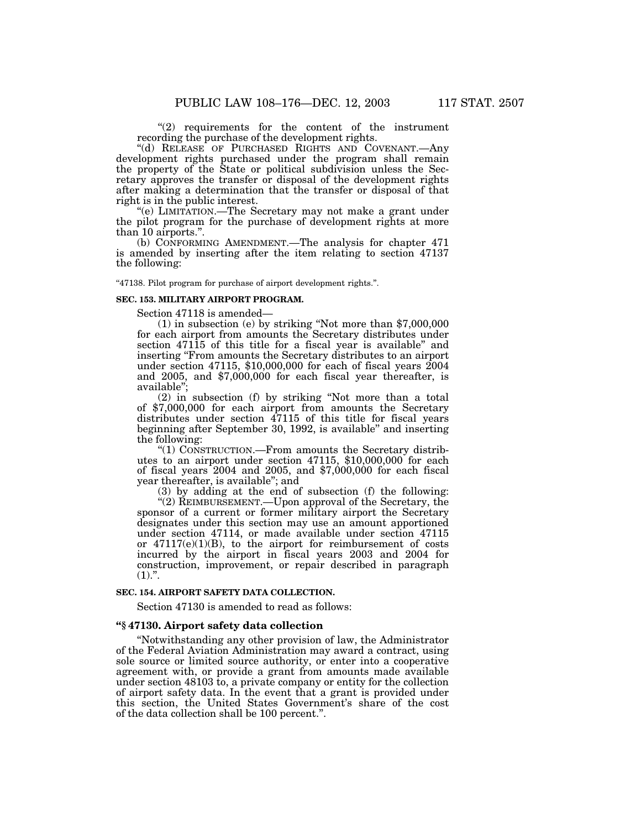$(2)$  requirements for the content of the instrument recording the purchase of the development rights.

''(d) RELEASE OF PURCHASED RIGHTS AND COVENANT.—Any development rights purchased under the program shall remain the property of the State or political subdivision unless the Secretary approves the transfer or disposal of the development rights after making a determination that the transfer or disposal of that right is in the public interest.

''(e) LIMITATION.—The Secretary may not make a grant under the pilot program for the purchase of development rights at more than 10 airports.''.

(b) CONFORMING AMENDMENT.—The analysis for chapter 471 is amended by inserting after the item relating to section 47137 the following:

''47138. Pilot program for purchase of airport development rights.''.

### **SEC. 153. MILITARY AIRPORT PROGRAM.**

Section 47118 is amended—

(1) in subsection (e) by striking ''Not more than \$7,000,000 for each airport from amounts the Secretary distributes under section 47115 of this title for a fiscal year is available'' and inserting ''From amounts the Secretary distributes to an airport under section 47115, \$10,000,000 for each of fiscal years 2004 and 2005, and \$7,000,000 for each fiscal year thereafter, is available'';

(2) in subsection (f) by striking ''Not more than a total of \$7,000,000 for each airport from amounts the Secretary distributes under section 47115 of this title for fiscal years beginning after September 30, 1992, is available'' and inserting the following:

''(1) CONSTRUCTION.—From amounts the Secretary distributes to an airport under section 47115, \$10,000,000 for each of fiscal years 2004 and 2005, and \$7,000,000 for each fiscal year thereafter, is available''; and

(3) by adding at the end of subsection (f) the following: "(2) REIMBURSEMENT.—Upon approval of the Secretary, the sponsor of a current or former military airport the Secretary designates under this section may use an amount apportioned under section 47114, or made available under section 47115 or  $47117(e)(1)(B)$ , to the airport for reimbursement of costs incurred by the airport in fiscal years 2003 and 2004 for construction, improvement, or repair described in paragraph  $(1).$ ".

## **SEC. 154. AIRPORT SAFETY DATA COLLECTION.**

Section 47130 is amended to read as follows:

#### **''§ 47130. Airport safety data collection**

''Notwithstanding any other provision of law, the Administrator of the Federal Aviation Administration may award a contract, using sole source or limited source authority, or enter into a cooperative agreement with, or provide a grant from amounts made available under section 48103 to, a private company or entity for the collection of airport safety data. In the event that a grant is provided under this section, the United States Government's share of the cost of the data collection shall be 100 percent.''.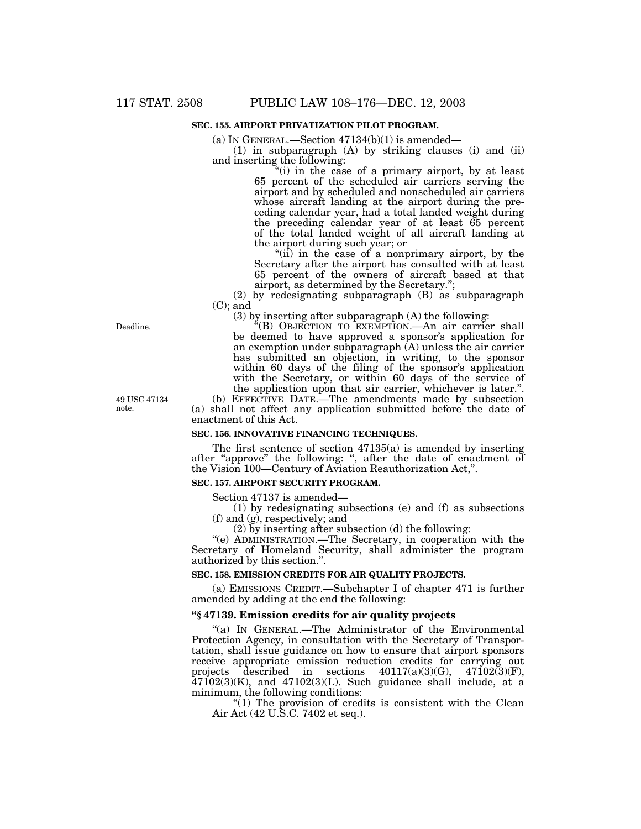## **SEC. 155. AIRPORT PRIVATIZATION PILOT PROGRAM.**

(a) In GENERAL.—Section  $47134(b)(1)$  is amended—

(1) in subparagraph (A) by striking clauses (i) and (ii) and inserting the following:

''(i) in the case of a primary airport, by at least 65 percent of the scheduled air carriers serving the airport and by scheduled and nonscheduled air carriers whose aircraft landing at the airport during the preceding calendar year, had a total landed weight during the preceding calendar year of at least 65 percent of the total landed weight of all aircraft landing at the airport during such year; or

''(ii) in the case of a nonprimary airport, by the Secretary after the airport has consulted with at least 65 percent of the owners of aircraft based at that airport, as determined by the Secretary.'';

(2) by redesignating subparagraph (B) as subparagraph (C); and

(3) by inserting after subparagraph (A) the following:

''(B) OBJECTION TO EXEMPTION.—An air carrier shall be deemed to have approved a sponsor's application for an exemption under subparagraph (A) unless the air carrier has submitted an objection, in writing, to the sponsor within 60 days of the filing of the sponsor's application with the Secretary, or within 60 days of the service of the application upon that air carrier, whichever is later.''.

(b) EFFECTIVE DATE.—The amendments made by subsection (a) shall not affect any application submitted before the date of enactment of this Act.

## **SEC. 156. INNOVATIVE FINANCING TECHNIQUES.**

The first sentence of section 47135(a) is amended by inserting after "approve" the following: ", after the date of enactment of the Vision 100—Century of Aviation Reauthorization Act,''.

### **SEC. 157. AIRPORT SECURITY PROGRAM.**

Section 47137 is amended—

(1) by redesignating subsections (e) and (f) as subsections (f) and (g), respectively; and

(2) by inserting after subsection (d) the following:

''(e) ADMINISTRATION.—The Secretary, in cooperation with the Secretary of Homeland Security, shall administer the program authorized by this section.''.

## **SEC. 158. EMISSION CREDITS FOR AIR QUALITY PROJECTS.**

(a) EMISSIONS CREDIT.—Subchapter I of chapter 471 is further amended by adding at the end the following:

#### **''§ 47139. Emission credits for air quality projects**

''(a) IN GENERAL.—The Administrator of the Environmental Protection Agency, in consultation with the Secretary of Transportation, shall issue guidance on how to ensure that airport sponsors receive appropriate emission reduction credits for carrying out projects described in sections  $40117(a)(3)(G)$ ,  $47102(3)(F)$ , described in sections  $40117(a)(3)(G)$ ,  $47102(3)(F)$ ,  $47102(3)(K)$ , and  $47102(3)(L)$ . Such guidance shall include, at a minimum, the following conditions:

"(1) The provision of credits is consistent with the Clean Air Act (42 U.S.C. 7402 et seq.).

Deadline.

49 USC 47134 note.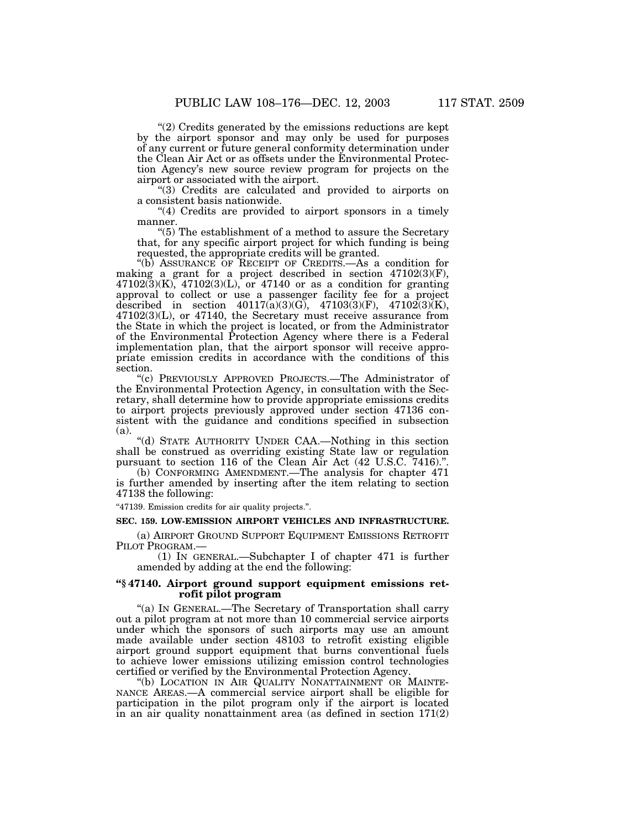''(2) Credits generated by the emissions reductions are kept by the airport sponsor and may only be used for purposes of any current or future general conformity determination under the Clean Air Act or as offsets under the Environmental Protection Agency's new source review program for projects on the airport or associated with the airport.

''(3) Credits are calculated and provided to airports on a consistent basis nationwide.

''(4) Credits are provided to airport sponsors in a timely manner.

''(5) The establishment of a method to assure the Secretary that, for any specific airport project for which funding is being requested, the appropriate credits will be granted.

''(b) ASSURANCE OF RECEIPT OF CREDITS.—As a condition for making a grant for a project described in section 47102(3)(F),  $47102(3)(K)$ ,  $47102(3)(L)$ , or  $47140$  or as a condition for granting approval to collect or use a passenger facility fee for a project described in section  $40117(a)(3)(G)$ ,  $47103(3)(F)$ ,  $47102(3)(K)$ , 47102(3)(L), or 47140, the Secretary must receive assurance from the State in which the project is located, or from the Administrator of the Environmental Protection Agency where there is a Federal implementation plan, that the airport sponsor will receive appropriate emission credits in accordance with the conditions of this section.

''(c) PREVIOUSLY APPROVED PROJECTS.—The Administrator of the Environmental Protection Agency, in consultation with the Secretary, shall determine how to provide appropriate emissions credits to airport projects previously approved under section 47136 consistent with the guidance and conditions specified in subsection (a).

''(d) STATE AUTHORITY UNDER CAA.—Nothing in this section shall be construed as overriding existing State law or regulation pursuant to section 116 of the Clean Air Act (42 U.S.C. 7416).''.

(b) CONFORMING AMENDMENT.—The analysis for chapter 471 is further amended by inserting after the item relating to section 47138 the following:

''47139. Emission credits for air quality projects.''.

#### **SEC. 159. LOW-EMISSION AIRPORT VEHICLES AND INFRASTRUCTURE.**

(a) AIRPORT GROUND SUPPORT EQUIPMENT EMISSIONS RETROFIT PILOT PROGRAM.—

(1) IN GENERAL.—Subchapter I of chapter 471 is further amended by adding at the end the following:

### **''§ 47140. Airport ground support equipment emissions retrofit pilot program**

"(a) IN GENERAL.—The Secretary of Transportation shall carry out a pilot program at not more than 10 commercial service airports under which the sponsors of such airports may use an amount made available under section 48103 to retrofit existing eligible airport ground support equipment that burns conventional fuels to achieve lower emissions utilizing emission control technologies certified or verified by the Environmental Protection Agency.

"(b) LOCATION IN AIR QUALITY NONATTAINMENT OR MAINTE-NANCE AREAS.—A commercial service airport shall be eligible for participation in the pilot program only if the airport is located in an air quality nonattainment area (as defined in section 171(2)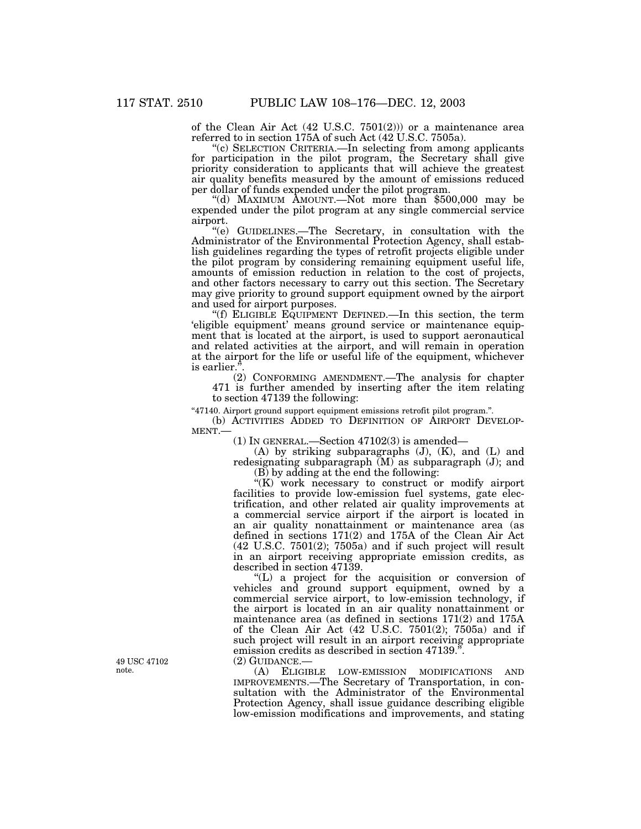of the Clean Air Act (42 U.S.C. 7501(2))) or a maintenance area referred to in section 175A of such Act (42 U.S.C. 7505a).

''(c) SELECTION CRITERIA.—In selecting from among applicants for participation in the pilot program, the Secretary shall give priority consideration to applicants that will achieve the greatest air quality benefits measured by the amount of emissions reduced per dollar of funds expended under the pilot program.

''(d) MAXIMUM AMOUNT.—Not more than \$500,000 may be expended under the pilot program at any single commercial service airport.

''(e) GUIDELINES.—The Secretary, in consultation with the Administrator of the Environmental Protection Agency, shall establish guidelines regarding the types of retrofit projects eligible under the pilot program by considering remaining equipment useful life, amounts of emission reduction in relation to the cost of projects, and other factors necessary to carry out this section. The Secretary may give priority to ground support equipment owned by the airport and used for airport purposes.

''(f) ELIGIBLE EQUIPMENT DEFINED.—In this section, the term 'eligible equipment' means ground service or maintenance equipment that is located at the airport, is used to support aeronautical and related activities at the airport, and will remain in operation at the airport for the life or useful life of the equipment, whichever is earlier."

(2) CONFORMING AMENDMENT.—The analysis for chapter 471 is further amended by inserting after the item relating to section 47139 the following:

''47140. Airport ground support equipment emissions retrofit pilot program.''.

(b) ACTIVITIES ADDED TO DEFINITION OF AIRPORT DEVELOP-MENT-

 $(1)$  In GENERAL.—Section  $47102(3)$  is amended—

(A) by striking subparagraphs (J), (K), and (L) and redesignating subparagraph  $(M)$  as subparagraph  $(J)$ ; and (B) by adding at the end the following:

 $K(K)$  work necessary to construct or modify airport facilities to provide low-emission fuel systems, gate electrification, and other related air quality improvements at a commercial service airport if the airport is located in an air quality nonattainment or maintenance area (as defined in sections 171(2) and 175A of the Clean Air Act (42 U.S.C. 7501(2); 7505a) and if such project will result in an airport receiving appropriate emission credits, as described in section 47139.

''(L) a project for the acquisition or conversion of vehicles and ground support equipment, owned by a commercial service airport, to low-emission technology, if the airport is located in an air quality nonattainment or maintenance area (as defined in sections 171(2) and 175A of the Clean Air Act (42 U.S.C. 7501(2); 7505a) and if such project will result in an airport receiving appropriate emission credits as described in section 47139.'

(2) GUIDANCE.—

(A) ELIGIBLE LOW-EMISSION MODIFICATIONS AND IMPROVEMENTS.—The Secretary of Transportation, in consultation with the Administrator of the Environmental Protection Agency, shall issue guidance describing eligible low-emission modifications and improvements, and stating

49 USC 47102 note.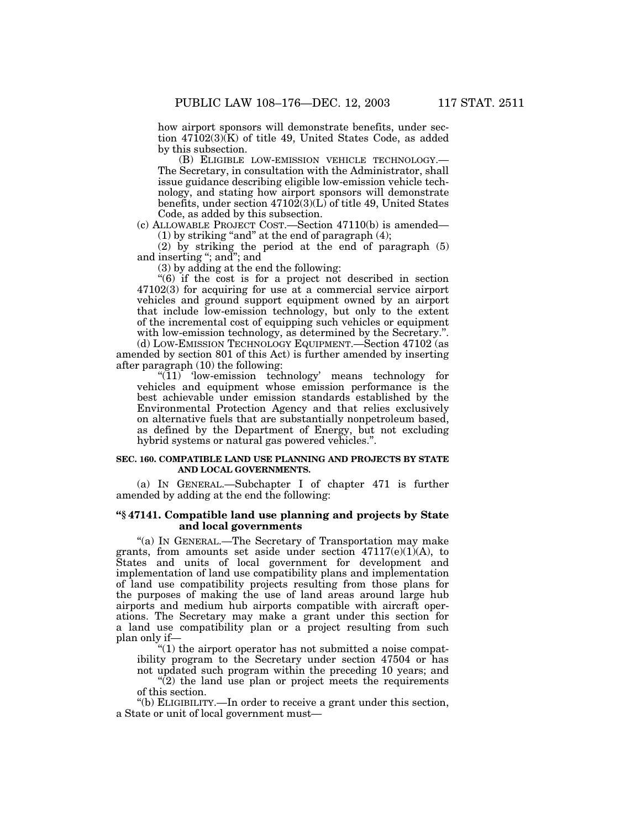how airport sponsors will demonstrate benefits, under section  $47102(3)\overline{(K)}$  of title 49, United States Code, as added by this subsection.

(B) ELIGIBLE LOW-EMISSION VEHICLE TECHNOLOGY.— The Secretary, in consultation with the Administrator, shall issue guidance describing eligible low-emission vehicle technology, and stating how airport sponsors will demonstrate benefits, under section 47102(3)(L) of title 49, United States Code, as added by this subsection.

(c) ALLOWABLE PROJECT COST.—Section 47110(b) is amended— (1) by striking "and" at the end of paragraph  $(4)$ ;

(2) by striking the period at the end of paragraph (5) and inserting ''; and''; and

(3) by adding at the end the following:

''(6) if the cost is for a project not described in section 47102(3) for acquiring for use at a commercial service airport vehicles and ground support equipment owned by an airport that include low-emission technology, but only to the extent of the incremental cost of equipping such vehicles or equipment with low-emission technology, as determined by the Secretary.''. (d) LOW-EMISSION TECHNOLOGY EQUIPMENT.—Section 47102 (as

amended by section 801 of this Act) is further amended by inserting after paragraph (10) the following:

 $\sqrt{\frac{11}{1}}$  'low-emission technology' means technology for vehicles and equipment whose emission performance is the best achievable under emission standards established by the Environmental Protection Agency and that relies exclusively on alternative fuels that are substantially nonpetroleum based, as defined by the Department of Energy, but not excluding hybrid systems or natural gas powered vehicles.''.

#### **SEC. 160. COMPATIBLE LAND USE PLANNING AND PROJECTS BY STATE AND LOCAL GOVERNMENTS.**

(a) IN GENERAL.—Subchapter I of chapter 471 is further amended by adding at the end the following:

## **''§ 47141. Compatible land use planning and projects by State and local governments**

''(a) IN GENERAL.—The Secretary of Transportation may make grants, from amounts set aside under section  $47117(e)(1)(A)$ , to States and units of local government for development and implementation of land use compatibility plans and implementation of land use compatibility projects resulting from those plans for the purposes of making the use of land areas around large hub airports and medium hub airports compatible with aircraft operations. The Secretary may make a grant under this section for a land use compatibility plan or a project resulting from such plan only if—

 $(1)$  the airport operator has not submitted a noise compatibility program to the Secretary under section 47504 or has not updated such program within the preceding 10 years; and

" $(2)$  the land use plan or project meets the requirements of this section.

''(b) ELIGIBILITY.—In order to receive a grant under this section, a State or unit of local government must—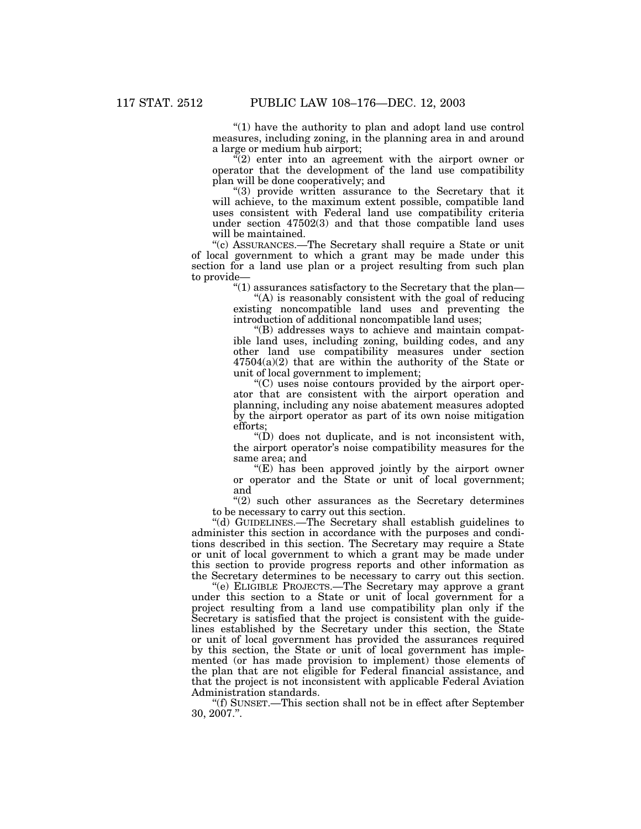''(1) have the authority to plan and adopt land use control measures, including zoning, in the planning area in and around a large or medium hub airport;

"(2) enter into an agreement with the airport owner or operator that the development of the land use compatibility plan will be done cooperatively; and

''(3) provide written assurance to the Secretary that it will achieve, to the maximum extent possible, compatible land uses consistent with Federal land use compatibility criteria under section 47502(3) and that those compatible land uses will be maintained.

''(c) ASSURANCES.—The Secretary shall require a State or unit of local government to which a grant may be made under this section for a land use plan or a project resulting from such plan to provide—

 $''(1)$  assurances satisfactory to the Secretary that the plan—

''(A) is reasonably consistent with the goal of reducing existing noncompatible land uses and preventing the introduction of additional noncompatible land uses;

''(B) addresses ways to achieve and maintain compatible land uses, including zoning, building codes, and any other land use compatibility measures under section  $47504(a)(2)$  that are within the authority of the State or unit of local government to implement;

''(C) uses noise contours provided by the airport operator that are consistent with the airport operation and planning, including any noise abatement measures adopted by the airport operator as part of its own noise mitigation efforts;

''(D) does not duplicate, and is not inconsistent with, the airport operator's noise compatibility measures for the same area; and

 $E(E)$  has been approved jointly by the airport owner or operator and the State or unit of local government; and

 $''(2)$  such other assurances as the Secretary determines to be necessary to carry out this section.

''(d) GUIDELINES.—The Secretary shall establish guidelines to administer this section in accordance with the purposes and conditions described in this section. The Secretary may require a State or unit of local government to which a grant may be made under this section to provide progress reports and other information as the Secretary determines to be necessary to carry out this section.

''(e) ELIGIBLE PROJECTS.—The Secretary may approve a grant under this section to a State or unit of local government for a project resulting from a land use compatibility plan only if the Secretary is satisfied that the project is consistent with the guidelines established by the Secretary under this section, the State or unit of local government has provided the assurances required by this section, the State or unit of local government has implemented (or has made provision to implement) those elements of the plan that are not eligible for Federal financial assistance, and that the project is not inconsistent with applicable Federal Aviation Administration standards.

''(f) SUNSET.—This section shall not be in effect after September 30, 2007.''.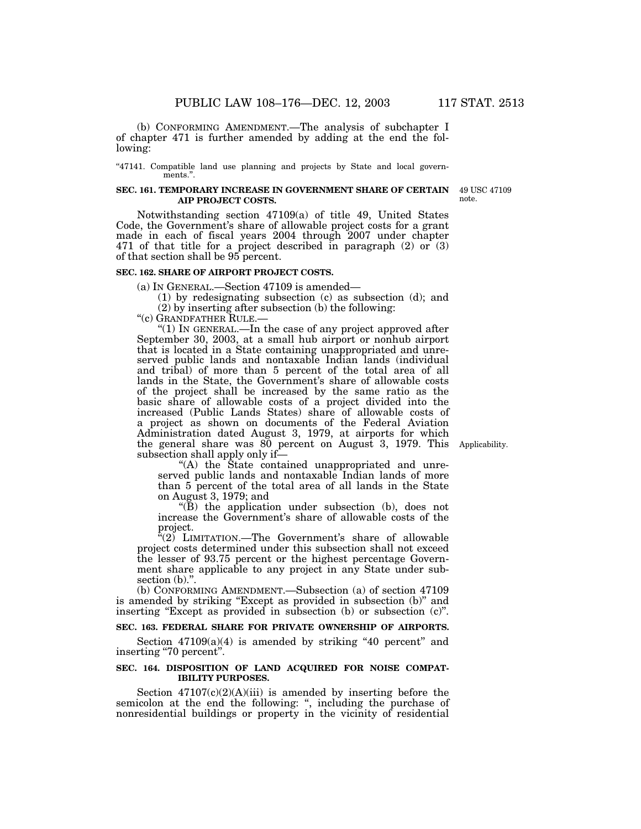(b) CONFORMING AMENDMENT.—The analysis of subchapter I of chapter 471 is further amended by adding at the end the following:

"47141. Compatible land use planning and projects by State and local governments.

#### **SEC. 161. TEMPORARY INCREASE IN GOVERNMENT SHARE OF CERTAIN** 49 USC 47109 **AIP PROJECT COSTS.**

Notwithstanding section 47109(a) of title 49, United States Code, the Government's share of allowable project costs for a grant made in each of fiscal years 2004 through 2007 under chapter 471 of that title for a project described in paragraph (2) or (3) of that section shall be 95 percent.

#### **SEC. 162. SHARE OF AIRPORT PROJECT COSTS.**

(a) IN GENERAL.—Section 47109 is amended—

(1) by redesignating subsection (c) as subsection (d); and

(2) by inserting after subsection (b) the following:

''(c) GRANDFATHER RULE.—

''(1) IN GENERAL.—In the case of any project approved after September 30, 2003, at a small hub airport or nonhub airport that is located in a State containing unappropriated and unreserved public lands and nontaxable Indian lands (individual and tribal) of more than 5 percent of the total area of all lands in the State, the Government's share of allowable costs of the project shall be increased by the same ratio as the basic share of allowable costs of a project divided into the increased (Public Lands States) share of allowable costs of a project as shown on documents of the Federal Aviation Administration dated August 3, 1979, at airports for which the general share was 80 percent on August 3, 1979. This Applicability. subsection shall apply only if—

"(A) the State contained unappropriated and unreserved public lands and nontaxable Indian lands of more than 5 percent of the total area of all lands in the State on August 3, 1979; and

''(B) the application under subsection (b), does not increase the Government's share of allowable costs of the project.

"(2) LIMITATION.—The Government's share of allowable project costs determined under this subsection shall not exceed the lesser of 93.75 percent or the highest percentage Government share applicable to any project in any State under subsection (b).".

(b) CONFORMING AMENDMENT.—Subsection (a) of section 47109 is amended by striking "Except as provided in subsection (b)" and inserting "Except as provided in subsection (b) or subsection (c)".

## **SEC. 163. FEDERAL SHARE FOR PRIVATE OWNERSHIP OF AIRPORTS.**

Section  $47109(a)(4)$  is amended by striking "40 percent" and inserting "70 percent".

#### **SEC. 164. DISPOSITION OF LAND ACQUIRED FOR NOISE COMPAT-IBILITY PURPOSES.**

Section  $47107(c)(2)(A)(iii)$  is amended by inserting before the semicolon at the end the following: ", including the purchase of nonresidential buildings or property in the vicinity of residential

note.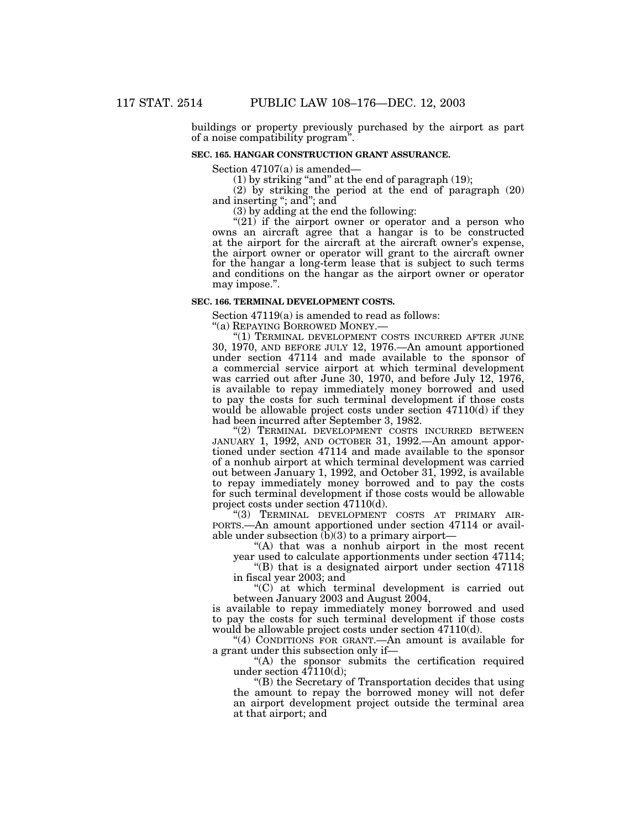buildings or property previously purchased by the airport as part of a noise compatibility program''.

### **SEC. 165. HANGAR CONSTRUCTION GRANT ASSURANCE.**

Section 47107(a) is amended—

(1) by striking "and" at the end of paragraph  $(19)$ ;

(2) by striking the period at the end of paragraph (20) and inserting "; and"; and

(3) by adding at the end the following:

" $(21)$  if the airport owner or operator and a person who owns an aircraft agree that a hangar is to be constructed at the airport for the aircraft at the aircraft owner's expense, the airport owner or operator will grant to the aircraft owner for the hangar a long-term lease that is subject to such terms and conditions on the hangar as the airport owner or operator may impose.''.

### **SEC. 166. TERMINAL DEVELOPMENT COSTS.**

Section 47119(a) is amended to read as follows:

''(a) REPAYING BORROWED MONEY.—

"(1) TERMINAL DEVELOPMENT COSTS INCURRED AFTER JUNE 30, 1970, AND BEFORE JULY 12, 1976.—An amount apportioned under section 47114 and made available to the sponsor of a commercial service airport at which terminal development was carried out after June 30, 1970, and before July 12, 1976, is available to repay immediately money borrowed and used to pay the costs for such terminal development if those costs would be allowable project costs under section 47110(d) if they had been incurred after September 3, 1982.

"(2) TERMINAL DEVELOPMENT COSTS INCURRED BETWEEN JANUARY 1, 1992, AND OCTOBER 31, 1992.—An amount apportioned under section 47114 and made available to the sponsor of a nonhub airport at which terminal development was carried out between January 1, 1992, and October 31, 1992, is available to repay immediately money borrowed and to pay the costs for such terminal development if those costs would be allowable project costs under section 47110(d).

''(3) TERMINAL DEVELOPMENT COSTS AT PRIMARY AIR-PORTS.—An amount apportioned under section 47114 or available under subsection  $(b)(3)$  to a primary airport—

"(A) that was a nonhub airport in the most recent year used to calculate apportionments under section 47114;

''(B) that is a designated airport under section 47118 in fiscal year 2003; and

''(C) at which terminal development is carried out between January 2003 and August 2004,

is available to repay immediately money borrowed and used to pay the costs for such terminal development if those costs would be allowable project costs under section 47110(d).

''(4) CONDITIONS FOR GRANT.—An amount is available for a grant under this subsection only if—

"(A) the sponsor submits the certification required under section 47110(d);

''(B) the Secretary of Transportation decides that using the amount to repay the borrowed money will not defer an airport development project outside the terminal area at that airport; and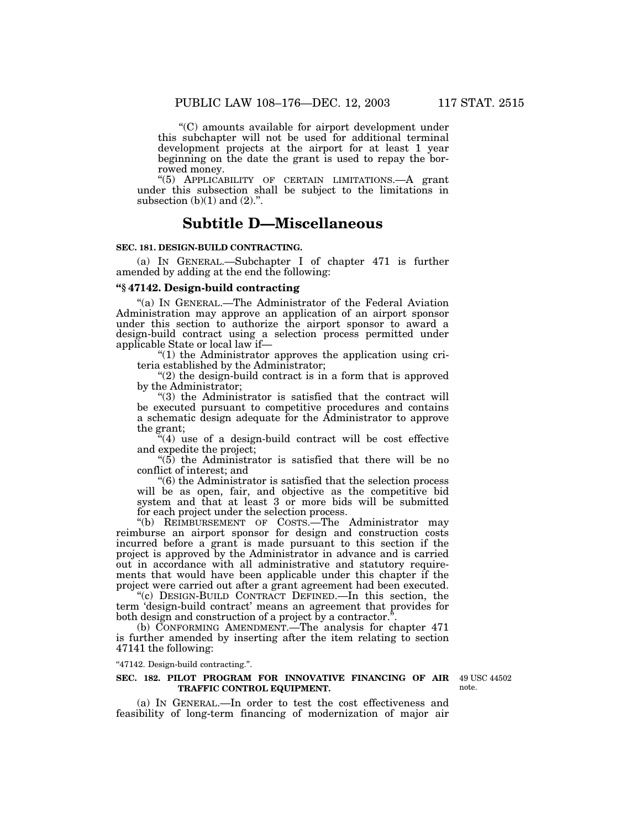''(C) amounts available for airport development under this subchapter will not be used for additional terminal development projects at the airport for at least 1 year beginning on the date the grant is used to repay the borrowed money.

''(5) APPLICABILITY OF CERTAIN LIMITATIONS.—A grant under this subsection shall be subject to the limitations in subsection  $(b)(1)$  and  $(2)$ .".

## **Subtitle D—Miscellaneous**

## **SEC. 181. DESIGN-BUILD CONTRACTING.**

(a) IN GENERAL.—Subchapter I of chapter 471 is further amended by adding at the end the following:

## **''§ 47142. Design-build contracting**

''(a) IN GENERAL.—The Administrator of the Federal Aviation Administration may approve an application of an airport sponsor under this section to authorize the airport sponsor to award a design-build contract using a selection process permitted under applicable State or local law if—

 $''(1)$  the Administrator approves the application using criteria established by the Administrator;

 $(2)$  the design-build contract is in a form that is approved by the Administrator;

''(3) the Administrator is satisfied that the contract will be executed pursuant to competitive procedures and contains a schematic design adequate for the Administrator to approve the grant;

 $(4)$  use of a design-build contract will be cost effective and expedite the project;

''(5) the Administrator is satisfied that there will be no conflict of interest; and

''(6) the Administrator is satisfied that the selection process will be as open, fair, and objective as the competitive bid system and that at least 3 or more bids will be submitted for each project under the selection process.

''(b) REIMBURSEMENT OF COSTS.—The Administrator may reimburse an airport sponsor for design and construction costs incurred before a grant is made pursuant to this section if the project is approved by the Administrator in advance and is carried out in accordance with all administrative and statutory requirements that would have been applicable under this chapter if the project were carried out after a grant agreement had been executed.

''(c) DESIGN-BUILD CONTRACT DEFINED.—In this section, the term 'design-build contract' means an agreement that provides for both design and construction of a project by a contractor.

(b) CONFORMING AMENDMENT.—The analysis for chapter 471 is further amended by inserting after the item relating to section 47141 the following:

''47142. Design-build contracting.''.

#### **SEC. 182. PILOT PROGRAM FOR INNOVATIVE FINANCING OF AIR** 49 USC 44502 **TRAFFIC CONTROL EQUIPMENT.**

note.

(a) IN GENERAL.—In order to test the cost effectiveness and feasibility of long-term financing of modernization of major air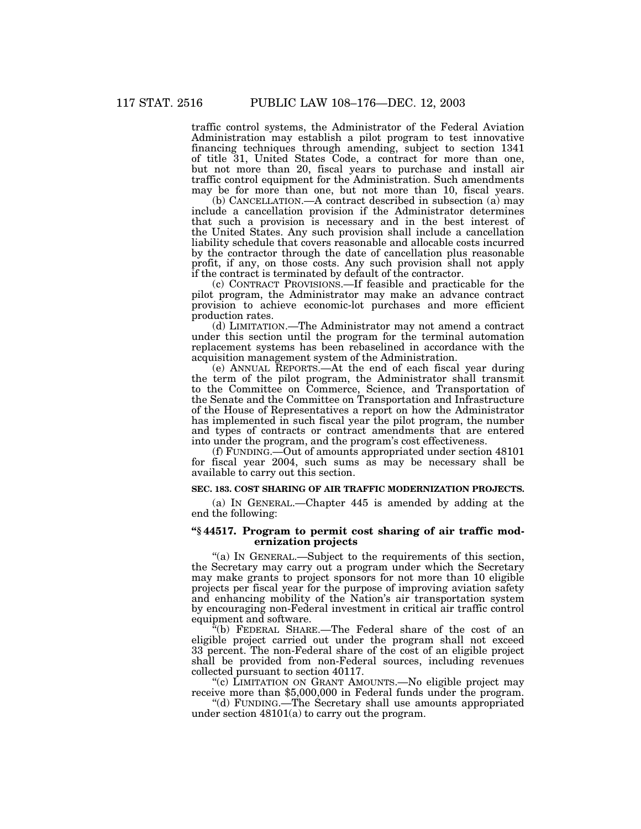traffic control systems, the Administrator of the Federal Aviation Administration may establish a pilot program to test innovative financing techniques through amending, subject to section 1341 of title 31, United States Code, a contract for more than one, but not more than 20, fiscal years to purchase and install air traffic control equipment for the Administration. Such amendments may be for more than one, but not more than 10, fiscal years.

(b) CANCELLATION.—A contract described in subsection (a) may include a cancellation provision if the Administrator determines that such a provision is necessary and in the best interest of the United States. Any such provision shall include a cancellation liability schedule that covers reasonable and allocable costs incurred by the contractor through the date of cancellation plus reasonable profit, if any, on those costs. Any such provision shall not apply if the contract is terminated by default of the contractor.

(c) CONTRACT PROVISIONS.—If feasible and practicable for the pilot program, the Administrator may make an advance contract provision to achieve economic-lot purchases and more efficient production rates.

(d) LIMITATION.—The Administrator may not amend a contract under this section until the program for the terminal automation replacement systems has been rebaselined in accordance with the acquisition management system of the Administration.

(e) ANNUAL REPORTS.—At the end of each fiscal year during the term of the pilot program, the Administrator shall transmit to the Committee on Commerce, Science, and Transportation of the Senate and the Committee on Transportation and Infrastructure of the House of Representatives a report on how the Administrator has implemented in such fiscal year the pilot program, the number and types of contracts or contract amendments that are entered into under the program, and the program's cost effectiveness.

(f) FUNDING.—Out of amounts appropriated under section 48101 for fiscal year 2004, such sums as may be necessary shall be available to carry out this section.

#### **SEC. 183. COST SHARING OF AIR TRAFFIC MODERNIZATION PROJECTS.**

(a) IN GENERAL.—Chapter 445 is amended by adding at the end the following:

## **''§ 44517. Program to permit cost sharing of air traffic modernization projects**

"(a) IN GENERAL.—Subject to the requirements of this section, the Secretary may carry out a program under which the Secretary may make grants to project sponsors for not more than 10 eligible projects per fiscal year for the purpose of improving aviation safety and enhancing mobility of the Nation's air transportation system by encouraging non-Federal investment in critical air traffic control equipment and software.

''(b) FEDERAL SHARE.—The Federal share of the cost of an eligible project carried out under the program shall not exceed 33 percent. The non-Federal share of the cost of an eligible project shall be provided from non-Federal sources, including revenues collected pursuant to section 40117.

''(c) LIMITATION ON GRANT AMOUNTS.—No eligible project may receive more than \$5,000,000 in Federal funds under the program.

''(d) FUNDING.—The Secretary shall use amounts appropriated under section 48101(a) to carry out the program.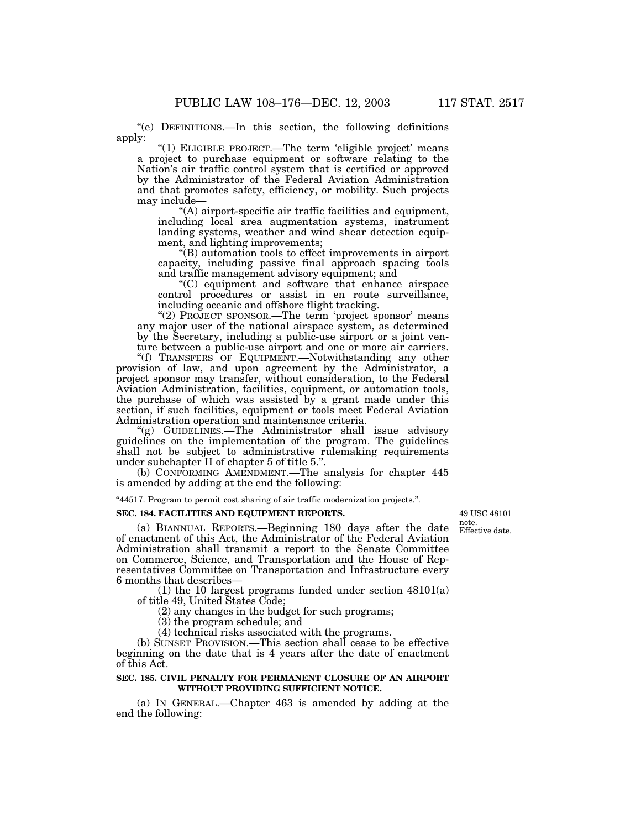''(e) DEFINITIONS.—In this section, the following definitions apply:

"(1) ELIGIBLE PROJECT.—The term 'eligible project' means a project to purchase equipment or software relating to the Nation's air traffic control system that is certified or approved by the Administrator of the Federal Aviation Administration and that promotes safety, efficiency, or mobility. Such projects may include—

''(A) airport-specific air traffic facilities and equipment, including local area augmentation systems, instrument landing systems, weather and wind shear detection equipment, and lighting improvements;

''(B) automation tools to effect improvements in airport capacity, including passive final approach spacing tools and traffic management advisory equipment; and

''(C) equipment and software that enhance airspace control procedures or assist in en route surveillance, including oceanic and offshore flight tracking.

"(2) PROJECT SPONSOR.—The term 'project sponsor' means any major user of the national airspace system, as determined by the Secretary, including a public-use airport or a joint venture between a public-use airport and one or more air carriers.

"(f) TRANSFERS OF EQUIPMENT.—Notwithstanding any other provision of law, and upon agreement by the Administrator, a project sponsor may transfer, without consideration, to the Federal Aviation Administration, facilities, equipment, or automation tools, the purchase of which was assisted by a grant made under this section, if such facilities, equipment or tools meet Federal Aviation Administration operation and maintenance criteria.

''(g) GUIDELINES.—The Administrator shall issue advisory guidelines on the implementation of the program. The guidelines shall not be subject to administrative rulemaking requirements under subchapter II of chapter 5 of title 5.''.

(b) CONFORMING AMENDMENT.—The analysis for chapter 445 is amended by adding at the end the following:

''44517. Program to permit cost sharing of air traffic modernization projects.''.

#### **SEC. 184. FACILITIES AND EQUIPMENT REPORTS.**

(a) BIANNUAL REPORTS.—Beginning 180 days after the date of enactment of this Act, the Administrator of the Federal Aviation Administration shall transmit a report to the Senate Committee on Commerce, Science, and Transportation and the House of Representatives Committee on Transportation and Infrastructure every 6 months that describes—

(1) the 10 largest programs funded under section 48101(a) of title 49, United States Code;

(2) any changes in the budget for such programs;

(3) the program schedule; and

(4) technical risks associated with the programs.

(b) SUNSET PROVISION.—This section shall cease to be effective beginning on the date that is 4 years after the date of enactment of this Act.

### **SEC. 185. CIVIL PENALTY FOR PERMANENT CLOSURE OF AN AIRPORT WITHOUT PROVIDING SUFFICIENT NOTICE.**

(a) IN GENERAL.—Chapter 463 is amended by adding at the end the following:

Effective date. 49 USC 48101 note.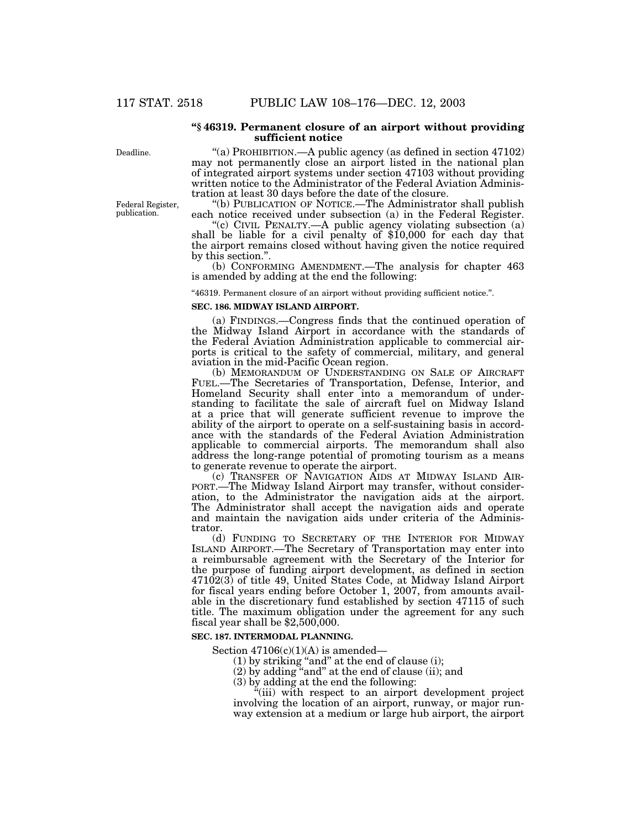#### **''§ 46319. Permanent closure of an airport without providing sufficient notice**

Deadline.

''(a) PROHIBITION.—A public agency (as defined in section 47102) may not permanently close an airport listed in the national plan of integrated airport systems under section 47103 without providing written notice to the Administrator of the Federal Aviation Administration at least 30 days before the date of the closure.

''(b) PUBLICATION OF NOTICE.—The Administrator shall publish

each notice received under subsection (a) in the Federal Register.<br>"(c) CIVIL PENALTY.—A public agency violating subsection (a) shall be liable for a civil penalty of \$10,000 for each day that the airport remains closed without having given the notice required by this section.''.

(b) CONFORMING AMENDMENT.—The analysis for chapter 463 is amended by adding at the end the following:

''46319. Permanent closure of an airport without providing sufficient notice.''.

#### **SEC. 186. MIDWAY ISLAND AIRPORT.**

(a) FINDINGS.—Congress finds that the continued operation of the Midway Island Airport in accordance with the standards of the Federal Aviation Administration applicable to commercial airports is critical to the safety of commercial, military, and general aviation in the mid-Pacific Ocean region.

(b) MEMORANDUM OF UNDERSTANDING ON SALE OF AIRCRAFT FUEL.—The Secretaries of Transportation, Defense, Interior, and Homeland Security shall enter into a memorandum of understanding to facilitate the sale of aircraft fuel on Midway Island at a price that will generate sufficient revenue to improve the ability of the airport to operate on a self-sustaining basis in accordance with the standards of the Federal Aviation Administration applicable to commercial airports. The memorandum shall also address the long-range potential of promoting tourism as a means to generate revenue to operate the airport.<br>(c) TRANSFER OF NAVIGATION AIDS AT MIDWAY ISLAND AIR-

PORT.—The Midway Island Airport may transfer, without consideration, to the Administrator the navigation aids at the airport. The Administrator shall accept the navigation aids and operate and maintain the navigation aids under criteria of the Administrator.

(d) FUNDING TO SECRETARY OF THE INTERIOR FOR MIDWAY ISLAND AIRPORT.—The Secretary of Transportation may enter into a reimbursable agreement with the Secretary of the Interior for the purpose of funding airport development, as defined in section 47102(3) of title 49, United States Code, at Midway Island Airport for fiscal years ending before October 1, 2007, from amounts available in the discretionary fund established by section 47115 of such title. The maximum obligation under the agreement for any such fiscal year shall be \$2,500,000.

#### **SEC. 187. INTERMODAL PLANNING.**

Section  $47106(c)(1)(A)$  is amended—

 $(1)$  by striking "and" at the end of clause  $(i)$ ;

(2) by adding ''and'' at the end of clause (ii); and

(3) by adding at the end the following:

''(iii) with respect to an airport development project involving the location of an airport, runway, or major runway extension at a medium or large hub airport, the airport

Federal Register, publication.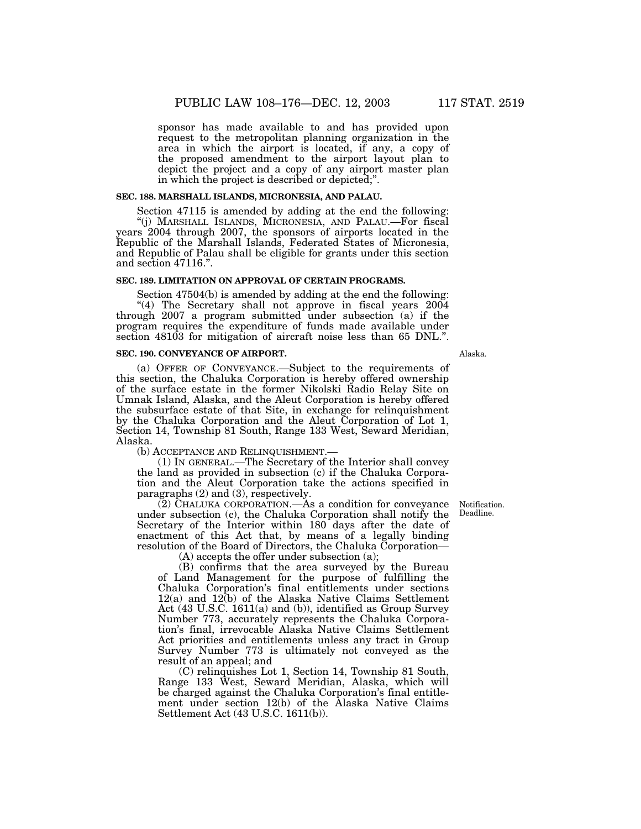sponsor has made available to and has provided upon request to the metropolitan planning organization in the area in which the airport is located, if any, a copy of the proposed amendment to the airport layout plan to depict the project and a copy of any airport master plan in which the project is described or depicted;''.

## **SEC. 188. MARSHALL ISLANDS, MICRONESIA, AND PALAU.**

Section 47115 is amended by adding at the end the following:

''(j) MARSHALL ISLANDS, MICRONESIA, AND PALAU.—For fiscal years 2004 through 2007, the sponsors of airports located in the Republic of the Marshall Islands, Federated States of Micronesia, and Republic of Palau shall be eligible for grants under this section and section 47116.''.

#### **SEC. 189. LIMITATION ON APPROVAL OF CERTAIN PROGRAMS.**

Section 47504(b) is amended by adding at the end the following: "(4) The Secretary shall not approve in fiscal years 2004 through 2007 a program submitted under subsection (a) if the program requires the expenditure of funds made available under section 48103 for mitigation of aircraft noise less than 65 DNL.''.

#### **SEC. 190. CONVEYANCE OF AIRPORT.**

(a) OFFER OF CONVEYANCE.—Subject to the requirements of this section, the Chaluka Corporation is hereby offered ownership of the surface estate in the former Nikolski Radio Relay Site on Umnak Island, Alaska, and the Aleut Corporation is hereby offered the subsurface estate of that Site, in exchange for relinquishment by the Chaluka Corporation and the Aleut Corporation of Lot 1, Section 14, Township 81 South, Range 133 West, Seward Meridian, Alaska.

(b) ACCEPTANCE AND RELINQUISHMENT.—

(1) IN GENERAL.—The Secretary of the Interior shall convey the land as provided in subsection (c) if the Chaluka Corporation and the Aleut Corporation take the actions specified in paragraphs (2) and (3), respectively.

(2) CHALUKA CORPORATION.—As a condition for conveyance under subsection (c), the Chaluka Corporation shall notify the Secretary of the Interior within 180 days after the date of enactment of this Act that, by means of a legally binding resolution of the Board of Directors, the Chaluka Corporation—

(A) accepts the offer under subsection (a);

(B) confirms that the area surveyed by the Bureau of Land Management for the purpose of fulfilling the Chaluka Corporation's final entitlements under sections 12(a) and 12(b) of the Alaska Native Claims Settlement Act (43 U.S.C. 1611(a) and (b)), identified as Group Survey Number 773, accurately represents the Chaluka Corporation's final, irrevocable Alaska Native Claims Settlement Act priorities and entitlements unless any tract in Group Survey Number 773 is ultimately not conveyed as the result of an appeal; and

(C) relinquishes Lot 1, Section 14, Township 81 South, Range 133 West, Seward Meridian, Alaska, which will be charged against the Chaluka Corporation's final entitlement under section 12(b) of the Alaska Native Claims Settlement Act (43 U.S.C. 1611(b)).

Notification. Deadline.

Alaska.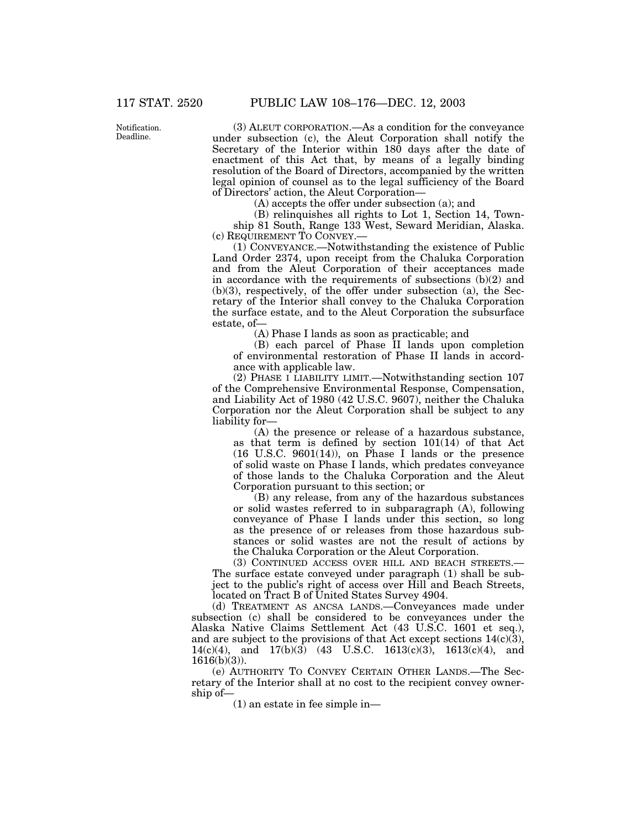Notification. Deadline.

(3) ALEUT CORPORATION.—As a condition for the conveyance under subsection (c), the Aleut Corporation shall notify the Secretary of the Interior within 180 days after the date of enactment of this Act that, by means of a legally binding resolution of the Board of Directors, accompanied by the written legal opinion of counsel as to the legal sufficiency of the Board of Directors' action, the Aleut Corporation—

(A) accepts the offer under subsection (a); and

(B) relinquishes all rights to Lot 1, Section 14, Township 81 South, Range 133 West, Seward Meridian, Alaska. (c) REQUIREMENT TO CONVEY.—

(1) CONVEYANCE.—Notwithstanding the existence of Public Land Order 2374, upon receipt from the Chaluka Corporation and from the Aleut Corporation of their acceptances made in accordance with the requirements of subsections (b)(2) and (b)(3), respectively, of the offer under subsection (a), the Secretary of the Interior shall convey to the Chaluka Corporation the surface estate, and to the Aleut Corporation the subsurface estate, of—

(A) Phase I lands as soon as practicable; and

(B) each parcel of Phase II lands upon completion of environmental restoration of Phase II lands in accordance with applicable law.

(2) PHASE I LIABILITY LIMIT.—Notwithstanding section 107 of the Comprehensive Environmental Response, Compensation, and Liability Act of 1980 (42 U.S.C. 9607), neither the Chaluka Corporation nor the Aleut Corporation shall be subject to any liability for—

(A) the presence or release of a hazardous substance, as that term is defined by section 101(14) of that Act  $(16 \text{ U.S.C. } 9601(14))$ , on Phase I lands or the presence of solid waste on Phase I lands, which predates conveyance of those lands to the Chaluka Corporation and the Aleut Corporation pursuant to this section; or

(B) any release, from any of the hazardous substances or solid wastes referred to in subparagraph (A), following conveyance of Phase I lands under this section, so long as the presence of or releases from those hazardous substances or solid wastes are not the result of actions by the Chaluka Corporation or the Aleut Corporation.

(3) CONTINUED ACCESS OVER HILL AND BEACH STREETS.— The surface estate conveyed under paragraph (1) shall be subject to the public's right of access over Hill and Beach Streets, located on Tract B of United States Survey 4904.

(d) TREATMENT AS ANCSA LANDS.—Conveyances made under subsection (c) shall be considered to be conveyances under the Alaska Native Claims Settlement Act (43 U.S.C. 1601 et seq.), and are subject to the provisions of that Act except sections  $14(c)(3)$ , 14(c)(4), and 17(b)(3) (43 U.S.C. 1613(c)(3), 1613(c)(4), and  $1616(b)(3)$ ).

(e) AUTHORITY TO CONVEY CERTAIN OTHER LANDS.—The Secretary of the Interior shall at no cost to the recipient convey ownership of—

(1) an estate in fee simple in—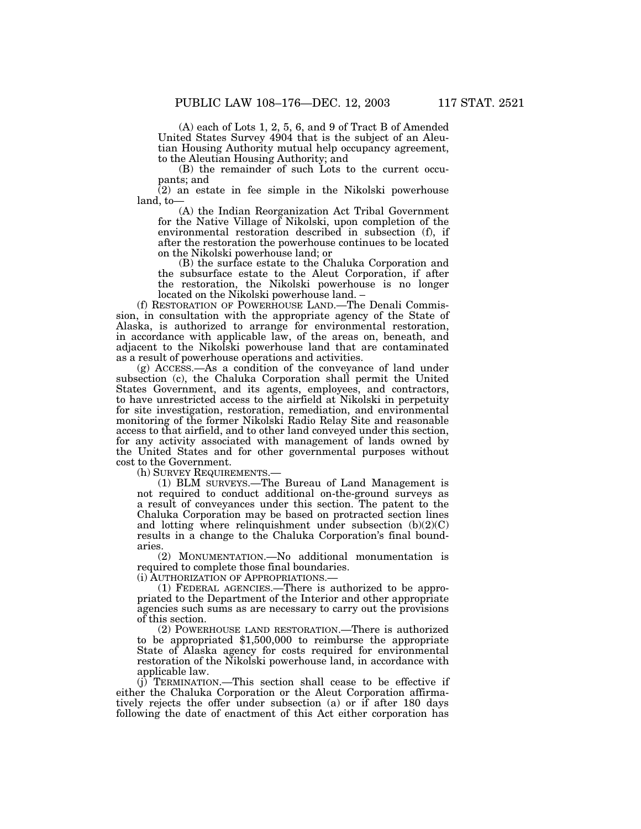(A) each of Lots 1, 2, 5, 6, and 9 of Tract B of Amended United States Survey 4904 that is the subject of an Aleutian Housing Authority mutual help occupancy agreement, to the Aleutian Housing Authority; and

(B) the remainder of such Lots to the current occupants; and

(2) an estate in fee simple in the Nikolski powerhouse land, to—

(A) the Indian Reorganization Act Tribal Government for the Native Village of Nikolski, upon completion of the environmental restoration described in subsection (f), if after the restoration the powerhouse continues to be located on the Nikolski powerhouse land; or

(B) the surface estate to the Chaluka Corporation and the subsurface estate to the Aleut Corporation, if after the restoration, the Nikolski powerhouse is no longer located on the Nikolski powerhouse land. –

(f) RESTORATION OF POWERHOUSE LAND.—The Denali Commission, in consultation with the appropriate agency of the State of Alaska, is authorized to arrange for environmental restoration, in accordance with applicable law, of the areas on, beneath, and adjacent to the Nikolski powerhouse land that are contaminated as a result of powerhouse operations and activities.

(g) ACCESS.—As a condition of the conveyance of land under subsection (c), the Chaluka Corporation shall permit the United States Government, and its agents, employees, and contractors, to have unrestricted access to the airfield at Nikolski in perpetuity for site investigation, restoration, remediation, and environmental monitoring of the former Nikolski Radio Relay Site and reasonable access to that airfield, and to other land conveyed under this section, for any activity associated with management of lands owned by the United States and for other governmental purposes without cost to the Government.

(h) SURVEY REQUIREMENTS.—

(1) BLM SURVEYS.—The Bureau of Land Management is not required to conduct additional on-the-ground surveys as a result of conveyances under this section. The patent to the Chaluka Corporation may be based on protracted section lines and lotting where relinquishment under subsection  $(b)(2)(C)$ results in a change to the Chaluka Corporation's final boundaries.

(2) MONUMENTATION.—No additional monumentation is required to complete those final boundaries.

(i) AUTHORIZATION OF APPROPRIATIONS.—

(1) FEDERAL AGENCIES.—There is authorized to be appropriated to the Department of the Interior and other appropriate agencies such sums as are necessary to carry out the provisions of this section.

(2) POWERHOUSE LAND RESTORATION.—There is authorized to be appropriated \$1,500,000 to reimburse the appropriate State of Alaska agency for costs required for environmental restoration of the Nikolski powerhouse land, in accordance with applicable law.

(j) TERMINATION.—This section shall cease to be effective if either the Chaluka Corporation or the Aleut Corporation affirmatively rejects the offer under subsection (a) or if after 180 days following the date of enactment of this Act either corporation has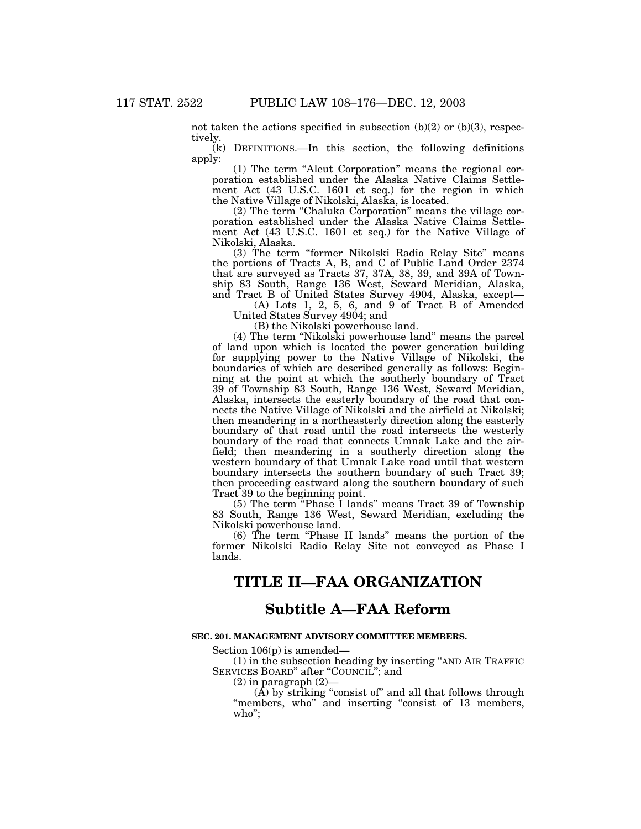not taken the actions specified in subsection  $(b)(2)$  or  $(b)(3)$ , respectively.

(k) DEFINITIONS.—In this section, the following definitions apply:

(1) The term ''Aleut Corporation'' means the regional corporation established under the Alaska Native Claims Settlement Act (43 U.S.C. 1601 et seq.) for the region in which the Native Village of Nikolski, Alaska, is located.

(2) The term ''Chaluka Corporation'' means the village corporation established under the Alaska Native Claims Settlement Act (43 U.S.C. 1601 et seq.) for the Native Village of Nikolski, Alaska.

(3) The term ''former Nikolski Radio Relay Site'' means the portions of Tracts A, B, and C of Public Land Order 2374 that are surveyed as Tracts 37, 37A, 38, 39, and 39A of Township 83 South, Range 136 West, Seward Meridian, Alaska, and Tract B of United States Survey 4904, Alaska, except—

 $(A)$  Lots 1, 2, 5, 6, and  $9$  of Tract B of Amended United States Survey 4904; and

(B) the Nikolski powerhouse land.

(4) The term ''Nikolski powerhouse land'' means the parcel of land upon which is located the power generation building for supplying power to the Native Village of Nikolski, the boundaries of which are described generally as follows: Beginning at the point at which the southerly boundary of Tract 39 of Township 83 South, Range 136 West, Seward Meridian, Alaska, intersects the easterly boundary of the road that connects the Native Village of Nikolski and the airfield at Nikolski; then meandering in a northeasterly direction along the easterly boundary of that road until the road intersects the westerly boundary of the road that connects Umnak Lake and the airfield; then meandering in a southerly direction along the western boundary of that Umnak Lake road until that western boundary intersects the southern boundary of such Tract 39; then proceeding eastward along the southern boundary of such Tract 39 to the beginning point.

(5) The term ''Phase I lands'' means Tract 39 of Township 83 South, Range 136 West, Seward Meridian, excluding the Nikolski powerhouse land.

(6) The term ''Phase II lands'' means the portion of the former Nikolski Radio Relay Site not conveyed as Phase I lands.

# **TITLE II—FAA ORGANIZATION**

# **Subtitle A—FAA Reform**

## **SEC. 201. MANAGEMENT ADVISORY COMMITTEE MEMBERS.**

Section 106(p) is amended—

(1) in the subsection heading by inserting ''AND AIR TRAFFIC SERVICES BOARD" after "COUNCIL"; and

 $(2)$  in paragraph  $(2)$ —

 $(A)$  by striking "consist of" and all that follows through "members, who" and inserting "consist of 13 members, who'';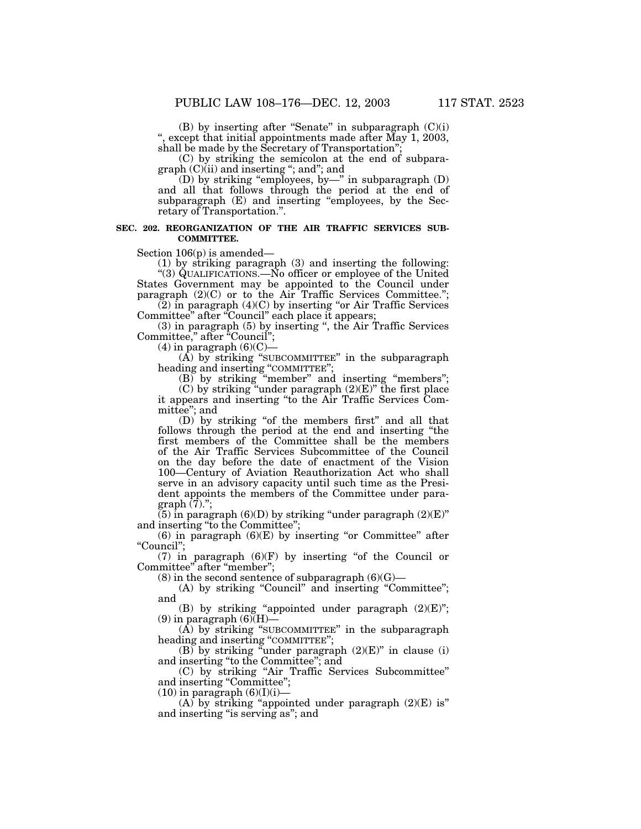(B) by inserting after "Senate" in subparagraph (C)(i) '', except that initial appointments made after May 1, 2003, shall be made by the Secretary of Transportation'';

(C) by striking the semicolon at the end of subparagraph (C)(ii) and inserting ''; and''; and

(D) by striking ''employees, by—'' in subparagraph (D) and all that follows through the period at the end of subparagraph (E) and inserting "employees, by the Secretary of Transportation.''.

#### **SEC. 202. REORGANIZATION OF THE AIR TRAFFIC SERVICES SUB-COMMITTEE.**

Section 106(p) is amended—

(1) by striking paragraph (3) and inserting the following: ''(3) QUALIFICATIONS.—No officer or employee of the United

States Government may be appointed to the Council under paragraph  $(2)(C)$  or to the Air Traffic Services Committee.";

 $(2)$  in paragraph  $(4)(C)$  by inserting "or Air Traffic Services" Committee'' after ''Council'' each place it appears;

(3) in paragraph (5) by inserting '', the Air Traffic Services Committee," after "Council";

 $(4)$  in paragraph  $(6)(C)$ —

(A) by striking ''SUBCOMMITTEE'' in the subparagraph heading and inserting "COMMITTEE";

(B) by striking ''member'' and inserting ''members'';

 $(C)$  by striking "under paragraph  $(2)(E)$ " the first place it appears and inserting ''to the Air Traffic Services Committee''; and

(D) by striking ''of the members first'' and all that follows through the period at the end and inserting ''the first members of the Committee shall be the members of the Air Traffic Services Subcommittee of the Council on the day before the date of enactment of the Vision 100—Century of Aviation Reauthorization Act who shall serve in an advisory capacity until such time as the President appoints the members of the Committee under paragraph (7).'';

 $(5)$  in paragraph  $(6)(D)$  by striking "under paragraph  $(2)(E)$ " and inserting ''to the Committee'';

 $(6)$  in paragraph  $(6)(E)$  by inserting "or Committee" after ''Council'';

(7) in paragraph  $(6)(F)$  by inserting "of the Council or Committee" after "member";

 $(8)$  in the second sentence of subparagraph  $(6)(G)$ —

(A) by striking "Council" and inserting "Committee"; and

(B) by striking "appointed under paragraph  $(2)(E)$ ";  $(9)$  in paragraph  $(6)$  $(H)$ –

(A) by striking ''SUBCOMMITTEE'' in the subparagraph heading and inserting "COMMITTEE";

(B) by striking "under paragraph  $(2)(E)$ " in clause (i) and inserting ''to the Committee''; and

(C) by striking ''Air Traffic Services Subcommittee'' and inserting "Committee";

 $(10)$  in paragraph  $(6)(I)(i)$ —

(A) by striking "appointed under paragraph  $(2)(E)$  is" and inserting "is serving as"; and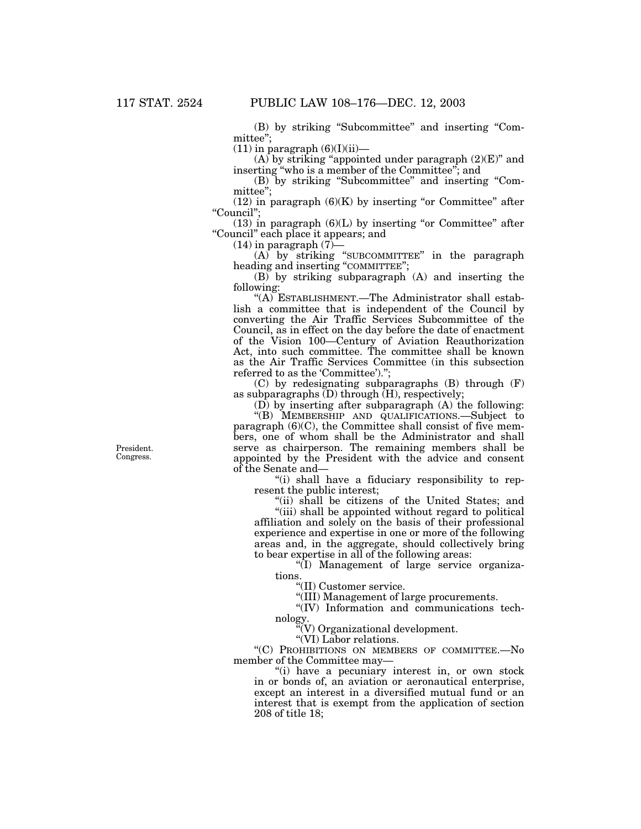(B) by striking ''Subcommittee'' and inserting ''Committee'';

 $(11)$  in paragraph  $(6)(I)(ii)$ —

(A) by striking "appointed under paragraph  $(2)(E)$ " and inserting ''who is a member of the Committee''; and

(B) by striking "Subcommittee" and inserting "Committee'';

 $(12)$  in paragraph  $(6)(K)$  by inserting "or Committee" after ''Council'';

 $(13)$  in paragraph  $(6)(L)$  by inserting "or Committee" after ''Council'' each place it appears; and

 $(14)$  in paragraph  $(7)$ —

(A) by striking ''SUBCOMMITTEE'' in the paragraph heading and inserting "COMMITTEE";

(B) by striking subparagraph (A) and inserting the following:

''(A) ESTABLISHMENT.—The Administrator shall establish a committee that is independent of the Council by converting the Air Traffic Services Subcommittee of the Council, as in effect on the day before the date of enactment of the Vision 100—Century of Aviation Reauthorization Act, into such committee. The committee shall be known as the Air Traffic Services Committee (in this subsection referred to as the 'Committee').'';

(C) by redesignating subparagraphs (B) through (F) as subparagraphs (D) through (H), respectively;

(D) by inserting after subparagraph (A) the following:

''(B) MEMBERSHIP AND QUALIFICATIONS.—Subject to paragraph  $(6)(C)$ , the Committee shall consist of five members, one of whom shall be the Administrator and shall serve as chairperson. The remaining members shall be appointed by the President with the advice and consent of the Senate and—

''(i) shall have a fiduciary responsibility to represent the public interest;

''(ii) shall be citizens of the United States; and

"(iii) shall be appointed without regard to political affiliation and solely on the basis of their professional experience and expertise in one or more of the following areas and, in the aggregate, should collectively bring to bear expertise in all of the following areas:

"(I) Management of large service organizations.

''(II) Customer service.

''(III) Management of large procurements.

''(IV) Information and communications technology.

 $\sqrt[\alpha]{v}$  Organizational development.

''(VI) Labor relations.

''(C) PROHIBITIONS ON MEMBERS OF COMMITTEE.—No member of the Committee may—

''(i) have a pecuniary interest in, or own stock in or bonds of, an aviation or aeronautical enterprise, except an interest in a diversified mutual fund or an interest that is exempt from the application of section 208 of title 18;

President. Congress.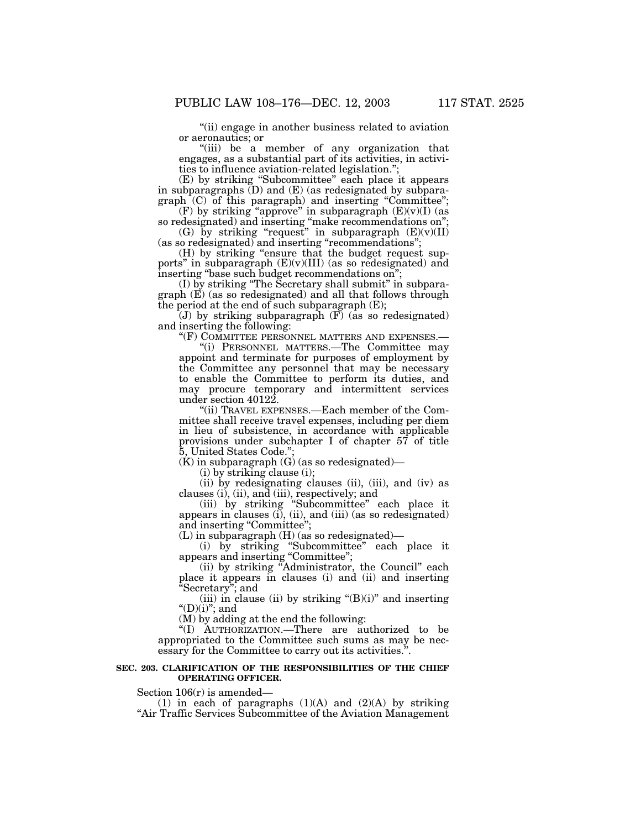''(ii) engage in another business related to aviation or aeronautics; or

"(iii) be a member of any organization that engages, as a substantial part of its activities, in activities to influence aviation-related legislation.'';

(E) by striking ''Subcommittee'' each place it appears in subparagraphs (D) and (E) (as redesignated by subparagraph (C) of this paragraph) and inserting "Committee";

(F) by striking "approve" in subparagraph  $(E)(v)(I)$  (as so redesignated) and inserting ''make recommendations on'';

(G) by striking "request" in subparagraph  $(E)(v)(II)$ (as so redesignated) and inserting "recommendations";

(H) by striking ''ensure that the budget request supports'' in subparagraph (E)(v)(III) (as so redesignated) and inserting "base such budget recommendations on";

(I) by striking ''The Secretary shall submit'' in subparagraph (E) (as so redesignated) and all that follows through the period at the end of such subparagraph (E);

(J) by striking subparagraph  $(F)$  (as so redesignated) and inserting the following:

"(F) COMMITTEE PERSONNEL MATTERS AND EXPENSES.-

''(i) PERSONNEL MATTERS.—The Committee may appoint and terminate for purposes of employment by the Committee any personnel that may be necessary to enable the Committee to perform its duties, and may procure temporary and intermittent services under section 40122.

''(ii) TRAVEL EXPENSES.—Each member of the Committee shall receive travel expenses, including per diem in lieu of subsistence, in accordance with applicable provisions under subchapter I of chapter 57 of title 5, United States Code.'';

 $(K)$  in subparagraph  $(G)$  (as so redesignated)—

(i) by striking clause (i);

(ii) by redesignating clauses (ii), (iii), and (iv) as clauses (i), (ii), and (iii), respectively; and

(iii) by striking ''Subcommittee'' each place it appears in clauses (i), (ii), and (iii) (as so redesignated) and inserting "Committee";

(L) in subparagraph (H) (as so redesignated)—

(i) by striking ''Subcommittee'' each place it appears and inserting "Committee";

(ii) by striking ''Administrator, the Council'' each place it appears in clauses (i) and (ii) and inserting "Secretary"; and

(iii) in clause (ii) by striking  $\Gamma(B)(i)$ " and inserting "(D)(i)"; and

(M) by adding at the end the following:

''(I) AUTHORIZATION.—There are authorized to be appropriated to the Committee such sums as may be necessary for the Committee to carry out its activities.

#### **SEC. 203. CLARIFICATION OF THE RESPONSIBILITIES OF THE CHIEF OPERATING OFFICER.**

Section 106(r) is amended—

(1) in each of paragraphs (1)(A) and (2)(A) by striking "Air Traffic Services Subcommittee of the Aviation Management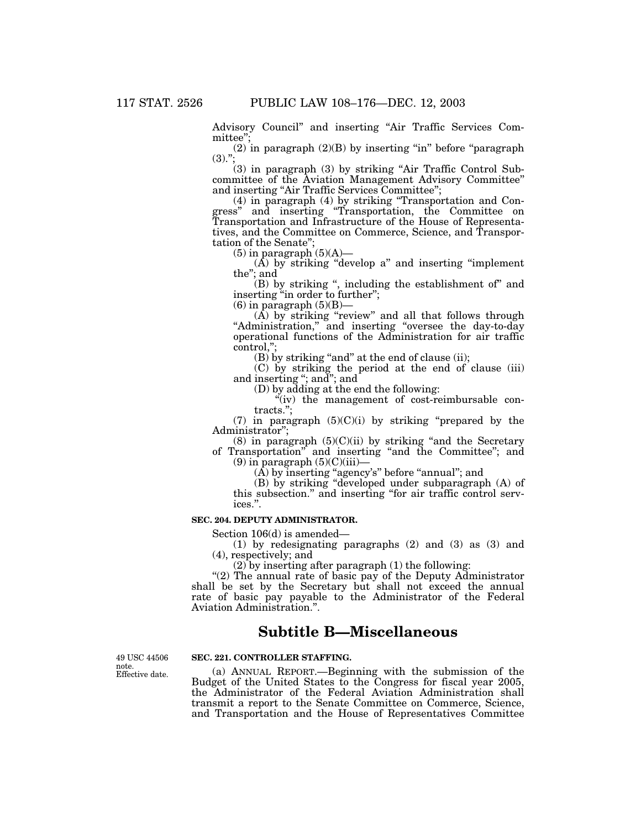Advisory Council" and inserting "Air Traffic Services Committee"

 $(2)$  in paragraph  $(2)(B)$  by inserting "in" before "paragraph"  $(3).$ ";

 $(3)$  in paragraph  $(3)$  by striking "Air Traffic Control Subcommittee of the Aviation Management Advisory Committee'' and inserting "Air Traffic Services Committee";

(4) in paragraph (4) by striking ''Transportation and Congress'' and inserting ''Transportation, the Committee on Transportation and Infrastructure of the House of Representatives, and the Committee on Commerce, Science, and Transportation of the Senate'';

 $(5)$  in paragraph  $(5)(A)$ —

 $(\overline{A})$  by striking "develop a" and inserting "implement" the''; and

(B) by striking '', including the establishment of'' and inserting ''in order to further'';

 $(6)$  in paragraph  $(5)(B)$ —

 $(A)$  by striking "review" and all that follows through ''Administration,'' and inserting ''oversee the day-to-day operational functions of the Administration for air traffic control,'';

(B) by striking "and" at the end of clause (ii);

(C) by striking the period at the end of clause (iii) and inserting "; and"; and

(D) by adding at the end the following:

 $\ddot{f}(iv)$  the management of cost-reimbursable contracts.'';

(7) in paragraph  $(5)(C)(i)$  by striking "prepared by the Administrator'';

 $(8)$  in paragraph  $(5)(C)(ii)$  by striking "and the Secretary of Transportation'' and inserting ''and the Committee''; and

 $(9)$  in paragraph  $(5)(C)(iii)$ —

(A) by inserting "agency's" before "annual"; and

(B) by striking ''developed under subparagraph (A) of this subsection.'' and inserting ''for air traffic control services.''.

# **SEC. 204. DEPUTY ADMINISTRATOR.**

Section 106(d) is amended—

(1) by redesignating paragraphs (2) and (3) as (3) and (4), respectively; and

 $(2)$  by inserting after paragraph  $(1)$  the following:

''(2) The annual rate of basic pay of the Deputy Administrator shall be set by the Secretary but shall not exceed the annual rate of basic pay payable to the Administrator of the Federal Aviation Administration.''.

# **Subtitle B—Miscellaneous**

Effective date. 49 USC 44506 note.

#### **SEC. 221. CONTROLLER STAFFING.**

(a) ANNUAL REPORT.—Beginning with the submission of the Budget of the United States to the Congress for fiscal year 2005, the Administrator of the Federal Aviation Administration shall transmit a report to the Senate Committee on Commerce, Science, and Transportation and the House of Representatives Committee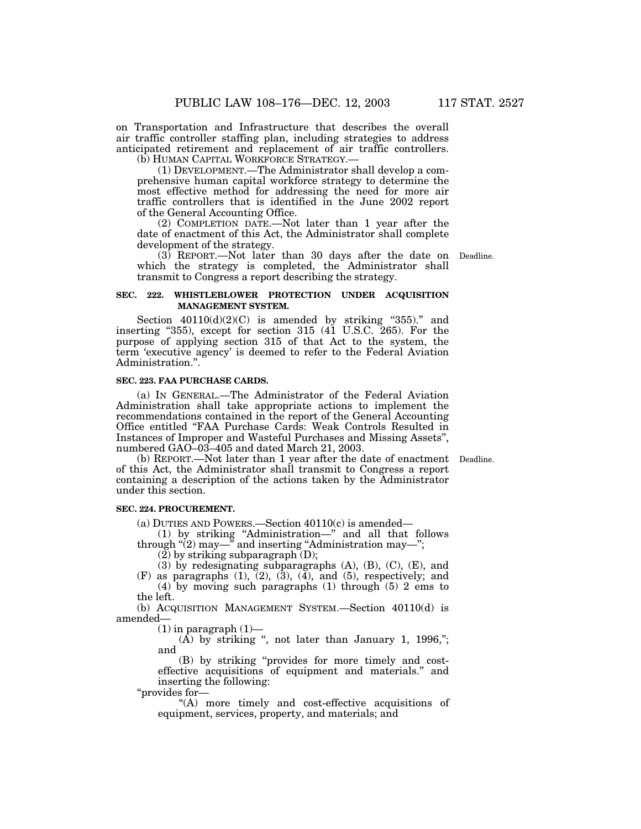on Transportation and Infrastructure that describes the overall air traffic controller staffing plan, including strategies to address anticipated retirement and replacement of air traffic controllers. (b) HUMAN CAPITAL WORKFORCE STRATEGY.—

(1) DEVELOPMENT.—The Administrator shall develop a comprehensive human capital workforce strategy to determine the most effective method for addressing the need for more air traffic controllers that is identified in the June 2002 report of the General Accounting Office.

(2) COMPLETION DATE.—Not later than 1 year after the date of enactment of this Act, the Administrator shall complete development of the strategy.

(3) REPORT.—Not later than 30 days after the date on Deadline. which the strategy is completed, the Administrator shall transmit to Congress a report describing the strategy.

#### **SEC. 222. WHISTLEBLOWER PROTECTION UNDER ACQUISITION MANAGEMENT SYSTEM.**

Section  $40110(d)(2)(C)$  is amended by striking "355)." and inserting "355), except for section 315 (41 U.S.C. 265). For the purpose of applying section 315 of that Act to the system, the term 'executive agency' is deemed to refer to the Federal Aviation Administration.''.

#### **SEC. 223. FAA PURCHASE CARDS.**

(a) IN GENERAL.—The Administrator of the Federal Aviation Administration shall take appropriate actions to implement the recommendations contained in the report of the General Accounting Office entitled ''FAA Purchase Cards: Weak Controls Resulted in Instances of Improper and Wasteful Purchases and Missing Assets'', numbered GAO–03–405 and dated March 21, 2003.

Deadline.

(b) REPORT.—Not later than 1 year after the date of enactment of this Act, the Administrator shall transmit to Congress a report containing a description of the actions taken by the Administrator under this section.

#### **SEC. 224. PROCUREMENT.**

(a) DUTIES AND POWERS.—Section 40110(c) is amended—

(1) by striking ''Administration—'' and all that follows through "(2) may—" and inserting "Administration may—";

 $(2)$  by striking subparagraph  $(D)$ ;

(3) by redesignating subparagraphs (A), (B), (C), (E), and

 $(F)$  as paragraphs  $(1)$ ,  $(2)$ ,  $(3)$ ,  $(4)$ , and  $(5)$ , respectively; and (4) by moving such paragraphs (1) through (5) 2 ems to

the left.

(b) ACQUISITION MANAGEMENT SYSTEM.—Section 40110(d) is amended—

 $(1)$  in paragraph  $(1)$ —

(A) by striking ", not later than January 1, 1996,"; and

(B) by striking ''provides for more timely and costeffective acquisitions of equipment and materials.'' and inserting the following:

''provides for—

''(A) more timely and cost-effective acquisitions of equipment, services, property, and materials; and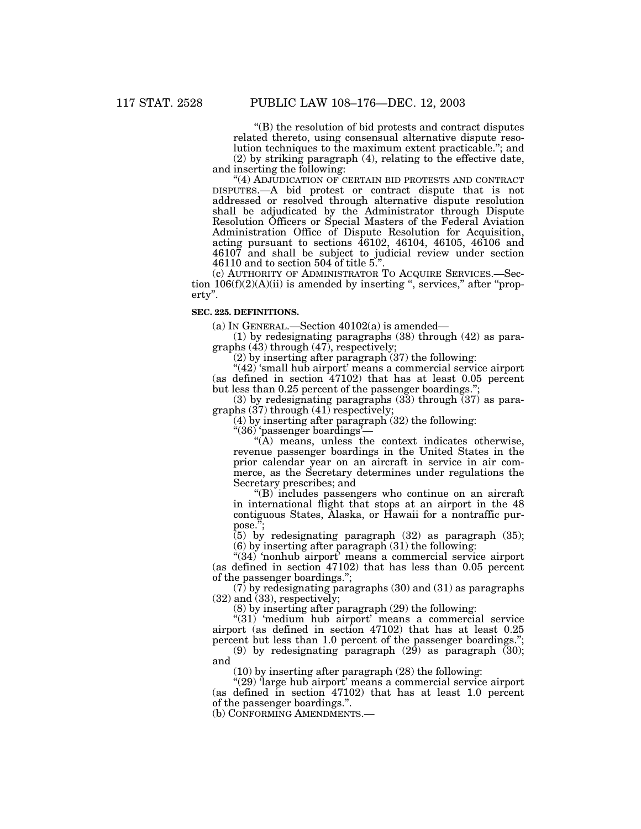''(B) the resolution of bid protests and contract disputes related thereto, using consensual alternative dispute resolution techniques to the maximum extent practicable.''; and (2) by striking paragraph (4), relating to the effective date, and inserting the following:

''(4) ADJUDICATION OF CERTAIN BID PROTESTS AND CONTRACT DISPUTES.—A bid protest or contract dispute that is not addressed or resolved through alternative dispute resolution shall be adjudicated by the Administrator through Dispute Resolution Officers or Special Masters of the Federal Aviation Administration Office of Dispute Resolution for Acquisition, acting pursuant to sections 46102, 46104, 46105, 46106 and 46107 and shall be subject to judicial review under section 46110 and to section 504 of title 5.''.

(c) AUTHORITY OF ADMINISTRATOR TO ACQUIRE SERVICES.—Section  $106(f)(2)(A)(ii)$  is amended by inserting ", services," after "property''.

#### **SEC. 225. DEFINITIONS.**

(a) IN GENERAL.—Section 40102(a) is amended—

(1) by redesignating paragraphs (38) through (42) as paragraphs (43) through (47), respectively;

(2) by inserting after paragraph (37) the following:

"(42) 'small hub airport' means a commercial service airport (as defined in section 47102) that has at least 0.05 percent but less than 0.25 percent of the passenger boardings."

(3) by redesignating paragraphs  $(3\bar{3})$  through  $(37)$  as paragraphs  $(37)$  through  $(41)$  respectively;

(4) by inserting after paragraph (32) the following:

''(36) 'passenger boardings'—

''(A) means, unless the context indicates otherwise, revenue passenger boardings in the United States in the prior calendar year on an aircraft in service in air commerce, as the Secretary determines under regulations the Secretary prescribes; and

''(B) includes passengers who continue on an aircraft in international flight that stops at an airport in the 48 contiguous States, Alaska, or Hawaii for a nontraffic purpose.";

(5) by redesignating paragraph (32) as paragraph (35); (6) by inserting after paragraph (31) the following:

"(34) 'nonhub airport' means a commercial service airport (as defined in section 47102) that has less than 0.05 percent of the passenger boardings.'';

(7) by redesignating paragraphs (30) and (31) as paragraphs (32) and (33), respectively;

(8) by inserting after paragraph (29) the following:

"(31) 'medium hub airport' means a commercial service airport (as defined in section 47102) that has at least 0.25 percent but less than 1.0 percent of the passenger boardings.

(9) by redesignating paragraph (29) as paragraph (30); and

(10) by inserting after paragraph (28) the following:

''(29) 'large hub airport' means a commercial service airport (as defined in section 47102) that has at least 1.0 percent of the passenger boardings.''.

(b) CONFORMING AMENDMENTS.—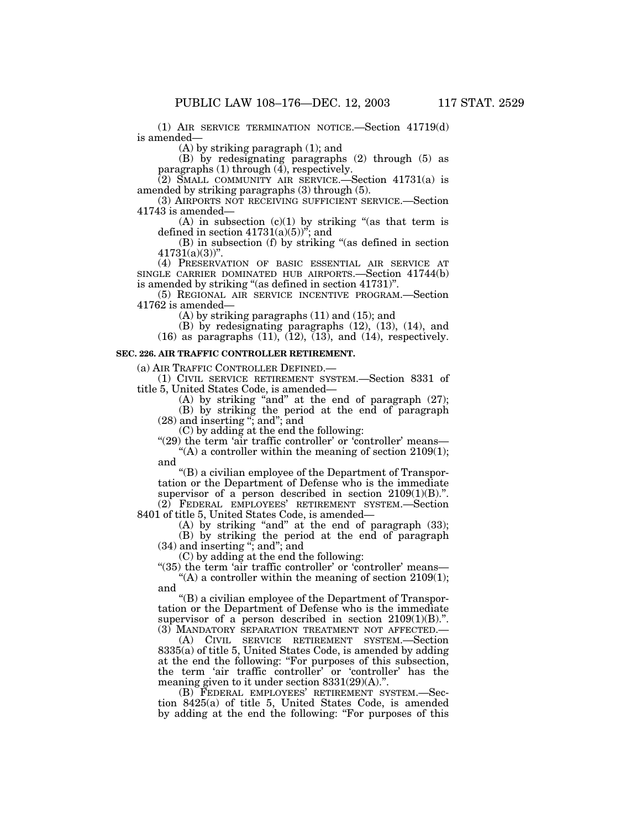(1) AIR SERVICE TERMINATION NOTICE.—Section 41719(d) is amended—

(A) by striking paragraph (1); and

(B) by redesignating paragraphs (2) through (5) as paragraphs (1) through (4), respectively.

(2) SMALL COMMUNITY AIR SERVICE.—Section 41731(a) is amended by striking paragraphs (3) through (5).

(3) AIRPORTS NOT RECEIVING SUFFICIENT SERVICE.—Section 41743 is amended—

(A) in subsection  $(c)(1)$  by striking "(as that term is defined in section  $41731(a)(5)$ "; and

(B) in subsection (f) by striking ''(as defined in section  $41731(a)(3)$ ".

(4) PRESERVATION OF BASIC ESSENTIAL AIR SERVICE AT SINGLE CARRIER DOMINATED HUB AIRPORTS.—Section 41744(b) is amended by striking ''(as defined in section 41731)''.

(5) REGIONAL AIR SERVICE INCENTIVE PROGRAM.—Section 41762 is amended—

(A) by striking paragraphs (11) and (15); and

(B) by redesignating paragraphs (12), (13), (14), and

 $(16)$  as paragraphs  $(11)$ ,  $(12)$ ,  $(13)$ , and  $(14)$ , respectively.

# **SEC. 226. AIR TRAFFIC CONTROLLER RETIREMENT.**

(a) AIR TRAFFIC CONTROLLER DEFINED.—

(1) CIVIL SERVICE RETIREMENT SYSTEM.—Section 8331 of title 5, United States Code, is amended—

(A) by striking "and" at the end of paragraph  $(27)$ ;

(B) by striking the period at the end of paragraph (28) and inserting ''; and''; and

(C) by adding at the end the following:

"(29) the term 'air traffic controller' or 'controller' means-"(A) a controller within the meaning of section  $2109(1)$ ;

and

''(B) a civilian employee of the Department of Transportation or the Department of Defense who is the immediate supervisor of a person described in section  $2109(1)(B)$ .". (2) FEDERAL EMPLOYEES' RETIREMENT SYSTEM.—Section

8401 of title 5, United States Code, is amended—

(A) by striking "and" at the end of paragraph (33); (B) by striking the period at the end of paragraph (34) and inserting ''; and''; and

(C) by adding at the end the following:

"(35) the term 'air traffic controller' or 'controller' means-"(A) a controller within the meaning of section  $2109(1)$ ;

and

''(B) a civilian employee of the Department of Transportation or the Department of Defense who is the immediate supervisor of a person described in section 2109(1)(B).". (3) MANDATORY SEPARATION TREATMENT NOT AFFECTED.—

(A) CIVIL SERVICE RETIREMENT SYSTEM.—Section 8335(a) of title 5, United States Code, is amended by adding at the end the following: ''For purposes of this subsection, the term 'air traffic controller' or 'controller' has the meaning given to it under section 8331(29)(A).''.

(B) FEDERAL EMPLOYEES' RETIREMENT SYSTEM.—Section 8425(a) of title 5, United States Code, is amended by adding at the end the following: ''For purposes of this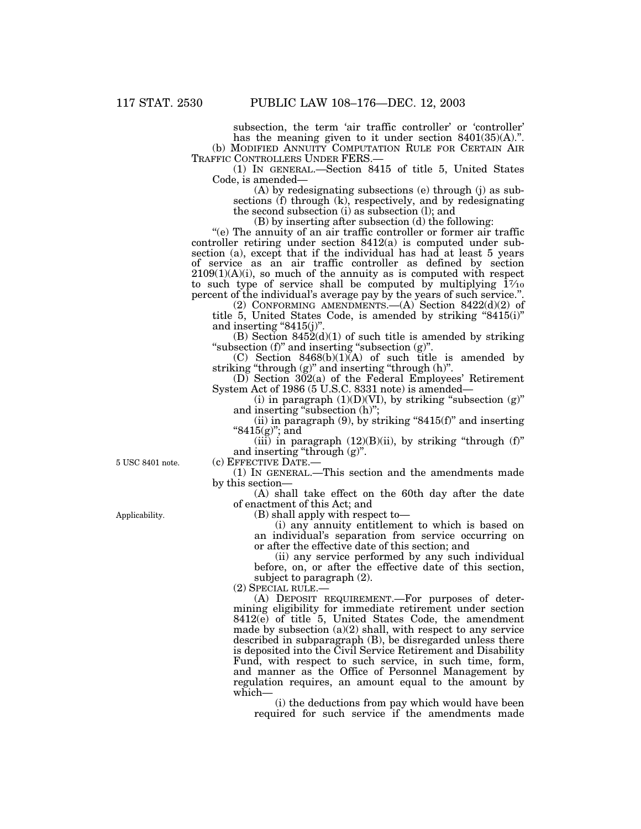subsection, the term 'air traffic controller' or 'controller' has the meaning given to it under section 8401(35)(A).".

(b) MODIFIED ANNUITY COMPUTATION RULE FOR CERTAIN AIR TRAFFIC CONTROLLERS UNDER FERS.—

(1) IN GENERAL.—Section 8415 of title 5, United States Code, is amended—

(A) by redesignating subsections (e) through (j) as subsections (f) through (k), respectively, and by redesignating the second subsection (i) as subsection (l); and

(B) by inserting after subsection (d) the following:

''(e) The annuity of an air traffic controller or former air traffic controller retiring under section 8412(a) is computed under subsection (a), except that if the individual has had at least 5 years of service as an air traffic controller as defined by section  $2109(1)(A)(i)$ , so much of the annuity as is computed with respect to such type of service shall be computed by multiplying  $1\frac{\gamma_{10}}{\gamma_{10}}$ percent of the individual's average pay by the years of such service.''.

(2) CONFORMING AMENDMENTS.  $-(A)^{\check{}}$  Section 8422(d)(2) of title 5, United States Code, is amended by striking ''8415(i)'' and inserting "8415(j)"

(B) Section  $8452(d)(1)$  of such title is amended by striking ''subsection (f)'' and inserting ''subsection (g)''.

(C) Section 8468(b)(1)(A) of such title is amended by striking "through (g)" and inserting "through (h)".

(D) Section 302(a) of the Federal Employees' Retirement System Act of 1986 (5 U.S.C. 8331 note) is amended—

(i) in paragraph  $(1)(D)(VI)$ , by striking "subsection  $(g)$ " and inserting "subsection (h)";

(ii) in paragraph  $(9)$ , by striking "8415 $(f)$ " and inserting "8415(g)"; and

(iii) in paragraph  $(12)(B)(ii)$ , by striking "through  $(f)$ " and inserting ''through (g)''.

(c) EFFECTIVE DATE.—

(1) IN GENERAL.—This section and the amendments made by this section—

(A) shall take effect on the 60th day after the date of enactment of this Act; and

(B) shall apply with respect to—

(i) any annuity entitlement to which is based on an individual's separation from service occurring on or after the effective date of this section; and

(ii) any service performed by any such individual before, on, or after the effective date of this section, subject to paragraph (2).

(2) SPECIAL RULE.—

(A) DEPOSIT REQUIREMENT.—For purposes of determining eligibility for immediate retirement under section 8412(e) of title 5, United States Code, the amendment made by subsection (a)(2) shall, with respect to any service described in subparagraph (B), be disregarded unless there is deposited into the Civil Service Retirement and Disability Fund, with respect to such service, in such time, form, and manner as the Office of Personnel Management by regulation requires, an amount equal to the amount by which—

(i) the deductions from pay which would have been required for such service if the amendments made

5 USC 8401 note.

Applicability.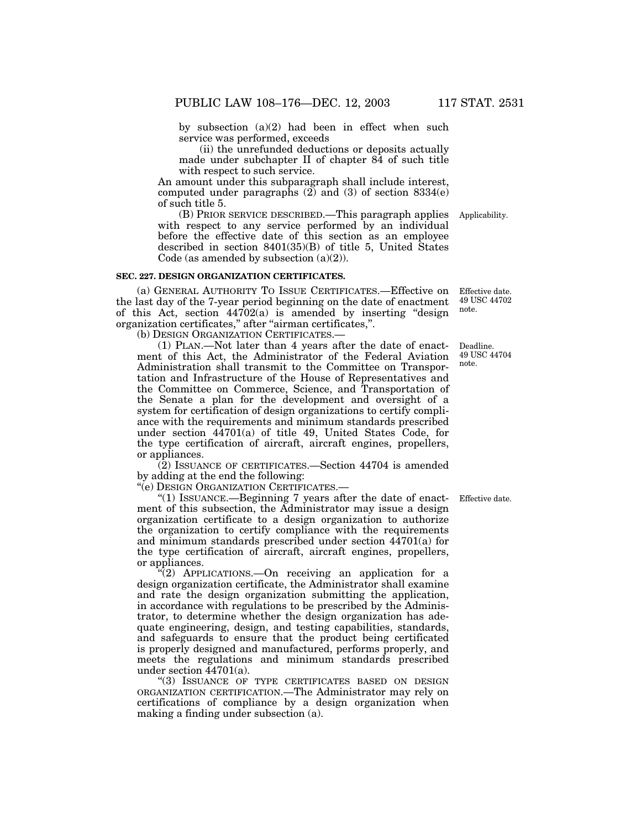by subsection (a)(2) had been in effect when such service was performed, exceeds

(ii) the unrefunded deductions or deposits actually made under subchapter II of chapter 84 of such title with respect to such service.

An amount under this subparagraph shall include interest, computed under paragraphs (2) and (3) of section 8334(e) of such title 5.

(B) PRIOR SERVICE DESCRIBED.—This paragraph applies Applicability. with respect to any service performed by an individual before the effective date of this section as an employee described in section 8401(35)(B) of title 5, United States Code (as amended by subsection (a)(2)).

# **SEC. 227. DESIGN ORGANIZATION CERTIFICATES.**

(a) GENERAL AUTHORITY TO ISSUE CERTIFICATES.—Effective on Effective date. the last day of the 7-year period beginning on the date of enactment of this Act, section  $44702(a)$  is amended by inserting "design organization certificates,'' after ''airman certificates,''.

(b) DESIGN ORGANIZATION CERTIFICATES.—

(1) PLAN.—Not later than 4 years after the date of enactment of this Act, the Administrator of the Federal Aviation Administration shall transmit to the Committee on Transportation and Infrastructure of the House of Representatives and the Committee on Commerce, Science, and Transportation of the Senate a plan for the development and oversight of a system for certification of design organizations to certify compliance with the requirements and minimum standards prescribed under section 44701(a) of title 49, United States Code, for the type certification of aircraft, aircraft engines, propellers, or appliances.

(2) ISSUANCE OF CERTIFICATES.—Section 44704 is amended by adding at the end the following:

''(e) DESIGN ORGANIZATION CERTIFICATES.—

''(1) ISSUANCE.—Beginning 7 years after the date of enactment of this subsection, the Administrator may issue a design organization certificate to a design organization to authorize the organization to certify compliance with the requirements and minimum standards prescribed under section 44701(a) for the type certification of aircraft, aircraft engines, propellers, or appliances.

"(2) APPLICATIONS.—On receiving an application for a design organization certificate, the Administrator shall examine and rate the design organization submitting the application, in accordance with regulations to be prescribed by the Administrator, to determine whether the design organization has adequate engineering, design, and testing capabilities, standards, and safeguards to ensure that the product being certificated is properly designed and manufactured, performs properly, and meets the regulations and minimum standards prescribed under section  $\overline{44701(a)}$ .

''(3) ISSUANCE OF TYPE CERTIFICATES BASED ON DESIGN ORGANIZATION CERTIFICATION.—The Administrator may rely on certifications of compliance by a design organization when making a finding under subsection (a).

Effective date.

49 USC 44702 note.

Deadline. 49 USC 44704 note.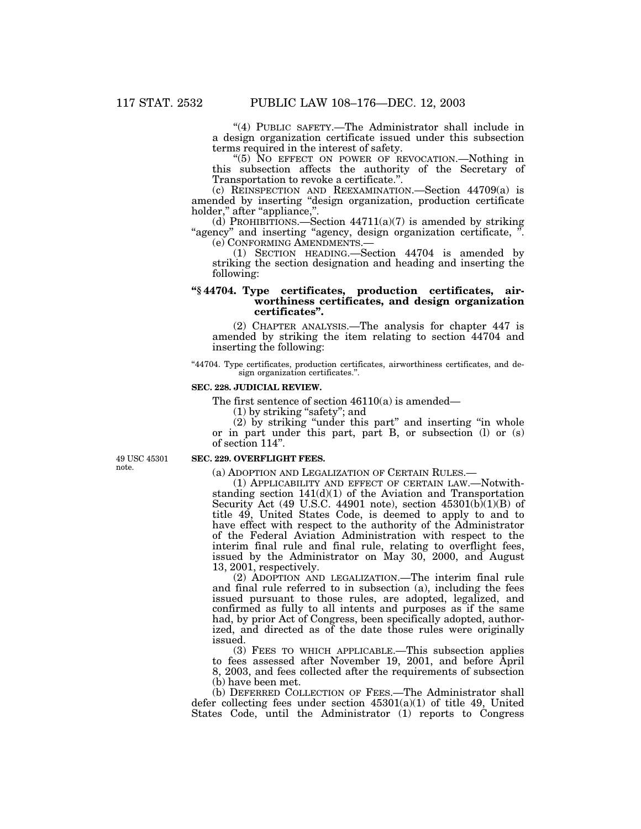''(4) PUBLIC SAFETY.—The Administrator shall include in a design organization certificate issued under this subsection terms required in the interest of safety.

''(5) NO EFFECT ON POWER OF REVOCATION.—Nothing in this subsection affects the authority of the Secretary of Transportation to revoke a certificate.''.

(c) REINSPECTION AND REEXAMINATION.—Section 44709(a) is amended by inserting ''design organization, production certificate holder," after "appliance,".

(d) PROHIBITIONS.—Section 44711(a)(7) is amended by striking ''agency'' and inserting ''agency, design organization certificate, ''.

(e) CONFORMING AMENDMENTS.— (1) SECTION HEADING.—Section 44704 is amended by

striking the section designation and heading and inserting the following:

## **''§ 44704. Type certificates, production certificates, airworthiness certificates, and design organization certificates''.**

(2) CHAPTER ANALYSIS.—The analysis for chapter 447 is amended by striking the item relating to section 44704 and inserting the following:

"44704. Type certificates, production certificates, airworthiness certificates, and design organization certificates.''.

## **SEC. 228. JUDICIAL REVIEW.**

The first sentence of section 46110(a) is amended—

(1) by striking ''safety''; and

(2) by striking ''under this part'' and inserting ''in whole or in part under this part, part B, or subsection (l) or (s) of section 114''.

49 USC 45301 note.

#### **SEC. 229. OVERFLIGHT FEES.**

(a) ADOPTION AND LEGALIZATION OF CERTAIN RULES.—

(1) APPLICABILITY AND EFFECT OF CERTAIN LAW.—Notwithstanding section  $141(d)(1)$  of the Aviation and Transportation Security Act (49 U.S.C. 44901 note), section 45301(b)(1)(B) of title 49, United States Code, is deemed to apply to and to have effect with respect to the authority of the Administrator of the Federal Aviation Administration with respect to the interim final rule and final rule, relating to overflight fees, issued by the Administrator on May 30, 2000, and August 13, 2001, respectively.

(2) ADOPTION AND LEGALIZATION.—The interim final rule and final rule referred to in subsection (a), including the fees issued pursuant to those rules, are adopted, legalized, and confirmed as fully to all intents and purposes as if the same had, by prior Act of Congress, been specifically adopted, authorized, and directed as of the date those rules were originally issued.

(3) FEES TO WHICH APPLICABLE.—This subsection applies to fees assessed after November 19, 2001, and before April 8, 2003, and fees collected after the requirements of subsection (b) have been met.

(b) DEFERRED COLLECTION OF FEES.—The Administrator shall defer collecting fees under section 45301(a)(1) of title 49, United States Code, until the Administrator  $(1)$  reports to Congress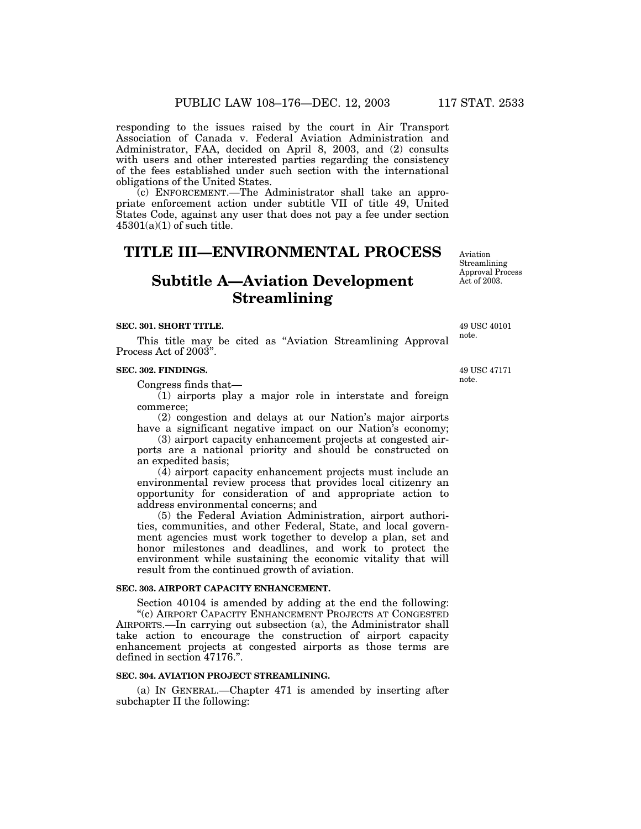responding to the issues raised by the court in Air Transport Association of Canada v. Federal Aviation Administration and Administrator, FAA, decided on April 8, 2003, and (2) consults with users and other interested parties regarding the consistency of the fees established under such section with the international obligations of the United States.

(c) ENFORCEMENT.—The Administrator shall take an appropriate enforcement action under subtitle VII of title 49, United States Code, against any user that does not pay a fee under section  $45301(a)(1)$  of such title.

# **TITLE III—ENVIRONMENTAL PROCESS**

# **Subtitle A—Aviation Development Streamlining**

#### **SEC. 301. SHORT TITLE.**

This title may be cited as "Aviation Streamlining Approval" Process Act of 2003''.

# **SEC. 302. FINDINGS.**

Congress finds that—

(1) airports play a major role in interstate and foreign commerce;

(2) congestion and delays at our Nation's major airports have a significant negative impact on our Nation's economy:

(3) airport capacity enhancement projects at congested airports are a national priority and should be constructed on an expedited basis;

(4) airport capacity enhancement projects must include an environmental review process that provides local citizenry an opportunity for consideration of and appropriate action to address environmental concerns; and

(5) the Federal Aviation Administration, airport authorities, communities, and other Federal, State, and local government agencies must work together to develop a plan, set and honor milestones and deadlines, and work to protect the environment while sustaining the economic vitality that will result from the continued growth of aviation.

# **SEC. 303. AIRPORT CAPACITY ENHANCEMENT.**

Section 40104 is amended by adding at the end the following: "(c) AIRPORT CAPACITY ENHANCEMENT PROJECTS AT CONGESTED AIRPORTS.—In carrying out subsection (a), the Administrator shall take action to encourage the construction of airport capacity enhancement projects at congested airports as those terms are defined in section 47176.''.

#### **SEC. 304. AVIATION PROJECT STREAMLINING.**

(a) IN GENERAL.—Chapter 471 is amended by inserting after subchapter II the following:

Aviation Streamlining Approval Process Act of 2003.

49 USC 40101 note.

49 USC 47171 note.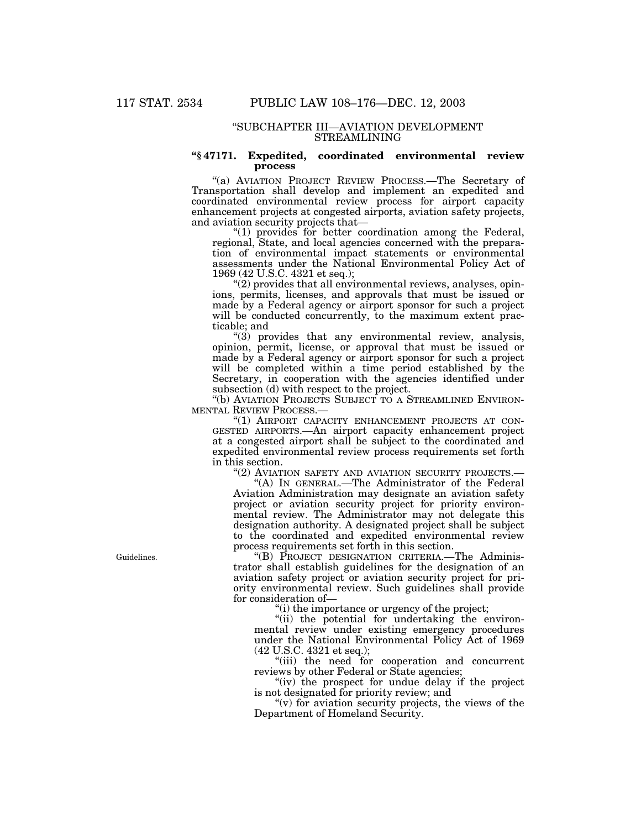# ''SUBCHAPTER III—AVIATION DEVELOPMENT STREAMLINING

# **''§ 47171. Expedited, coordinated environmental review process**

''(a) AVIATION PROJECT REVIEW PROCESS.—The Secretary of Transportation shall develop and implement an expedited and coordinated environmental review process for airport capacity enhancement projects at congested airports, aviation safety projects, and aviation security projects that—

''(1) provides for better coordination among the Federal, regional, State, and local agencies concerned with the preparation of environmental impact statements or environmental assessments under the National Environmental Policy Act of 1969 (42 U.S.C. 4321 et seq.);

"(2) provides that all environmental reviews, analyses, opinions, permits, licenses, and approvals that must be issued or made by a Federal agency or airport sponsor for such a project will be conducted concurrently, to the maximum extent practicable; and

''(3) provides that any environmental review, analysis, opinion, permit, license, or approval that must be issued or made by a Federal agency or airport sponsor for such a project will be completed within a time period established by the Secretary, in cooperation with the agencies identified under subsection (d) with respect to the project.

''(b) AVIATION PROJECTS SUBJECT TO A STREAMLINED ENVIRON-MENTAL REVIEW PROCESS.—

"(1) AIRPORT CAPACITY ENHANCEMENT PROJECTS AT CON-GESTED AIRPORTS.—An airport capacity enhancement project at a congested airport shall be subject to the coordinated and expedited environmental review process requirements set forth in this section.

"(2) AVIATION SAFETY AND AVIATION SECURITY PROJECTS.-

''(A) IN GENERAL.—The Administrator of the Federal Aviation Administration may designate an aviation safety project or aviation security project for priority environmental review. The Administrator may not delegate this designation authority. A designated project shall be subject to the coordinated and expedited environmental review process requirements set forth in this section.

''(B) PROJECT DESIGNATION CRITERIA.—The Administrator shall establish guidelines for the designation of an aviation safety project or aviation security project for priority environmental review. Such guidelines shall provide for consideration of—

''(i) the importance or urgency of the project;

"(ii) the potential for undertaking the environmental review under existing emergency procedures under the National Environmental Policy Act of 1969 (42 U.S.C. 4321 et seq.);

"(iii) the need for cooperation and concurrent reviews by other Federal or State agencies;

"(iv) the prospect for undue delay if the project" is not designated for priority review; and

" $(v)$  for aviation security projects, the views of the Department of Homeland Security.

Guidelines.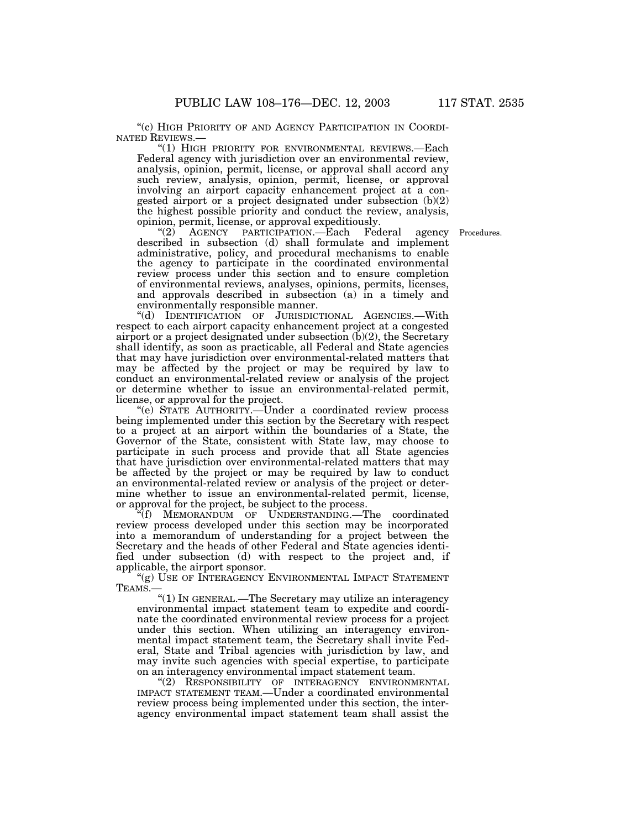"(c) HIGH PRIORITY OF AND AGENCY PARTICIPATION IN COORDINATED REVIEWS.—

"(1) HIGH PRIORITY FOR ENVIRONMENTAL REVIEWS.—Each Federal agency with jurisdiction over an environmental review, analysis, opinion, permit, license, or approval shall accord any such review, analysis, opinion, permit, license, or approval involving an airport capacity enhancement project at a congested airport or a project designated under subsection (b)(2) the highest possible priority and conduct the review, analysis, opinion, permit, license, or approval expeditiously.

Procedures.

''(2) AGENCY PARTICIPATION.—Each Federal agency described in subsection (d) shall formulate and implement administrative, policy, and procedural mechanisms to enable the agency to participate in the coordinated environmental review process under this section and to ensure completion of environmental reviews, analyses, opinions, permits, licenses, and approvals described in subsection (a) in a timely and environmentally responsible manner.

''(d) IDENTIFICATION OF JURISDICTIONAL AGENCIES.—With respect to each airport capacity enhancement project at a congested airport or a project designated under subsection (b)(2), the Secretary shall identify, as soon as practicable, all Federal and State agencies that may have jurisdiction over environmental-related matters that may be affected by the project or may be required by law to conduct an environmental-related review or analysis of the project or determine whether to issue an environmental-related permit, license, or approval for the project.

''(e) STATE AUTHORITY.—Under a coordinated review process being implemented under this section by the Secretary with respect to a project at an airport within the boundaries of a State, the Governor of the State, consistent with State law, may choose to participate in such process and provide that all State agencies that have jurisdiction over environmental-related matters that may be affected by the project or may be required by law to conduct an environmental-related review or analysis of the project or determine whether to issue an environmental-related permit, license, or approval for the project, be subject to the process.

(f) MEMORANDUM OF UNDERSTANDING.—The coordinated review process developed under this section may be incorporated into a memorandum of understanding for a project between the Secretary and the heads of other Federal and State agencies identified under subsection (d) with respect to the project and, if applicable, the airport sponsor.

''(g) USE OF INTERAGENCY ENVIRONMENTAL IMPACT STATEMENT TEAMS.—

''(1) IN GENERAL.—The Secretary may utilize an interagency environmental impact statement team to expedite and coordinate the coordinated environmental review process for a project under this section. When utilizing an interagency environmental impact statement team, the Secretary shall invite Federal, State and Tribal agencies with jurisdiction by law, and may invite such agencies with special expertise, to participate on an interagency environmental impact statement team.

"(2) RESPONSIBILITY OF INTERAGENCY ENVIRONMENTAL IMPACT STATEMENT TEAM.—Under a coordinated environmental review process being implemented under this section, the interagency environmental impact statement team shall assist the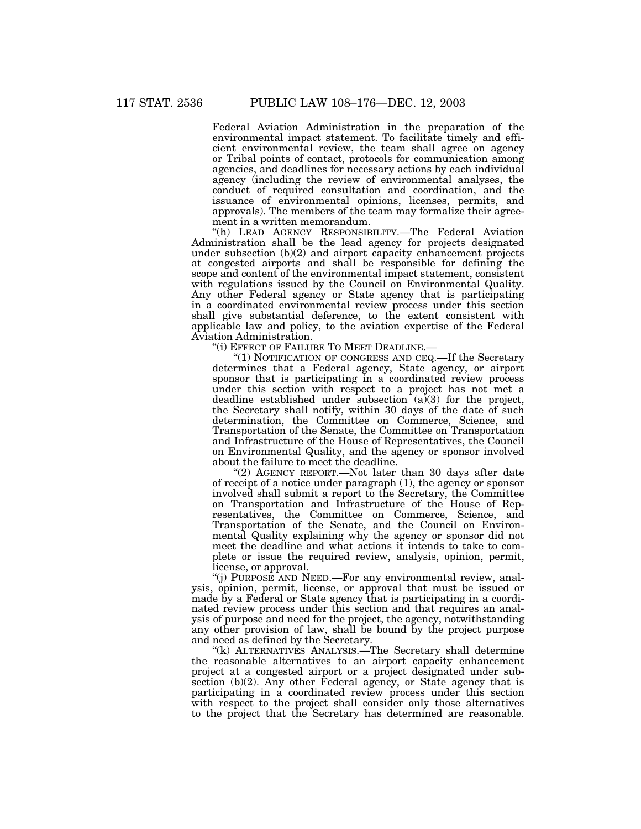Federal Aviation Administration in the preparation of the environmental impact statement. To facilitate timely and efficient environmental review, the team shall agree on agency or Tribal points of contact, protocols for communication among agencies, and deadlines for necessary actions by each individual agency (including the review of environmental analyses, the conduct of required consultation and coordination, and the issuance of environmental opinions, licenses, permits, and approvals). The members of the team may formalize their agreement in a written memorandum.

''(h) LEAD AGENCY RESPONSIBILITY.—The Federal Aviation Administration shall be the lead agency for projects designated under subsection (b)(2) and airport capacity enhancement projects at congested airports and shall be responsible for defining the scope and content of the environmental impact statement, consistent with regulations issued by the Council on Environmental Quality. Any other Federal agency or State agency that is participating in a coordinated environmental review process under this section shall give substantial deference, to the extent consistent with applicable law and policy, to the aviation expertise of the Federal Aviation Administration.

''(i) EFFECT OF FAILURE TO MEET DEADLINE.—

''(1) NOTIFICATION OF CONGRESS AND CEQ.—If the Secretary determines that a Federal agency, State agency, or airport sponsor that is participating in a coordinated review process under this section with respect to a project has not met a deadline established under subsection  $(a)(3)$  for the project, the Secretary shall notify, within 30 days of the date of such determination, the Committee on Commerce, Science, and Transportation of the Senate, the Committee on Transportation and Infrastructure of the House of Representatives, the Council on Environmental Quality, and the agency or sponsor involved about the failure to meet the deadline.

"(2) AGENCY REPORT.—Not later than 30 days after date of receipt of a notice under paragraph (1), the agency or sponsor involved shall submit a report to the Secretary, the Committee on Transportation and Infrastructure of the House of Representatives, the Committee on Commerce, Science, and Transportation of the Senate, and the Council on Environmental Quality explaining why the agency or sponsor did not meet the deadline and what actions it intends to take to complete or issue the required review, analysis, opinion, permit, license, or approval.

''(j) PURPOSE AND NEED.—For any environmental review, analysis, opinion, permit, license, or approval that must be issued or made by a Federal or State agency that is participating in a coordinated review process under this section and that requires an analysis of purpose and need for the project, the agency, notwithstanding any other provision of law, shall be bound by the project purpose and need as defined by the Secretary.

''(k) ALTERNATIVES ANALYSIS.—The Secretary shall determine the reasonable alternatives to an airport capacity enhancement project at a congested airport or a project designated under subsection (b)(2). Any other Federal agency, or State agency that is participating in a coordinated review process under this section with respect to the project shall consider only those alternatives to the project that the Secretary has determined are reasonable.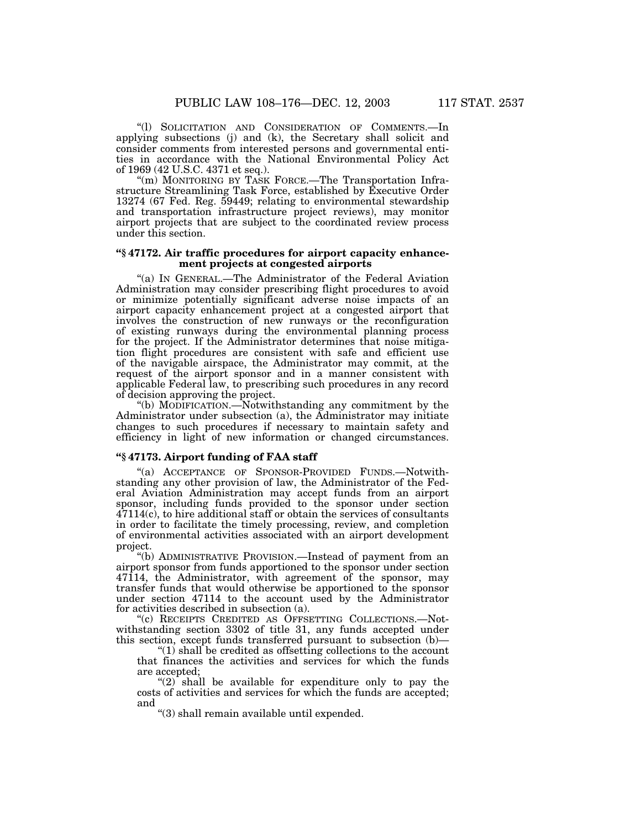''(l) SOLICITATION AND CONSIDERATION OF COMMENTS.—In applying subsections (j) and (k), the Secretary shall solicit and consider comments from interested persons and governmental entities in accordance with the National Environmental Policy Act of 1969 (42 U.S.C. 4371 et seq.).

"(m) MONITORING BY TASK FORCE.—The Transportation Infrastructure Streamlining Task Force, established by Executive Order 13274 (67 Fed. Reg. 59449; relating to environmental stewardship and transportation infrastructure project reviews), may monitor airport projects that are subject to the coordinated review process under this section.

# **''§ 47172. Air traffic procedures for airport capacity enhancement projects at congested airports**

''(a) IN GENERAL.—The Administrator of the Federal Aviation Administration may consider prescribing flight procedures to avoid or minimize potentially significant adverse noise impacts of an airport capacity enhancement project at a congested airport that involves the construction of new runways or the reconfiguration of existing runways during the environmental planning process for the project. If the Administrator determines that noise mitigation flight procedures are consistent with safe and efficient use of the navigable airspace, the Administrator may commit, at the request of the airport sponsor and in a manner consistent with applicable Federal law, to prescribing such procedures in any record of decision approving the project.

''(b) MODIFICATION.—Notwithstanding any commitment by the Administrator under subsection (a), the Administrator may initiate changes to such procedures if necessary to maintain safety and efficiency in light of new information or changed circumstances.

# **''§ 47173. Airport funding of FAA staff**

''(a) ACCEPTANCE OF SPONSOR-PROVIDED FUNDS.—Notwithstanding any other provision of law, the Administrator of the Federal Aviation Administration may accept funds from an airport sponsor, including funds provided to the sponsor under section 47114(c), to hire additional staff or obtain the services of consultants in order to facilitate the timely processing, review, and completion of environmental activities associated with an airport development project.

''(b) ADMINISTRATIVE PROVISION.—Instead of payment from an airport sponsor from funds apportioned to the sponsor under section 47114, the Administrator, with agreement of the sponsor, may transfer funds that would otherwise be apportioned to the sponsor under section 47114 to the account used by the Administrator for activities described in subsection (a).

''(c) RECEIPTS CREDITED AS OFFSETTING COLLECTIONS.—Notwithstanding section 3302 of title 31, any funds accepted under this section, except funds transferred pursuant to subsection (b)—

" $(1)$  shall be credited as offsetting collections to the account that finances the activities and services for which the funds are accepted;

" $(2)$  shall be available for expenditure only to pay the costs of activities and services for which the funds are accepted; and

''(3) shall remain available until expended.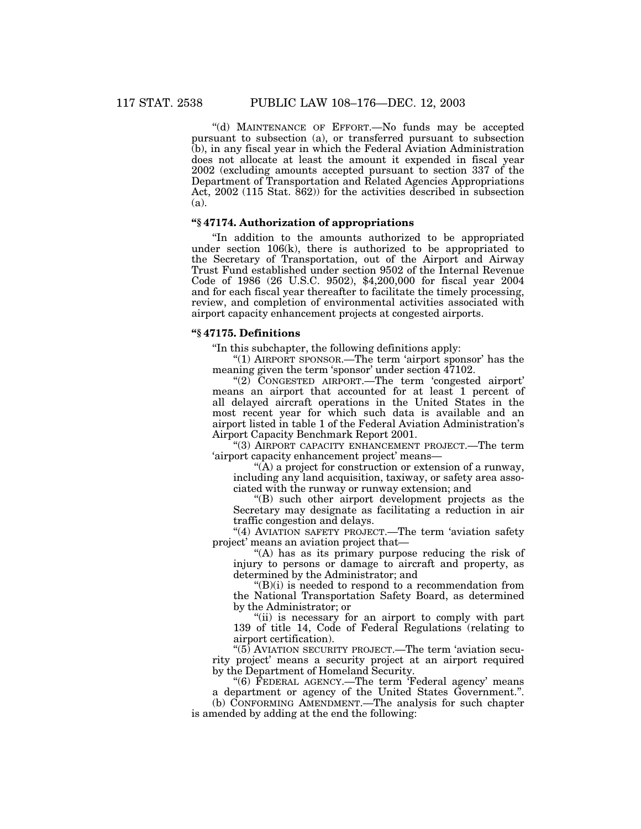''(d) MAINTENANCE OF EFFORT.—No funds may be accepted pursuant to subsection (a), or transferred pursuant to subsection (b), in any fiscal year in which the Federal Aviation Administration does not allocate at least the amount it expended in fiscal year 2002 (excluding amounts accepted pursuant to section 337 of the Department of Transportation and Related Agencies Appropriations Act, 2002 (115 Stat. 862)) for the activities described in subsection (a).

# **''§ 47174. Authorization of appropriations**

''In addition to the amounts authorized to be appropriated under section 106(k), there is authorized to be appropriated to the Secretary of Transportation, out of the Airport and Airway Trust Fund established under section 9502 of the Internal Revenue Code of 1986 (26 U.S.C. 9502), \$4,200,000 for fiscal year 2004 and for each fiscal year thereafter to facilitate the timely processing, review, and completion of environmental activities associated with airport capacity enhancement projects at congested airports.

# **''§ 47175. Definitions**

''In this subchapter, the following definitions apply:

''(1) AIRPORT SPONSOR.—The term 'airport sponsor' has the meaning given the term 'sponsor' under section 47102.

''(2) CONGESTED AIRPORT.—The term 'congested airport' means an airport that accounted for at least 1 percent of all delayed aircraft operations in the United States in the most recent year for which such data is available and an airport listed in table 1 of the Federal Aviation Administration's Airport Capacity Benchmark Report 2001.

"(3) AIRPORT CAPACITY ENHANCEMENT PROJECT.—The term 'airport capacity enhancement project' means—

 $\mathcal{F}(A)$  a project for construction or extension of a runway, including any land acquisition, taxiway, or safety area associated with the runway or runway extension; and

''(B) such other airport development projects as the Secretary may designate as facilitating a reduction in air traffic congestion and delays.

"(4) AVIATION SAFETY PROJECT.—The term 'aviation safety project' means an aviation project that—

"(A) has as its primary purpose reducing the risk of injury to persons or damage to aircraft and property, as determined by the Administrator; and

''(B)(i) is needed to respond to a recommendation from the National Transportation Safety Board, as determined by the Administrator; or

''(ii) is necessary for an airport to comply with part 139 of title 14, Code of Federal Regulations (relating to airport certification).

" $(5)$  AVIATION SECURITY PROJECT.—The term 'aviation security project' means a security project at an airport required by the Department of Homeland Security.

"(6) FEDERAL AGENCY.—The term 'Federal agency' means a department or agency of the United States Government.''.

(b) CONFORMING AMENDMENT.—The analysis for such chapter is amended by adding at the end the following: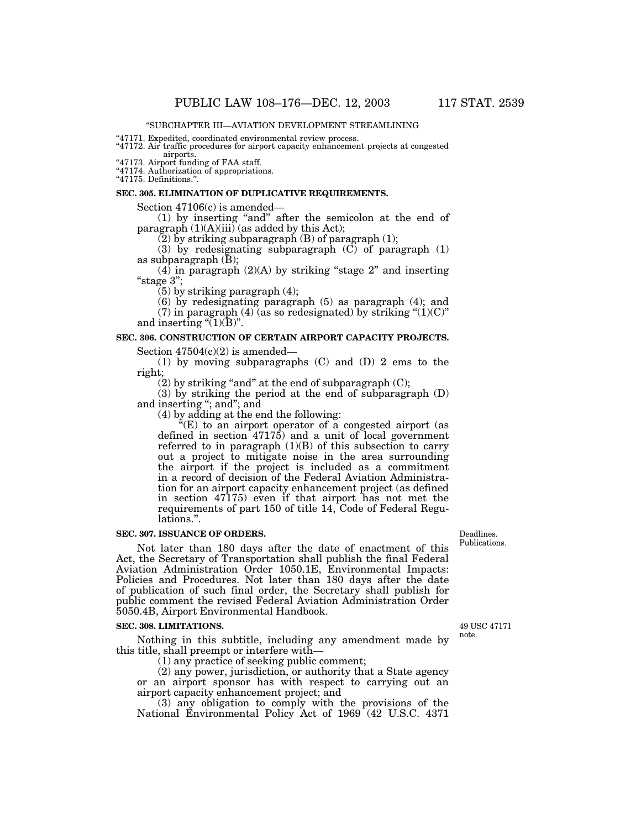''SUBCHAPTER III—AVIATION DEVELOPMENT STREAMLINING

'47171. Expedited, coordinated environmental review process.

''47172. Air traffic procedures for airport capacity enhancement projects at congested airports.

''47173. Airport funding of FAA staff.

"47174. Authorization of appropriations. ''47175. Definitions.''.

# **SEC. 305. ELIMINATION OF DUPLICATIVE REQUIREMENTS.**

Section 47106(c) is amended—

(1) by inserting ''and'' after the semicolon at the end of paragraph  $(1)(A)(iii)$  (as added by this Act);

 $(2)$  by striking subparagraph  $(B)$  of paragraph  $(1)$ ;

(3) by redesignating subparagraph (C) of paragraph (1) as subparagraph  $(\bar{B})$ ;

 $(4)$  in paragraph  $(2)(A)$  by striking "stage 2" and inserting ''stage 3'';

(5) by striking paragraph (4);

(6) by redesignating paragraph (5) as paragraph (4); and

(7) in paragraph (4) (as so redesignated) by striking " $(1)(C)$ " and inserting " $(1)(\bar{B})$ ".

## **SEC. 306. CONSTRUCTION OF CERTAIN AIRPORT CAPACITY PROJECTS.**

Section  $47504(c)(2)$  is amended—

(1) by moving subparagraphs (C) and (D) 2 ems to the right;

 $(2)$  by striking "and" at the end of subparagraph  $(C)$ ;

(3) by striking the period at the end of subparagraph (D) and inserting "; and"; and

(4) by adding at the end the following:

(E) to an airport operator of a congested airport (as defined in section 47175) and a unit of local government referred to in paragraph  $(1)(B)$  of this subsection to carry out a project to mitigate noise in the area surrounding the airport if the project is included as a commitment in a record of decision of the Federal Aviation Administration for an airport capacity enhancement project (as defined in section 47175) even if that airport has not met the requirements of part 150 of title 14, Code of Federal Regulations.''.

#### **SEC. 307. ISSUANCE OF ORDERS.**

Not later than 180 days after the date of enactment of this Act, the Secretary of Transportation shall publish the final Federal Aviation Administration Order 1050.1E, Environmental Impacts: Policies and Procedures. Not later than 180 days after the date of publication of such final order, the Secretary shall publish for public comment the revised Federal Aviation Administration Order 5050.4B, Airport Environmental Handbook.

#### **SEC. 308. LIMITATIONS.**

Nothing in this subtitle, including any amendment made by this title, shall preempt or interfere with—

(1) any practice of seeking public comment;

(2) any power, jurisdiction, or authority that a State agency or an airport sponsor has with respect to carrying out an airport capacity enhancement project; and

(3) any obligation to comply with the provisions of the National Environmental Policy Act of 1969 (42 U.S.C. 4371

Deadlines. Publications.

49 USC 47171 note.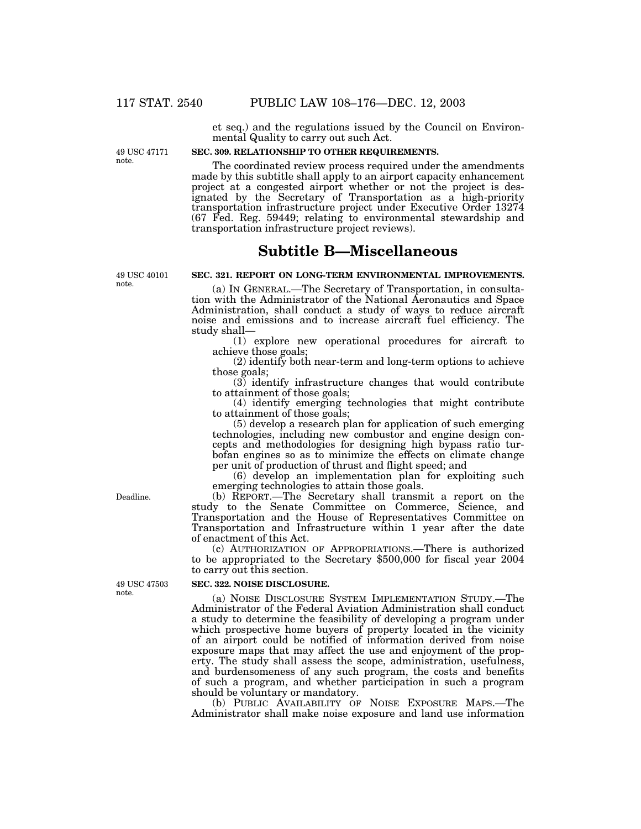et seq.) and the regulations issued by the Council on Environmental Quality to carry out such Act.

49 USC 47171 note.

# **SEC. 309. RELATIONSHIP TO OTHER REQUIREMENTS.**

The coordinated review process required under the amendments made by this subtitle shall apply to an airport capacity enhancement project at a congested airport whether or not the project is designated by the Secretary of Transportation as a high-priority transportation infrastructure project under Executive Order 13274 (67 Fed. Reg. 59449; relating to environmental stewardship and transportation infrastructure project reviews).

# **Subtitle B—Miscellaneous**

49 USC 40101 note.

# **SEC. 321. REPORT ON LONG-TERM ENVIRONMENTAL IMPROVEMENTS.**

(a) IN GENERAL.—The Secretary of Transportation, in consultation with the Administrator of the National Aeronautics and Space Administration, shall conduct a study of ways to reduce aircraft noise and emissions and to increase aircraft fuel efficiency. The study shall—

(1) explore new operational procedures for aircraft to achieve those goals;

(2) identify both near-term and long-term options to achieve those goals;

(3) identify infrastructure changes that would contribute to attainment of those goals;

(4) identify emerging technologies that might contribute to attainment of those goals;

(5) develop a research plan for application of such emerging technologies, including new combustor and engine design concepts and methodologies for designing high bypass ratio turbofan engines so as to minimize the effects on climate change per unit of production of thrust and flight speed; and

(6) develop an implementation plan for exploiting such emerging technologies to attain those goals.

(b) REPORT.—The Secretary shall transmit a report on the study to the Senate Committee on Commerce, Science, and Transportation and the House of Representatives Committee on Transportation and Infrastructure within 1 year after the date of enactment of this Act.

(c) AUTHORIZATION OF APPROPRIATIONS.—There is authorized to be appropriated to the Secretary \$500,000 for fiscal year 2004 to carry out this section.

#### **SEC. 322. NOISE DISCLOSURE.**

(a) NOISE DISCLOSURE SYSTEM IMPLEMENTATION STUDY.—The Administrator of the Federal Aviation Administration shall conduct a study to determine the feasibility of developing a program under which prospective home buyers of property located in the vicinity of an airport could be notified of information derived from noise exposure maps that may affect the use and enjoyment of the property. The study shall assess the scope, administration, usefulness, and burdensomeness of any such program, the costs and benefits of such a program, and whether participation in such a program should be voluntary or mandatory.

(b) PUBLIC AVAILABILITY OF NOISE EXPOSURE MAPS.—The Administrator shall make noise exposure and land use information

Deadline.

49 USC 47503 note.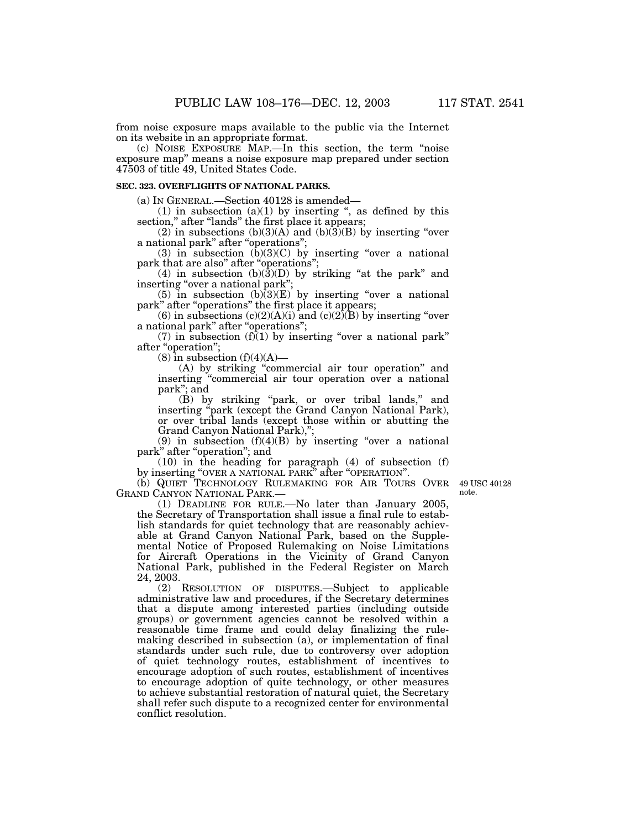from noise exposure maps available to the public via the Internet on its website in an appropriate format.

(c) NOISE EXPOSURE MAP.—In this section, the term ''noise exposure map'' means a noise exposure map prepared under section 47503 of title 49, United States Code.

## **SEC. 323. OVERFLIGHTS OF NATIONAL PARKS.**

(a) IN GENERAL.—Section 40128 is amended—

(1) in subsection  $(a)(1)$  by inserting ", as defined by this section," after "lands" the first place it appears;

(2) in subsections  $(b)(3)(A)$  and  $(b)(3)(B)$  by inserting "over a national park'' after ''operations'';

(3) in subsection  $(b)(3)(C)$  by inserting "over a national park that are also'' after ''operations'';

(4) in subsection  $(b)(3)(D)$  by striking "at the park" and inserting "over a national park";

(5) in subsection  $(b)(3)(E)$  by inserting "over a national park" after "operations" the first place it appears;

(6) in subsections  $(c)(2)(A)(i)$  and  $(c)(2)(B)$  by inserting "over a national park'' after ''operations'';

(7) in subsection  $(f)(1)$  by inserting "over a national park" after "operation";

 $(8)$  in subsection  $(f)(4)(A)$ —

(A) by striking ''commercial air tour operation'' and inserting ''commercial air tour operation over a national park''; and

(B) by striking ''park, or over tribal lands,'' and inserting "park (except the Grand Canyon National Park), or over tribal lands (except those within or abutting the Grand Canyon National Park),'';

(9) in subsection  $(f)(4)(B)$  by inserting "over a national park'' after ''operation''; and

(10) in the heading for paragraph (4) of subsection (f) by inserting "OVER A NATIONAL PARK" after "OPERATION".

(b) QUIET TECHNOLOGY RULEMAKING FOR AIR TOURS OVER GRAND CANYON NATIONAL PARK.—

49 USC 40128 note.

(1) DEADLINE FOR RULE.—No later than January 2005, the Secretary of Transportation shall issue a final rule to establish standards for quiet technology that are reasonably achievable at Grand Canyon National Park, based on the Supplemental Notice of Proposed Rulemaking on Noise Limitations for Aircraft Operations in the Vicinity of Grand Canyon National Park, published in the Federal Register on March 24, 2003.

(2) RESOLUTION OF DISPUTES.—Subject to applicable administrative law and procedures, if the Secretary determines that a dispute among interested parties (including outside groups) or government agencies cannot be resolved within a reasonable time frame and could delay finalizing the rulemaking described in subsection (a), or implementation of final standards under such rule, due to controversy over adoption of quiet technology routes, establishment of incentives to encourage adoption of such routes, establishment of incentives to encourage adoption of quite technology, or other measures to achieve substantial restoration of natural quiet, the Secretary shall refer such dispute to a recognized center for environmental conflict resolution.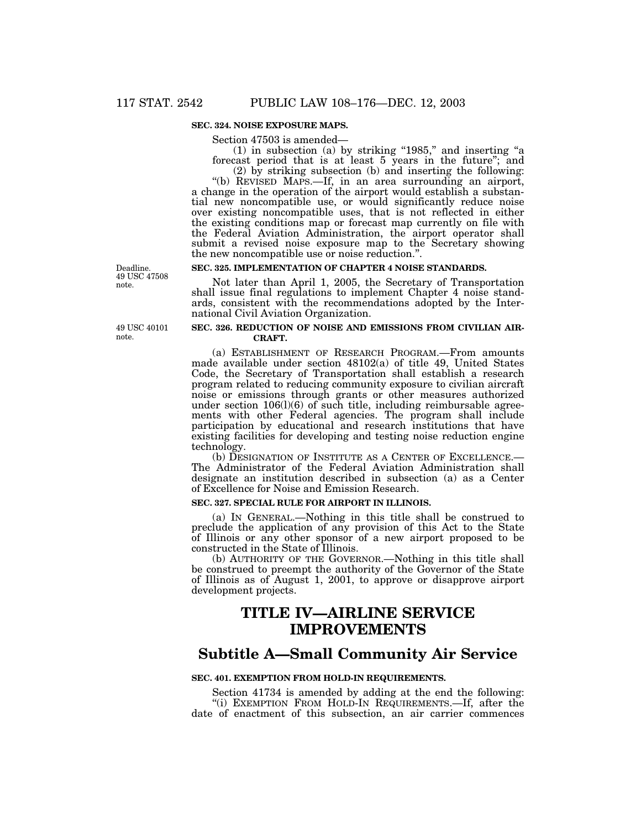# **SEC. 324. NOISE EXPOSURE MAPS.**

Section 47503 is amended—

 $(1)$  in subsection  $(a)$  by striking "1985," and inserting "a forecast period that is at least 5 years in the future''; and (2) by striking subsection (b) and inserting the following:

''(b) REVISED MAPS.—If, in an area surrounding an airport, a change in the operation of the airport would establish a substantial new noncompatible use, or would significantly reduce noise over existing noncompatible uses, that is not reflected in either the existing conditions map or forecast map currently on file with the Federal Aviation Administration, the airport operator shall submit a revised noise exposure map to the Secretary showing the new noncompatible use or noise reduction.''.

Deadline. 49 USC 47508 note.

# **SEC. 325. IMPLEMENTATION OF CHAPTER 4 NOISE STANDARDS.**

Not later than April 1, 2005, the Secretary of Transportation shall issue final regulations to implement Chapter 4 noise standards, consistent with the recommendations adopted by the International Civil Aviation Organization.

### **SEC. 326. REDUCTION OF NOISE AND EMISSIONS FROM CIVILIAN AIR-CRAFT.**

(a) ESTABLISHMENT OF RESEARCH PROGRAM.—From amounts made available under section 48102(a) of title 49, United States Code, the Secretary of Transportation shall establish a research program related to reducing community exposure to civilian aircraft noise or emissions through grants or other measures authorized under section 106(l)(6) of such title, including reimbursable agreements with other Federal agencies. The program shall include participation by educational and research institutions that have existing facilities for developing and testing noise reduction engine technology.

(b) DESIGNATION OF INSTITUTE AS A CENTER OF EXCELLENCE.— The Administrator of the Federal Aviation Administration shall designate an institution described in subsection (a) as a Center of Excellence for Noise and Emission Research.

# **SEC. 327. SPECIAL RULE FOR AIRPORT IN ILLINOIS.**

(a) IN GENERAL.—Nothing in this title shall be construed to preclude the application of any provision of this Act to the State of Illinois or any other sponsor of a new airport proposed to be constructed in the State of Illinois.

(b) AUTHORITY OF THE GOVERNOR.—Nothing in this title shall be construed to preempt the authority of the Governor of the State of Illinois as of August 1, 2001, to approve or disapprove airport development projects.

# **TITLE IV—AIRLINE SERVICE IMPROVEMENTS**

# **Subtitle A—Small Community Air Service**

### **SEC. 401. EXEMPTION FROM HOLD-IN REQUIREMENTS.**

Section 41734 is amended by adding at the end the following: "(i) EXEMPTION FROM HOLD-IN REQUIREMENTS.—If, after the date of enactment of this subsection, an air carrier commences

49 USC 40101 note.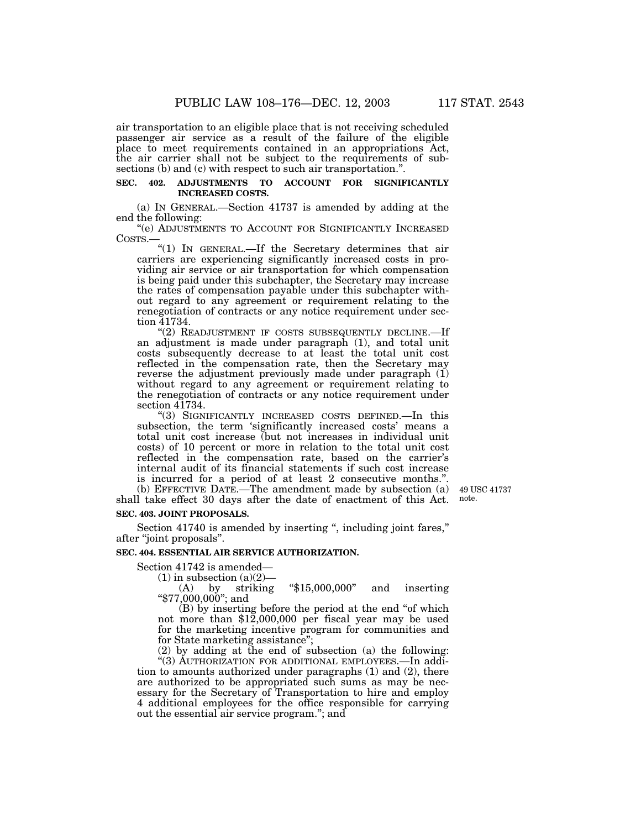air transportation to an eligible place that is not receiving scheduled passenger air service as a result of the failure of the eligible place to meet requirements contained in an appropriations Act, the air carrier shall not be subject to the requirements of subsections (b) and (c) with respect to such air transportation.".

# **SEC. 402. ADJUSTMENTS TO ACCOUNT FOR SIGNIFICANTLY INCREASED COSTS.**

(a) IN GENERAL.—Section 41737 is amended by adding at the end the following:

''(e) ADJUSTMENTS TO ACCOUNT FOR SIGNIFICANTLY INCREASED

"(1) IN GENERAL.—If the Secretary determines that air carriers are experiencing significantly increased costs in providing air service or air transportation for which compensation is being paid under this subchapter, the Secretary may increase the rates of compensation payable under this subchapter without regard to any agreement or requirement relating to the renegotiation of contracts or any notice requirement under section 41734.

"(2) READJUSTMENT IF COSTS SUBSEQUENTLY DECLINE.—If an adjustment is made under paragraph (1), and total unit costs subsequently decrease to at least the total unit cost reflected in the compensation rate, then the Secretary may reverse the adjustment previously made under paragraph  $(i)$ without regard to any agreement or requirement relating to the renegotiation of contracts or any notice requirement under section 41734.

''(3) SIGNIFICANTLY INCREASED COSTS DEFINED.—In this subsection, the term 'significantly increased costs' means a total unit cost increase (but not increases in individual unit costs) of 10 percent or more in relation to the total unit cost reflected in the compensation rate, based on the carrier's internal audit of its financial statements if such cost increase is incurred for a period of at least 2 consecutive months.''.

49 USC 41737 note.

(b) EFFECTIVE DATE.—The amendment made by subsection (a) shall take effect 30 days after the date of enactment of this Act. **SEC. 403. JOINT PROPOSALS.**

Section 41740 is amended by inserting ", including joint fares," after ''joint proposals''.

#### **SEC. 404. ESSENTIAL AIR SERVICE AUTHORIZATION.**

Section 41742 is amended—

 $(1)$  in subsection  $(a)(2)$ —

 $(A)$  by striking "\$15,000,000" and inserting ''\$77,000,000''; and

(B) by inserting before the period at the end ''of which not more than \$12,000,000 per fiscal year may be used for the marketing incentive program for communities and for State marketing assistance'';

(2) by adding at the end of subsection (a) the following: ''(3) AUTHORIZATION FOR ADDITIONAL EMPLOYEES.—In addition to amounts authorized under paragraphs (1) and (2), there are authorized to be appropriated such sums as may be necessary for the Secretary of Transportation to hire and employ 4 additional employees for the office responsible for carrying out the essential air service program.''; and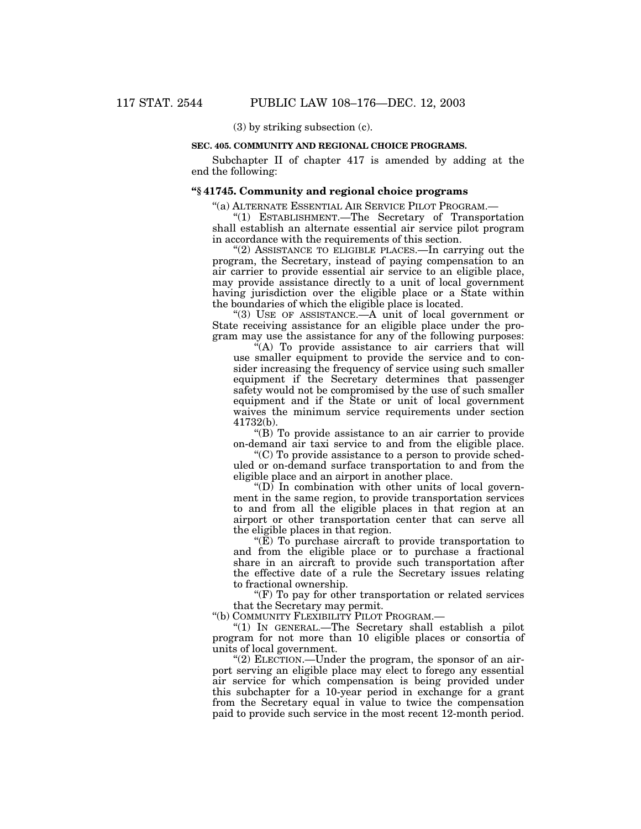# (3) by striking subsection (c).

# **SEC. 405. COMMUNITY AND REGIONAL CHOICE PROGRAMS.**

Subchapter II of chapter 417 is amended by adding at the end the following:

# **''§ 41745. Community and regional choice programs**

''(a) ALTERNATE ESSENTIAL AIR SERVICE PILOT PROGRAM.—

''(1) ESTABLISHMENT.—The Secretary of Transportation shall establish an alternate essential air service pilot program in accordance with the requirements of this section.

"(2) ASSISTANCE TO ELIGIBLE PLACES.—In carrying out the program, the Secretary, instead of paying compensation to an air carrier to provide essential air service to an eligible place, may provide assistance directly to a unit of local government having jurisdiction over the eligible place or a State within the boundaries of which the eligible place is located.

''(3) USE OF ASSISTANCE.—A unit of local government or State receiving assistance for an eligible place under the program may use the assistance for any of the following purposes:

 $K(A)$  To provide assistance to air carriers that will use smaller equipment to provide the service and to consider increasing the frequency of service using such smaller equipment if the Secretary determines that passenger safety would not be compromised by the use of such smaller equipment and if the State or unit of local government waives the minimum service requirements under section 41732(b).

''(B) To provide assistance to an air carrier to provide on-demand air taxi service to and from the eligible place.

''(C) To provide assistance to a person to provide scheduled or on-demand surface transportation to and from the eligible place and an airport in another place.

 $\mathrm{``(D)}$  In combination with other units of local government in the same region, to provide transportation services to and from all the eligible places in that region at an airport or other transportation center that can serve all the eligible places in that region.

''(E) To purchase aircraft to provide transportation to and from the eligible place or to purchase a fractional share in an aircraft to provide such transportation after the effective date of a rule the Secretary issues relating to fractional ownership.

" $(F)$  To pay for other transportation or related services" that the Secretary may permit.

''(b) COMMUNITY FLEXIBILITY PILOT PROGRAM.—

''(1) IN GENERAL.—The Secretary shall establish a pilot program for not more than 10 eligible places or consortia of units of local government.

''(2) ELECTION.—Under the program, the sponsor of an airport serving an eligible place may elect to forego any essential air service for which compensation is being provided under this subchapter for a 10-year period in exchange for a grant from the Secretary equal in value to twice the compensation paid to provide such service in the most recent 12-month period.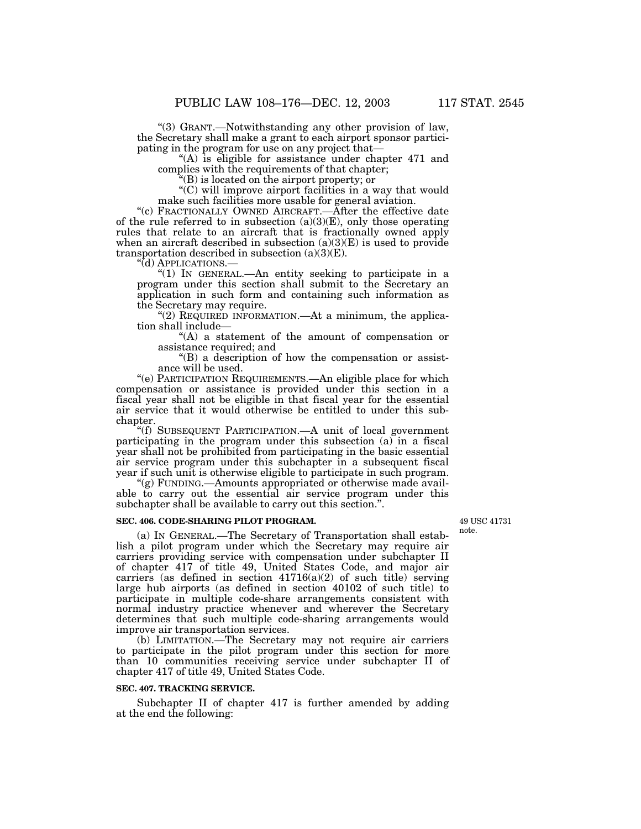''(3) GRANT.—Notwithstanding any other provision of law, the Secretary shall make a grant to each airport sponsor participating in the program for use on any project that—

''(A) is eligible for assistance under chapter 471 and complies with the requirements of that chapter;

 $\mathbf{F}(\mathbf{B})$  is located on the airport property; or

''(C) will improve airport facilities in a way that would make such facilities more usable for general aviation.

''(c) FRACTIONALLY OWNED AIRCRAFT.—After the effective date of the rule referred to in subsection  $(a)(3)(E)$ , only those operating rules that relate to an aircraft that is fractionally owned apply when an aircraft described in subsection  $(a)(3)(E)$  is used to provide transportation described in subsection  $(a)(3)(E)$ .<br>"(d) APPLICATIONS.—

"(1) IN GENERAL.—An entity seeking to participate in a program under this section shall submit to the Secretary an application in such form and containing such information as the Secretary may require.

"(2) REQUIRED INFORMATION.—At a minimum, the application shall include—

"(A) a statement of the amount of compensation or assistance required; and

''(B) a description of how the compensation or assistance will be used.

''(e) PARTICIPATION REQUIREMENTS.—An eligible place for which compensation or assistance is provided under this section in a fiscal year shall not be eligible in that fiscal year for the essential air service that it would otherwise be entitled to under this subchapter.

''(f) SUBSEQUENT PARTICIPATION.—A unit of local government participating in the program under this subsection (a) in a fiscal year shall not be prohibited from participating in the basic essential air service program under this subchapter in a subsequent fiscal year if such unit is otherwise eligible to participate in such program.

''(g) FUNDING.—Amounts appropriated or otherwise made available to carry out the essential air service program under this subchapter shall be available to carry out this section.''.

#### **SEC. 406. CODE-SHARING PILOT PROGRAM.**

(a) IN GENERAL.—The Secretary of Transportation shall establish a pilot program under which the Secretary may require air carriers providing service with compensation under subchapter II of chapter 417 of title 49, United States Code, and major air carriers (as defined in section  $41716(a)(2)$  of such title) serving large hub airports (as defined in section 40102 of such title) to participate in multiple code-share arrangements consistent with normal industry practice whenever and wherever the Secretary determines that such multiple code-sharing arrangements would improve air transportation services.

(b) LIMITATION.—The Secretary may not require air carriers to participate in the pilot program under this section for more than 10 communities receiving service under subchapter II of chapter 417 of title 49, United States Code.

#### **SEC. 407. TRACKING SERVICE.**

Subchapter II of chapter 417 is further amended by adding at the end the following:

49 USC 41731 note.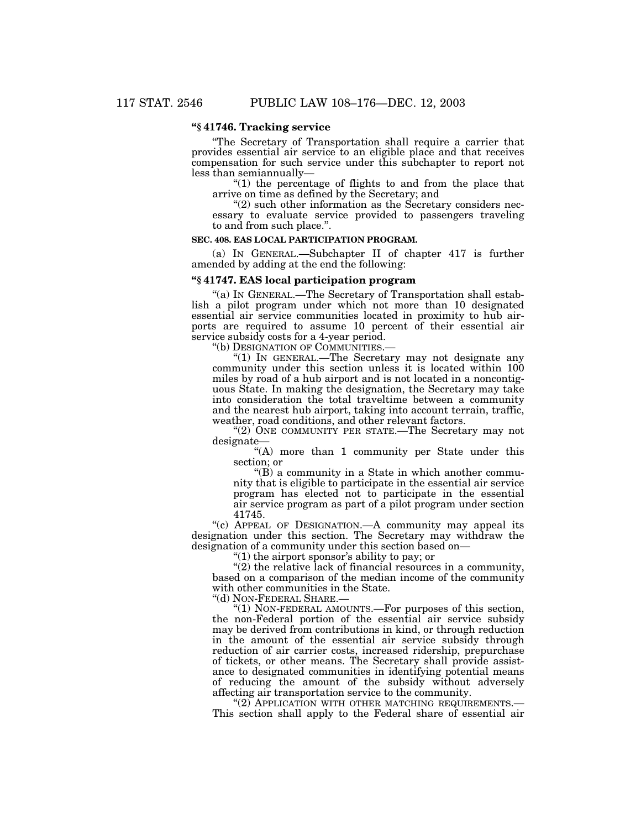# **''§ 41746. Tracking service**

''The Secretary of Transportation shall require a carrier that provides essential air service to an eligible place and that receives compensation for such service under this subchapter to report not less than semiannually—

" $(1)$  the percentage of flights to and from the place that arrive on time as defined by the Secretary; and

 $\degree$ (2) such other information as the Secretary considers necessary to evaluate service provided to passengers traveling to and from such place.''.

#### **SEC. 408. EAS LOCAL PARTICIPATION PROGRAM.**

(a) IN GENERAL.—Subchapter II of chapter 417 is further amended by adding at the end the following:

# **''§ 41747. EAS local participation program**

''(a) IN GENERAL.—The Secretary of Transportation shall establish a pilot program under which not more than 10 designated essential air service communities located in proximity to hub airports are required to assume 10 percent of their essential air service subsidy costs for a 4-year period.

''(b) DESIGNATION OF COMMUNITIES.—

''(1) IN GENERAL.—The Secretary may not designate any community under this section unless it is located within 100 miles by road of a hub airport and is not located in a noncontiguous State. In making the designation, the Secretary may take into consideration the total traveltime between a community and the nearest hub airport, taking into account terrain, traffic, weather, road conditions, and other relevant factors.

''(2) ONE COMMUNITY PER STATE.—The Secretary may not designate—

"(A) more than 1 community per State under this section; or

''(B) a community in a State in which another community that is eligible to participate in the essential air service program has elected not to participate in the essential air service program as part of a pilot program under section 41745.

''(c) APPEAL OF DESIGNATION.—A community may appeal its designation under this section. The Secretary may withdraw the designation of a community under this section based on—

" $(1)$  the airport sponsor's ability to pay; or

''(2) the relative lack of financial resources in a community, based on a comparison of the median income of the community with other communities in the State.

''(d) NON-FEDERAL SHARE.—

''(1) NON-FEDERAL AMOUNTS.—For purposes of this section, the non-Federal portion of the essential air service subsidy may be derived from contributions in kind, or through reduction in the amount of the essential air service subsidy through reduction of air carrier costs, increased ridership, prepurchase of tickets, or other means. The Secretary shall provide assistance to designated communities in identifying potential means of reducing the amount of the subsidy without adversely affecting air transportation service to the community.<br>"(2) APPLICATION WITH OTHER MATCHING REQUIREMENTS.—

This section shall apply to the Federal share of essential air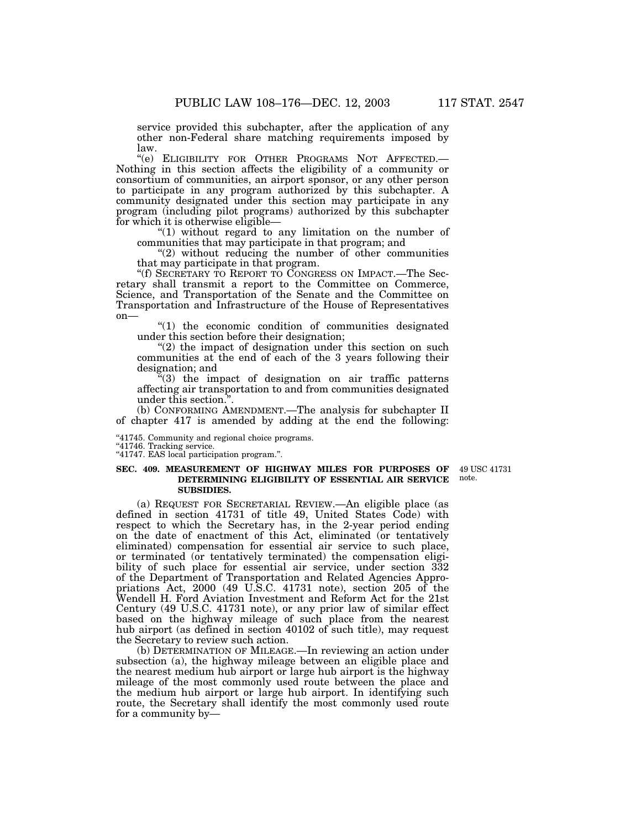service provided this subchapter, after the application of any other non-Federal share matching requirements imposed by law.<br>"(e) ELIGIBILITY FOR OTHER PROGRAMS NOT AFFECTED.—

Nothing in this section affects the eligibility of a community or consortium of communities, an airport sponsor, or any other person to participate in any program authorized by this subchapter. A community designated under this section may participate in any program (including pilot programs) authorized by this subchapter for which it is otherwise eligible—

"(1) without regard to any limitation on the number of communities that may participate in that program; and

"(2) without reducing the number of other communities that may participate in that program.

''(f) SECRETARY TO REPORT TO CONGRESS ON IMPACT.—The Secretary shall transmit a report to the Committee on Commerce, Science, and Transportation of the Senate and the Committee on Transportation and Infrastructure of the House of Representatives on—

''(1) the economic condition of communities designated under this section before their designation;

"(2) the impact of designation under this section on such communities at the end of each of the 3 years following their designation; and

''(3) the impact of designation on air traffic patterns affecting air transportation to and from communities designated under this section.''.

(b) CONFORMING AMENDMENT.—The analysis for subchapter II of chapter 417 is amended by adding at the end the following:

''41745. Community and regional choice programs.

"41746. Tracking service.

''41747. EAS local participation program.''.

#### **SEC. 409. MEASUREMENT OF HIGHWAY MILES FOR PURPOSES OF** 49 USC 41731 **DETERMINING ELIGIBILITY OF ESSENTIAL AIR SERVICE SUBSIDIES.**

note.

(a) REQUEST FOR SECRETARIAL REVIEW.—An eligible place (as defined in section 41731 of title 49, United States Code) with respect to which the Secretary has, in the 2-year period ending on the date of enactment of this Act, eliminated (or tentatively eliminated) compensation for essential air service to such place, or terminated (or tentatively terminated) the compensation eligibility of such place for essential air service, under section 332 of the Department of Transportation and Related Agencies Appropriations Act, 2000 (49 U.S.C. 41731 note), section 205 of the Wendell H. Ford Aviation Investment and Reform Act for the 21st Century (49 U.S.C. 41731 note), or any prior law of similar effect based on the highway mileage of such place from the nearest hub airport (as defined in section 40102 of such title), may request the Secretary to review such action.

(b) DETERMINATION OF MILEAGE.—In reviewing an action under subsection (a), the highway mileage between an eligible place and the nearest medium hub airport or large hub airport is the highway mileage of the most commonly used route between the place and the medium hub airport or large hub airport. In identifying such route, the Secretary shall identify the most commonly used route for a community by—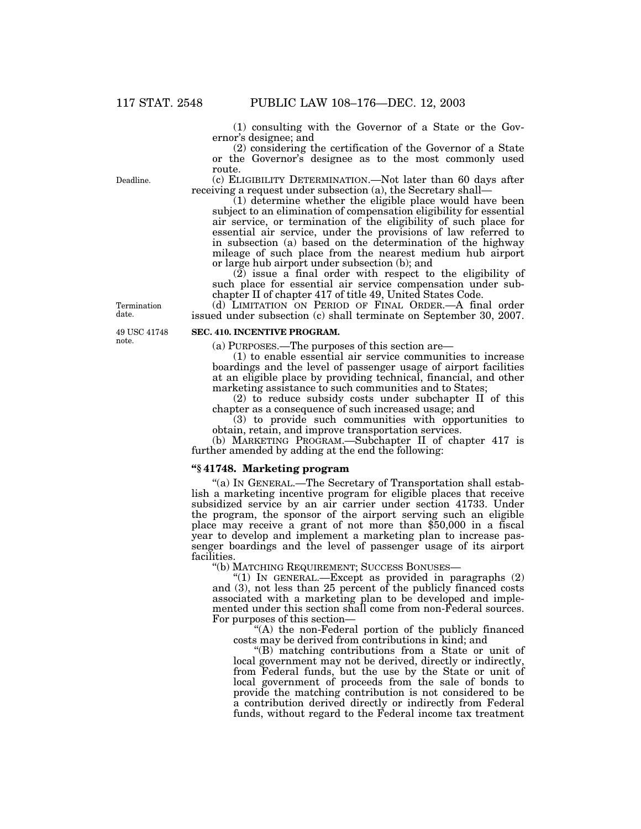(1) consulting with the Governor of a State or the Governor's designee; and

(2) considering the certification of the Governor of a State or the Governor's designee as to the most commonly used route.

(c) ELIGIBILITY DETERMINATION.—Not later than 60 days after receiving a request under subsection (a), the Secretary shall—

(1) determine whether the eligible place would have been subject to an elimination of compensation eligibility for essential air service, or termination of the eligibility of such place for essential air service, under the provisions of law referred to in subsection (a) based on the determination of the highway mileage of such place from the nearest medium hub airport or large hub airport under subsection (b); and

 $(2)$  issue a final order with respect to the eligibility of such place for essential air service compensation under subchapter II of chapter 417 of title 49, United States Code.

(d) LIMITATION ON PERIOD OF FINAL ORDER.—A final order issued under subsection (c) shall terminate on September 30, 2007.

#### **SEC. 410. INCENTIVE PROGRAM.**

(a) PURPOSES.—The purposes of this section are—

(1) to enable essential air service communities to increase boardings and the level of passenger usage of airport facilities at an eligible place by providing technical, financial, and other marketing assistance to such communities and to States;

(2) to reduce subsidy costs under subchapter II of this chapter as a consequence of such increased usage; and

(3) to provide such communities with opportunities to obtain, retain, and improve transportation services.

(b) MARKETING PROGRAM.—Subchapter II of chapter 417 is further amended by adding at the end the following:

# **''§ 41748. Marketing program**

''(a) IN GENERAL.—The Secretary of Transportation shall establish a marketing incentive program for eligible places that receive subsidized service by an air carrier under section 41733. Under the program, the sponsor of the airport serving such an eligible place may receive a grant of not more than \$50,000 in a fiscal year to develop and implement a marketing plan to increase passenger boardings and the level of passenger usage of its airport facilities.

''(b) MATCHING REQUIREMENT; SUCCESS BONUSES—

"(1) IN GENERAL.—Except as provided in paragraphs  $(2)$ and (3), not less than 25 percent of the publicly financed costs associated with a marketing plan to be developed and implemented under this section shall come from non-Federal sources. For purposes of this section—

''(A) the non-Federal portion of the publicly financed costs may be derived from contributions in kind; and

''(B) matching contributions from a State or unit of local government may not be derived, directly or indirectly, from Federal funds, but the use by the State or unit of local government of proceeds from the sale of bonds to provide the matching contribution is not considered to be a contribution derived directly or indirectly from Federal funds, without regard to the Federal income tax treatment

Deadline.

Termination date.

49 USC 41748 note.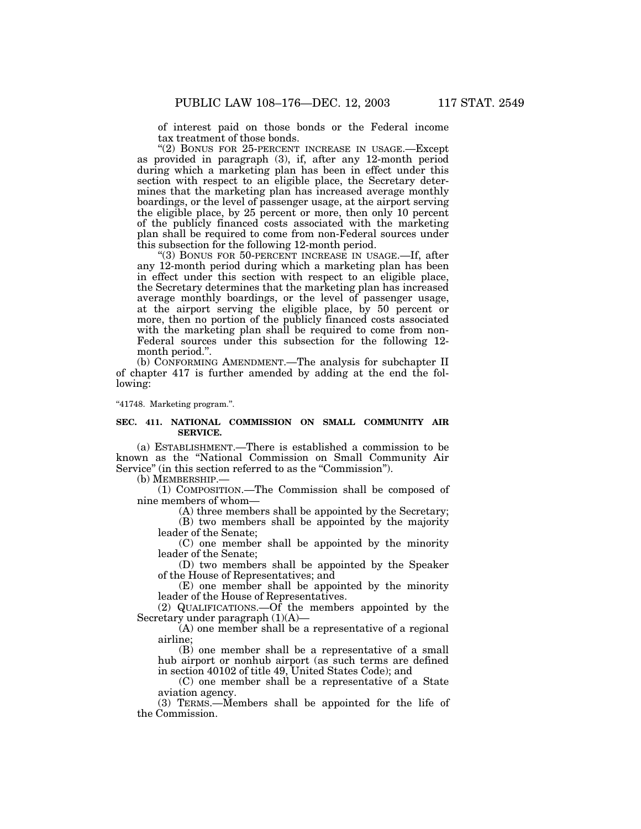of interest paid on those bonds or the Federal income tax treatment of those bonds.

''(2) BONUS FOR 25-PERCENT INCREASE IN USAGE.—Except as provided in paragraph (3), if, after any 12-month period during which a marketing plan has been in effect under this section with respect to an eligible place, the Secretary determines that the marketing plan has increased average monthly boardings, or the level of passenger usage, at the airport serving the eligible place, by 25 percent or more, then only 10 percent of the publicly financed costs associated with the marketing plan shall be required to come from non-Federal sources under this subsection for the following 12-month period.

''(3) BONUS FOR 50-PERCENT INCREASE IN USAGE.—If, after any 12-month period during which a marketing plan has been in effect under this section with respect to an eligible place, the Secretary determines that the marketing plan has increased average monthly boardings, or the level of passenger usage, at the airport serving the eligible place, by 50 percent or more, then no portion of the publicly financed costs associated with the marketing plan shall be required to come from non-Federal sources under this subsection for the following 12 month period.''.

(b) CONFORMING AMENDMENT.—The analysis for subchapter II of chapter 417 is further amended by adding at the end the following:

''41748. Marketing program.''.

#### **SEC. 411. NATIONAL COMMISSION ON SMALL COMMUNITY AIR SERVICE.**

(a) ESTABLISHMENT.—There is established a commission to be known as the ''National Commission on Small Community Air Service" (in this section referred to as the "Commission").

(b) MEMBERSHIP.—

(1) COMPOSITION.—The Commission shall be composed of nine members of whom—

(A) three members shall be appointed by the Secretary; (B) two members shall be appointed by the majority leader of the Senate;

(C) one member shall be appointed by the minority leader of the Senate;

(D) two members shall be appointed by the Speaker of the House of Representatives; and

(E) one member shall be appointed by the minority leader of the House of Representatives.

(2) QUALIFICATIONS.—Of the members appointed by the Secretary under paragraph  $(1)(A)$ —

(A) one member shall be a representative of a regional airline;

(B) one member shall be a representative of a small hub airport or nonhub airport (as such terms are defined in section 40102 of title 49, United States Code); and

(C) one member shall be a representative of a State aviation agency.

(3) TERMS.—Members shall be appointed for the life of the Commission.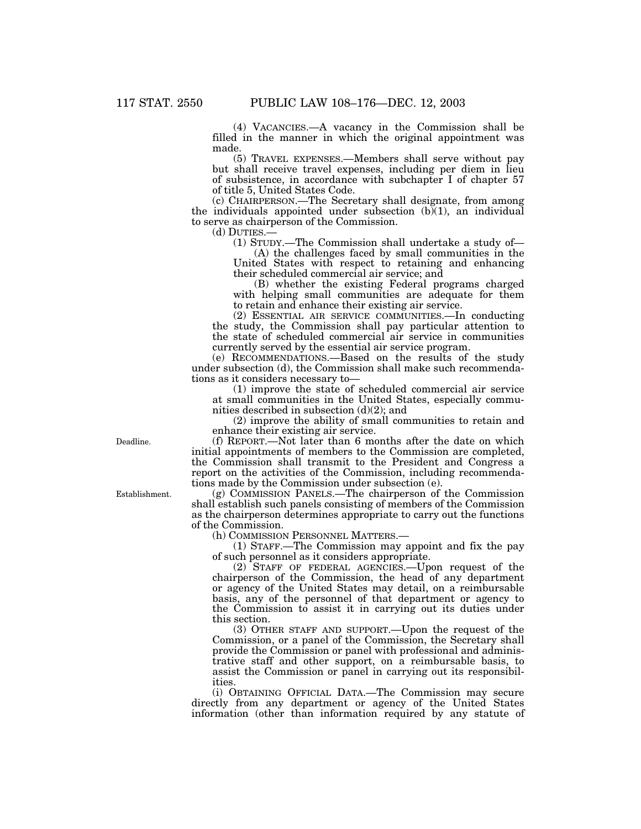(4) VACANCIES.—A vacancy in the Commission shall be filled in the manner in which the original appointment was made.

(5) TRAVEL EXPENSES.—Members shall serve without pay but shall receive travel expenses, including per diem in lieu of subsistence, in accordance with subchapter I of chapter 57 of title 5, United States Code.

(c) CHAIRPERSON.—The Secretary shall designate, from among the individuals appointed under subsection  $(b)(1)$ , an individual to serve as chairperson of the Commission.<br>(d) DUTIES.—

(1) STUDY.—The Commission shall undertake a study of— (A) the challenges faced by small communities in the United States with respect to retaining and enhancing

their scheduled commercial air service; and

(B) whether the existing Federal programs charged with helping small communities are adequate for them to retain and enhance their existing air service.

(2) ESSENTIAL AIR SERVICE COMMUNITIES.—In conducting the study, the Commission shall pay particular attention to the state of scheduled commercial air service in communities currently served by the essential air service program.

(e) RECOMMENDATIONS.—Based on the results of the study under subsection (d), the Commission shall make such recommendations as it considers necessary to—

(1) improve the state of scheduled commercial air service at small communities in the United States, especially communities described in subsection (d)(2); and

(2) improve the ability of small communities to retain and enhance their existing air service.

(f) REPORT.—Not later than 6 months after the date on which initial appointments of members to the Commission are completed, the Commission shall transmit to the President and Congress a report on the activities of the Commission, including recommendations made by the Commission under subsection (e).

(g) COMMISSION PANELS.—The chairperson of the Commission shall establish such panels consisting of members of the Commission as the chairperson determines appropriate to carry out the functions of the Commission.

(h) COMMISSION PERSONNEL MATTERS.—

(1) STAFF.—The Commission may appoint and fix the pay of such personnel as it considers appropriate.

(2) STAFF OF FEDERAL AGENCIES.—Upon request of the chairperson of the Commission, the head of any department or agency of the United States may detail, on a reimbursable basis, any of the personnel of that department or agency to the Commission to assist it in carrying out its duties under this section.

(3) OTHER STAFF AND SUPPORT.—Upon the request of the Commission, or a panel of the Commission, the Secretary shall provide the Commission or panel with professional and administrative staff and other support, on a reimbursable basis, to assist the Commission or panel in carrying out its responsibilities.

(i) OBTAINING OFFICIAL DATA.—The Commission may secure directly from any department or agency of the United States information (other than information required by any statute of

Deadline.

Establishment.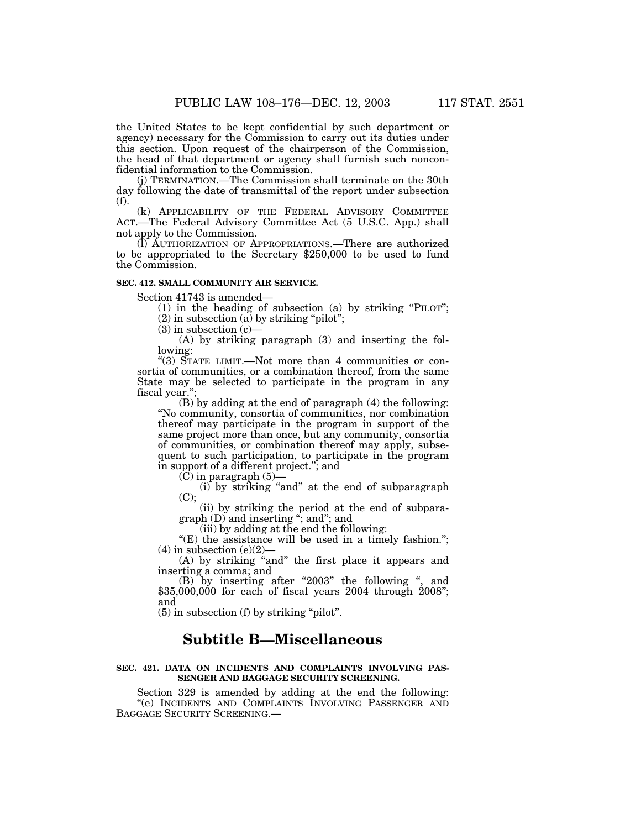the United States to be kept confidential by such department or agency) necessary for the Commission to carry out its duties under this section. Upon request of the chairperson of the Commission, the head of that department or agency shall furnish such nonconfidential information to the Commission.

(j) TERMINATION.—The Commission shall terminate on the 30th day following the date of transmittal of the report under subsection (f).

(k) APPLICABILITY OF THE FEDERAL ADVISORY COMMITTEE ACT.—The Federal Advisory Committee Act (5 U.S.C. App.) shall not apply to the Commission.

(l) AUTHORIZATION OF APPROPRIATIONS.—There are authorized to be appropriated to the Secretary \$250,000 to be used to fund the Commission.

# **SEC. 412. SMALL COMMUNITY AIR SERVICE.**

Section 41743 is amended—

 $(1)$  in the heading of subsection  $(a)$  by striking "PILOT";  $(2)$  in subsection  $(a)$  by striking "pilot";

(3) in subsection (c)—

(A) by striking paragraph (3) and inserting the following:

''(3) STATE LIMIT.—Not more than 4 communities or consortia of communities, or a combination thereof, from the same State may be selected to participate in the program in any fiscal year."

(B) by adding at the end of paragraph (4) the following: ''No community, consortia of communities, nor combination thereof may participate in the program in support of the same project more than once, but any community, consortia of communities, or combination thereof may apply, subsequent to such participation, to participate in the program in support of a different project.''; and

 $(C)$  in paragraph  $(5)$ —

 $(i)$  by striking "and" at the end of subparagraph (C);

(ii) by striking the period at the end of subparagraph (D) and inserting ''; and''; and

(iii) by adding at the end the following:

"(E) the assistance will be used in a timely fashion.";  $(4)$  in subsection  $(e)(2)$ —

(A) by striking ''and'' the first place it appears and inserting a comma; and

(B) by inserting after "2003" the following ", and \$35,000,000 for each of fiscal years 2004 through 2008''; and

 $(5)$  in subsection  $(f)$  by striking "pilot".

# **Subtitle B—Miscellaneous**

# **SEC. 421. DATA ON INCIDENTS AND COMPLAINTS INVOLVING PAS-SENGER AND BAGGAGE SECURITY SCREENING.**

Section 329 is amended by adding at the end the following: ''(e) INCIDENTS AND COMPLAINTS INVOLVING PASSENGER AND BAGGAGE SECURITY SCREENING.—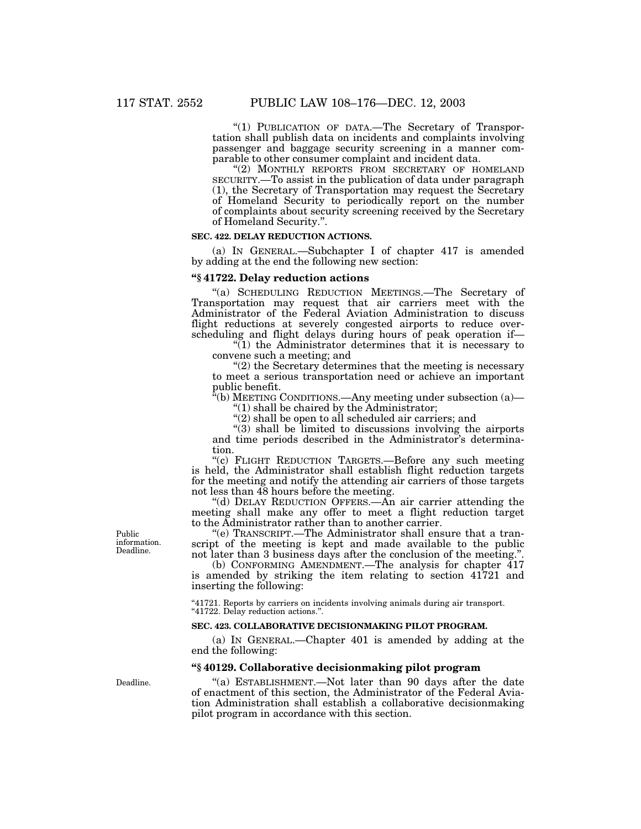"(1) PUBLICATION OF DATA.—The Secretary of Transportation shall publish data on incidents and complaints involving passenger and baggage security screening in a manner comparable to other consumer complaint and incident data.

''(2) MONTHLY REPORTS FROM SECRETARY OF HOMELAND SECURITY.—To assist in the publication of data under paragraph (1), the Secretary of Transportation may request the Secretary of Homeland Security to periodically report on the number of complaints about security screening received by the Secretary of Homeland Security.''.

# **SEC. 422. DELAY REDUCTION ACTIONS.**

(a) IN GENERAL.—Subchapter I of chapter 417 is amended by adding at the end the following new section:

#### **''§ 41722. Delay reduction actions**

''(a) SCHEDULING REDUCTION MEETINGS.—The Secretary of Transportation may request that air carriers meet with the Administrator of the Federal Aviation Administration to discuss flight reductions at severely congested airports to reduce overscheduling and flight delays during hours of peak operation if—

 $\sqrt{\left(1\right)}$  the Administrator determines that it is necessary to convene such a meeting; and

''(2) the Secretary determines that the meeting is necessary to meet a serious transportation need or achieve an important public benefit.

 $\mathrm{``(b)}$  MEETING CONDITIONS.—Any meeting under subsection (a)— ''(1) shall be chaired by the Administrator;

 $''(2)$  shall be open to all scheduled air carriers; and

''(3) shall be limited to discussions involving the airports and time periods described in the Administrator's determination.

''(c) FLIGHT REDUCTION TARGETS.—Before any such meeting is held, the Administrator shall establish flight reduction targets for the meeting and notify the attending air carriers of those targets not less than 48 hours before the meeting.

''(d) DELAY REDUCTION OFFERS.—An air carrier attending the meeting shall make any offer to meet a flight reduction target to the Administrator rather than to another carrier.

''(e) TRANSCRIPT.—The Administrator shall ensure that a transcript of the meeting is kept and made available to the public not later than 3 business days after the conclusion of the meeting.''.

(b) CONFORMING AMENDMENT.—The analysis for chapter  $\tilde{4}17$ is amended by striking the item relating to section 41721 and inserting the following:

''41721. Reports by carriers on incidents involving animals during air transport. ''41722. Delay reduction actions.''.

#### **SEC. 423. COLLABORATIVE DECISIONMAKING PILOT PROGRAM.**

(a) IN GENERAL.—Chapter 401 is amended by adding at the end the following:

## **''§ 40129. Collaborative decisionmaking pilot program**

''(a) ESTABLISHMENT.—Not later than 90 days after the date of enactment of this section, the Administrator of the Federal Aviation Administration shall establish a collaborative decisionmaking pilot program in accordance with this section.

Public information. Deadline.

Deadline.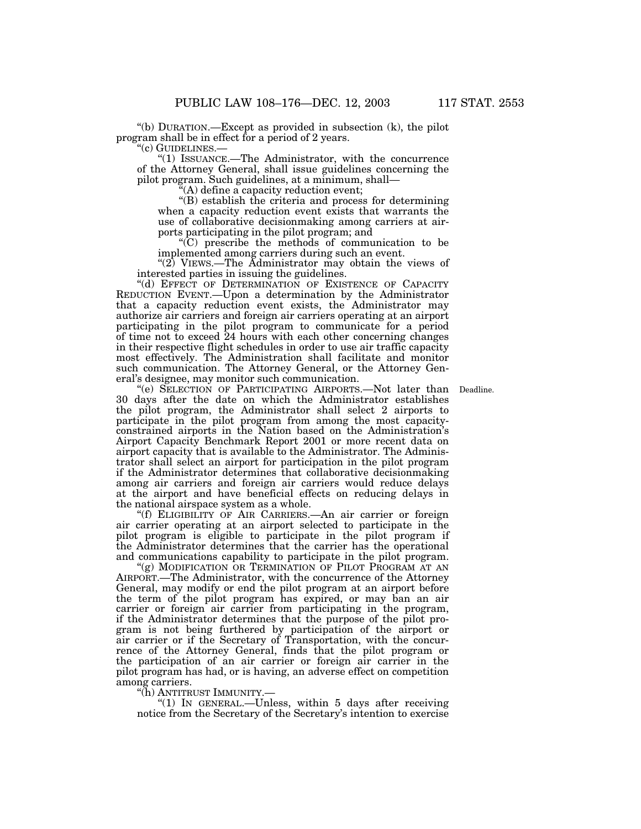''(b) DURATION.—Except as provided in subsection (k), the pilot program shall be in effect for a period of 2 years.

''(c) GUIDELINES.—

''(1) ISSUANCE.—The Administrator, with the concurrence of the Attorney General, shall issue guidelines concerning the pilot program. Such guidelines, at a minimum, shall—

 $(A)$  define a capacity reduction event;

''(B) establish the criteria and process for determining when a capacity reduction event exists that warrants the use of collaborative decisionmaking among carriers at airports participating in the pilot program; and

''(C) prescribe the methods of communication to be implemented among carriers during such an event.

" $(2)$  VIEWS.—The Administrator may obtain the views of interested parties in issuing the guidelines.

''(d) EFFECT OF DETERMINATION OF EXISTENCE OF CAPACITY REDUCTION EVENT.—Upon a determination by the Administrator that a capacity reduction event exists, the Administrator may authorize air carriers and foreign air carriers operating at an airport participating in the pilot program to communicate for a period of time not to exceed 24 hours with each other concerning changes in their respective flight schedules in order to use air traffic capacity most effectively. The Administration shall facilitate and monitor such communication. The Attorney General, or the Attorney General's designee, may monitor such communication.

''(e) SELECTION OF PARTICIPATING AIRPORTS.—Not later than Deadline. 30 days after the date on which the Administrator establishes the pilot program, the Administrator shall select 2 airports to participate in the pilot program from among the most capacityconstrained airports in the Nation based on the Administration's Airport Capacity Benchmark Report 2001 or more recent data on airport capacity that is available to the Administrator. The Administrator shall select an airport for participation in the pilot program if the Administrator determines that collaborative decisionmaking among air carriers and foreign air carriers would reduce delays at the airport and have beneficial effects on reducing delays in the national airspace system as a whole.

''(f) ELIGIBILITY OF AIR CARRIERS.—An air carrier or foreign air carrier operating at an airport selected to participate in the pilot program is eligible to participate in the pilot program if the Administrator determines that the carrier has the operational and communications capability to participate in the pilot program.

"(g) MODIFICATION OR TERMINATION OF PILOT PROGRAM AT AN AIRPORT.—The Administrator, with the concurrence of the Attorney General, may modify or end the pilot program at an airport before the term of the pilot program has expired, or may ban an air carrier or foreign air carrier from participating in the program, if the Administrator determines that the purpose of the pilot program is not being furthered by participation of the airport or air carrier or if the Secretary of Transportation, with the concurrence of the Attorney General, finds that the pilot program or the participation of an air carrier or foreign air carrier in the pilot program has had, or is having, an adverse effect on competition among carriers.<br>"(h) ANTITRUST IMMUNITY.—

" $(1)$  In GENERAL.—Unless, within 5 days after receiving notice from the Secretary of the Secretary's intention to exercise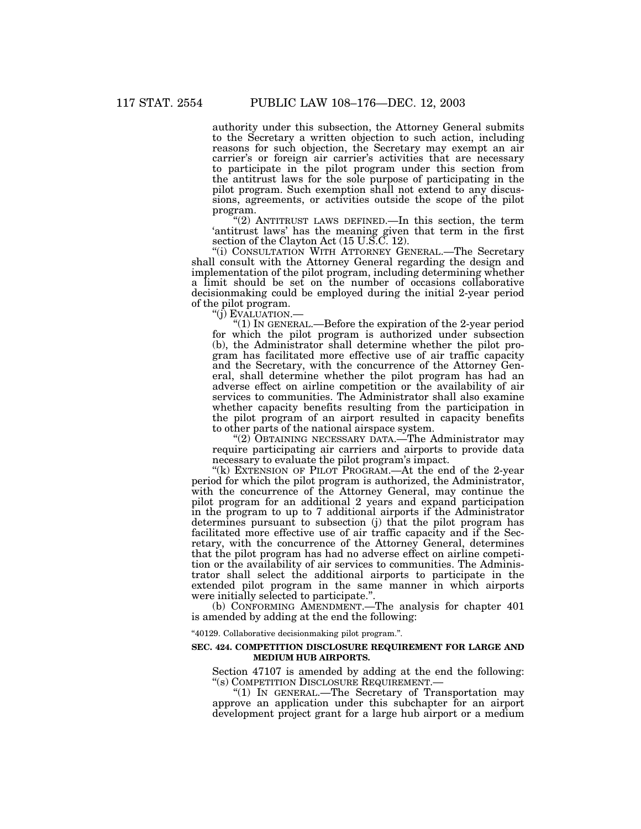authority under this subsection, the Attorney General submits to the Secretary a written objection to such action, including reasons for such objection, the Secretary may exempt an air carrier's or foreign air carrier's activities that are necessary to participate in the pilot program under this section from the antitrust laws for the sole purpose of participating in the pilot program. Such exemption shall not extend to any discussions, agreements, or activities outside the scope of the pilot program.

''(2) ANTITRUST LAWS DEFINED.—In this section, the term 'antitrust laws' has the meaning given that term in the first section of the Clayton Act (15 U.S.C. 12).

''(i) CONSULTATION WITH ATTORNEY GENERAL.—The Secretary shall consult with the Attorney General regarding the design and implementation of the pilot program, including determining whether a limit should be set on the number of occasions collaborative decisionmaking could be employed during the initial 2-year period of the pilot program.<br>"(j) EVALUATION.-

"(1) IN GENERAL.—Before the expiration of the 2-year period for which the pilot program is authorized under subsection (b), the Administrator shall determine whether the pilot program has facilitated more effective use of air traffic capacity and the Secretary, with the concurrence of the Attorney General, shall determine whether the pilot program has had an adverse effect on airline competition or the availability of air services to communities. The Administrator shall also examine whether capacity benefits resulting from the participation in the pilot program of an airport resulted in capacity benefits to other parts of the national airspace system.

''(2) OBTAINING NECESSARY DATA.—The Administrator may require participating air carriers and airports to provide data necessary to evaluate the pilot program's impact.

"(k) EXTENSION OF PILOT PROGRAM.—At the end of the 2-year period for which the pilot program is authorized, the Administrator, with the concurrence of the Attorney General, may continue the pilot program for an additional 2 years and expand participation in the program to up to 7 additional airports if the Administrator determines pursuant to subsection (j) that the pilot program has facilitated more effective use of air traffic capacity and if the Secretary, with the concurrence of the Attorney General, determines that the pilot program has had no adverse effect on airline competition or the availability of air services to communities. The Administrator shall select the additional airports to participate in the extended pilot program in the same manner in which airports were initially selected to participate.''.

(b) CONFORMING AMENDMENT.—The analysis for chapter 401 is amended by adding at the end the following:

''40129. Collaborative decisionmaking pilot program.''.

## **SEC. 424. COMPETITION DISCLOSURE REQUIREMENT FOR LARGE AND MEDIUM HUB AIRPORTS.**

Section 47107 is amended by adding at the end the following: ''(s) COMPETITION DISCLOSURE REQUIREMENT.—

''(1) IN GENERAL.—The Secretary of Transportation may approve an application under this subchapter for an airport development project grant for a large hub airport or a medium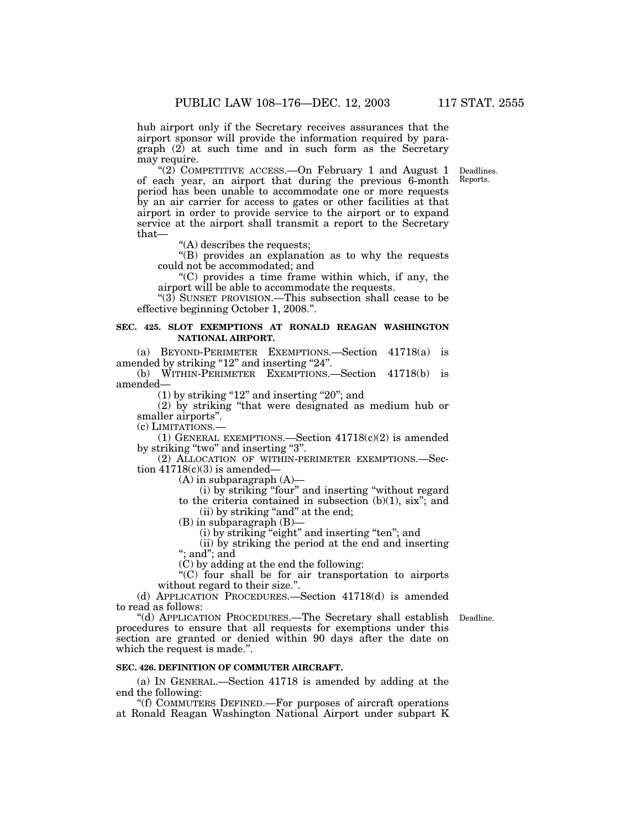hub airport only if the Secretary receives assurances that the airport sponsor will provide the information required by paragraph  $(2)$  at such time and in such form as the Secretary may require.

" $(2)$  COMPETITIVE ACCESS.—On February 1 and August 1 of each year, an airport that during the previous 6-month period has been unable to accommodate one or more requests by an air carrier for access to gates or other facilities at that airport in order to provide service to the airport or to expand service at the airport shall transmit a report to the Secretary that—

''(A) describes the requests;

''(B) provides an explanation as to why the requests could not be accommodated; and

 $(C)$  provides a time frame within which, if any, the airport will be able to accommodate the requests.

''(3) SUNSET PROVISION.—This subsection shall cease to be effective beginning October 1, 2008.''.

# **SEC. 425. SLOT EXEMPTIONS AT RONALD REAGAN WASHINGTON NATIONAL AIRPORT.**

(a) BEYOND-PERIMETER EXEMPTIONS.—Section 41718(a) is amended by striking "12" and inserting "24".

(b) WITHIN-PERIMETER EXEMPTIONS.—Section 41718(b) is amended—

 $(1)$  by striking "12" and inserting "20"; and

(2) by striking ''that were designated as medium hub or smaller airports''.

(c) LIMITATIONS.—

(1) GENERAL EXEMPTIONS.—Section 41718(c)(2) is amended by striking "two" and inserting "3".

(2) ALLOCATION OF WITHIN-PERIMETER EXEMPTIONS.—Section  $41718(c)(3)$  is amended-

 $(A)$  in subparagraph  $(A)$ –

(i) by striking ''four'' and inserting ''without regard to the criteria contained in subsection  $(b)(1)$ , six"; and

(ii) by striking "and" at the end;

(B) in subparagraph (B)—

(i) by striking ''eight'' and inserting ''ten''; and

(ii) by striking the period at the end and inserting ''; and''; and

(C) by adding at the end the following:

''(C) four shall be for air transportation to airports without regard to their size.".

(d) APPLICATION PROCEDURES.—Section 41718(d) is amended to read as follows:

''(d) APPLICATION PROCEDURES.—The Secretary shall establish Deadline. procedures to ensure that all requests for exemptions under this section are granted or denied within 90 days after the date on which the request is made.".

# **SEC. 426. DEFINITION OF COMMUTER AIRCRAFT.**

(a) IN GENERAL.—Section 41718 is amended by adding at the end the following:

''(f) COMMUTERS DEFINED.—For purposes of aircraft operations at Ronald Reagan Washington National Airport under subpart K

Deadlines. Reports.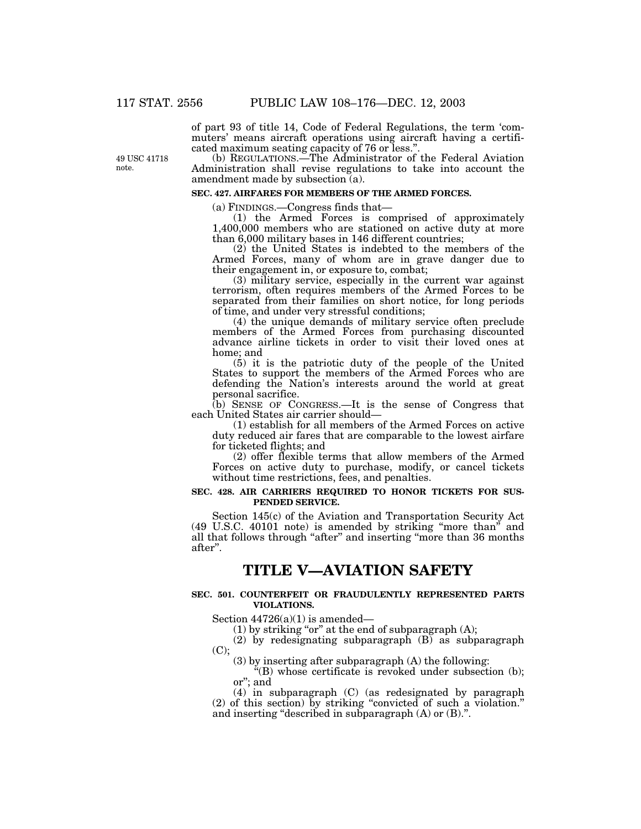of part 93 of title 14, Code of Federal Regulations, the term 'commuters' means aircraft operations using aircraft having a certificated maximum seating capacity of 76 or less.''.

49 USC 41718 note.

(b) REGULATIONS.—The Administrator of the Federal Aviation Administration shall revise regulations to take into account the amendment made by subsection (a).

#### **SEC. 427. AIRFARES FOR MEMBERS OF THE ARMED FORCES.**

(a) FINDINGS.—Congress finds that—

(1) the Armed Forces is comprised of approximately 1,400,000 members who are stationed on active duty at more than 6,000 military bases in 146 different countries;

(2) the United States is indebted to the members of the Armed Forces, many of whom are in grave danger due to their engagement in, or exposure to, combat;

(3) military service, especially in the current war against terrorism, often requires members of the Armed Forces to be separated from their families on short notice, for long periods of time, and under very stressful conditions;

(4) the unique demands of military service often preclude members of the Armed Forces from purchasing discounted advance airline tickets in order to visit their loved ones at home; and

(5) it is the patriotic duty of the people of the United States to support the members of the Armed Forces who are defending the Nation's interests around the world at great personal sacrifice.

(b) SENSE OF CONGRESS.—It is the sense of Congress that each United States air carrier should—

(1) establish for all members of the Armed Forces on active duty reduced air fares that are comparable to the lowest airfare for ticketed flights; and

(2) offer flexible terms that allow members of the Armed Forces on active duty to purchase, modify, or cancel tickets without time restrictions, fees, and penalties.

#### **SEC. 428. AIR CARRIERS REQUIRED TO HONOR TICKETS FOR SUS-PENDED SERVICE.**

Section 145(c) of the Aviation and Transportation Security Act (49 U.S.C. 40101 note) is amended by striking ''more than'' and all that follows through "after" and inserting "more than 36 months" after''.

# **TITLE V—AVIATION SAFETY**

# **SEC. 501. COUNTERFEIT OR FRAUDULENTLY REPRESENTED PARTS VIOLATIONS.**

Section  $44726(a)(1)$  is amended—

 $(1)$  by striking "or" at the end of subparagraph  $(A);$ 

(2) by redesignating subparagraph (B) as subparagraph (C);

(3) by inserting after subparagraph (A) the following:

"(B) whose certificate is revoked under subsection (b); or''; and

(4) in subparagraph (C) (as redesignated by paragraph (2) of this section) by striking ''convicted of such a violation.'' and inserting "described in subparagraph (A) or (B).".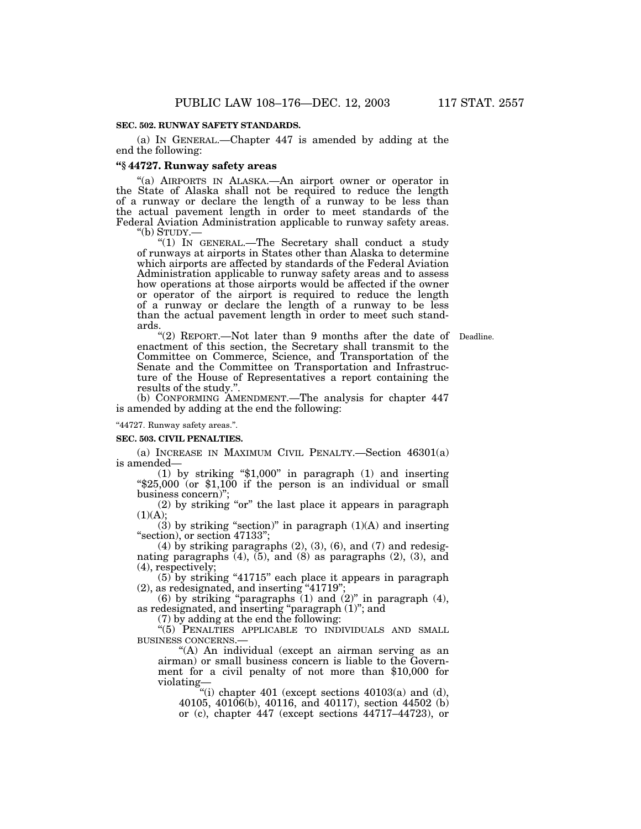## **SEC. 502. RUNWAY SAFETY STANDARDS.**

(a) IN GENERAL.—Chapter 447 is amended by adding at the end the following:

# **''§ 44727. Runway safety areas**

''(a) AIRPORTS IN ALASKA.—An airport owner or operator in the State of Alaska shall not be required to reduce the length of a runway or declare the length of a runway to be less than the actual pavement length in order to meet standards of the Federal Aviation Administration applicable to runway safety areas.<br>"(b) STUDY.—

''(b) STUDY.— ''(1) IN GENERAL.—The Secretary shall conduct a study of runways at airports in States other than Alaska to determine which airports are affected by standards of the Federal Aviation Administration applicable to runway safety areas and to assess how operations at those airports would be affected if the owner or operator of the airport is required to reduce the length of a runway or declare the length of a runway to be less than the actual pavement length in order to meet such standards.

"(2) REPORT.—Not later than 9 months after the date of Deadline. enactment of this section, the Secretary shall transmit to the Committee on Commerce, Science, and Transportation of the Senate and the Committee on Transportation and Infrastructure of the House of Representatives a report containing the results of the study.''.

(b) CONFORMING AMENDMENT.—The analysis for chapter 447 is amended by adding at the end the following:

''44727. Runway safety areas.''.

#### **SEC. 503. CIVIL PENALTIES.**

(a) INCREASE IN MAXIMUM CIVIL PENALTY.—Section 46301(a) is amended— $(1)$  by striking "\$1,000" in paragraph  $(1)$  and inserting

"\$25,000 (or \$1,100 if the person is an individual or small business concern)'';

(2) by striking ''or'' the last place it appears in paragraph  $(1)(A);$ 

(3) by striking "section)" in paragraph  $(1)(A)$  and inserting "section), or section 47133";

 $(4)$  by striking paragraphs  $(2)$ ,  $(3)$ ,  $(6)$ , and  $(7)$  and redesignating paragraphs  $(4)$ ,  $(5)$ , and  $(8)$  as paragraphs  $(2)$ ,  $(3)$ , and (4), respectively;

 $(5)$  by striking "41715" each place it appears in paragraph  $(2)$ , as redesignated, and inserting "41719";

(6) by striking "paragraphs  $(1)$  and  $(2)$ " in paragraph  $(4)$ , as redesignated, and inserting ''paragraph (1)''; and

(7) by adding at the end the following:

''(5) PENALTIES APPLICABLE TO INDIVIDUALS AND SMALL BUSINESS CONCERNS.—

''(A) An individual (except an airman serving as an airman) or small business concern is liable to the Government for a civil penalty of not more than \$10,000 for violating—

"(i) chapter  $401$  (except sections  $40103(a)$  and  $(d)$ , 40105, 40106(b), 40116, and 40117), section 44502 (b) 40105, 40106(b), 40116, and 40117), section 44502 (b) or (c), chapter 447 (except sections  $44717-44723$ ), or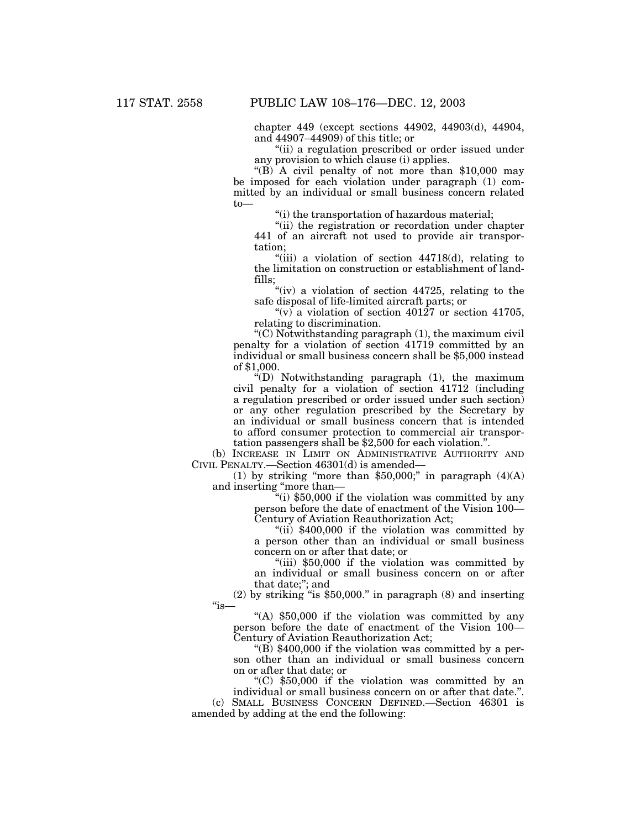chapter 449 (except sections 44902, 44903(d), 44904, and 44907–44909) of this title; or

"(ii) a regulation prescribed or order issued under any provision to which clause (i) applies.

" $(B)$ <sup>1</sup> A civil penalty of not more than \$10,000 may be imposed for each violation under paragraph (1) committed by an individual or small business concern related to—

(i) the transportation of hazardous material;

''(ii) the registration or recordation under chapter 441 of an aircraft not used to provide air transportation;

"(iii) a violation of section  $44718(d)$ , relating to the limitation on construction or establishment of landfills;

''(iv) a violation of section 44725, relating to the safe disposal of life-limited aircraft parts; or

" $(v)$  a violation of section 40127 or section 41705, relating to discrimination.

''(C) Notwithstanding paragraph (1), the maximum civil penalty for a violation of section 41719 committed by an individual or small business concern shall be \$5,000 instead of \$1,000.

''(D) Notwithstanding paragraph (1), the maximum civil penalty for a violation of section 41712 (including a regulation prescribed or order issued under such section) or any other regulation prescribed by the Secretary by an individual or small business concern that is intended to afford consumer protection to commercial air transportation passengers shall be \$2,500 for each violation.''.

(b) INCREASE IN LIMIT ON ADMINISTRATIVE AUTHORITY AND CIVIL PENALTY.—Section 46301(d) is amended—

(1) by striking "more than \$50,000;" in paragraph  $(4)(A)$ and inserting ''more than—

> ''(i) \$50,000 if the violation was committed by any person before the date of enactment of the Vision 100— Century of Aviation Reauthorization Act;

> ''(ii) \$400,000 if the violation was committed by a person other than an individual or small business concern on or after that date; or

> "(iii) \$50,000 if the violation was committed by an individual or small business concern on or after that date;''; and

(2) by striking "is \$50,000." in paragraph  $(8)$  and inserting  $\mathrm{``is-}$ 

"(A) \$50,000 if the violation was committed by any person before the date of enactment of the Vision 100— Century of Aviation Reauthorization Act;

"(B)  $$400,000$  if the violation was committed by a person other than an individual or small business concern on or after that date; or

 $(C)$  \$50,000 if the violation was committed by an individual or small business concern on or after that date.''.

(c) SMALL BUSINESS CONCERN DEFINED.—Section 46301 is amended by adding at the end the following: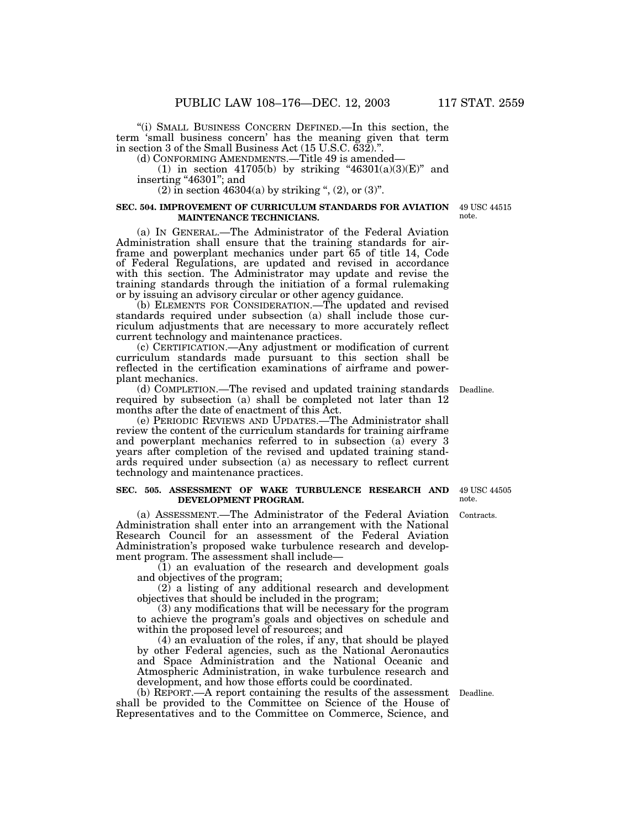''(i) SMALL BUSINESS CONCERN DEFINED.—In this section, the term 'small business concern' has the meaning given that term in section 3 of the Small Business Act (15 U.S.C. 632).''.

(d) CONFORMING AMENDMENTS.—Title 49 is amended—

(1) in section 41705(b) by striking "46301(a)(3)(E)" and inserting "46301"; and

 $(2)$  in section 46304(a) by striking ",  $(2)$ , or  $(3)$ ".

## **SEC. 504. IMPROVEMENT OF CURRICULUM STANDARDS FOR AVIATION MAINTENANCE TECHNICIANS.**

(a) IN GENERAL.—The Administrator of the Federal Aviation Administration shall ensure that the training standards for airframe and powerplant mechanics under part 65 of title 14, Code of Federal Regulations, are updated and revised in accordance with this section. The Administrator may update and revise the training standards through the initiation of a formal rulemaking or by issuing an advisory circular or other agency guidance.

(b) ELEMENTS FOR CONSIDERATION.—The updated and revised standards required under subsection (a) shall include those curriculum adjustments that are necessary to more accurately reflect current technology and maintenance practices.

(c) CERTIFICATION.—Any adjustment or modification of current curriculum standards made pursuant to this section shall be reflected in the certification examinations of airframe and powerplant mechanics.

(d) COMPLETION.—The revised and updated training standards Deadline. required by subsection (a) shall be completed not later than 12 months after the date of enactment of this Act.

(e) PERIODIC REVIEWS AND UPDATES.—The Administrator shall review the content of the curriculum standards for training airframe and powerplant mechanics referred to in subsection (a) every 3 years after completion of the revised and updated training standards required under subsection (a) as necessary to reflect current technology and maintenance practices.

#### **SEC. 505. ASSESSMENT OF WAKE TURBULENCE RESEARCH AND DEVELOPMENT PROGRAM.**

(a) ASSESSMENT.—The Administrator of the Federal Aviation Administration shall enter into an arrangement with the National Research Council for an assessment of the Federal Aviation Administration's proposed wake turbulence research and development program. The assessment shall include—

(1) an evaluation of the research and development goals and objectives of the program;

(2) a listing of any additional research and development objectives that should be included in the program;

(3) any modifications that will be necessary for the program to achieve the program's goals and objectives on schedule and within the proposed level of resources; and

(4) an evaluation of the roles, if any, that should be played by other Federal agencies, such as the National Aeronautics and Space Administration and the National Oceanic and Atmospheric Administration, in wake turbulence research and development, and how those efforts could be coordinated.

(b) REPORT.—A report containing the results of the assessment Deadline. shall be provided to the Committee on Science of the House of Representatives and to the Committee on Commerce, Science, and

49 USC 44505 note.

Contracts.

49 USC 44515 note.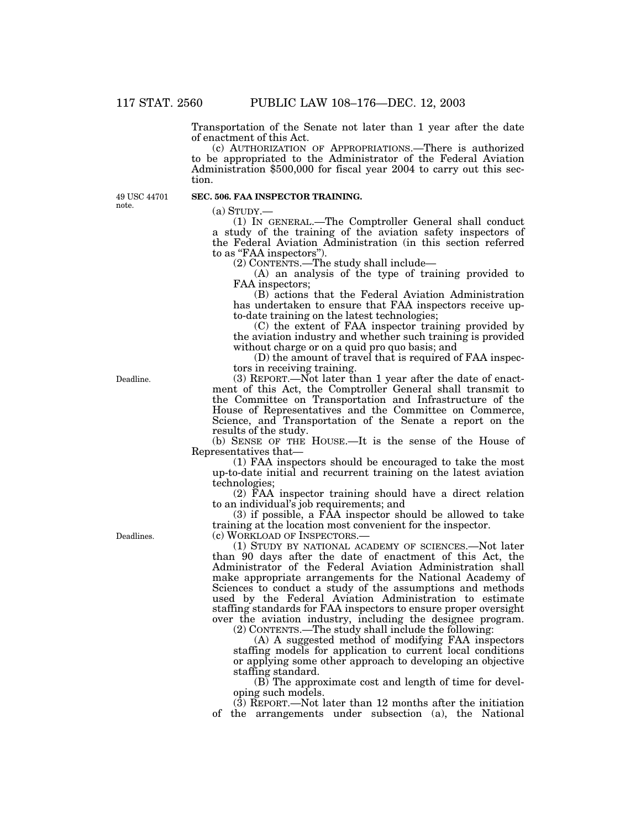Transportation of the Senate not later than 1 year after the date of enactment of this Act.

(c) AUTHORIZATION OF APPROPRIATIONS.—There is authorized to be appropriated to the Administrator of the Federal Aviation Administration \$500,000 for fiscal year 2004 to carry out this section.

49 USC 44701 note.

# **SEC. 506. FAA INSPECTOR TRAINING.**

(a) STUDY.— (1) IN GENERAL.—The Comptroller General shall conduct a study of the training of the aviation safety inspectors of the Federal Aviation Administration (in this section referred to as "FAA inspectors").

(2) CONTENTS.—The study shall include—

(A) an analysis of the type of training provided to FAA inspectors;

(B) actions that the Federal Aviation Administration has undertaken to ensure that FAA inspectors receive upto-date training on the latest technologies;

(C) the extent of FAA inspector training provided by the aviation industry and whether such training is provided without charge or on a quid pro quo basis; and

(D) the amount of travel that is required of FAA inspectors in receiving training.

(3) REPORT.—Not later than 1 year after the date of enactment of this Act, the Comptroller General shall transmit to the Committee on Transportation and Infrastructure of the House of Representatives and the Committee on Commerce, Science, and Transportation of the Senate a report on the results of the study.

(b) SENSE OF THE HOUSE.—It is the sense of the House of Representatives that—

(1) FAA inspectors should be encouraged to take the most up-to-date initial and recurrent training on the latest aviation technologies;

(2) FAA inspector training should have a direct relation to an individual's job requirements; and

(3) if possible, a FAA inspector should be allowed to take training at the location most convenient for the inspector.

(c) WORKLOAD OF INSPECTORS.—

(1) STUDY BY NATIONAL ACADEMY OF SCIENCES.—Not later than 90 days after the date of enactment of this Act, the Administrator of the Federal Aviation Administration shall make appropriate arrangements for the National Academy of Sciences to conduct a study of the assumptions and methods used by the Federal Aviation Administration to estimate staffing standards for FAA inspectors to ensure proper oversight over the aviation industry, including the designee program.

(2) CONTENTS.—The study shall include the following:

(A) A suggested method of modifying FAA inspectors staffing models for application to current local conditions or applying some other approach to developing an objective staffing standard.

(B) The approximate cost and length of time for developing such models.

(3) REPORT.—Not later than 12 months after the initiation of the arrangements under subsection (a), the National

Deadline.

Deadlines.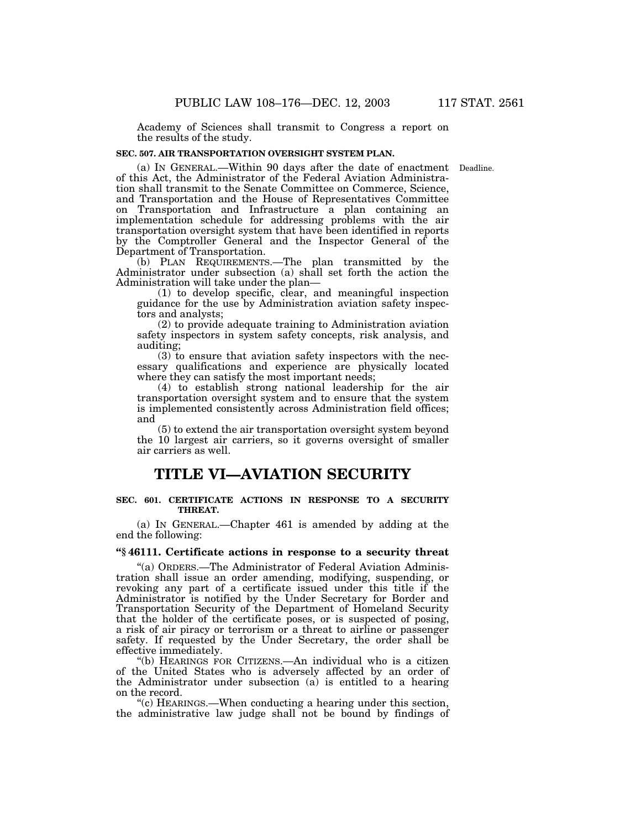Academy of Sciences shall transmit to Congress a report on the results of the study.

#### **SEC. 507. AIR TRANSPORTATION OVERSIGHT SYSTEM PLAN.**

(a) IN GENERAL.—Within 90 days after the date of enactment Deadline. of this Act, the Administrator of the Federal Aviation Administration shall transmit to the Senate Committee on Commerce, Science, and Transportation and the House of Representatives Committee on Transportation and Infrastructure a plan containing an implementation schedule for addressing problems with the air transportation oversight system that have been identified in reports by the Comptroller General and the Inspector General of the Department of Transportation.

(b) PLAN REQUIREMENTS.—The plan transmitted by the Administrator under subsection (a) shall set forth the action the Administration will take under the plan—

(1) to develop specific, clear, and meaningful inspection guidance for the use by Administration aviation safety inspectors and analysts;

(2) to provide adequate training to Administration aviation safety inspectors in system safety concepts, risk analysis, and auditing;

(3) to ensure that aviation safety inspectors with the necessary qualifications and experience are physically located where they can satisfy the most important needs;

(4) to establish strong national leadership for the air transportation oversight system and to ensure that the system is implemented consistently across Administration field offices; and

(5) to extend the air transportation oversight system beyond the 10 largest air carriers, so it governs oversight of smaller air carriers as well.

# **TITLE VI—AVIATION SECURITY**

# **SEC. 601. CERTIFICATE ACTIONS IN RESPONSE TO A SECURITY THREAT.**

(a) IN GENERAL.—Chapter 461 is amended by adding at the end the following:

# **''§ 46111. Certificate actions in response to a security threat**

''(a) ORDERS.—The Administrator of Federal Aviation Administration shall issue an order amending, modifying, suspending, or revoking any part of a certificate issued under this title if the Administrator is notified by the Under Secretary for Border and Transportation Security of the Department of Homeland Security that the holder of the certificate poses, or is suspected of posing, a risk of air piracy or terrorism or a threat to airline or passenger safety. If requested by the Under Secretary, the order shall be effective immediately.

''(b) HEARINGS FOR CITIZENS.—An individual who is a citizen of the United States who is adversely affected by an order of the Administrator under subsection (a) is entitled to a hearing on the record.

''(c) HEARINGS.—When conducting a hearing under this section, the administrative law judge shall not be bound by findings of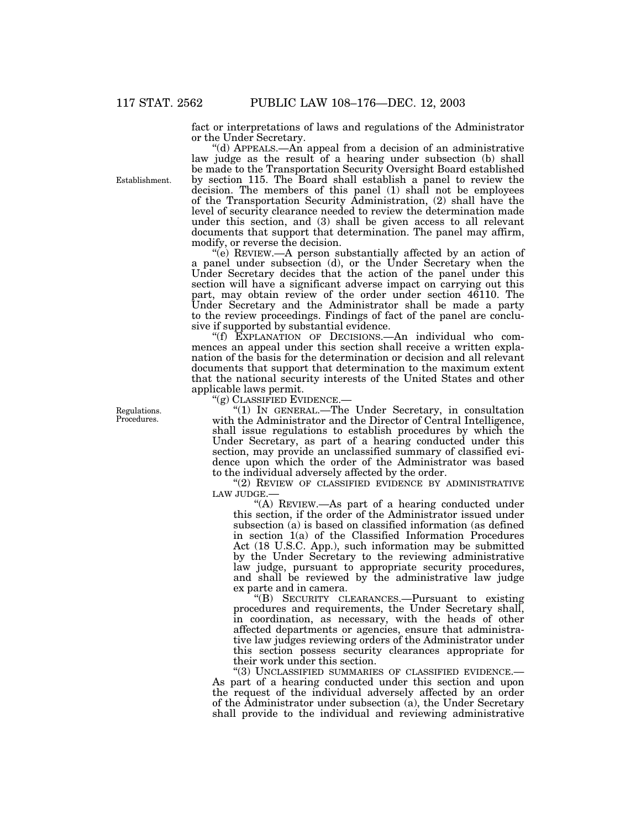Establishment.

fact or interpretations of laws and regulations of the Administrator or the Under Secretary.

''(d) APPEALS.—An appeal from a decision of an administrative law judge as the result of a hearing under subsection (b) shall be made to the Transportation Security Oversight Board established by section 115. The Board shall establish a panel to review the decision. The members of this panel (1) shall not be employees of the Transportation Security Administration, (2) shall have the level of security clearance needed to review the determination made under this section, and (3) shall be given access to all relevant documents that support that determination. The panel may affirm, modify, or reverse the decision.

''(e) REVIEW.—A person substantially affected by an action of a panel under subsection (d), or the Under Secretary when the Under Secretary decides that the action of the panel under this section will have a significant adverse impact on carrying out this part, may obtain review of the order under section 46110. The Under Secretary and the Administrator shall be made a party to the review proceedings. Findings of fact of the panel are conclusive if supported by substantial evidence.

''(f) EXPLANATION OF DECISIONS.—An individual who commences an appeal under this section shall receive a written explanation of the basis for the determination or decision and all relevant documents that support that determination to the maximum extent that the national security interests of the United States and other applicable laws permit.

''(g) CLASSIFIED EVIDENCE.—

''(1) IN GENERAL.—The Under Secretary, in consultation with the Administrator and the Director of Central Intelligence, shall issue regulations to establish procedures by which the Under Secretary, as part of a hearing conducted under this section, may provide an unclassified summary of classified evidence upon which the order of the Administrator was based to the individual adversely affected by the order.

"(2) REVIEW OF CLASSIFIED EVIDENCE BY ADMINISTRATIVE LAW JUDGE.—

''(A) REVIEW.—As part of a hearing conducted under this section, if the order of the Administrator issued under subsection (a) is based on classified information (as defined in section 1(a) of the Classified Information Procedures Act (18 U.S.C. App.), such information may be submitted by the Under Secretary to the reviewing administrative law judge, pursuant to appropriate security procedures, and shall be reviewed by the administrative law judge ex parte and in camera.

''(B) SECURITY CLEARANCES.—Pursuant to existing procedures and requirements, the Under Secretary shall, in coordination, as necessary, with the heads of other affected departments or agencies, ensure that administrative law judges reviewing orders of the Administrator under this section possess security clearances appropriate for their work under this section.

''(3) UNCLASSIFIED SUMMARIES OF CLASSIFIED EVIDENCE.— As part of a hearing conducted under this section and upon the request of the individual adversely affected by an order of the Administrator under subsection (a), the Under Secretary shall provide to the individual and reviewing administrative

Regulations. **Procedures**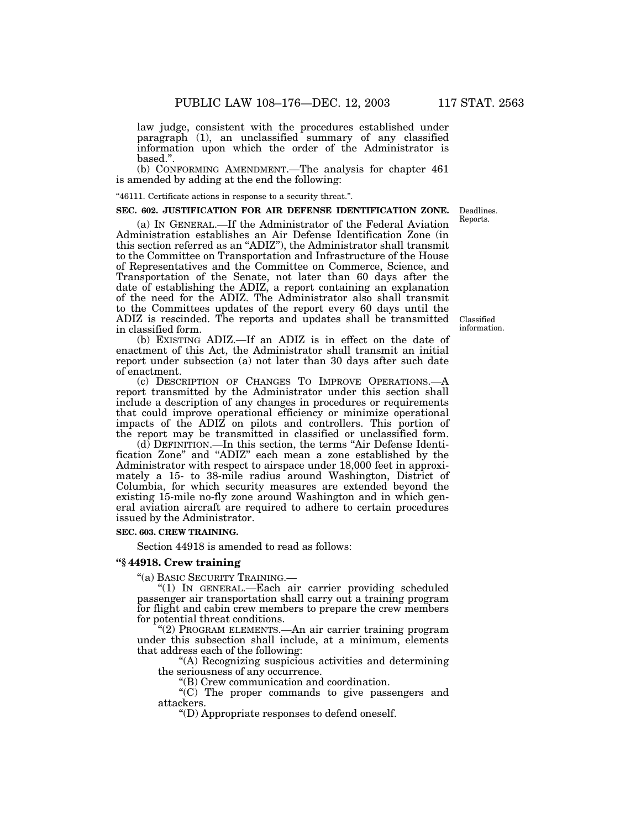law judge, consistent with the procedures established under paragraph (1), an unclassified summary of any classified information upon which the order of the Administrator is based.''.

(b) CONFORMING AMENDMENT.—The analysis for chapter 461 is amended by adding at the end the following:

''46111. Certificate actions in response to a security threat.''.

#### **SEC. 602. JUSTIFICATION FOR AIR DEFENSE IDENTIFICATION ZONE.**

Deadlines. Reports.

(a) IN GENERAL.—If the Administrator of the Federal Aviation Administration establishes an Air Defense Identification Zone (in this section referred as an ''ADIZ''), the Administrator shall transmit to the Committee on Transportation and Infrastructure of the House of Representatives and the Committee on Commerce, Science, and Transportation of the Senate, not later than 60 days after the date of establishing the ADIZ, a report containing an explanation of the need for the ADIZ. The Administrator also shall transmit to the Committees updates of the report every 60 days until the ADIZ is rescinded. The reports and updates shall be transmitted in classified form.

(b) EXISTING ADIZ.—If an ADIZ is in effect on the date of enactment of this Act, the Administrator shall transmit an initial report under subsection (a) not later than 30 days after such date of enactment.

(c) DESCRIPTION OF CHANGES TO IMPROVE OPERATIONS.—A report transmitted by the Administrator under this section shall include a description of any changes in procedures or requirements that could improve operational efficiency or minimize operational impacts of the ADIZ on pilots and controllers. This portion of the report may be transmitted in classified or unclassified form.

 $(d)$  DEFINITION.—In this section, the terms "Air Defense Identification Zone'' and ''ADIZ'' each mean a zone established by the Administrator with respect to airspace under 18,000 feet in approximately a 15- to 38-mile radius around Washington, District of Columbia, for which security measures are extended beyond the existing 15-mile no-fly zone around Washington and in which general aviation aircraft are required to adhere to certain procedures issued by the Administrator.

#### **SEC. 603. CREW TRAINING.**

Section 44918 is amended to read as follows:

# **''§ 44918. Crew training**

''(a) BASIC SECURITY TRAINING.—

''(1) IN GENERAL.—Each air carrier providing scheduled passenger air transportation shall carry out a training program for flight and cabin crew members to prepare the crew members for potential threat conditions.

''(2) PROGRAM ELEMENTS.—An air carrier training program under this subsection shall include, at a minimum, elements that address each of the following:

''(A) Recognizing suspicious activities and determining the seriousness of any occurrence.

''(B) Crew communication and coordination.

''(C) The proper commands to give passengers and attackers.

''(D) Appropriate responses to defend oneself.

Classified information.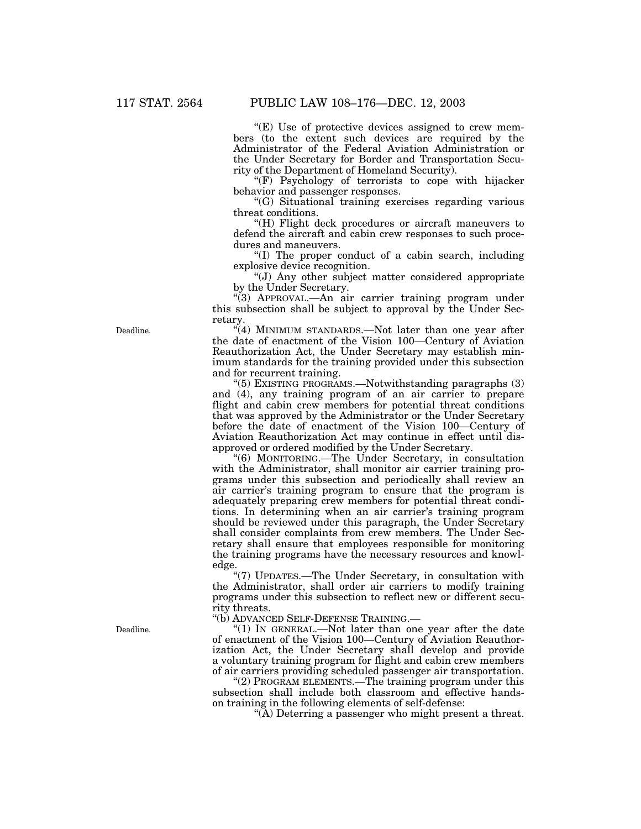"(E) Use of protective devices assigned to crew members (to the extent such devices are required by the Administrator of the Federal Aviation Administration or the Under Secretary for Border and Transportation Security of the Department of Homeland Security).

''(F) Psychology of terrorists to cope with hijacker behavior and passenger responses.

''(G) Situational training exercises regarding various threat conditions.

''(H) Flight deck procedures or aircraft maneuvers to defend the aircraft and cabin crew responses to such procedures and maneuvers.

''(I) The proper conduct of a cabin search, including explosive device recognition.

''(J) Any other subject matter considered appropriate by the Under Secretary.

"(3) APPROVAL.—An air carrier training program under this subsection shall be subject to approval by the Under Secretary.

 $\mathcal{H}(4)$  MINIMUM STANDARDS.—Not later than one year after the date of enactment of the Vision 100—Century of Aviation Reauthorization Act, the Under Secretary may establish minimum standards for the training provided under this subsection and for recurrent training.

"(5) EXISTING PROGRAMS.—Notwithstanding paragraphs  $(3)$ and (4), any training program of an air carrier to prepare flight and cabin crew members for potential threat conditions that was approved by the Administrator or the Under Secretary before the date of enactment of the Vision 100—Century of Aviation Reauthorization Act may continue in effect until disapproved or ordered modified by the Under Secretary.

''(6) MONITORING.—The Under Secretary, in consultation with the Administrator, shall monitor air carrier training programs under this subsection and periodically shall review an air carrier's training program to ensure that the program is adequately preparing crew members for potential threat conditions. In determining when an air carrier's training program should be reviewed under this paragraph, the Under Secretary shall consider complaints from crew members. The Under Secretary shall ensure that employees responsible for monitoring the training programs have the necessary resources and knowledge.

"(7) UPDATES.-The Under Secretary, in consultation with the Administrator, shall order air carriers to modify training programs under this subsection to reflect new or different security threats.

''(b) ADVANCED SELF-DEFENSE TRAINING.—

"(1) In GENERAL.—Not later than one year after the date of enactment of the Vision 100—Century of Aviation Reauthorization Act, the Under Secretary shall develop and provide a voluntary training program for flight and cabin crew members of air carriers providing scheduled passenger air transportation.

''(2) PROGRAM ELEMENTS.—The training program under this subsection shall include both classroom and effective handson training in the following elements of self-defense:

"( $\tilde{A}$ ) Deterring a passenger who might present a threat.

Deadline.

Deadline.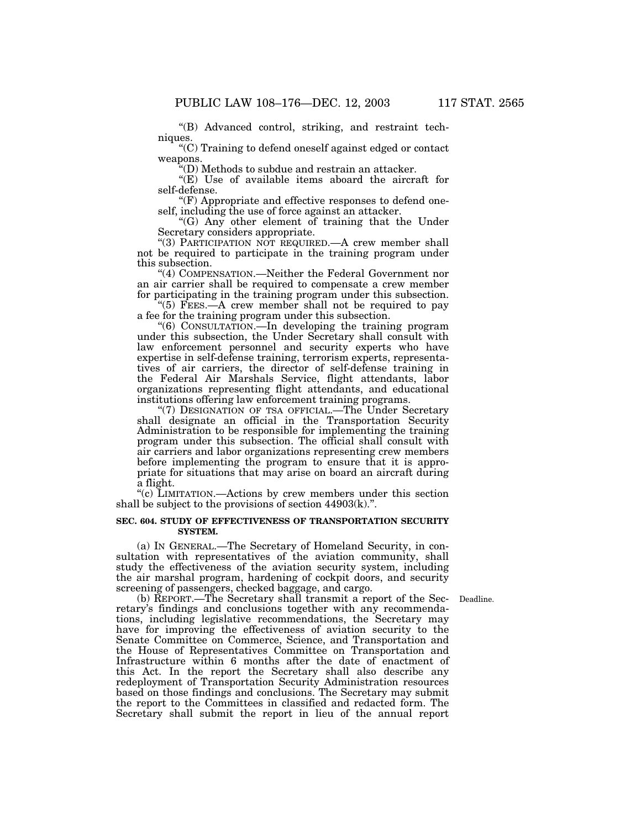''(B) Advanced control, striking, and restraint techniques.

''(C) Training to defend oneself against edged or contact weapons.

''(D) Methods to subdue and restrain an attacker.

 $\sqrt{\text{E}}$ ) Use of available items aboard the aircraft for self-defense.

 $\mathcal{C}(F)$  Appropriate and effective responses to defend oneself, including the use of force against an attacker.

''(G) Any other element of training that the Under Secretary considers appropriate.

''(3) PARTICIPATION NOT REQUIRED.—A crew member shall not be required to participate in the training program under this subsection.

''(4) COMPENSATION.—Neither the Federal Government nor an air carrier shall be required to compensate a crew member for participating in the training program under this subsection.

''(5) FEES.—A crew member shall not be required to pay a fee for the training program under this subsection.

''(6) CONSULTATION.—In developing the training program under this subsection, the Under Secretary shall consult with law enforcement personnel and security experts who have expertise in self-defense training, terrorism experts, representatives of air carriers, the director of self-defense training in the Federal Air Marshals Service, flight attendants, labor organizations representing flight attendants, and educational institutions offering law enforcement training programs.

"(7) DESIGNATION OF TSA OFFICIAL.—The Under Secretary shall designate an official in the Transportation Security Administration to be responsible for implementing the training program under this subsection. The official shall consult with air carriers and labor organizations representing crew members before implementing the program to ensure that it is appropriate for situations that may arise on board an aircraft during a flight.

''(c) LIMITATION.—Actions by crew members under this section shall be subject to the provisions of section 44903(k).''.

# **SEC. 604. STUDY OF EFFECTIVENESS OF TRANSPORTATION SECURITY SYSTEM.**

(a) IN GENERAL.—The Secretary of Homeland Security, in consultation with representatives of the aviation community, shall study the effectiveness of the aviation security system, including the air marshal program, hardening of cockpit doors, and security screening of passengers, checked baggage, and cargo.

(b) REPORT.—The Secretary shall transmit a report of the Sec-Deadline. retary's findings and conclusions together with any recommendations, including legislative recommendations, the Secretary may have for improving the effectiveness of aviation security to the Senate Committee on Commerce, Science, and Transportation and the House of Representatives Committee on Transportation and Infrastructure within 6 months after the date of enactment of this Act. In the report the Secretary shall also describe any redeployment of Transportation Security Administration resources based on those findings and conclusions. The Secretary may submit the report to the Committees in classified and redacted form. The Secretary shall submit the report in lieu of the annual report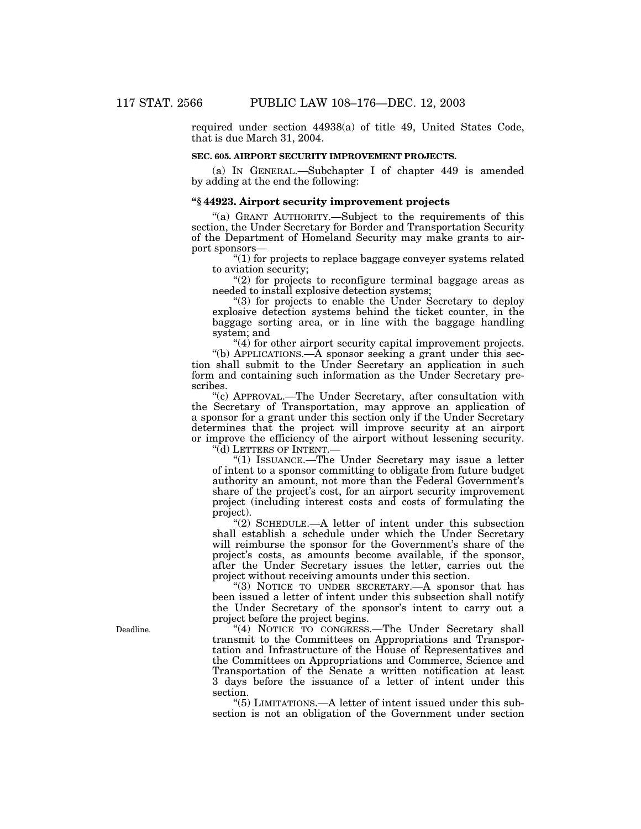required under section 44938(a) of title 49, United States Code, that is due March 31, 2004.

# **SEC. 605. AIRPORT SECURITY IMPROVEMENT PROJECTS.**

(a) IN GENERAL.—Subchapter I of chapter 449 is amended by adding at the end the following:

# **''§ 44923. Airport security improvement projects**

"(a) GRANT AUTHORITY.—Subject to the requirements of this section, the Under Secretary for Border and Transportation Security of the Department of Homeland Security may make grants to airport sponsors—

''(1) for projects to replace baggage conveyer systems related to aviation security;

"(2) for projects to reconfigure terminal baggage areas as needed to install explosive detection systems;

''(3) for projects to enable the Under Secretary to deploy explosive detection systems behind the ticket counter, in the baggage sorting area, or in line with the baggage handling system; and

''(4) for other airport security capital improvement projects. ''(b) APPLICATIONS.—A sponsor seeking a grant under this section shall submit to the Under Secretary an application in such form and containing such information as the Under Secretary prescribes.

''(c) APPROVAL.—The Under Secretary, after consultation with the Secretary of Transportation, may approve an application of a sponsor for a grant under this section only if the Under Secretary determines that the project will improve security at an airport or improve the efficiency of the airport without lessening security.

''(d) LETTERS OF INTENT.—

''(1) ISSUANCE.—The Under Secretary may issue a letter of intent to a sponsor committing to obligate from future budget authority an amount, not more than the Federal Government's share of the project's cost, for an airport security improvement project (including interest costs and costs of formulating the project).

"(2) SCHEDULE.—A letter of intent under this subsection shall establish a schedule under which the Under Secretary will reimburse the sponsor for the Government's share of the project's costs, as amounts become available, if the sponsor, after the Under Secretary issues the letter, carries out the project without receiving amounts under this section.

"(3) NOTICE TO UNDER SECRETARY.—A sponsor that has been issued a letter of intent under this subsection shall notify the Under Secretary of the sponsor's intent to carry out a project before the project begins.

"(4) NOTICE TO CONGRESS.—The Under Secretary shall transmit to the Committees on Appropriations and Transportation and Infrastructure of the House of Representatives and the Committees on Appropriations and Commerce, Science and Transportation of the Senate a written notification at least 3 days before the issuance of a letter of intent under this section.

''(5) LIMITATIONS.—A letter of intent issued under this subsection is not an obligation of the Government under section

Deadline.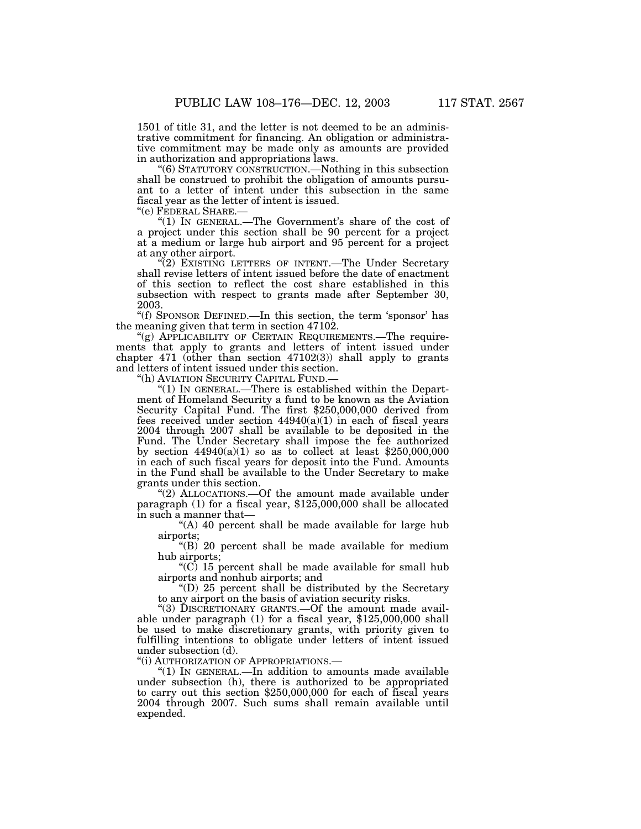1501 of title 31, and the letter is not deemed to be an administrative commitment for financing. An obligation or administrative commitment may be made only as amounts are provided in authorization and appropriations laws.

''(6) STATUTORY CONSTRUCTION.—Nothing in this subsection shall be construed to prohibit the obligation of amounts pursuant to a letter of intent under this subsection in the same fiscal year as the letter of intent is issued.

''(e) FEDERAL SHARE.— ''(1) IN GENERAL.—The Government's share of the cost of a project under this section shall be 90 percent for a project at a medium or large hub airport and 95 percent for a project at any other airport.

"(2) EXISTING LETTERS OF INTENT.—The Under Secretary shall revise letters of intent issued before the date of enactment of this section to reflect the cost share established in this subsection with respect to grants made after September 30, 2003.

''(f) SPONSOR DEFINED.—In this section, the term 'sponsor' has the meaning given that term in section 47102.

''(g) APPLICABILITY OF CERTAIN REQUIREMENTS.—The requirements that apply to grants and letters of intent issued under chapter 471 (other than section  $47102(3)$ ) shall apply to grants and letters of intent issued under this section.

"(h) AVIATION SECURITY CAPITAL FUND.-

" $(1)$  In GENERAL.—There is established within the Department of Homeland Security a fund to be known as the Aviation Security Capital Fund. The first \$250,000,000 derived from fees received under section  $44940(a)(1)$  in each of fiscal years 2004 through 2007 shall be available to be deposited in the Fund. The Under Secretary shall impose the fee authorized by section  $44940(a)(1)$  so as to collect at least \$250,000,000 in each of such fiscal years for deposit into the Fund. Amounts in the Fund shall be available to the Under Secretary to make grants under this section.

"(2) ALLOCATIONS.—Of the amount made available under paragraph (1) for a fiscal year, \$125,000,000 shall be allocated in such a manner that—

''(A) 40 percent shall be made available for large hub airports;

''(B) 20 percent shall be made available for medium hub airports;

''(C) 15 percent shall be made available for small hub airports and nonhub airports; and

''(D) 25 percent shall be distributed by the Secretary to any airport on the basis of aviation security risks.

''(3) DISCRETIONARY GRANTS.—Of the amount made available under paragraph (1) for a fiscal year, \$125,000,000 shall be used to make discretionary grants, with priority given to fulfilling intentions to obligate under letters of intent issued under subsection (d).

''(i) AUTHORIZATION OF APPROPRIATIONS.—

''(1) IN GENERAL.—In addition to amounts made available under subsection (h), there is authorized to be appropriated to carry out this section \$250,000,000 for each of fiscal years 2004 through 2007. Such sums shall remain available until expended.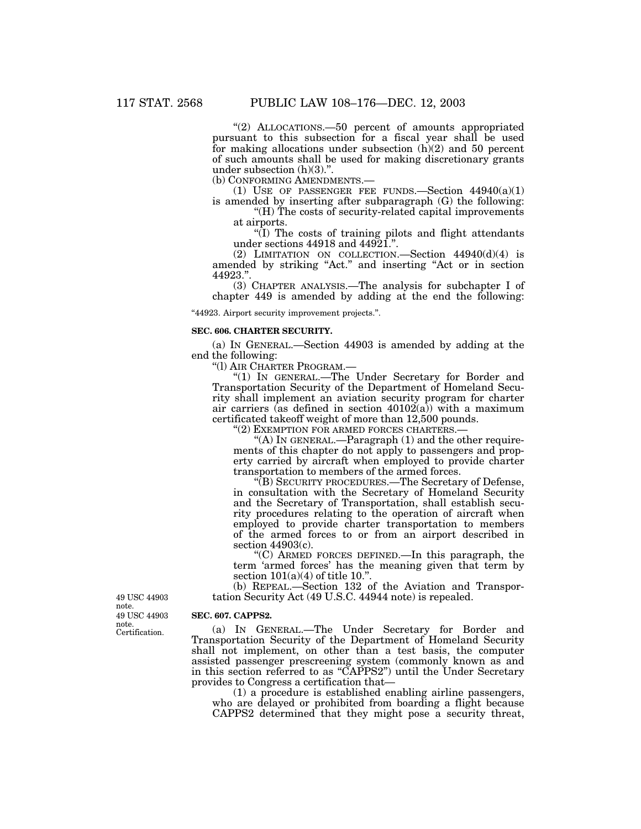"(2) ALLOCATIONS. -- 50 percent of amounts appropriated pursuant to this subsection for a fiscal year shall be used for making allocations under subsection  $(h)(2)$  and 50 percent of such amounts shall be used for making discretionary grants under subsection (h)(3).".

(b) CONFORMING AMENDMENTS.—

(1) USE OF PASSENGER FEE FUNDS. Section  $44940(a)(1)$ is amended by inserting after subparagraph (G) the following:

''(H) The costs of security-related capital improvements at airports.

''(I) The costs of training pilots and flight attendants under sections 44918 and 44921.".

(2) LIMITATION ON COLLECTION.—Section 44940(d)(4) is amended by striking "Act." and inserting "Act or in section 44923.''.

(3) CHAPTER ANALYSIS.—The analysis for subchapter I of chapter 449 is amended by adding at the end the following:

''44923. Airport security improvement projects.''.

#### **SEC. 606. CHARTER SECURITY.**

(a) IN GENERAL.—Section 44903 is amended by adding at the end the following:

''(l) AIR CHARTER PROGRAM.—

"(1) IN GENERAL.—The Under Secretary for Border and Transportation Security of the Department of Homeland Security shall implement an aviation security program for charter air carriers (as defined in section  $40102(a)$ ) with a maximum certificated takeoff weight of more than 12,500 pounds.<br>"(2) EXEMPTION FOR ARMED FORCES CHARTERS.—

"(A) IN GENERAL.—Paragraph  $(1)$  and the other requirements of this chapter do not apply to passengers and property carried by aircraft when employed to provide charter transportation to members of the armed forces.

''(B) SECURITY PROCEDURES.—The Secretary of Defense, in consultation with the Secretary of Homeland Security and the Secretary of Transportation, shall establish security procedures relating to the operation of aircraft when employed to provide charter transportation to members of the armed forces to or from an airport described in section 44903(c).

''(C) ARMED FORCES DEFINED.—In this paragraph, the term 'armed forces' has the meaning given that term by section  $101(a)(4)$  of title 10.".

(b) REPEAL.—Section 132 of the Aviation and Transportation Security Act (49 U.S.C. 44944 note) is repealed.

Certification. 49 USC 44903 note. 49 USC 44903 note.

# **SEC. 607. CAPPS2.**

(a) IN GENERAL.—The Under Secretary for Border and Transportation Security of the Department of Homeland Security shall not implement, on other than a test basis, the computer assisted passenger prescreening system (commonly known as and in this section referred to as ''CAPPS2'') until the Under Secretary provides to Congress a certification that—

(1) a procedure is established enabling airline passengers, who are delayed or prohibited from boarding a flight because CAPPS2 determined that they might pose a security threat,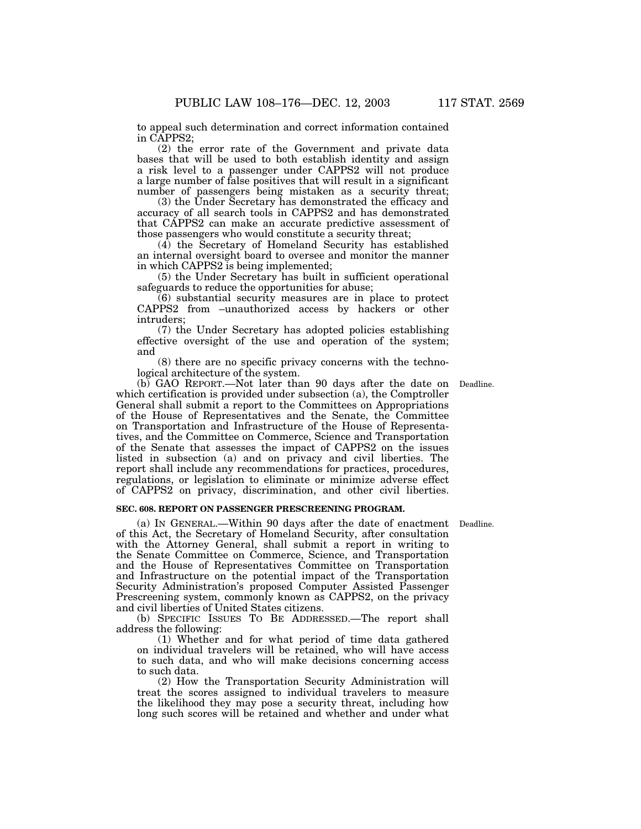to appeal such determination and correct information contained in CAPPS2;

(2) the error rate of the Government and private data bases that will be used to both establish identity and assign a risk level to a passenger under CAPPS2 will not produce a large number of false positives that will result in a significant number of passengers being mistaken as a security threat;

(3) the Under Secretary has demonstrated the efficacy and accuracy of all search tools in CAPPS2 and has demonstrated that CAPPS2 can make an accurate predictive assessment of those passengers who would constitute a security threat;

(4) the Secretary of Homeland Security has established an internal oversight board to oversee and monitor the manner in which CAPPS2 is being implemented;

(5) the Under Secretary has built in sufficient operational safeguards to reduce the opportunities for abuse;

(6) substantial security measures are in place to protect CAPPS2 from –unauthorized access by hackers or other intruders;

(7) the Under Secretary has adopted policies establishing effective oversight of the use and operation of the system; and

(8) there are no specific privacy concerns with the technological architecture of the system.

(b) GAO REPORT.—Not later than 90 days after the date on Deadline. which certification is provided under subsection (a), the Comptroller General shall submit a report to the Committees on Appropriations of the House of Representatives and the Senate, the Committee on Transportation and Infrastructure of the House of Representatives, and the Committee on Commerce, Science and Transportation of the Senate that assesses the impact of CAPPS2 on the issues listed in subsection (a) and on privacy and civil liberties. The report shall include any recommendations for practices, procedures, regulations, or legislation to eliminate or minimize adverse effect of CAPPS2 on privacy, discrimination, and other civil liberties.

# **SEC. 608. REPORT ON PASSENGER PRESCREENING PROGRAM.**

(a) IN GENERAL.—Within 90 days after the date of enactment Deadline. of this Act, the Secretary of Homeland Security, after consultation with the Attorney General, shall submit a report in writing to the Senate Committee on Commerce, Science, and Transportation and the House of Representatives Committee on Transportation and Infrastructure on the potential impact of the Transportation Security Administration's proposed Computer Assisted Passenger Prescreening system, commonly known as CAPPS2, on the privacy and civil liberties of United States citizens.

(b) SPECIFIC ISSUES TO BE ADDRESSED.—The report shall address the following:

(1) Whether and for what period of time data gathered on individual travelers will be retained, who will have access to such data, and who will make decisions concerning access to such data.

(2) How the Transportation Security Administration will treat the scores assigned to individual travelers to measure the likelihood they may pose a security threat, including how long such scores will be retained and whether and under what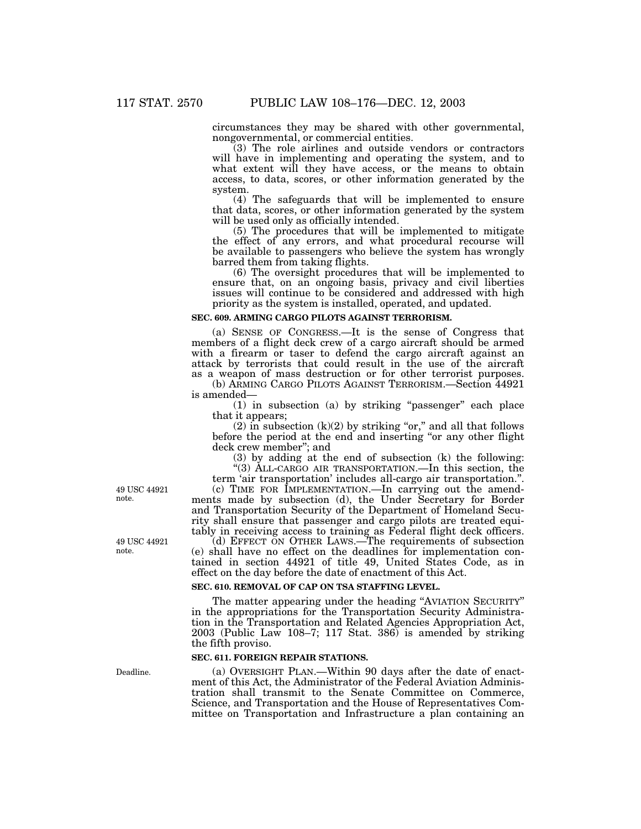circumstances they may be shared with other governmental, nongovernmental, or commercial entities.

(3) The role airlines and outside vendors or contractors will have in implementing and operating the system, and to what extent will they have access, or the means to obtain access, to data, scores, or other information generated by the system.

(4) The safeguards that will be implemented to ensure that data, scores, or other information generated by the system will be used only as officially intended.

(5) The procedures that will be implemented to mitigate the effect of any errors, and what procedural recourse will be available to passengers who believe the system has wrongly barred them from taking flights.

(6) The oversight procedures that will be implemented to ensure that, on an ongoing basis, privacy and civil liberties issues will continue to be considered and addressed with high priority as the system is installed, operated, and updated.

# **SEC. 609. ARMING CARGO PILOTS AGAINST TERRORISM.**

(a) SENSE OF CONGRESS.—It is the sense of Congress that members of a flight deck crew of a cargo aircraft should be armed with a firearm or taser to defend the cargo aircraft against an attack by terrorists that could result in the use of the aircraft as a weapon of mass destruction or for other terrorist purposes.

(b) ARMING CARGO PILOTS AGAINST TERRORISM.—Section 44921 is amended—

(1) in subsection (a) by striking ''passenger'' each place that it appears;

(2) in subsection  $(k)(2)$  by striking "or," and all that follows before the period at the end and inserting "or any other flight deck crew member''; and

(3) by adding at the end of subsection (k) the following: ''(3) ALL-CARGO AIR TRANSPORTATION.—In this section, the

term 'air transportation' includes all-cargo air transportation.''. (c) TIME FOR IMPLEMENTATION.—In carrying out the amendments made by subsection (d), the Under Secretary for Border and Transportation Security of the Department of Homeland Security shall ensure that passenger and cargo pilots are treated equitably in receiving access to training as Federal flight deck officers.

(d) EFFECT ON OTHER LAWS.—The requirements of subsection (e) shall have no effect on the deadlines for implementation contained in section 44921 of title 49, United States Code, as in effect on the day before the date of enactment of this Act.

# **SEC. 610. REMOVAL OF CAP ON TSA STAFFING LEVEL.**

The matter appearing under the heading ''AVIATION SECURITY'' in the appropriations for the Transportation Security Administration in the Transportation and Related Agencies Appropriation Act, 2003 (Public Law 108–7; 117 Stat. 386) is amended by striking the fifth proviso.

#### **SEC. 611. FOREIGN REPAIR STATIONS.**

(a) OVERSIGHT PLAN.—Within 90 days after the date of enactment of this Act, the Administrator of the Federal Aviation Administration shall transmit to the Senate Committee on Commerce, Science, and Transportation and the House of Representatives Committee on Transportation and Infrastructure a plan containing an

49 USC 44921 note.

49 USC 44921 note.

Deadline.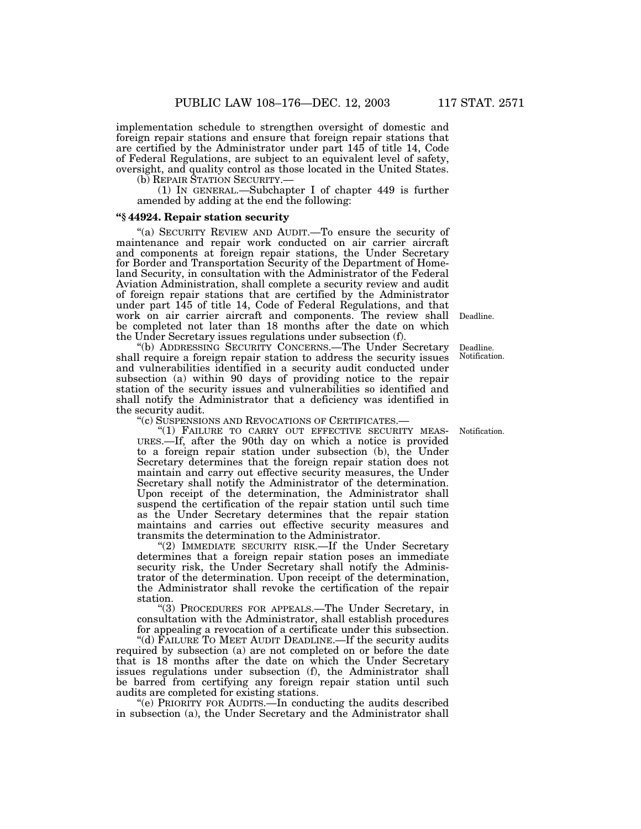implementation schedule to strengthen oversight of domestic and foreign repair stations and ensure that foreign repair stations that are certified by the Administrator under part 145 of title 14, Code of Federal Regulations, are subject to an equivalent level of safety, oversight, and quality control as those located in the United States.

(1) IN GENERAL.—Subchapter I of chapter 449 is further amended by adding at the end the following:

# **''§ 44924. Repair station security**

(a) SECURITY REVIEW AND AUDIT.—To ensure the security of maintenance and repair work conducted on air carrier aircraft and components at foreign repair stations, the Under Secretary for Border and Transportation Security of the Department of Homeland Security, in consultation with the Administrator of the Federal Aviation Administration, shall complete a security review and audit of foreign repair stations that are certified by the Administrator under part 145 of title 14, Code of Federal Regulations, and that work on air carrier aircraft and components. The review shall Deadline. be completed not later than 18 months after the date on which the Under Secretary issues regulations under subsection (f).

(b) ADDRESSING SECURITY CONCERNS.—The Under Secretary shall require a foreign repair station to address the security issues and vulnerabilities identified in a security audit conducted under subsection (a) within 90 days of providing notice to the repair station of the security issues and vulnerabilities so identified and shall notify the Administrator that a deficiency was identified in the security audit.

''(c) SUSPENSIONS AND REVOCATIONS OF CERTIFICATES.—

"(1) FAILURE TO CARRY OUT EFFECTIVE SECURITY MEAS-URES.—If, after the 90th day on which a notice is provided to a foreign repair station under subsection (b), the Under Secretary determines that the foreign repair station does not maintain and carry out effective security measures, the Under Secretary shall notify the Administrator of the determination. Upon receipt of the determination, the Administrator shall suspend the certification of the repair station until such time as the Under Secretary determines that the repair station maintains and carries out effective security measures and transmits the determination to the Administrator.

"(2) IMMEDIATE SECURITY RISK.—If the Under Secretary determines that a foreign repair station poses an immediate security risk, the Under Secretary shall notify the Administrator of the determination. Upon receipt of the determination, the Administrator shall revoke the certification of the repair station.

''(3) PROCEDURES FOR APPEALS.—The Under Secretary, in consultation with the Administrator, shall establish procedures for appealing a revocation of a certificate under this subsection.

"(d) FAILURE TO MEET AUDIT DEADLINE.—If the security audits required by subsection (a) are not completed on or before the date that is 18 months after the date on which the Under Secretary issues regulations under subsection (f), the Administrator shall be barred from certifying any foreign repair station until such audits are completed for existing stations.

''(e) PRIORITY FOR AUDITS.—In conducting the audits described in subsection (a), the Under Secretary and the Administrator shall

Deadline. Notification.

Notification.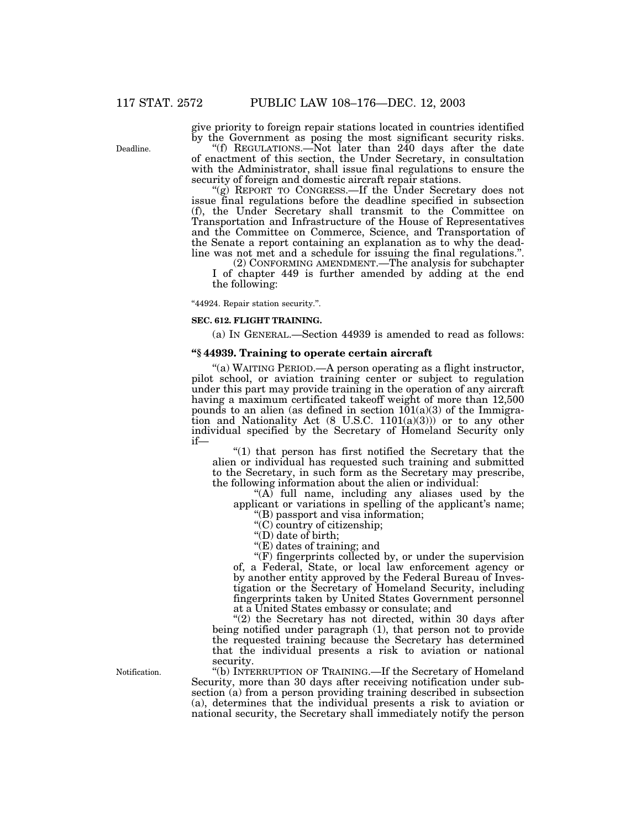give priority to foreign repair stations located in countries identified by the Government as posing the most significant security risks.

"(f) REGULATIONS.—Not later than 240 days after the date of enactment of this section, the Under Secretary, in consultation with the Administrator, shall issue final regulations to ensure the security of foreign and domestic aircraft repair stations.

"(g) REPORT TO CONGRESS.—If the Under Secretary does not issue final regulations before the deadline specified in subsection (f), the Under Secretary shall transmit to the Committee on Transportation and Infrastructure of the House of Representatives and the Committee on Commerce, Science, and Transportation of the Senate a report containing an explanation as to why the deadline was not met and a schedule for issuing the final regulations.''.

(2) CONFORMING AMENDMENT.—The analysis for subchapter I of chapter 449 is further amended by adding at the end the following:

"44924. Repair station security.".

#### **SEC. 612. FLIGHT TRAINING.**

(a) IN GENERAL.—Section 44939 is amended to read as follows:

# **''§ 44939. Training to operate certain aircraft**

''(a) WAITING PERIOD.—A person operating as a flight instructor, pilot school, or aviation training center or subject to regulation under this part may provide training in the operation of any aircraft having a maximum certificated takeoff weight of more than 12,500 pounds to an alien (as defined in section  $101(a)(3)$  of the Immigration and Nationality Act  $(8 \text{ U.S.C. } 1101(a)(3))$  or to any other individual specified by the Secretary of Homeland Security only if—

''(1) that person has first notified the Secretary that the alien or individual has requested such training and submitted to the Secretary, in such form as the Secretary may prescribe, the following information about the alien or individual:

" $(A)$  full name, including any aliases used by the applicant or variations in spelling of the applicant's name;

''(B) passport and visa information; ''(C) country of citizenship;

''(D) date of birth;

''(E) dates of training; and

 $\mathcal{F}(F)$  fingerprints collected by, or under the supervision of, a Federal, State, or local law enforcement agency or by another entity approved by the Federal Bureau of Investigation or the Secretary of Homeland Security, including fingerprints taken by United States Government personnel at a United States embassy or consulate; and

"(2) the Secretary has not directed, within 30 days after being notified under paragraph (1), that person not to provide the requested training because the Secretary has determined that the individual presents a risk to aviation or national security.

''(b) INTERRUPTION OF TRAINING.—If the Secretary of Homeland Security, more than 30 days after receiving notification under subsection (a) from a person providing training described in subsection (a), determines that the individual presents a risk to aviation or national security, the Secretary shall immediately notify the person

Notification.

Deadline.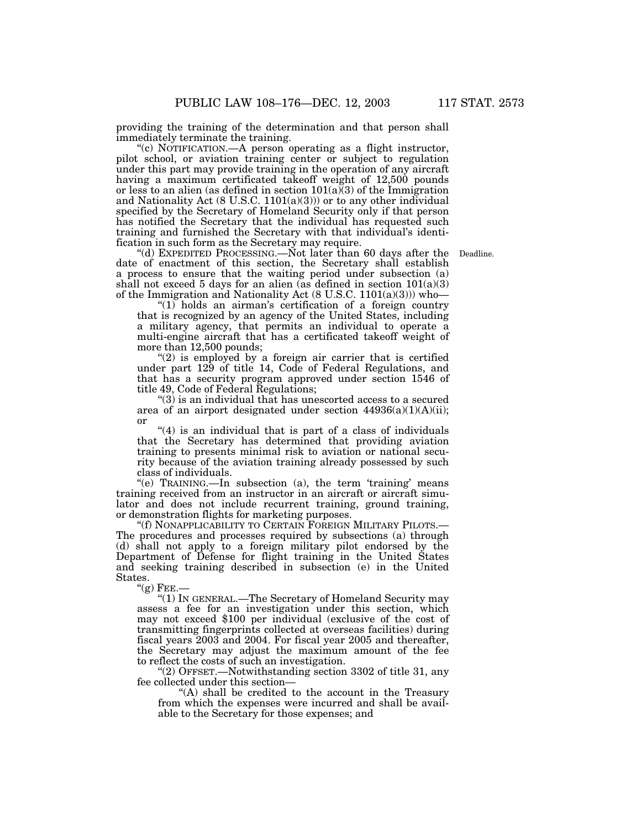providing the training of the determination and that person shall immediately terminate the training.

"(c) NOTIFICATION.—A person operating as a flight instructor, pilot school, or aviation training center or subject to regulation under this part may provide training in the operation of any aircraft having a maximum certificated takeoff weight of 12,500 pounds or less to an alien (as defined in section  $101(a)(3)$  of the Immigration and Nationality Act  $(8 \text{ U.S.C. } 1101(a)(3))$  or to any other individual specified by the Secretary of Homeland Security only if that person has notified the Secretary that the individual has requested such training and furnished the Secretary with that individual's identification in such form as the Secretary may require.

Deadline.

''(d) EXPEDITED PROCESSING.—Not later than 60 days after the date of enactment of this section, the Secretary shall establish a process to ensure that the waiting period under subsection (a) shall not exceed 5 days for an alien (as defined in section  $101(a)(3)$ ) of the Immigration and Nationality Act (8 U.S.C. 1101(a)(3))) who—

"(1) holds an airman's certification of a foreign country that is recognized by an agency of the United States, including a military agency, that permits an individual to operate a multi-engine aircraft that has a certificated takeoff weight of more than 12,500 pounds;

 $(2)$  is employed by a foreign air carrier that is certified under part 129 of title 14, Code of Federal Regulations, and that has a security program approved under section 1546 of title 49, Code of Federal Regulations;

''(3) is an individual that has unescorted access to a secured area of an airport designated under section  $44936(a)(1)(A)(ii)$ ; or

 $(4)$  is an individual that is part of a class of individuals that the Secretary has determined that providing aviation training to presents minimal risk to aviation or national security because of the aviation training already possessed by such class of individuals.

''(e) TRAINING.—In subsection (a), the term 'training' means training received from an instructor in an aircraft or aircraft simulator and does not include recurrent training, ground training, or demonstration flights for marketing purposes.

''(f) NONAPPLICABILITY TO CERTAIN FOREIGN MILITARY PILOTS.— The procedures and processes required by subsections (a) through (d) shall not apply to a foreign military pilot endorsed by the Department of Defense for flight training in the United States and seeking training described in subsection (e) in the United States.

 $\rm``(g)\,FEE$ .—

''(1) IN GENERAL.—The Secretary of Homeland Security may assess a fee for an investigation under this section, which may not exceed \$100 per individual (exclusive of the cost of transmitting fingerprints collected at overseas facilities) during fiscal years 2003 and 2004. For fiscal year 2005 and thereafter, the Secretary may adjust the maximum amount of the fee to reflect the costs of such an investigation.

''(2) OFFSET.—Notwithstanding section 3302 of title 31, any fee collected under this section—

''(A) shall be credited to the account in the Treasury from which the expenses were incurred and shall be available to the Secretary for those expenses; and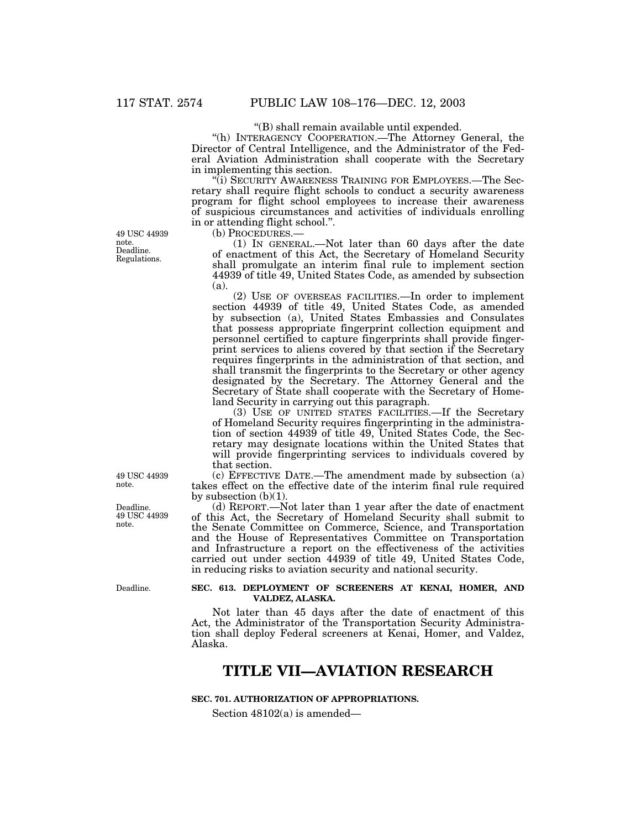''(B) shall remain available until expended.

''(h) INTERAGENCY COOPERATION.—The Attorney General, the Director of Central Intelligence, and the Administrator of the Federal Aviation Administration shall cooperate with the Secretary in implementing this section.

"(i) SECURITY AWARENESS TRAINING FOR EMPLOYEES.—The Secretary shall require flight schools to conduct a security awareness program for flight school employees to increase their awareness of suspicious circumstances and activities of individuals enrolling in or attending flight school.''.

(b) PROCEDURES.—

(1) IN GENERAL.—Not later than 60 days after the date of enactment of this Act, the Secretary of Homeland Security shall promulgate an interim final rule to implement section 44939 of title 49, United States Code, as amended by subsection (a).

(2) USE OF OVERSEAS FACILITIES.—In order to implement section 44939 of title 49, United States Code, as amended by subsection (a), United States Embassies and Consulates that possess appropriate fingerprint collection equipment and personnel certified to capture fingerprints shall provide fingerprint services to aliens covered by that section if the Secretary requires fingerprints in the administration of that section, and shall transmit the fingerprints to the Secretary or other agency designated by the Secretary. The Attorney General and the Secretary of State shall cooperate with the Secretary of Homeland Security in carrying out this paragraph.

(3) USE OF UNITED STATES FACILITIES.—If the Secretary of Homeland Security requires fingerprinting in the administration of section 44939 of title 49, United States Code, the Secretary may designate locations within the United States that will provide fingerprinting services to individuals covered by that section.

(c) EFFECTIVE DATE.—The amendment made by subsection (a) takes effect on the effective date of the interim final rule required by subsection  $(b)(1)$ .

(d) REPORT.—Not later than 1 year after the date of enactment of this Act, the Secretary of Homeland Security shall submit to the Senate Committee on Commerce, Science, and Transportation and the House of Representatives Committee on Transportation and Infrastructure a report on the effectiveness of the activities carried out under section 44939 of title 49, United States Code, in reducing risks to aviation security and national security.

Deadline.

# **SEC. 613. DEPLOYMENT OF SCREENERS AT KENAI, HOMER, AND VALDEZ, ALASKA.**

Not later than 45 days after the date of enactment of this Act, the Administrator of the Transportation Security Administration shall deploy Federal screeners at Kenai, Homer, and Valdez, Alaska.

# **TITLE VII—AVIATION RESEARCH**

# **SEC. 701. AUTHORIZATION OF APPROPRIATIONS.**

Section 48102(a) is amended—

Deadline. Regulations. 49 USC 44939 note.

49 USC 44939 note.

Deadline. 49 USC 44939 note.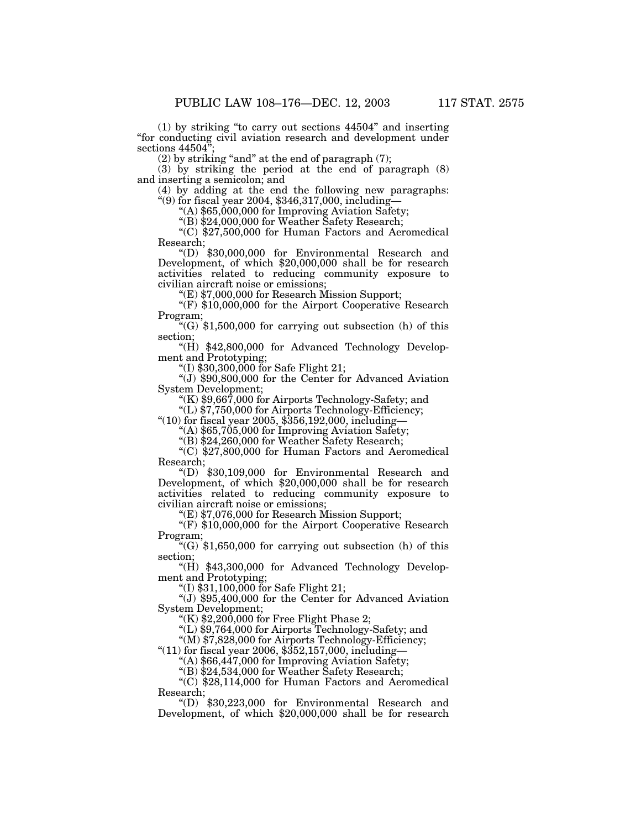(1) by striking ''to carry out sections 44504'' and inserting ''for conducting civil aviation research and development under sections  $4450\overline{4}$ <sup>9</sup>:

 $(2)$  by striking "and" at the end of paragraph  $(7)$ ;

(3) by striking the period at the end of paragraph (8) and inserting a semicolon; and

(4) by adding at the end the following new paragraphs:

"(9) for fiscal year 2004, \$346,317,000, including-

''(A) \$65,000,000 for Improving Aviation Safety;

''(B) \$24,000,000 for Weather Safety Research;

 $\sqrt{\text{C}}$ ) \$27,500,000 for Human Factors and Aeromedical Research;

''(D) \$30,000,000 for Environmental Research and Development, of which \$20,000,000 shall be for research activities related to reducing community exposure to civilian aircraft noise or emissions;

''(E) \$7,000,000 for Research Mission Support;

 $\sqrt{\text{F}}$  \$10,000,000 for the Airport Cooperative Research Program;

"(G)  $$1,500,000$  for carrying out subsection (h) of this section;

''(H) \$42,800,000 for Advanced Technology Development and Prototyping;

"(I)  $$30,300,000$  for Safe Flight 21;

''(J) \$90,800,000 for the Center for Advanced Aviation System Development;

" $(K)$  \$9,667,000 for Airports Technology-Safety; and

''(L) \$7,750,000 for Airports Technology-Efficiency;

" $(10)$  for fiscal year 2005,  $$356,192,000$ , including—

''(A) \$65,705,000 for Improving Aviation Safety;

''(B) \$24,260,000 for Weather Safety Research;

 $(C)$  \$27,800,000 for Human Factors and Aeromedical Research;

''(D) \$30,109,000 for Environmental Research and Development, of which \$20,000,000 shall be for research activities related to reducing community exposure to civilian aircraft noise or emissions;

''(E) \$7,076,000 for Research Mission Support;

''(F) \$10,000,000 for the Airport Cooperative Research Program;

"(G)  $$1,650,000$  for carrying out subsection (h) of this section;

''(H) \$43,300,000 for Advanced Technology Development and Prototyping;

''(I) \$31,100,000 for Safe Flight 21;

''(J) \$95,400,000 for the Center for Advanced Aviation System Development;

"(K)  $$2,200,000$  for Free Flight Phase 2;

 $\sqrt{\text{L}}$  \$9,764,000 for Airports Technology-Safety; and

''(M) \$7,828,000 for Airports Technology-Efficiency;

"(11) for fiscal year 2006,  $$352,157,000$ , including—

''(A) \$66,447,000 for Improving Aviation Safety;

''(B) \$24,534,000 for Weather Safety Research;

 $(C)$  \$28,114,000 for Human Factors and Aeromedical Research;

''(D) \$30,223,000 for Environmental Research and Development, of which \$20,000,000 shall be for research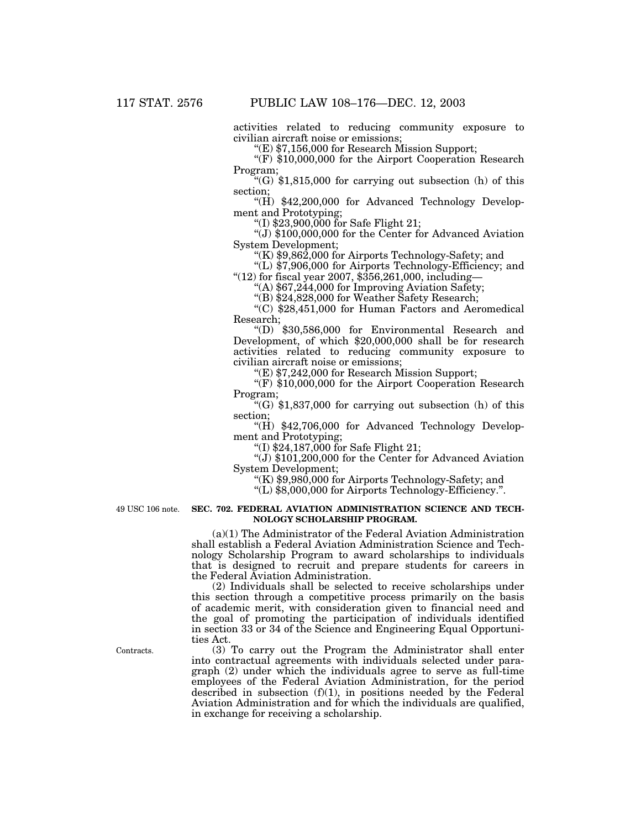activities related to reducing community exposure to civilian aircraft noise or emissions;

 $E(E)$  \$7,156,000 for Research Mission Support;

''(F) \$10,000,000 for the Airport Cooperation Research Program;

 $C'(G)$  \$1,815,000 for carrying out subsection (h) of this section;

"(H) \$42,200,000 for Advanced Technology Development and Prototyping;

''(I) \$23,900,000 for Safe Flight 21;

''(J) \$100,000,000 for the Center for Advanced Aviation System Development;

''(K) \$9,862,000 for Airports Technology-Safety; and

''(L) \$7,906,000 for Airports Technology-Efficiency; and "(12) for fiscal year 2007,  $$356,261,000$ , including—

''(A) \$67,244,000 for Improving Aviation Safety;

''(B) \$24,828,000 for Weather Safety Research;

 $(C)$  \$28,451,000 for Human Factors and Aeromedical Research;

''(D) \$30,586,000 for Environmental Research and Development, of which \$20,000,000 shall be for research activities related to reducing community exposure to civilian aircraft noise or emissions;

''(E) \$7,242,000 for Research Mission Support;

"(F) \$10,000,000 for the Airport Cooperation Research Program;

"(G)  $$1,837,000$  for carrying out subsection (h) of this section;

" $(H)$  \$42,706,000 for Advanced Technology Development and Prototyping;

''(I) \$24,187,000 for Safe Flight 21;

 $'(J)$  \$101,200,000 for the Center for Advanced Aviation System Development;

''(K) \$9,980,000 for Airports Technology-Safety; and

''(L) \$8,000,000 for Airports Technology-Efficiency.''.

49 USC 106 note.

# **SEC. 702. FEDERAL AVIATION ADMINISTRATION SCIENCE AND TECH-NOLOGY SCHOLARSHIP PROGRAM.**

(a)(1) The Administrator of the Federal Aviation Administration shall establish a Federal Aviation Administration Science and Technology Scholarship Program to award scholarships to individuals that is designed to recruit and prepare students for careers in the Federal Aviation Administration.

(2) Individuals shall be selected to receive scholarships under this section through a competitive process primarily on the basis of academic merit, with consideration given to financial need and the goal of promoting the participation of individuals identified in section 33 or 34 of the Science and Engineering Equal Opportunities Act.

(3) To carry out the Program the Administrator shall enter into contractual agreements with individuals selected under paragraph (2) under which the individuals agree to serve as full-time employees of the Federal Aviation Administration, for the period described in subsection  $(f)(1)$ , in positions needed by the Federal Aviation Administration and for which the individuals are qualified, in exchange for receiving a scholarship.

Contracts.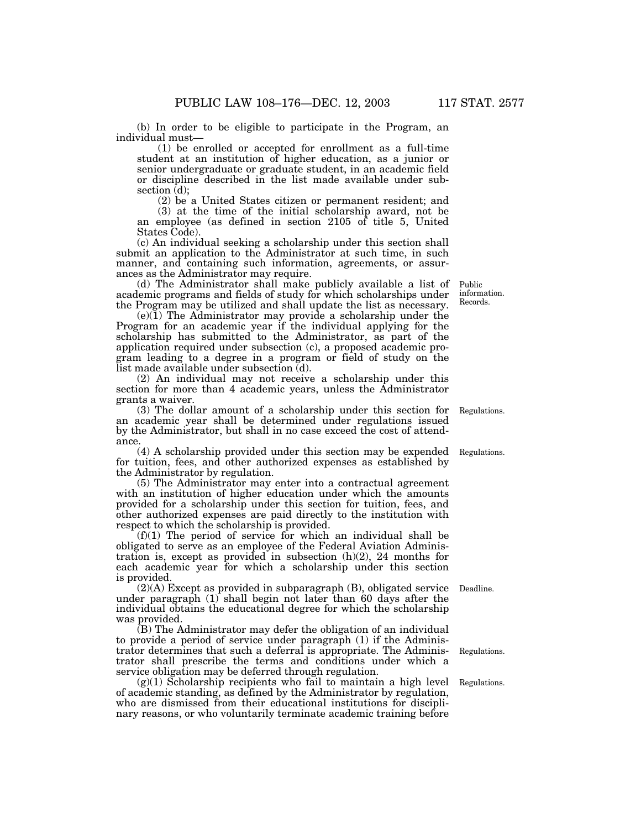(b) In order to be eligible to participate in the Program, an individual must—

(1) be enrolled or accepted for enrollment as a full-time student at an institution of higher education, as a junior or senior undergraduate or graduate student, in an academic field or discipline described in the list made available under subsection (d);

(2) be a United States citizen or permanent resident; and

(3) at the time of the initial scholarship award, not be an employee (as defined in section 2105 of title 5, United States Code).

(c) An individual seeking a scholarship under this section shall submit an application to the Administrator at such time, in such manner, and containing such information, agreements, or assurances as the Administrator may require.

(d) The Administrator shall make publicly available a list of academic programs and fields of study for which scholarships under the Program may be utilized and shall update the list as necessary.

(e)(1) The Administrator may provide a scholarship under the Program for an academic year if the individual applying for the scholarship has submitted to the Administrator, as part of the application required under subsection (c), a proposed academic program leading to a degree in a program or field of study on the list made available under subsection  $(d)$ .

(2) An individual may not receive a scholarship under this section for more than 4 academic years, unless the Administrator grants a waiver.

(3) The dollar amount of a scholarship under this section for an academic year shall be determined under regulations issued by the Administrator, but shall in no case exceed the cost of attendance.

(4) A scholarship provided under this section may be expended for tuition, fees, and other authorized expenses as established by the Administrator by regulation.

(5) The Administrator may enter into a contractual agreement with an institution of higher education under which the amounts provided for a scholarship under this section for tuition, fees, and other authorized expenses are paid directly to the institution with respect to which the scholarship is provided.

(f)(1) The period of service for which an individual shall be obligated to serve as an employee of the Federal Aviation Administration is, except as provided in subsection (h)(2), 24 months for each academic year for which a scholarship under this section is provided.

(2)(A) Except as provided in subparagraph (B), obligated service Deadline. under paragraph (1) shall begin not later than 60 days after the individual obtains the educational degree for which the scholarship was provided.

(B) The Administrator may defer the obligation of an individual to provide a period of service under paragraph (1) if the Administrator determines that such a deferral is appropriate. The Administrator shall prescribe the terms and conditions under which a service obligation may be deferred through regulation.

 $(g(1)$  Scholarship recipients who fail to maintain a high level of academic standing, as defined by the Administrator by regulation, who are dismissed from their educational institutions for disciplinary reasons, or who voluntarily terminate academic training before

Regulations.

Public information. Records.

Regulations.

Regulations.

Regulations.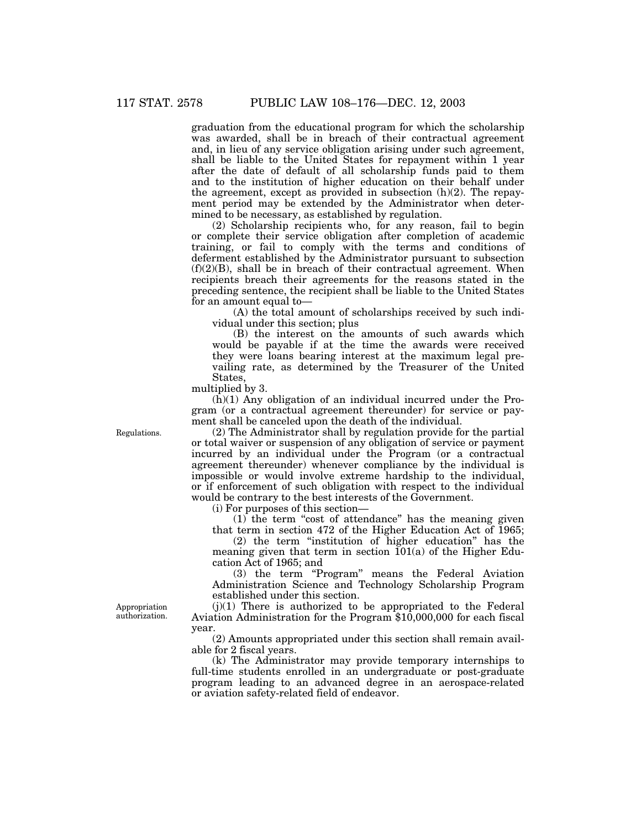graduation from the educational program for which the scholarship was awarded, shall be in breach of their contractual agreement and, in lieu of any service obligation arising under such agreement, shall be liable to the United States for repayment within 1 year after the date of default of all scholarship funds paid to them and to the institution of higher education on their behalf under the agreement, except as provided in subsection (h)(2). The repayment period may be extended by the Administrator when determined to be necessary, as established by regulation.

(2) Scholarship recipients who, for any reason, fail to begin or complete their service obligation after completion of academic training, or fail to comply with the terms and conditions of deferment established by the Administrator pursuant to subsection  $(f)(2)(B)$ , shall be in breach of their contractual agreement. When recipients breach their agreements for the reasons stated in the preceding sentence, the recipient shall be liable to the United States for an amount equal to—

(A) the total amount of scholarships received by such individual under this section; plus

(B) the interest on the amounts of such awards which would be payable if at the time the awards were received they were loans bearing interest at the maximum legal prevailing rate, as determined by the Treasurer of the United States,

multiplied by 3.

 $(\bar{h})(1)$  Any obligation of an individual incurred under the Program (or a contractual agreement thereunder) for service or payment shall be canceled upon the death of the individual.

(2) The Administrator shall by regulation provide for the partial or total waiver or suspension of any obligation of service or payment incurred by an individual under the Program (or a contractual agreement thereunder) whenever compliance by the individual is impossible or would involve extreme hardship to the individual, or if enforcement of such obligation with respect to the individual would be contrary to the best interests of the Government.

(i) For purposes of this section—

 $(1)$  the term "cost of attendance" has the meaning given that term in section 472 of the Higher Education Act of 1965;

(2) the term ''institution of higher education'' has the meaning given that term in section 101(a) of the Higher Education Act of 1965; and

(3) the term "Program" means the Federal Aviation Administration Science and Technology Scholarship Program established under this section.

 $(j)(1)$  There is authorized to be appropriated to the Federal Aviation Administration for the Program \$10,000,000 for each fiscal year.

(2) Amounts appropriated under this section shall remain available for 2 fiscal years.

(k) The Administrator may provide temporary internships to full-time students enrolled in an undergraduate or post-graduate program leading to an advanced degree in an aerospace-related or aviation safety-related field of endeavor.

Regulations.

Appropriation authorization.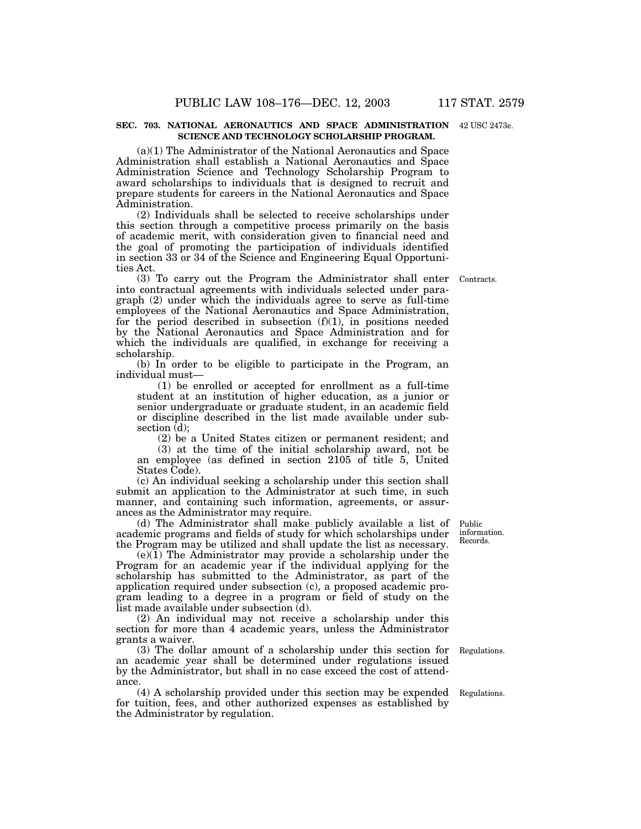#### **SEC. 703. NATIONAL AERONAUTICS AND SPACE ADMINISTRATION** 42 USC 2473e. **SCIENCE AND TECHNOLOGY SCHOLARSHIP PROGRAM.**

(a)(1) The Administrator of the National Aeronautics and Space Administration shall establish a National Aeronautics and Space Administration Science and Technology Scholarship Program to award scholarships to individuals that is designed to recruit and prepare students for careers in the National Aeronautics and Space Administration.

(2) Individuals shall be selected to receive scholarships under this section through a competitive process primarily on the basis of academic merit, with consideration given to financial need and the goal of promoting the participation of individuals identified in section 33 or 34 of the Science and Engineering Equal Opportunities Act.

(3) To carry out the Program the Administrator shall enter into contractual agreements with individuals selected under paragraph (2) under which the individuals agree to serve as full-time employees of the National Aeronautics and Space Administration, for the period described in subsection  $(f)(1)$ , in positions needed by the National Aeronautics and Space Administration and for which the individuals are qualified, in exchange for receiving a scholarship. Contracts.

(b) In order to be eligible to participate in the Program, an individual must—

(1) be enrolled or accepted for enrollment as a full-time student at an institution of higher education, as a junior or senior undergraduate or graduate student, in an academic field or discipline described in the list made available under subsection (d);

(2) be a United States citizen or permanent resident; and

(3) at the time of the initial scholarship award, not be an employee (as defined in section 2105 of title 5, United States Code).

(c) An individual seeking a scholarship under this section shall submit an application to the Administrator at such time, in such manner, and containing such information, agreements, or assurances as the Administrator may require.

(d) The Administrator shall make publicly available a list of academic programs and fields of study for which scholarships under the Program may be utilized and shall update the list as necessary.

(e)(1) The Administrator may provide a scholarship under the Program for an academic year if the individual applying for the scholarship has submitted to the Administrator, as part of the application required under subsection (c), a proposed academic program leading to a degree in a program or field of study on the list made available under subsection (d).

(2) An individual may not receive a scholarship under this section for more than 4 academic years, unless the Administrator grants a waiver.

(3) The dollar amount of a scholarship under this section for an academic year shall be determined under regulations issued by the Administrator, but shall in no case exceed the cost of attendance.

(4) A scholarship provided under this section may be expended Regulations. for tuition, fees, and other authorized expenses as established by the Administrator by regulation.

Public information. Records.

Regulations.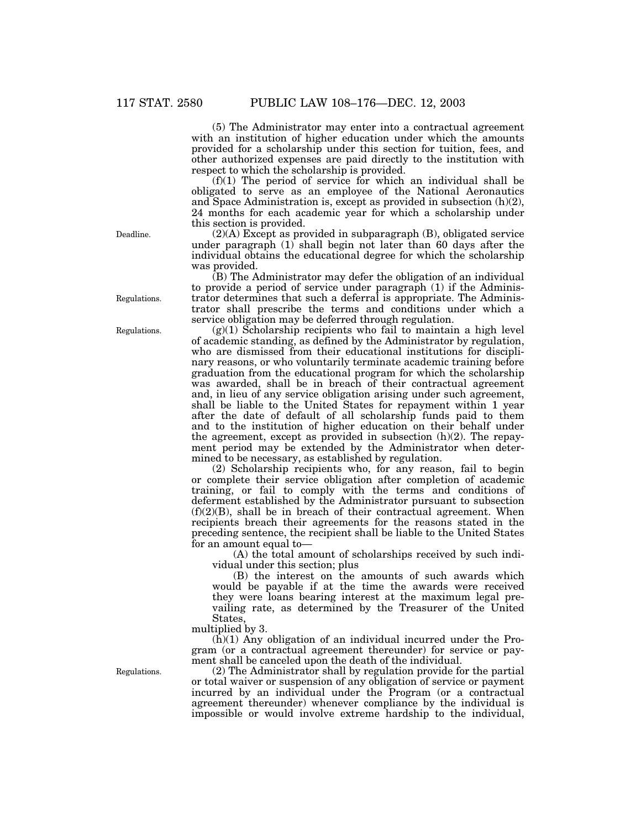(5) The Administrator may enter into a contractual agreement with an institution of higher education under which the amounts provided for a scholarship under this section for tuition, fees, and other authorized expenses are paid directly to the institution with respect to which the scholarship is provided.

(f)(1) The period of service for which an individual shall be obligated to serve as an employee of the National Aeronautics and Space Administration is, except as provided in subsection (h)(2), 24 months for each academic year for which a scholarship under this section is provided.

(2)(A) Except as provided in subparagraph (B), obligated service under paragraph (1) shall begin not later than 60 days after the individual obtains the educational degree for which the scholarship was provided.

(B) The Administrator may defer the obligation of an individual to provide a period of service under paragraph (1) if the Administrator determines that such a deferral is appropriate. The Administrator shall prescribe the terms and conditions under which a service obligation may be deferred through regulation.

 $(g)(1)$  Scholarship recipients who fail to maintain a high level of academic standing, as defined by the Administrator by regulation, who are dismissed from their educational institutions for disciplinary reasons, or who voluntarily terminate academic training before graduation from the educational program for which the scholarship was awarded, shall be in breach of their contractual agreement and, in lieu of any service obligation arising under such agreement, shall be liable to the United States for repayment within 1 year after the date of default of all scholarship funds paid to them and to the institution of higher education on their behalf under the agreement, except as provided in subsection (h)(2). The repayment period may be extended by the Administrator when determined to be necessary, as established by regulation.

(2) Scholarship recipients who, for any reason, fail to begin or complete their service obligation after completion of academic training, or fail to comply with the terms and conditions of deferment established by the Administrator pursuant to subsection  $(f)(2)(B)$ , shall be in breach of their contractual agreement. When recipients breach their agreements for the reasons stated in the preceding sentence, the recipient shall be liable to the United States for an amount equal to—

(A) the total amount of scholarships received by such individual under this section; plus

(B) the interest on the amounts of such awards which would be payable if at the time the awards were received they were loans bearing interest at the maximum legal prevailing rate, as determined by the Treasurer of the United States,

multiplied by 3.

 $(h)(1)$  Any obligation of an individual incurred under the Program (or a contractual agreement thereunder) for service or payment shall be canceled upon the death of the individual.

(2) The Administrator shall by regulation provide for the partial or total waiver or suspension of any obligation of service or payment incurred by an individual under the Program (or a contractual agreement thereunder) whenever compliance by the individual is impossible or would involve extreme hardship to the individual,

Deadline.

Regulations.

Regulations.

Regulations.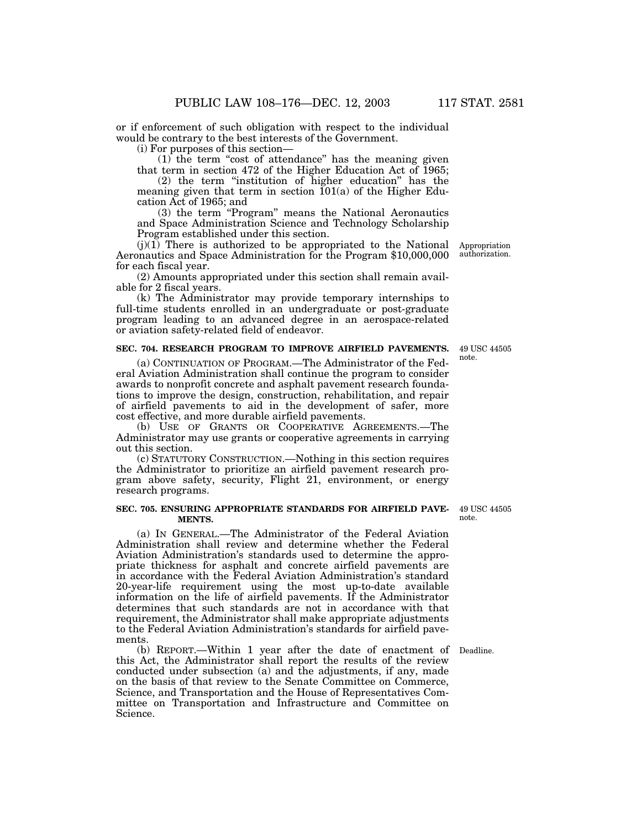or if enforcement of such obligation with respect to the individual would be contrary to the best interests of the Government.

(i) For purposes of this section—

 $(1)$  the term "cost of attendance" has the meaning given that term in section 472 of the Higher Education Act of 1965;

(2) the term ''institution of higher education'' has the meaning given that term in section  $101(a)$  of the Higher Education Act of 1965; and

(3) the term ''Program'' means the National Aeronautics and Space Administration Science and Technology Scholarship Program established under this section.

 $(j)(1)$  There is authorized to be appropriated to the National Aeronautics and Space Administration for the Program \$10,000,000 for each fiscal year.

(2) Amounts appropriated under this section shall remain available for 2 fiscal years.

(k) The Administrator may provide temporary internships to full-time students enrolled in an undergraduate or post-graduate program leading to an advanced degree in an aerospace-related or aviation safety-related field of endeavor.

# **SEC. 704. RESEARCH PROGRAM TO IMPROVE AIRFIELD PAVEMENTS.**

(a) CONTINUATION OF PROGRAM.—The Administrator of the Federal Aviation Administration shall continue the program to consider awards to nonprofit concrete and asphalt pavement research foundations to improve the design, construction, rehabilitation, and repair of airfield pavements to aid in the development of safer, more cost effective, and more durable airfield pavements.

(b) USE OF GRANTS OR COOPERATIVE AGREEMENTS.—The Administrator may use grants or cooperative agreements in carrying out this section.

(c) STATUTORY CONSTRUCTION.—Nothing in this section requires the Administrator to prioritize an airfield pavement research program above safety, security, Flight 21, environment, or energy research programs.

# **SEC. 705. ENSURING APPROPRIATE STANDARDS FOR AIRFIELD PAVE-MENTS.**

(a) IN GENERAL.—The Administrator of the Federal Aviation Administration shall review and determine whether the Federal Aviation Administration's standards used to determine the appropriate thickness for asphalt and concrete airfield pavements are in accordance with the Federal Aviation Administration's standard 20-year-life requirement using the most up-to-date available information on the life of airfield pavements. If the Administrator determines that such standards are not in accordance with that requirement, the Administrator shall make appropriate adjustments to the Federal Aviation Administration's standards for airfield pavements.

(b) REPORT.—Within 1 year after the date of enactment of Deadline. this Act, the Administrator shall report the results of the review conducted under subsection (a) and the adjustments, if any, made on the basis of that review to the Senate Committee on Commerce, Science, and Transportation and the House of Representatives Committee on Transportation and Infrastructure and Committee on Science.

49 USC 44505 note.

Appropriation authorization.

49 USC 44505 note.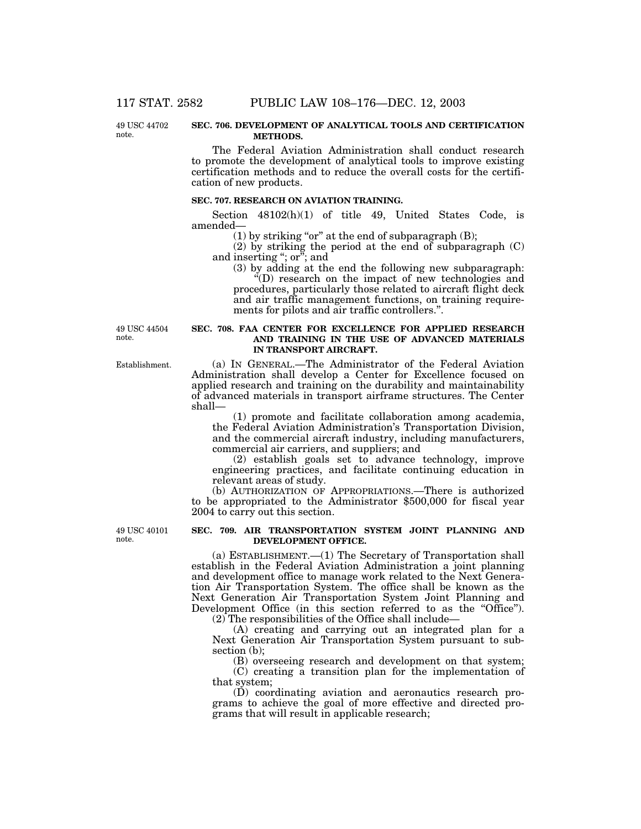49 USC 44702 note.

#### **SEC. 706. DEVELOPMENT OF ANALYTICAL TOOLS AND CERTIFICATION METHODS.**

The Federal Aviation Administration shall conduct research to promote the development of analytical tools to improve existing certification methods and to reduce the overall costs for the certification of new products.

# **SEC. 707. RESEARCH ON AVIATION TRAINING.**

Section  $48102(h)(1)$  of title 49, United States Code, is amended—

(1) by striking "or" at the end of subparagraph  $(B)$ ;

(2) by striking the period at the end of subparagraph (C) and inserting "; or"; and

(3) by adding at the end the following new subparagraph: ''(D) research on the impact of new technologies and procedures, particularly those related to aircraft flight deck and air traffic management functions, on training requirements for pilots and air traffic controllers.''.

49 USC 44504 note.

Establishment.

### **SEC. 708. FAA CENTER FOR EXCELLENCE FOR APPLIED RESEARCH AND TRAINING IN THE USE OF ADVANCED MATERIALS IN TRANSPORT AIRCRAFT.**

(a) IN GENERAL.—The Administrator of the Federal Aviation Administration shall develop a Center for Excellence focused on applied research and training on the durability and maintainability of advanced materials in transport airframe structures. The Center shall—

(1) promote and facilitate collaboration among academia, the Federal Aviation Administration's Transportation Division, and the commercial aircraft industry, including manufacturers, commercial air carriers, and suppliers; and

(2) establish goals set to advance technology, improve engineering practices, and facilitate continuing education in relevant areas of study.

(b) AUTHORIZATION OF APPROPRIATIONS.—There is authorized to be appropriated to the Administrator \$500,000 for fiscal year 2004 to carry out this section.

49 USC 40101 note.

### **SEC. 709. AIR TRANSPORTATION SYSTEM JOINT PLANNING AND DEVELOPMENT OFFICE.**

(a) ESTABLISHMENT.—(1) The Secretary of Transportation shall establish in the Federal Aviation Administration a joint planning and development office to manage work related to the Next Generation Air Transportation System. The office shall be known as the Next Generation Air Transportation System Joint Planning and Development Office (in this section referred to as the "Office").

 $(2)$  The responsibilities of the Office shall include—

(A) creating and carrying out an integrated plan for a Next Generation Air Transportation System pursuant to subsection (b);

(B) overseeing research and development on that system; (C) creating a transition plan for the implementation of that system;

(D) coordinating aviation and aeronautics research programs to achieve the goal of more effective and directed programs that will result in applicable research;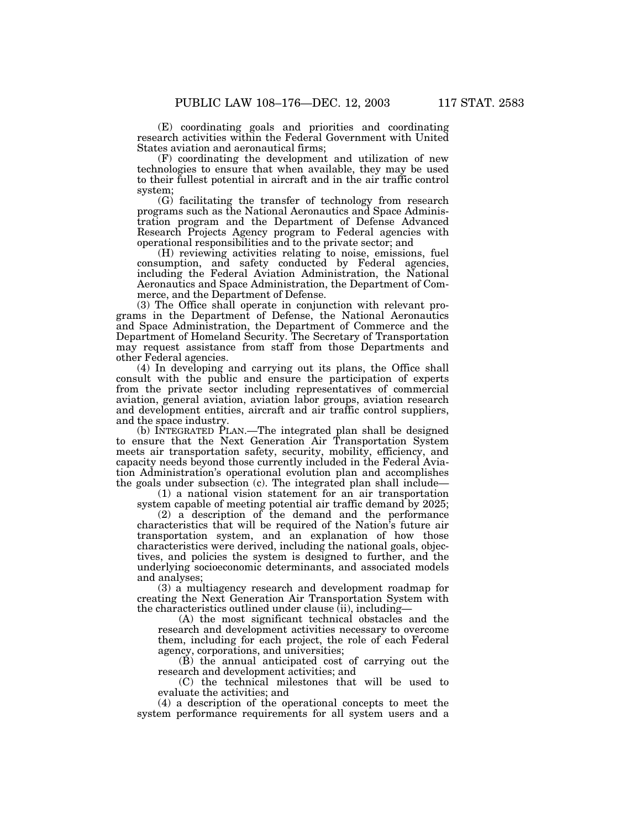(E) coordinating goals and priorities and coordinating research activities within the Federal Government with United States aviation and aeronautical firms;

(F) coordinating the development and utilization of new technologies to ensure that when available, they may be used to their fullest potential in aircraft and in the air traffic control system;

(G) facilitating the transfer of technology from research programs such as the National Aeronautics and Space Administration program and the Department of Defense Advanced Research Projects Agency program to Federal agencies with operational responsibilities and to the private sector; and

(H) reviewing activities relating to noise, emissions, fuel consumption, and safety conducted by Federal agencies, including the Federal Aviation Administration, the National Aeronautics and Space Administration, the Department of Commerce, and the Department of Defense.

(3) The Office shall operate in conjunction with relevant programs in the Department of Defense, the National Aeronautics and Space Administration, the Department of Commerce and the Department of Homeland Security. The Secretary of Transportation may request assistance from staff from those Departments and other Federal agencies.

(4) In developing and carrying out its plans, the Office shall consult with the public and ensure the participation of experts from the private sector including representatives of commercial aviation, general aviation, aviation labor groups, aviation research and development entities, aircraft and air traffic control suppliers, and the space industry.

(b) INTEGRATED PLAN.—The integrated plan shall be designed to ensure that the Next Generation Air Transportation System meets air transportation safety, security, mobility, efficiency, and capacity needs beyond those currently included in the Federal Aviation Administration's operational evolution plan and accomplishes the goals under subsection (c). The integrated plan shall include—

(1) a national vision statement for an air transportation system capable of meeting potential air traffic demand by 2025;

(2) a description of the demand and the performance characteristics that will be required of the Nation's future air transportation system, and an explanation of how those characteristics were derived, including the national goals, objectives, and policies the system is designed to further, and the underlying socioeconomic determinants, and associated models and analyses;

(3) a multiagency research and development roadmap for creating the Next Generation Air Transportation System with the characteristics outlined under clause (ii), including—

(A) the most significant technical obstacles and the research and development activities necessary to overcome them, including for each project, the role of each Federal agency, corporations, and universities;

(B) the annual anticipated cost of carrying out the research and development activities; and

(C) the technical milestones that will be used to evaluate the activities; and

(4) a description of the operational concepts to meet the system performance requirements for all system users and a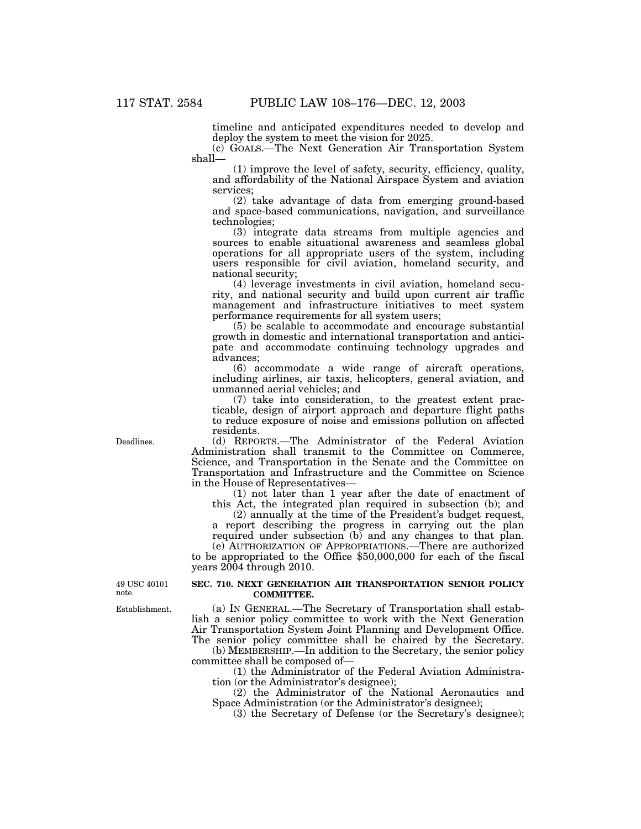timeline and anticipated expenditures needed to develop and deploy the system to meet the vision for 2025.

(c) GOALS.—The Next Generation Air Transportation System shall—

(1) improve the level of safety, security, efficiency, quality, and affordability of the National Airspace System and aviation services;

(2) take advantage of data from emerging ground-based and space-based communications, navigation, and surveillance technologies;

(3) integrate data streams from multiple agencies and sources to enable situational awareness and seamless global operations for all appropriate users of the system, including users responsible for civil aviation, homeland security, and national security;

(4) leverage investments in civil aviation, homeland security, and national security and build upon current air traffic management and infrastructure initiatives to meet system performance requirements for all system users;

(5) be scalable to accommodate and encourage substantial growth in domestic and international transportation and anticipate and accommodate continuing technology upgrades and advances;

(6) accommodate a wide range of aircraft operations, including airlines, air taxis, helicopters, general aviation, and unmanned aerial vehicles; and

(7) take into consideration, to the greatest extent practicable, design of airport approach and departure flight paths to reduce exposure of noise and emissions pollution on affected residents.

(d) REPORTS.—The Administrator of the Federal Aviation Administration shall transmit to the Committee on Commerce, Science, and Transportation in the Senate and the Committee on Transportation and Infrastructure and the Committee on Science in the House of Representatives—

(1) not later than 1 year after the date of enactment of this Act, the integrated plan required in subsection (b); and

(2) annually at the time of the President's budget request, a report describing the progress in carrying out the plan required under subsection (b) and any changes to that plan. (e) AUTHORIZATION OF APPROPRIATIONS.—There are authorized to be appropriated to the Office \$50,000,000 for each of the fiscal years 2004 through 2010.

49 USC 40101 note.

Establishment.

# **SEC. 710. NEXT GENERATION AIR TRANSPORTATION SENIOR POLICY COMMITTEE.**

(a) IN GENERAL.—The Secretary of Transportation shall establish a senior policy committee to work with the Next Generation Air Transportation System Joint Planning and Development Office. The senior policy committee shall be chaired by the Secretary.

(b) MEMBERSHIP.—In addition to the Secretary, the senior policy committee shall be composed of—

(1) the Administrator of the Federal Aviation Administration (or the Administrator's designee);

(2) the Administrator of the National Aeronautics and Space Administration (or the Administrator's designee);

(3) the Secretary of Defense (or the Secretary's designee);

Deadlines.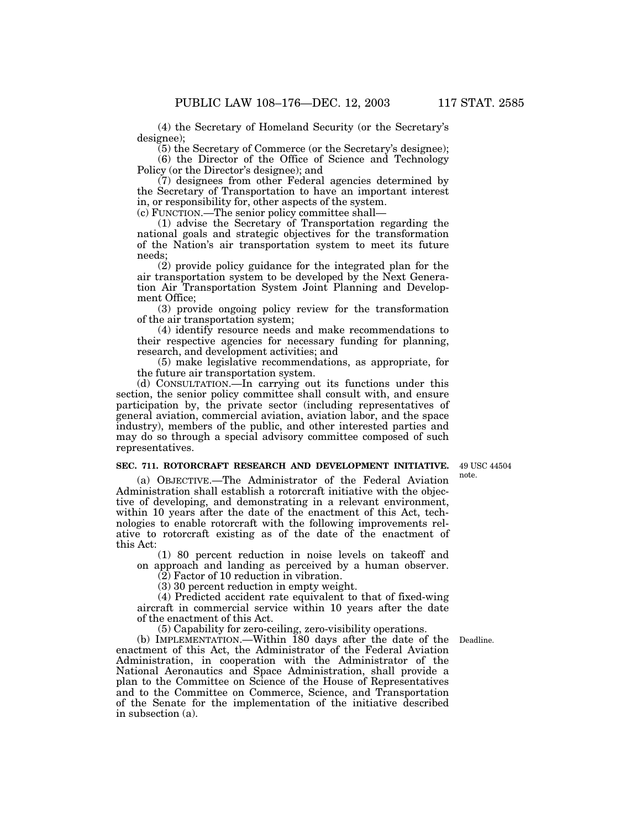(4) the Secretary of Homeland Security (or the Secretary's designee);

(5) the Secretary of Commerce (or the Secretary's designee);

(6) the Director of the Office of Science and Technology Policy (or the Director's designee); and

(7) designees from other Federal agencies determined by the Secretary of Transportation to have an important interest in, or responsibility for, other aspects of the system.

(c) FUNCTION.—The senior policy committee shall—

(1) advise the Secretary of Transportation regarding the national goals and strategic objectives for the transformation of the Nation's air transportation system to meet its future needs;

(2) provide policy guidance for the integrated plan for the air transportation system to be developed by the Next Generation Air Transportation System Joint Planning and Development Office;

(3) provide ongoing policy review for the transformation of the air transportation system;

(4) identify resource needs and make recommendations to their respective agencies for necessary funding for planning, research, and development activities; and

(5) make legislative recommendations, as appropriate, for the future air transportation system.

(d) CONSULTATION.—In carrying out its functions under this section, the senior policy committee shall consult with, and ensure participation by, the private sector (including representatives of general aviation, commercial aviation, aviation labor, and the space industry), members of the public, and other interested parties and may do so through a special advisory committee composed of such representatives.

# **SEC. 711. ROTORCRAFT RESEARCH AND DEVELOPMENT INITIATIVE.**

49 USC 44504 note.

(a) OBJECTIVE.—The Administrator of the Federal Aviation Administration shall establish a rotorcraft initiative with the objective of developing, and demonstrating in a relevant environment, within 10 years after the date of the enactment of this Act, technologies to enable rotorcraft with the following improvements relative to rotorcraft existing as of the date of the enactment of this Act:

(1) 80 percent reduction in noise levels on takeoff and on approach and landing as perceived by a human observer.

(2) Factor of 10 reduction in vibration.

(3) 30 percent reduction in empty weight.

(4) Predicted accident rate equivalent to that of fixed-wing aircraft in commercial service within 10 years after the date of the enactment of this Act.

(5) Capability for zero-ceiling, zero-visibility operations.

(b) IMPLEMENTATION.—Within 180 days after the date of the Deadline. enactment of this Act, the Administrator of the Federal Aviation Administration, in cooperation with the Administrator of the National Aeronautics and Space Administration, shall provide a plan to the Committee on Science of the House of Representatives and to the Committee on Commerce, Science, and Transportation of the Senate for the implementation of the initiative described in subsection (a).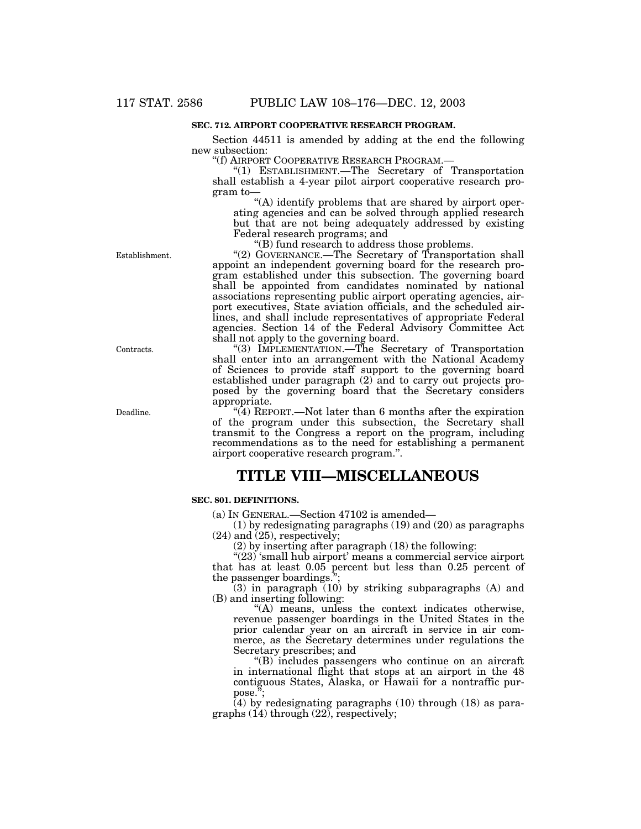# **SEC. 712. AIRPORT COOPERATIVE RESEARCH PROGRAM.**

Section 44511 is amended by adding at the end the following new subsection:

''(f) AIRPORT COOPERATIVE RESEARCH PROGRAM.— ''(1) ESTABLISHMENT.—The Secretary of Transportation shall establish a 4-year pilot airport cooperative research program to—

"(A) identify problems that are shared by airport operating agencies and can be solved through applied research but that are not being adequately addressed by existing Federal research programs; and

''(B) fund research to address those problems.

"(2) GOVERNANCE.-The Secretary of Transportation shall appoint an independent governing board for the research program established under this subsection. The governing board shall be appointed from candidates nominated by national associations representing public airport operating agencies, airport executives, State aviation officials, and the scheduled airlines, and shall include representatives of appropriate Federal agencies. Section 14 of the Federal Advisory Committee Act shall not apply to the governing board.

''(3) IMPLEMENTATION.—The Secretary of Transportation shall enter into an arrangement with the National Academy of Sciences to provide staff support to the governing board established under paragraph (2) and to carry out projects proposed by the governing board that the Secretary considers appropriate.

 $\mathcal{A}(\mathcal{A})$  REPORT.—Not later than 6 months after the expiration of the program under this subsection, the Secretary shall transmit to the Congress a report on the program, including recommendations as to the need for establishing a permanent airport cooperative research program.''.

# **TITLE VIII—MISCELLANEOUS**

# **SEC. 801. DEFINITIONS.**

(a) IN GENERAL.—Section 47102 is amended—

(1) by redesignating paragraphs (19) and (20) as paragraphs (24) and (25), respectively;

(2) by inserting after paragraph (18) the following:

"(23) 'small hub airport' means a commercial service airport that has at least 0.05 percent but less than 0.25 percent of the passenger boardings.

 $(3)$  in paragraph  $(10)$  by striking subparagraphs (A) and (B) and inserting following:

''(A) means, unless the context indicates otherwise, revenue passenger boardings in the United States in the prior calendar year on an aircraft in service in air commerce, as the Secretary determines under regulations the Secretary prescribes; and

''(B) includes passengers who continue on an aircraft in international flight that stops at an airport in the 48 contiguous States, Alaska, or Hawaii for a nontraffic purpose.'';

 $(4)$  by redesignating paragraphs  $(10)$  through  $(18)$  as paragraphs  $(14)$  through  $(22)$ , respectively;

Establishment.

Contracts.

Deadline.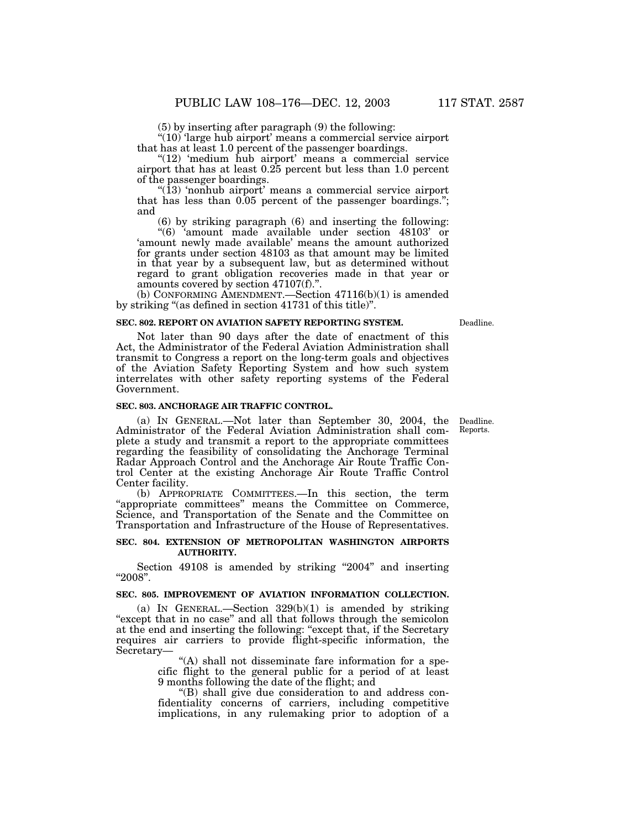(5) by inserting after paragraph (9) the following:

''(10) 'large hub airport' means a commercial service airport that has at least 1.0 percent of the passenger boardings.

"(12) 'medium hub airport' means a commercial service airport that has at least 0.25 percent but less than 1.0 percent of the passenger boardings.

" $(13)$  'nonhub airport' means a commercial service airport that has less than 0.05 percent of the passenger boardings.''; and

(6) by striking paragraph (6) and inserting the following:

''(6) 'amount made available under section 48103' or 'amount newly made available' means the amount authorized for grants under section 48103 as that amount may be limited in that year by a subsequent law, but as determined without regard to grant obligation recoveries made in that year or amounts covered by section 47107(f).''.

(b) CONFORMING AMENDMENT.—Section 47116(b)(1) is amended by striking ''(as defined in section 41731 of this title)''.

#### **SEC. 802. REPORT ON AVIATION SAFETY REPORTING SYSTEM.**

Deadline.

Not later than 90 days after the date of enactment of this Act, the Administrator of the Federal Aviation Administration shall transmit to Congress a report on the long-term goals and objectives of the Aviation Safety Reporting System and how such system interrelates with other safety reporting systems of the Federal Government.

#### **SEC. 803. ANCHORAGE AIR TRAFFIC CONTROL.**

(a) IN GENERAL.—Not later than September 30, 2004, the Deadline. Administrator of the Federal Aviation Administration shall complete a study and transmit a report to the appropriate committees regarding the feasibility of consolidating the Anchorage Terminal Radar Approach Control and the Anchorage Air Route Traffic Control Center at the existing Anchorage Air Route Traffic Control Center facility.

(b) APPROPRIATE COMMITTEES.—In this section, the term ''appropriate committees'' means the Committee on Commerce, Science, and Transportation of the Senate and the Committee on Transportation and Infrastructure of the House of Representatives.

# **SEC. 804. EXTENSION OF METROPOLITAN WASHINGTON AIRPORTS AUTHORITY.**

Section 49108 is amended by striking "2004" and inserting ''2008''.

# **SEC. 805. IMPROVEMENT OF AVIATION INFORMATION COLLECTION.**

(a) IN GENERAL.—Section  $329(b)(1)$  is amended by striking "except that in no case" and all that follows through the semicolon at the end and inserting the following: "except that, if the Secretary requires air carriers to provide flight-specific information, the Secretary—

"(A) shall not disseminate fare information for a specific flight to the general public for a period of at least 9 months following the date of the flight; and

''(B) shall give due consideration to and address confidentiality concerns of carriers, including competitive implications, in any rulemaking prior to adoption of a

Reports.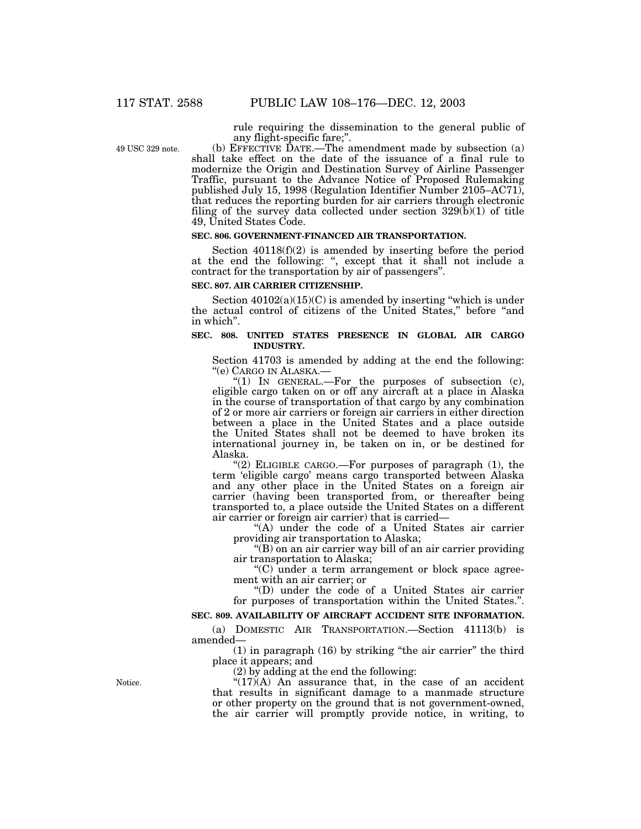49 USC 329 note.

rule requiring the dissemination to the general public of any flight-specific fare;''.

(b) EFFECTIVE DATE.—The amendment made by subsection (a) shall take effect on the date of the issuance of a final rule to modernize the Origin and Destination Survey of Airline Passenger Traffic, pursuant to the Advance Notice of Proposed Rulemaking published July 15, 1998 (Regulation Identifier Number 2105–AC71), that reduces the reporting burden for air carriers through electronic filing of the survey data collected under section  $329(b)(1)$  of title 49, United States Code.

# **SEC. 806. GOVERNMENT-FINANCED AIR TRANSPORTATION.**

Section  $40118(f)(2)$  is amended by inserting before the period at the end the following: ", except that it shall not include a contract for the transportation by air of passengers''.

#### **SEC. 807. AIR CARRIER CITIZENSHIP.**

Section  $40102(a)(15)(C)$  is amended by inserting "which is under the actual control of citizens of the United States,'' before ''and in which''.

# **SEC. 808. UNITED STATES PRESENCE IN GLOBAL AIR CARGO INDUSTRY.**

Section 41703 is amended by adding at the end the following: ''(e) CARGO IN ALASKA.—

''(1) IN GENERAL.—For the purposes of subsection (c), eligible cargo taken on or off any aircraft at a place in Alaska in the course of transportation of that cargo by any combination of 2 or more air carriers or foreign air carriers in either direction between a place in the United States and a place outside the United States shall not be deemed to have broken its international journey in, be taken on in, or be destined for Alaska.

"(2) ELIGIBLE CARGO.—For purposes of paragraph (1), the term 'eligible cargo' means cargo transported between Alaska and any other place in the United States on a foreign air carrier (having been transported from, or thereafter being transported to, a place outside the United States on a different air carrier or foreign air carrier) that is carried—

"(A) under the code of a United States air carrier providing air transportation to Alaska;

''(B) on an air carrier way bill of an air carrier providing air transportation to Alaska;

 $(C)$  under a term arrangement or block space agreement with an air carrier; or

''(D) under the code of a United States air carrier for purposes of transportation within the United States.''.

# **SEC. 809. AVAILABILITY OF AIRCRAFT ACCIDENT SITE INFORMATION.**

(a) DOMESTIC AIR TRANSPORTATION.—Section 41113(b) is amended—

(1) in paragraph (16) by striking ''the air carrier'' the third place it appears; and

(2) by adding at the end the following:

 $(17)(A)$  An assurance that, in the case of an accident that results in significant damage to a manmade structure or other property on the ground that is not government-owned, the air carrier will promptly provide notice, in writing, to

Notice.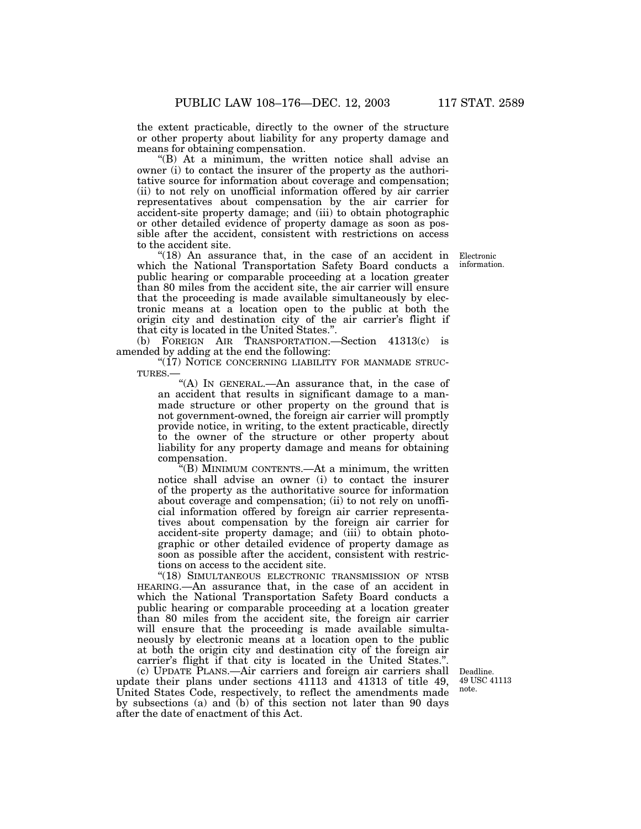the extent practicable, directly to the owner of the structure or other property about liability for any property damage and means for obtaining compensation.

''(B) At a minimum, the written notice shall advise an owner (i) to contact the insurer of the property as the authoritative source for information about coverage and compensation; (ii) to not rely on unofficial information offered by air carrier representatives about compensation by the air carrier for accident-site property damage; and (iii) to obtain photographic or other detailed evidence of property damage as soon as possible after the accident, consistent with restrictions on access to the accident site.

"(18) An assurance that, in the case of an accident in which the National Transportation Safety Board conducts a public hearing or comparable proceeding at a location greater than 80 miles from the accident site, the air carrier will ensure that the proceeding is made available simultaneously by electronic means at a location open to the public at both the origin city and destination city of the air carrier's flight if that city is located in the United States.''.

(b) FOREIGN AIR TRANSPORTATION.—Section 41313(c) is amended by adding at the end the following:

"(17) NOTICE CONCERNING LIABILITY FOR MANMADE STRUC-TURES.—

''(A) IN GENERAL.—An assurance that, in the case of an accident that results in significant damage to a manmade structure or other property on the ground that is not government-owned, the foreign air carrier will promptly provide notice, in writing, to the extent practicable, directly to the owner of the structure or other property about liability for any property damage and means for obtaining compensation.

 $E(B)$  MINIMUM CONTENTS.—At a minimum, the written notice shall advise an owner (i) to contact the insurer of the property as the authoritative source for information about coverage and compensation; (ii) to not rely on unofficial information offered by foreign air carrier representatives about compensation by the foreign air carrier for accident-site property damage; and (iii) to obtain photographic or other detailed evidence of property damage as soon as possible after the accident, consistent with restrictions on access to the accident site.

''(18) SIMULTANEOUS ELECTRONIC TRANSMISSION OF NTSB HEARING.—An assurance that, in the case of an accident in which the National Transportation Safety Board conducts a public hearing or comparable proceeding at a location greater than 80 miles from the accident site, the foreign air carrier will ensure that the proceeding is made available simultaneously by electronic means at a location open to the public at both the origin city and destination city of the foreign air carrier's flight if that city is located in the United States.''.

(c) UPDATE PLANS.—Air carriers and foreign air carriers shall update their plans under sections 41113 and 41313 of title 49, United States Code, respectively, to reflect the amendments made by subsections (a) and (b) of this section not later than 90 days after the date of enactment of this Act.

Deadline. 49 USC 41113 note.

Electronic information.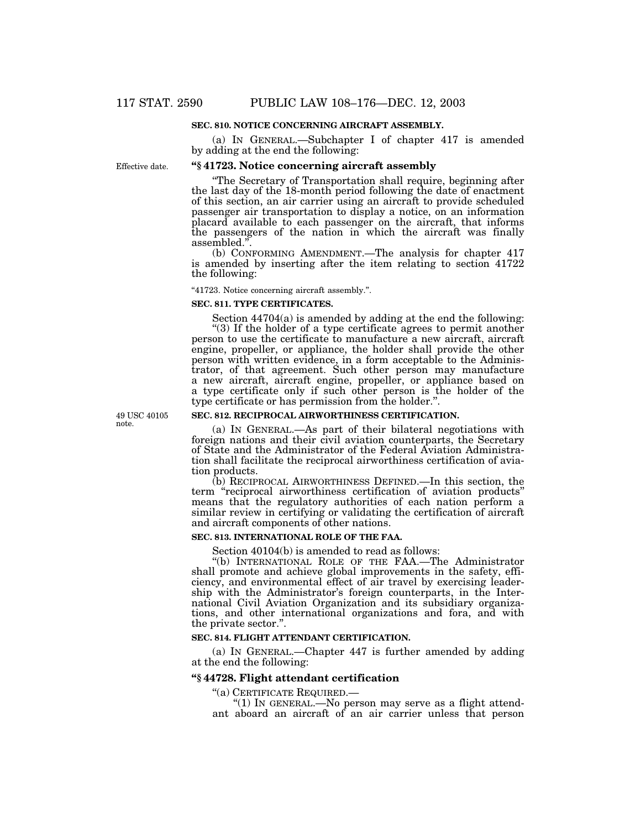# **SEC. 810. NOTICE CONCERNING AIRCRAFT ASSEMBLY.**

(a) IN GENERAL.—Subchapter I of chapter 417 is amended by adding at the end the following:

Effective date.

# **''§ 41723. Notice concerning aircraft assembly**

''The Secretary of Transportation shall require, beginning after the last day of the 18-month period following the date of enactment of this section, an air carrier using an aircraft to provide scheduled passenger air transportation to display a notice, on an information placard available to each passenger on the aircraft, that informs the passengers of the nation in which the aircraft was finally assembled.''.

(b) CONFORMING AMENDMENT.—The analysis for chapter 417 is amended by inserting after the item relating to section 41722 the following:

#### ''41723. Notice concerning aircraft assembly.''.

#### **SEC. 811. TYPE CERTIFICATES.**

Section 44704(a) is amended by adding at the end the following:

''(3) If the holder of a type certificate agrees to permit another person to use the certificate to manufacture a new aircraft, aircraft engine, propeller, or appliance, the holder shall provide the other person with written evidence, in a form acceptable to the Administrator, of that agreement. Such other person may manufacture a new aircraft, aircraft engine, propeller, or appliance based on a type certificate only if such other person is the holder of the type certificate or has permission from the holder.''.

# **SEC. 812. RECIPROCAL AIRWORTHINESS CERTIFICATION.**

(a) IN GENERAL.—As part of their bilateral negotiations with foreign nations and their civil aviation counterparts, the Secretary of State and the Administrator of the Federal Aviation Administration shall facilitate the reciprocal airworthiness certification of aviation products.

(b) RECIPROCAL AIRWORTHINESS DEFINED.—In this section, the term ''reciprocal airworthiness certification of aviation products'' means that the regulatory authorities of each nation perform a similar review in certifying or validating the certification of aircraft and aircraft components of other nations.

# **SEC. 813. INTERNATIONAL ROLE OF THE FAA.**

Section 40104(b) is amended to read as follows:

''(b) INTERNATIONAL ROLE OF THE FAA.—The Administrator shall promote and achieve global improvements in the safety, efficiency, and environmental effect of air travel by exercising leadership with the Administrator's foreign counterparts, in the International Civil Aviation Organization and its subsidiary organizations, and other international organizations and fora, and with the private sector.''.

# **SEC. 814. FLIGHT ATTENDANT CERTIFICATION.**

(a) IN GENERAL.—Chapter 447 is further amended by adding at the end the following:

# **''§ 44728. Flight attendant certification**

''(a) CERTIFICATE REQUIRED.— ''(1) IN GENERAL.—No person may serve as a flight attendant aboard an aircraft of an air carrier unless that person

49 USC 40105 note.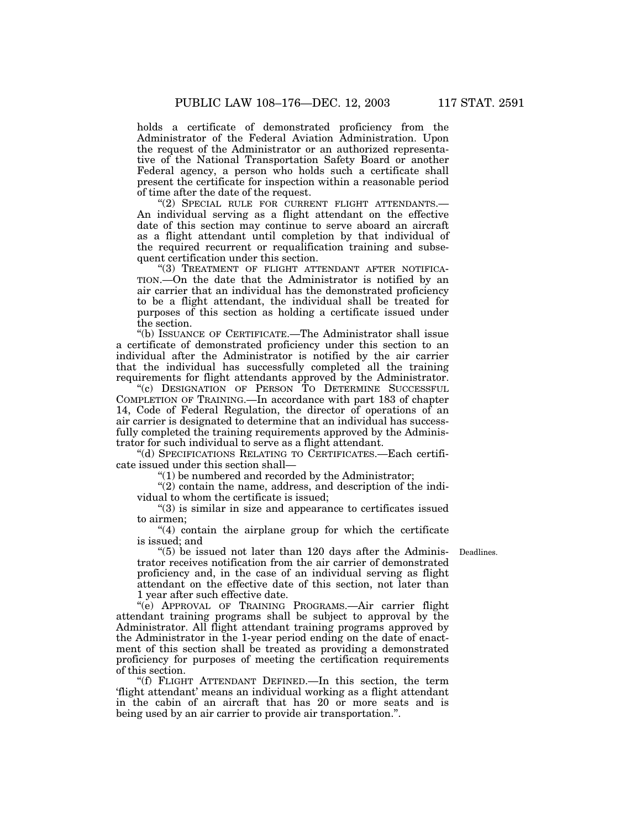holds a certificate of demonstrated proficiency from the Administrator of the Federal Aviation Administration. Upon the request of the Administrator or an authorized representative of the National Transportation Safety Board or another Federal agency, a person who holds such a certificate shall present the certificate for inspection within a reasonable period of time after the date of the request.

"(2) SPECIAL RULE FOR CURRENT FLIGHT ATTENDANTS.— An individual serving as a flight attendant on the effective date of this section may continue to serve aboard an aircraft as a flight attendant until completion by that individual of the required recurrent or requalification training and subsequent certification under this section.

"(3) TREATMENT OF FLIGHT ATTENDANT AFTER NOTIFICA-TION.—On the date that the Administrator is notified by an air carrier that an individual has the demonstrated proficiency to be a flight attendant, the individual shall be treated for purposes of this section as holding a certificate issued under the section.

''(b) ISSUANCE OF CERTIFICATE.—The Administrator shall issue a certificate of demonstrated proficiency under this section to an individual after the Administrator is notified by the air carrier that the individual has successfully completed all the training requirements for flight attendants approved by the Administrator.

''(c) DESIGNATION OF PERSON TO DETERMINE SUCCESSFUL COMPLETION OF TRAINING.—In accordance with part 183 of chapter 14, Code of Federal Regulation, the director of operations of an air carrier is designated to determine that an individual has successfully completed the training requirements approved by the Administrator for such individual to serve as a flight attendant.

''(d) SPECIFICATIONS RELATING TO CERTIFICATES.—Each certificate issued under this section shall—

 $''(1)$  be numbered and recorded by the Administrator;

 $''(2)$  contain the name, address, and description of the individual to whom the certificate is issued;

''(3) is similar in size and appearance to certificates issued to airmen;

 $(4)$  contain the airplane group for which the certificate is issued; and

Deadlines.

''(5) be issued not later than 120 days after the Administrator receives notification from the air carrier of demonstrated proficiency and, in the case of an individual serving as flight attendant on the effective date of this section, not later than 1 year after such effective date.

"(e) APPROVAL OF TRAINING PROGRAMS.—Air carrier flight attendant training programs shall be subject to approval by the Administrator. All flight attendant training programs approved by the Administrator in the 1-year period ending on the date of enactment of this section shall be treated as providing a demonstrated proficiency for purposes of meeting the certification requirements of this section.

''(f) FLIGHT ATTENDANT DEFINED.—In this section, the term 'flight attendant' means an individual working as a flight attendant in the cabin of an aircraft that has 20 or more seats and is being used by an air carrier to provide air transportation.''.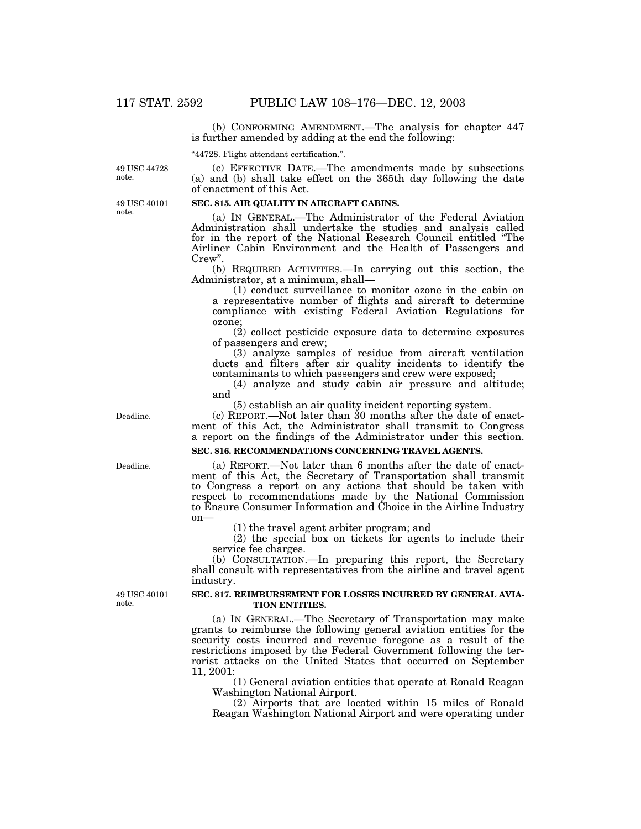(b) CONFORMING AMENDMENT.—The analysis for chapter 447 is further amended by adding at the end the following:

(c) EFFECTIVE DATE.—The amendments made by subsections (a) and (b) shall take effect on the 365th day following the date

''44728. Flight attendant certification.''.

of enactment of this Act.

49 USC 44728 note.

49 USC 40101 note.

#### **SEC. 815. AIR QUALITY IN AIRCRAFT CABINS.**

(a) IN GENERAL.—The Administrator of the Federal Aviation Administration shall undertake the studies and analysis called for in the report of the National Research Council entitled ''The Airliner Cabin Environment and the Health of Passengers and Crew'<sub>.</sub>

(b) REQUIRED ACTIVITIES.—In carrying out this section, the Administrator, at a minimum, shall—

(1) conduct surveillance to monitor ozone in the cabin on a representative number of flights and aircraft to determine compliance with existing Federal Aviation Regulations for ozone;

(2) collect pesticide exposure data to determine exposures of passengers and crew;

(3) analyze samples of residue from aircraft ventilation ducts and filters after air quality incidents to identify the contaminants to which passengers and crew were exposed;

(4) analyze and study cabin air pressure and altitude; and

(5) establish an air quality incident reporting system.

(c) REPORT.—Not later than 30 months after the date of enactment of this Act, the Administrator shall transmit to Congress a report on the findings of the Administrator under this section. **SEC. 816. RECOMMENDATIONS CONCERNING TRAVEL AGENTS.**

(a) REPORT.—Not later than 6 months after the date of enactment of this Act, the Secretary of Transportation shall transmit to Congress a report on any actions that should be taken with respect to recommendations made by the National Commission to Ensure Consumer Information and Choice in the Airline Industry on—

(1) the travel agent arbiter program; and

(2) the special box on tickets for agents to include their service fee charges.

(b) CONSULTATION.—In preparing this report, the Secretary shall consult with representatives from the airline and travel agent industry.

49 USC 40101 note.

# **SEC. 817. REIMBURSEMENT FOR LOSSES INCURRED BY GENERAL AVIA-TION ENTITIES.**

(a) IN GENERAL.—The Secretary of Transportation may make grants to reimburse the following general aviation entities for the security costs incurred and revenue foregone as a result of the restrictions imposed by the Federal Government following the terrorist attacks on the United States that occurred on September 11, 2001:

(1) General aviation entities that operate at Ronald Reagan Washington National Airport.

(2) Airports that are located within 15 miles of Ronald Reagan Washington National Airport and were operating under

Deadline.

Deadline.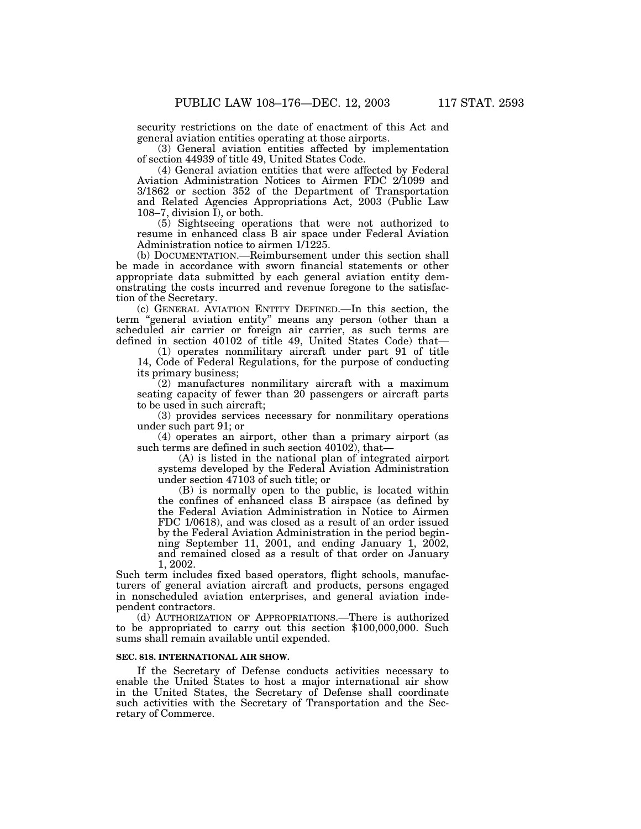security restrictions on the date of enactment of this Act and general aviation entities operating at those airports.

(3) General aviation entities affected by implementation of section 44939 of title 49, United States Code.

(4) General aviation entities that were affected by Federal Aviation Administration Notices to Airmen FDC 2/1099 and 3/1862 or section 352 of the Department of Transportation and Related Agencies Appropriations Act, 2003 (Public Law 108–7, division  $\overline{I}$ ), or both.

(5) Sightseeing operations that were not authorized to resume in enhanced class B air space under Federal Aviation Administration notice to airmen 1/1225.

(b) DOCUMENTATION.—Reimbursement under this section shall be made in accordance with sworn financial statements or other appropriate data submitted by each general aviation entity demonstrating the costs incurred and revenue foregone to the satisfaction of the Secretary.

(c) GENERAL AVIATION ENTITY DEFINED.—In this section, the term "general aviation entity" means any person (other than a scheduled air carrier or foreign air carrier, as such terms are defined in section 40102 of title 49, United States Code) that—

(1) operates nonmilitary aircraft under part 91 of title 14, Code of Federal Regulations, for the purpose of conducting its primary business;

(2) manufactures nonmilitary aircraft with a maximum seating capacity of fewer than 20 passengers or aircraft parts to be used in such aircraft;

(3) provides services necessary for nonmilitary operations under such part 91; or

(4) operates an airport, other than a primary airport (as such terms are defined in such section 40102), that—

(A) is listed in the national plan of integrated airport systems developed by the Federal Aviation Administration under section 47103 of such title; or

(B) is normally open to the public, is located within the confines of enhanced class B airspace (as defined by the Federal Aviation Administration in Notice to Airmen FDC 1/0618), and was closed as a result of an order issued by the Federal Aviation Administration in the period beginning September 11, 2001, and ending January 1, 2002, and remained closed as a result of that order on January 1, 2002.

Such term includes fixed based operators, flight schools, manufacturers of general aviation aircraft and products, persons engaged in nonscheduled aviation enterprises, and general aviation independent contractors.

(d) AUTHORIZATION OF APPROPRIATIONS.—There is authorized to be appropriated to carry out this section \$100,000,000. Such sums shall remain available until expended.

# **SEC. 818. INTERNATIONAL AIR SHOW.**

If the Secretary of Defense conducts activities necessary to enable the United States to host a major international air show in the United States, the Secretary of Defense shall coordinate such activities with the Secretary of Transportation and the Secretary of Commerce.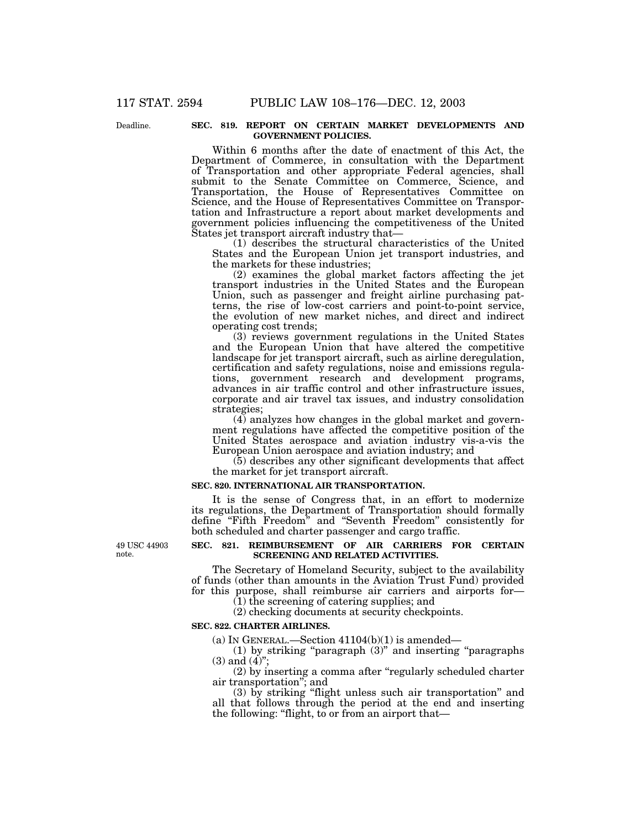# Deadline.

### **SEC. 819. REPORT ON CERTAIN MARKET DEVELOPMENTS AND GOVERNMENT POLICIES.**

Within 6 months after the date of enactment of this Act, the Department of Commerce, in consultation with the Department of Transportation and other appropriate Federal agencies, shall submit to the Senate Committee on Commerce, Science, and Transportation, the House of Representatives Committee on Science, and the House of Representatives Committee on Transportation and Infrastructure a report about market developments and government policies influencing the competitiveness of the United States jet transport aircraft industry that—

(1) describes the structural characteristics of the United States and the European Union jet transport industries, and the markets for these industries;

(2) examines the global market factors affecting the jet transport industries in the United States and the European Union, such as passenger and freight airline purchasing patterns, the rise of low-cost carriers and point-to-point service, the evolution of new market niches, and direct and indirect operating cost trends;

(3) reviews government regulations in the United States and the European Union that have altered the competitive landscape for jet transport aircraft, such as airline deregulation, certification and safety regulations, noise and emissions regulations, government research and development programs, advances in air traffic control and other infrastructure issues, corporate and air travel tax issues, and industry consolidation strategies;

(4) analyzes how changes in the global market and government regulations have affected the competitive position of the United States aerospace and aviation industry vis-a-vis the European Union aerospace and aviation industry; and

(5) describes any other significant developments that affect the market for jet transport aircraft.

#### **SEC. 820. INTERNATIONAL AIR TRANSPORTATION.**

It is the sense of Congress that, in an effort to modernize its regulations, the Department of Transportation should formally define "Fifth Freedom" and "Seventh Freedom" consistently for both scheduled and charter passenger and cargo traffic.

49 USC 44903 note.

# **SEC. 821. REIMBURSEMENT OF AIR CARRIERS FOR CERTAIN SCREENING AND RELATED ACTIVITIES.**

The Secretary of Homeland Security, subject to the availability of funds (other than amounts in the Aviation Trust Fund) provided for this purpose, shall reimburse air carriers and airports for—

(1) the screening of catering supplies; and

(2) checking documents at security checkpoints.

## **SEC. 822. CHARTER AIRLINES.**

(a) IN GENERAL.—Section  $41104(b)(1)$  is amended—

 $(1)$  by striking "paragraph  $(3)$ " and inserting "paragraphs"  $(3)$  and  $(4)$ ";

(2) by inserting a comma after ''regularly scheduled charter air transportation''; and

(3) by striking ''flight unless such air transportation'' and all that follows through the period at the end and inserting the following: ''flight, to or from an airport that—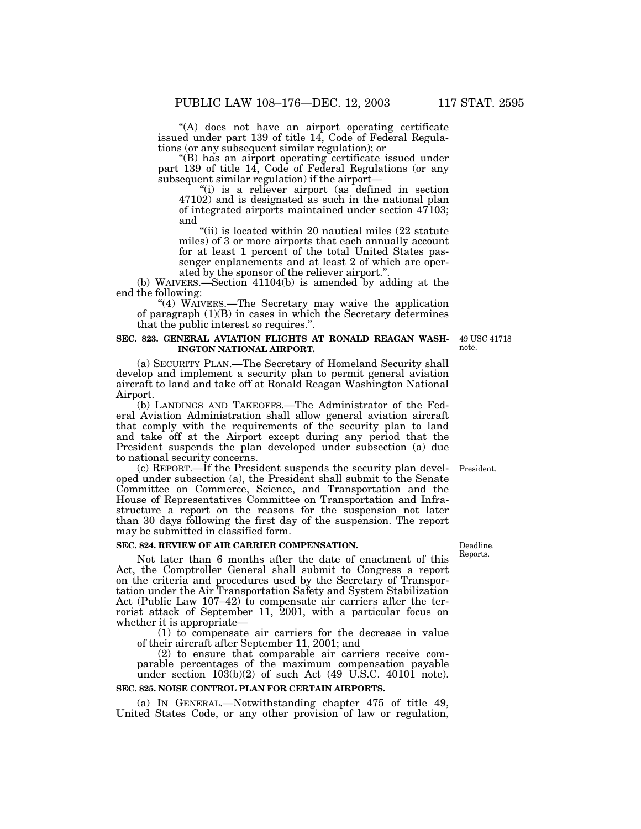''(A) does not have an airport operating certificate issued under part 139 of title 14, Code of Federal Regulations (or any subsequent similar regulation); or

''(B) has an airport operating certificate issued under part 139 of title 14, Code of Federal Regulations (or any subsequent similar regulation) if the airport—

"(i) is a reliever airport (as defined in section 47102) and is designated as such in the national plan of integrated airports maintained under section 47103; and

"(ii) is located within 20 nautical miles (22 statute miles) of 3 or more airports that each annually account for at least 1 percent of the total United States passenger enplanements and at least 2 of which are operated by the sponsor of the reliever airport.''.

(b) WAIVERS.—Section 41104(b) is amended by adding at the end the following:

"(4) WAIVERS.—The Secretary may waive the application of paragraph  $(1)(B)$  in cases in which the Secretary determines that the public interest so requires.''.

# **SEC. 823. GENERAL AVIATION FLIGHTS AT RONALD REAGAN WASH-INGTON NATIONAL AIRPORT.**

(a) SECURITY PLAN.—The Secretary of Homeland Security shall develop and implement a security plan to permit general aviation aircraft to land and take off at Ronald Reagan Washington National Airport.

(b) LANDINGS AND TAKEOFFS.—The Administrator of the Federal Aviation Administration shall allow general aviation aircraft that comply with the requirements of the security plan to land and take off at the Airport except during any period that the President suspends the plan developed under subsection (a) due to national security concerns.

(c) REPORT.—If the President suspends the security plan developed under subsection (a), the President shall submit to the Senate Committee on Commerce, Science, and Transportation and the House of Representatives Committee on Transportation and Infrastructure a report on the reasons for the suspension not later than 30 days following the first day of the suspension. The report may be submitted in classified form. President.

### **SEC. 824. REVIEW OF AIR CARRIER COMPENSATION.**

Not later than 6 months after the date of enactment of this Act, the Comptroller General shall submit to Congress a report on the criteria and procedures used by the Secretary of Transportation under the Air Transportation Safety and System Stabilization Act (Public Law 107–42) to compensate air carriers after the terrorist attack of September 11, 2001, with a particular focus on whether it is appropriate—

(1) to compensate air carriers for the decrease in value of their aircraft after September 11, 2001; and

(2) to ensure that comparable air carriers receive comparable percentages of the maximum compensation payable under section  $103(b)(2)$  of such Act (49 U.S.C. 40101 note).

#### **SEC. 825. NOISE CONTROL PLAN FOR CERTAIN AIRPORTS.**

(a) IN GENERAL.—Notwithstanding chapter 475 of title 49, United States Code, or any other provision of law or regulation,

Deadline. Reports.

49 USC 41718 note.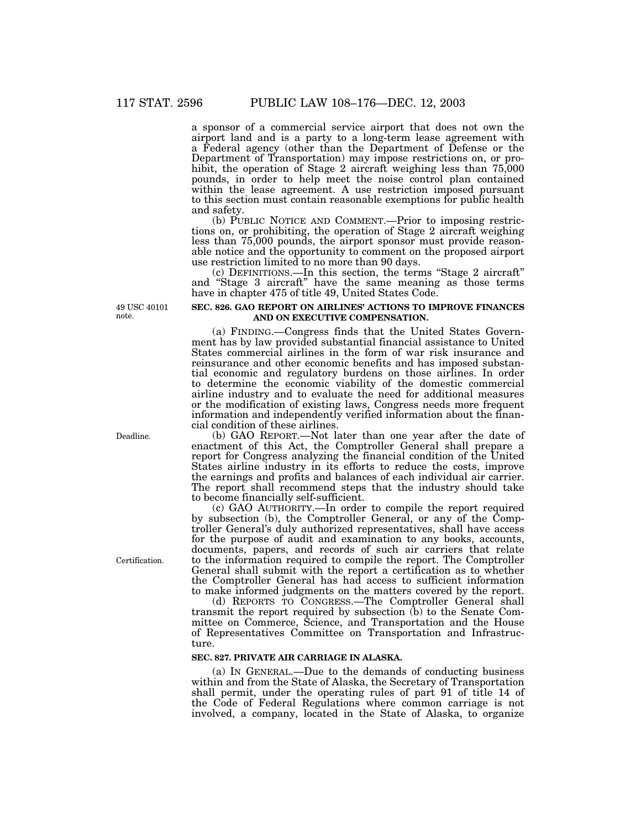a sponsor of a commercial service airport that does not own the airport land and is a party to a long-term lease agreement with a Federal agency (other than the Department of Defense or the Department of Transportation) may impose restrictions on, or prohibit, the operation of Stage 2 aircraft weighing less than 75,000 pounds, in order to help meet the noise control plan contained within the lease agreement. A use restriction imposed pursuant to this section must contain reasonable exemptions for public health and safety.

(b) PUBLIC NOTICE AND COMMENT.—Prior to imposing restrictions on, or prohibiting, the operation of Stage 2 aircraft weighing less than 75,000 pounds, the airport sponsor must provide reasonable notice and the opportunity to comment on the proposed airport use restriction limited to no more than 90 days.

(c) DEFINITIONS.—In this section, the terms ''Stage 2 aircraft'' and ''Stage 3 aircraft'' have the same meaning as those terms have in chapter 475 of title 49, United States Code.

49 USC 40101 note.

# **SEC. 826. GAO REPORT ON AIRLINES' ACTIONS TO IMPROVE FINANCES AND ON EXECUTIVE COMPENSATION.**

(a) FINDING.—Congress finds that the United States Government has by law provided substantial financial assistance to United States commercial airlines in the form of war risk insurance and reinsurance and other economic benefits and has imposed substantial economic and regulatory burdens on those airlines. In order to determine the economic viability of the domestic commercial airline industry and to evaluate the need for additional measures or the modification of existing laws, Congress needs more frequent information and independently verified information about the financial condition of these airlines.

(b) GAO REPORT.—Not later than one year after the date of enactment of this Act, the Comptroller General shall prepare a report for Congress analyzing the financial condition of the United States airline industry in its efforts to reduce the costs, improve the earnings and profits and balances of each individual air carrier. The report shall recommend steps that the industry should take to become financially self-sufficient.

(c) GAO AUTHORITY.—In order to compile the report required by subsection (b), the Comptroller General, or any of the Comptroller General's duly authorized representatives, shall have access for the purpose of audit and examination to any books, accounts, documents, papers, and records of such air carriers that relate to the information required to compile the report. The Comptroller General shall submit with the report a certification as to whether the Comptroller General has had access to sufficient information to make informed judgments on the matters covered by the report.

(d) REPORTS TO CONGRESS.—The Comptroller General shall transmit the report required by subsection (b) to the Senate Committee on Commerce, Science, and Transportation and the House of Representatives Committee on Transportation and Infrastructure.

#### **SEC. 827. PRIVATE AIR CARRIAGE IN ALASKA.**

(a) IN GENERAL.—Due to the demands of conducting business within and from the State of Alaska, the Secretary of Transportation shall permit, under the operating rules of part 91 of title 14 of the Code of Federal Regulations where common carriage is not involved, a company, located in the State of Alaska, to organize

Certification.

Deadline.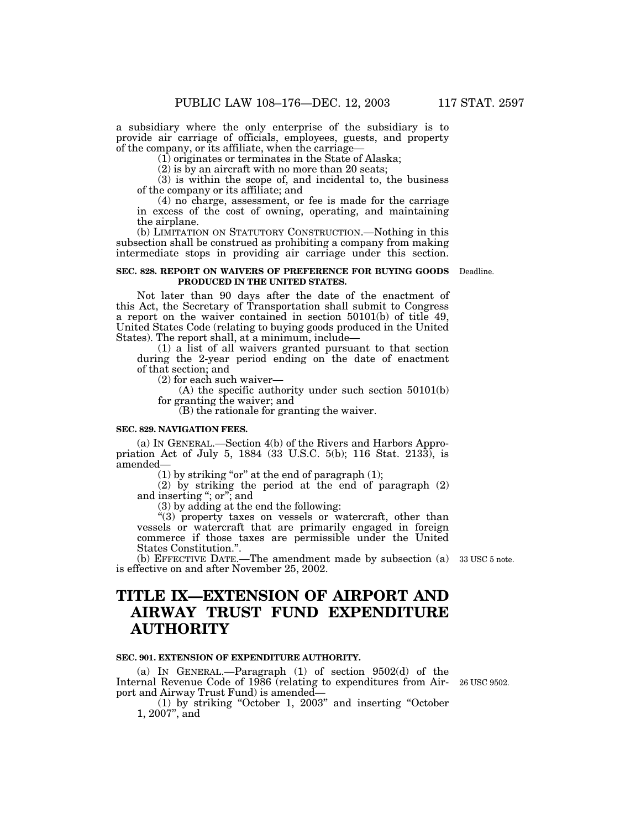a subsidiary where the only enterprise of the subsidiary is to provide air carriage of officials, employees, guests, and property of the company, or its affiliate, when the carriage—

(1) originates or terminates in the State of Alaska;

 $(2)$  is by an aircraft with no more than 20 seats;

(3) is within the scope of, and incidental to, the business of the company or its affiliate; and

(4) no charge, assessment, or fee is made for the carriage in excess of the cost of owning, operating, and maintaining the airplane.

(b) LIMITATION ON STATUTORY CONSTRUCTION.—Nothing in this subsection shall be construed as prohibiting a company from making intermediate stops in providing air carriage under this section.

#### **SEC. 828. REPORT ON WAIVERS OF PREFERENCE FOR BUYING GOODS** Deadline. **PRODUCED IN THE UNITED STATES.**

Not later than 90 days after the date of the enactment of this Act, the Secretary of Transportation shall submit to Congress a report on the waiver contained in section 50101(b) of title 49, United States Code (relating to buying goods produced in the United States). The report shall, at a minimum, include—

(1) a list of all waivers granted pursuant to that section during the 2-year period ending on the date of enactment of that section; and

(2) for each such waiver—

(A) the specific authority under such section 50101(b) for granting the waiver; and

(B) the rationale for granting the waiver.

### **SEC. 829. NAVIGATION FEES.**

(a) IN GENERAL.—Section 4(b) of the Rivers and Harbors Appropriation Act of July 5, 1884 (33 U.S.C. 5(b); 116 Stat. 2133), is amended—

(1) by striking "or" at the end of paragraph  $(1)$ ;

 $(2)$  by striking the period at the end of paragraph  $(2)$ and inserting ''; or''; and

(3) by adding at the end the following:

"(3) property taxes on vessels or watercraft, other than vessels or watercraft that are primarily engaged in foreign commerce if those taxes are permissible under the United States Constitution.''.

(b) EFFECTIVE DATE.—The amendment made by subsection (a) 33 USC 5 note. is effective on and after November 25, 2002.

# **TITLE IX—EXTENSION OF AIRPORT AND AIRWAY TRUST FUND EXPENDITURE AUTHORITY**

# **SEC. 901. EXTENSION OF EXPENDITURE AUTHORITY.**

(a) IN GENERAL.—Paragraph (1) of section 9502(d) of the Internal Revenue Code of 1986 (relating to expenditures from Air-26 USC 9502. port and Airway Trust Fund) is amended—

(1) by striking ''October 1, 2003'' and inserting ''October 1, 2007'', and